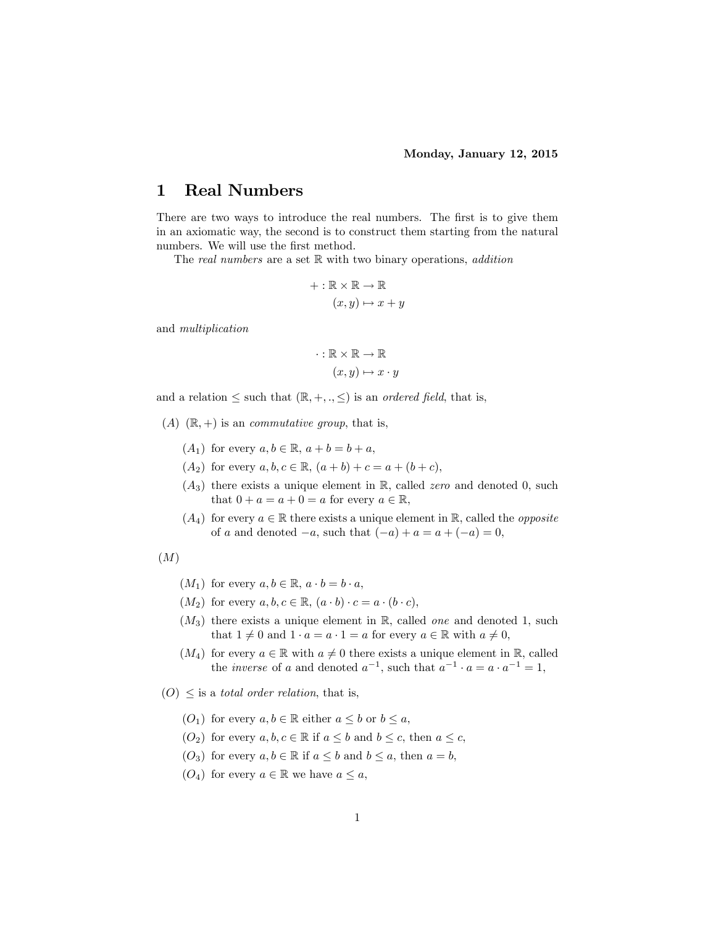## 1 Real Numbers

There are two ways to introduce the real numbers. The first is to give them in an axiomatic way, the second is to construct them starting from the natural numbers. We will use the first method.

The real numbers are a set  $\mathbb R$  with two binary operations, addition

$$
+ : \mathbb{R} \times \mathbb{R} \to \mathbb{R}
$$

$$
(x, y) \mapsto x + y
$$

and multiplication

$$
\cdot : \mathbb{R} \times \mathbb{R} \to \mathbb{R}
$$

$$
(x, y) \mapsto x \cdot y
$$

and a relation  $\leq$  such that  $(\mathbb{R}, +, \cdot, \leq)$  is an *ordered field*, that is,

- $(A)$   $(\mathbb{R}, +)$  is an *commutative group*, that is,
	- $(A_1)$  for every  $a, b \in \mathbb{R}, a + b = b + a$ ,
	- $(A_2)$  for every  $a, b, c \in \mathbb{R}$ ,  $(a + b) + c = a + (b + c)$ ,
	- $(A_3)$  there exists a unique element in R, called *zero* and denoted 0, such that  $0 + a = a + 0 = a$  for every  $a \in \mathbb{R}$ ,
	- $(A_4)$  for every  $a \in \mathbb{R}$  there exists a unique element in R, called the *opposite* of a and denoted  $-a$ , such that  $(-a) + a = a + (-a) = 0$ ,

(M)

- $(M_1)$  for every  $a, b \in \mathbb{R}, a \cdot b = b \cdot a$ ,
- $(M_2)$  for every  $a, b, c \in \mathbb{R}$ ,  $(a \cdot b) \cdot c = a \cdot (b \cdot c)$ ,
- $(M_3)$  there exists a unique element in R, called one and denoted 1, such that  $1 \neq 0$  and  $1 \cdot a = a \cdot 1 = a$  for every  $a \in \mathbb{R}$  with  $a \neq 0$ ,
- $(M_4)$  for every  $a \in \mathbb{R}$  with  $a \neq 0$  there exists a unique element in R, called the *inverse* of a and denoted  $a^{-1}$ , such that  $a^{-1} \cdot a = a \cdot a^{-1} = 1$ ,

 $(O) \leq$  is a *total order relation*, that is,

- $(O_1)$  for every  $a, b \in \mathbb{R}$  either  $a \leq b$  or  $b \leq a$ ,
- $(O_2)$  for every  $a, b, c \in \mathbb{R}$  if  $a \leq b$  and  $b \leq c$ , then  $a \leq c$ ,
- $(O_3)$  for every  $a, b \in \mathbb{R}$  if  $a \leq b$  and  $b \leq a$ , then  $a = b$ ,
- $(O_4)$  for every  $a \in \mathbb{R}$  we have  $a \leq a$ ,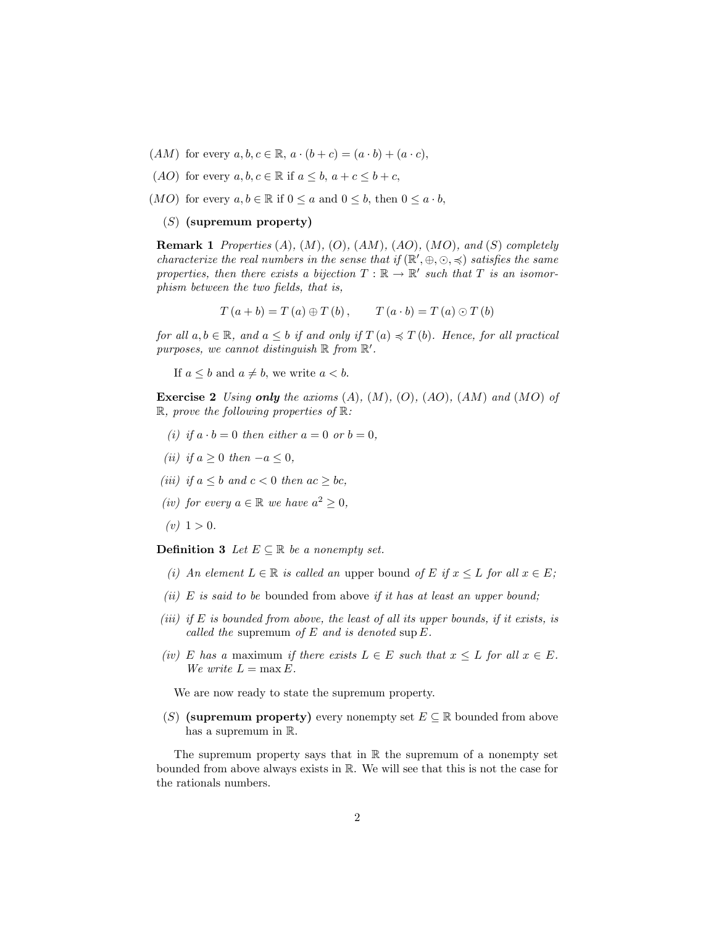- $(AM)$  for every  $a, b, c \in \mathbb{R}$ ,  $a \cdot (b + c) = (a \cdot b) + (a \cdot c)$ ,
- (AO) for every  $a, b, c \in \mathbb{R}$  if  $a \leq b, a + c \leq b + c$ ,
- (*MO*) for every  $a, b \in \mathbb{R}$  if  $0 \le a$  and  $0 \le b$ , then  $0 \le a \cdot b$ ,

#### (S) (supremum property)

**Remark 1** Properties  $(A)$ ,  $(M)$ ,  $(O)$ ,  $(AM)$ ,  $(AO)$ ,  $(MO)$ , and  $(S)$  completely characterize the real numbers in the sense that if  $(\mathbb{R}', \oplus, \odot, \preccurlyeq)$  satisfies the same properties, then there exists a bijection  $T : \mathbb{R} \to \mathbb{R}'$  such that T is an isomorphism between the two fields, that is,

$$
T(a + b) = T(a) \oplus T(b), \qquad T(a \cdot b) = T(a) \odot T(b)
$$

for all  $a, b \in \mathbb{R}$ , and  $a \leq b$  if and only if  $T(a) \preccurlyeq T(b)$ . Hence, for all practical purposes, we cannot distinguish  $\mathbb R$  from  $\mathbb R'$ .

If  $a \leq b$  and  $a \neq b$ , we write  $a \leq b$ .

**Exercise 2** Using only the axioms  $(A)$ ,  $(M)$ ,  $(O)$ ,  $(AO)$ ,  $(AM)$  and  $(MO)$  of  $\mathbb{R}$ , prove the following properties of  $\mathbb{R}$ :

- (i) if  $a \cdot b = 0$  then either  $a = 0$  or  $b = 0$ .
- (ii) if  $a > 0$  then  $-a \le 0$ ,
- (iii) if  $a \leq b$  and  $c \leq 0$  then  $ac \geq bc$ ,
- (iv) for every  $a \in \mathbb{R}$  we have  $a^2 \geq 0$ ,
- $(v)$  1 > 0.

**Definition 3** Let  $E \subseteq \mathbb{R}$  be a nonempty set.

- (i) An element  $L \in \mathbb{R}$  is called an upper bound of E if  $x \leq L$  for all  $x \in E$ ;
- (ii) E is said to be bounded from above if it has at least an upper bound;
- (iii) if  $E$  is bounded from above, the least of all its upper bounds, if it exists, is called the supremum of  $E$  and is denoted sup  $E$ .
- (iv) E has a maximum if there exists  $L \in E$  such that  $x \leq L$  for all  $x \in E$ . We write  $L = \max E$ .

We are now ready to state the supremum property.

(S) (supremum property) every nonempty set  $E \subseteq \mathbb{R}$  bounded from above has a supremum in R.

The supremum property says that in  $\mathbb R$  the supremum of a nonempty set bounded from above always exists in R. We will see that this is not the case for the rationals numbers.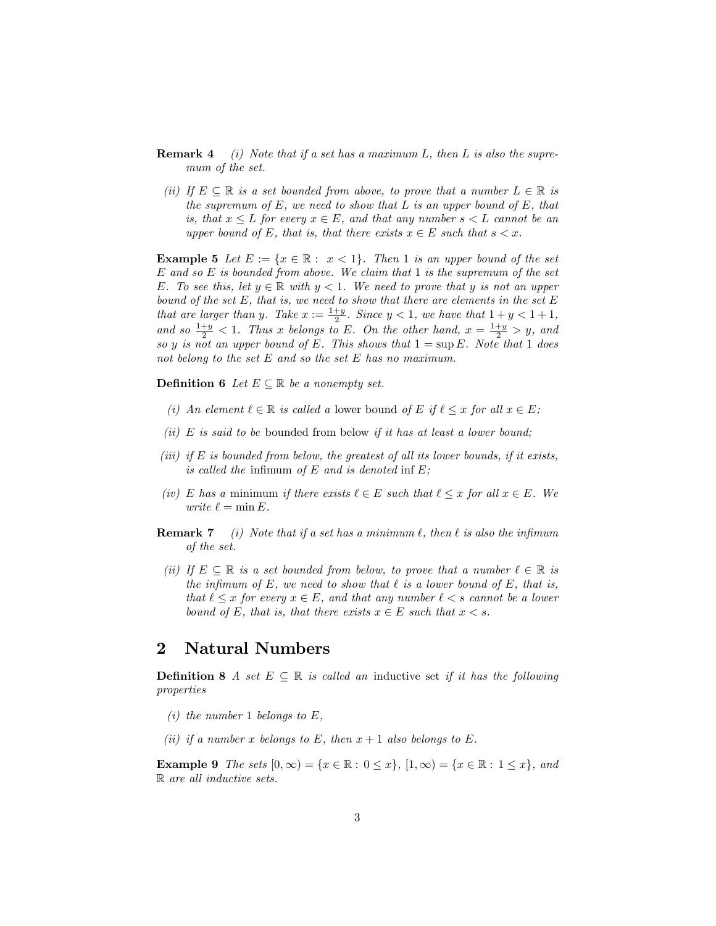- **Remark 4** (i) Note that if a set has a maximum L, then L is also the supremum of the set.
- (ii) If  $E \subseteq \mathbb{R}$  is a set bounded from above, to prove that a number  $L \in \mathbb{R}$  is the supremum of  $E$ , we need to show that  $L$  is an upper bound of  $E$ , that is, that  $x \leq L$  for every  $x \in E$ , and that any number  $s < L$  cannot be an upper bound of E, that is, that there exists  $x \in E$  such that  $s < x$ .

**Example 5** Let  $E := \{x \in \mathbb{R} : x < 1\}$ . Then 1 is an upper bound of the set  $E$  and so  $E$  is bounded from above. We claim that 1 is the supremum of the set E. To see this, let  $y \in \mathbb{R}$  with  $y < 1$ . We need to prove that y is not an upper bound of the set  $E$ , that is, we need to show that there are elements in the set  $E$ that are larger than y. Take  $x := \frac{1+y}{2}$ . Since  $y < 1$ , we have that  $1 + y < 1 + 1$ , and so  $\frac{1+y}{2} < 1$ . Thus x belongs to E. On the other hand,  $x = \frac{1+y}{2} > y$ , and so y is not an upper bound of E. This shows that  $1 = \sup E$ . Note that 1 does not belong to the set E and so the set E has no maximum.

**Definition 6** Let  $E \subseteq \mathbb{R}$  be a nonempty set.

- (i) An element  $\ell \in \mathbb{R}$  is called a lower bound of E if  $\ell \le x$  for all  $x \in E$ ;
- (ii)  $E$  is said to be bounded from below if it has at least a lower bound;
- (iii) if  $E$  is bounded from below, the greatest of all its lower bounds, if it exists, is called the infimum of  $E$  and is denoted inf  $E$ ;
- (iv) E has a minimum if there exists  $\ell \in E$  such that  $\ell \leq x$  for all  $x \in E$ . We write  $\ell = \min E$ .
- **Remark 7** (i) Note that if a set has a minimum  $\ell$ , then  $\ell$  is also the infimum of the set.
- (ii) If  $E \subseteq \mathbb{R}$  is a set bounded from below, to prove that a number  $\ell \in \mathbb{R}$  is the infimum of E, we need to show that  $\ell$  is a lower bound of E, that is, that  $\ell \leq x$  for every  $x \in E$ , and that any number  $\ell < s$  cannot be a lower bound of E, that is, that there exists  $x \in E$  such that  $x < s$ .

## 2 Natural Numbers

**Definition 8** A set  $E \subseteq \mathbb{R}$  is called an inductive set if it has the following properties

- (i) the number 1 belongs to  $E$ .
- (ii) if a number x belongs to E, then  $x + 1$  also belongs to E.

**Example 9** The sets  $[0, \infty) = \{x \in \mathbb{R} : 0 \leq x\}$ ,  $[1, \infty) = \{x \in \mathbb{R} : 1 \leq x\}$ , and R are all inductive sets.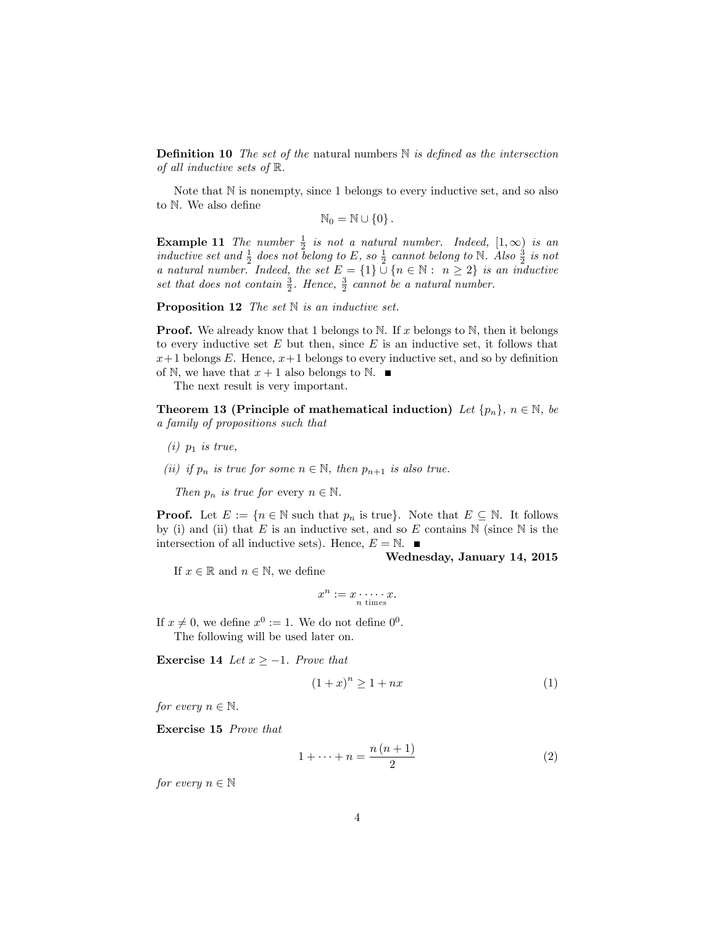**Definition 10** The set of the natural numbers  $\mathbb N$  is defined as the intersection of all inductive sets of R.

Note that  $\mathbb N$  is nonempty, since 1 belongs to every inductive set, and so also to  $N$ . We also define

$$
\mathbb{N}_0=\mathbb{N}\cup\{0\}\,.
$$

**Example 11** The number  $\frac{1}{2}$  is not a natural number. Indeed,  $[1,\infty)$  is an inductive set and  $\frac{1}{2}$  does not belong to E, so  $\frac{1}{2}$  cannot belong to N. Also  $\frac{3}{2}$  is not a natural number. Indeed, the set  $E = \{1\} \cup \{n \in \mathbb{N} : n \geq 2\}$  is an inductive set that does not contain  $\frac{3}{2}$ . Hence,  $\frac{3}{2}$  cannot be a natural number.

**Proposition 12** The set  $\mathbb N$  is an inductive set.

**Proof.** We already know that 1 belongs to N. If x belongs to N, then it belongs to every inductive set  $E$  but then, since  $E$  is an inductive set, it follows that  $x+1$  belongs E. Hence,  $x+1$  belongs to every inductive set, and so by definition of N, we have that  $x + 1$  also belongs to N.

The next result is very important.

**Theorem 13 (Principle of mathematical induction)** Let  $\{p_n\}$ ,  $n \in \mathbb{N}$ , be a family of propositions such that

- $(i)$   $p_1$  is true,
- (ii) if  $p_n$  is true for some  $n \in \mathbb{N}$ , then  $p_{n+1}$  is also true.

Then  $p_n$  is true for every  $n \in \mathbb{N}$ .

**Proof.** Let  $E := \{n \in \mathbb{N} \text{ such that } p_n \text{ is true}\}.$  Note that  $E \subseteq \mathbb{N}$ . It follows by (i) and (ii) that E is an inductive set, and so E contains  $\mathbb N$  (since  $\mathbb N$  is the intersection of all inductive sets). Hence,  $E = N$ .

If  $x \in \mathbb{R}$  and  $n \in \mathbb{N}$ , we define

$$
x = x \qquad x
$$

 $x^n := x \cdot \dots \cdot x.$ <br>*n* times

If  $x \neq 0$ , we define  $x^0 := 1$ . We do not define  $0^0$ . The following will be used later on.

**Exercise 14** Let  $x \ge -1$ . Prove that

$$
(1+x)^n \ge 1+nx \tag{1}
$$

Wednesday, January 14, 2015

for every  $n \in \mathbb{N}$ .

Exercise 15 Prove that

$$
1 + \dots + n = \frac{n(n+1)}{2} \tag{2}
$$

for every  $n \in \mathbb{N}$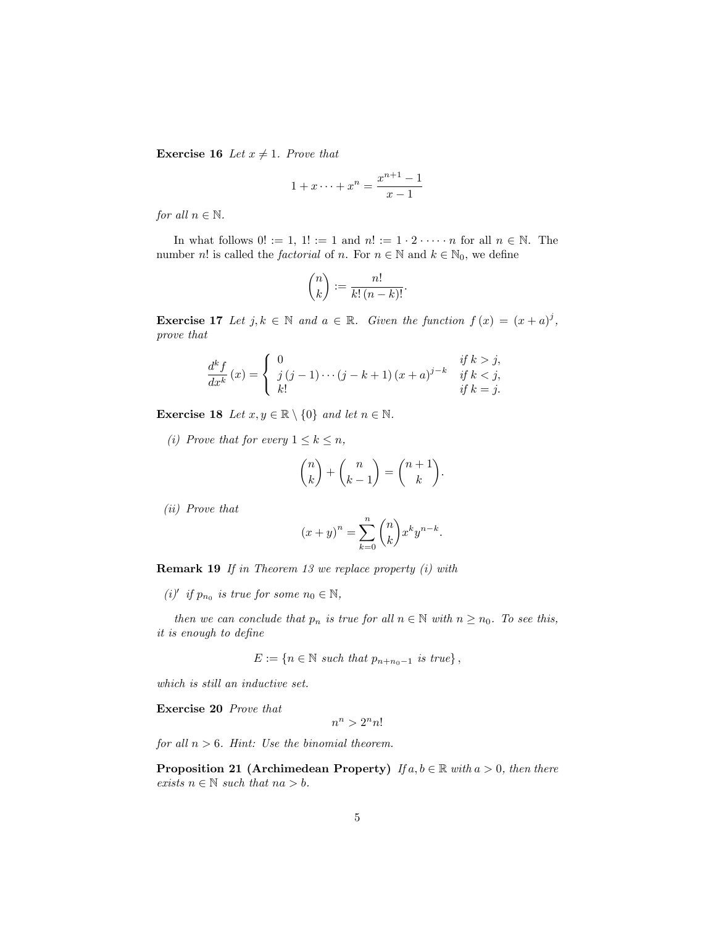**Exercise 16** Let  $x \neq 1$ . Prove that

$$
1 + x \cdots + x^{n} = \frac{x^{n+1} - 1}{x - 1}
$$

for all  $n \in \mathbb{N}$ .

In what follows  $0! := 1, 1! := 1$  and  $n! := 1 \cdot 2 \cdot \cdots \cdot n$  for all  $n \in \mathbb{N}$ . The number *n*! is called the *factorial* of *n*. For  $n \in \mathbb{N}$  and  $k \in \mathbb{N}_0$ , we define

$$
\binom{n}{k} := \frac{n!}{k! \, (n-k)!}.
$$

**Exercise 17** Let  $j, k \in \mathbb{N}$  and  $a \in \mathbb{R}$ . Given the function  $f(x) = (x + a)^j$ , prove that

$$
\frac{d^k f}{dx^k}(x) = \begin{cases} 0 & \text{if } k > j, \\ j(j-1)\cdots(j-k+1)(x+a)^{j-k} & \text{if } k < j, \\ k! & \text{if } k = j. \end{cases}
$$

**Exercise 18** Let  $x, y \in \mathbb{R} \setminus \{0\}$  and let  $n \in \mathbb{N}$ .

(i) Prove that for every  $1 \leq k \leq n$ ,

$$
\binom{n}{k} + \binom{n}{k-1} = \binom{n+1}{k}.
$$

(ii) Prove that

$$
(x+y)^n = \sum_{k=0}^n \binom{n}{k} x^k y^{n-k}.
$$

Remark 19 If in Theorem 13 we replace property (i) with

(i)' if  $p_{n_0}$  is true for some  $n_0 \in \mathbb{N}$ ,

then we can conclude that  $p_n$  is true for all  $n \in \mathbb{N}$  with  $n \geq n_0$ . To see this, it is enough to define

$$
E := \{ n \in \mathbb{N} \text{ such that } p_{n+n_0-1} \text{ is true} \},
$$

which is still an inductive set.

Exercise 20 Prove that

$$
n^n>2^nn!
$$

for all  $n > 6$ . Hint: Use the binomial theorem.

**Proposition 21 (Archimedean Property)** If  $a, b \in \mathbb{R}$  with  $a > 0$ , then there exists  $n \in \mathbb{N}$  such that  $na > b$ .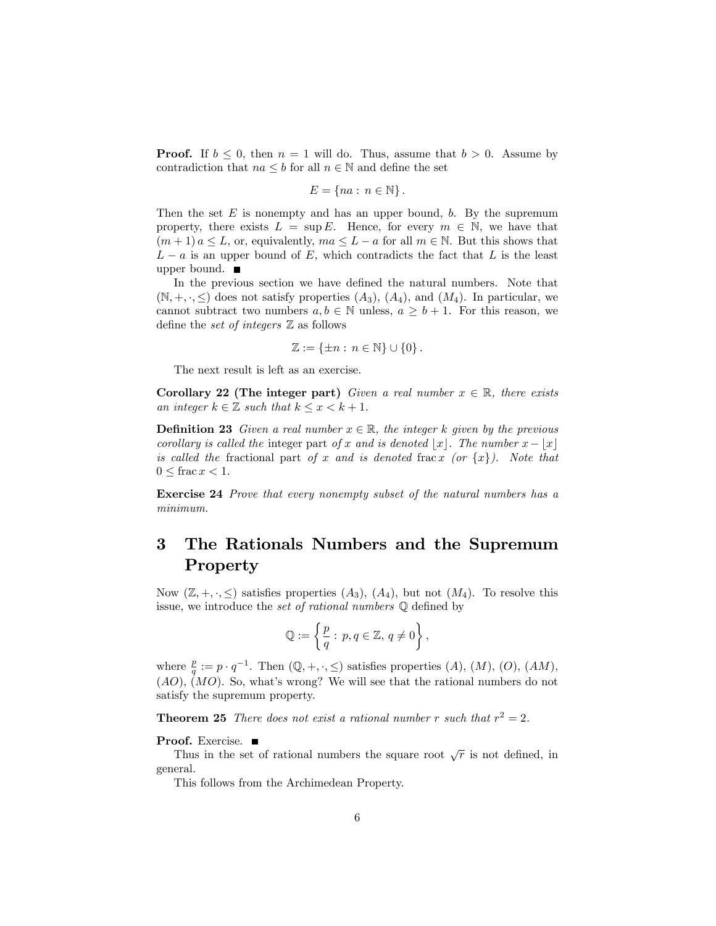**Proof.** If  $b \leq 0$ , then  $n = 1$  will do. Thus, assume that  $b > 0$ . Assume by contradiction that  $na \leq b$  for all  $n \in \mathbb{N}$  and define the set

 $E = \{na : n \in \mathbb{N}\}.$ 

Then the set  $E$  is nonempty and has an upper bound,  $b$ . By the supremum property, there exists  $L = \sup E$ . Hence, for every  $m \in \mathbb{N}$ , we have that  $(m+1)a \leq L$ , or, equivalently,  $ma \leq L - a$  for all  $m \in \mathbb{N}$ . But this shows that  $L - a$  is an upper bound of E, which contradicts the fact that L is the least upper bound.

In the previous section we have defined the natural numbers. Note that  $(N, +, \cdot, \leq)$  does not satisfy properties  $(A_3)$ ,  $(A_4)$ , and  $(M_4)$ . In particular, we cannot subtract two numbers  $a, b \in \mathbb{N}$  unless,  $a \geq b + 1$ . For this reason, we define the set of integers  $\mathbb Z$  as follows

$$
\mathbb{Z} := \{\pm n : n \in \mathbb{N}\} \cup \{0\}.
$$

The next result is left as an exercise.

Corollary 22 (The integer part) Given a real number  $x \in \mathbb{R}$ , there exists an integer  $k \in \mathbb{Z}$  such that  $k \leq x \leq k+1$ .

**Definition 23** Given a real number  $x \in \mathbb{R}$ , the integer k given by the previous corollary is called the integer part of x and is denoted |x|. The number  $x - |x|$ is called the fractional part of x and is denoted frac x (or  $\{x\}$ ). Note that  $0 \leq \operatorname{frac} x < 1$ .

Exercise 24 Prove that every nonempty subset of the natural numbers has a minimum.

# 3 The Rationals Numbers and the Supremum Property

Now  $(\mathbb{Z}, +, \cdot, \leq)$  satisfies properties  $(A_3), (A_4)$ , but not  $(M_4)$ . To resolve this issue, we introduce the set of rational numbers  $\mathbb Q$  defined by

$$
\mathbb{Q}:=\left\{\frac{p}{q}:\, p,q\in\mathbb{Z},\, q\neq 0\right\},
$$

where  $\frac{p}{q} := p \cdot q^{-1}$ . Then  $(\mathbb{Q}, +, \cdot, \leq)$  satisfies properties  $(A)$ ,  $(M)$ ,  $(O)$ ,  $(AM)$ ,  $(AO)$ ,  $(MO)$ . So, what's wrong? We will see that the rational numbers do not satisfy the supremum property.

**Theorem 25** There does not exist a rational number r such that  $r^2 = 2$ .

#### Proof. Exercise.

Thus in the set of rational numbers the square root  $\sqrt{r}$  is not defined, in general.

This follows from the Archimedean Property.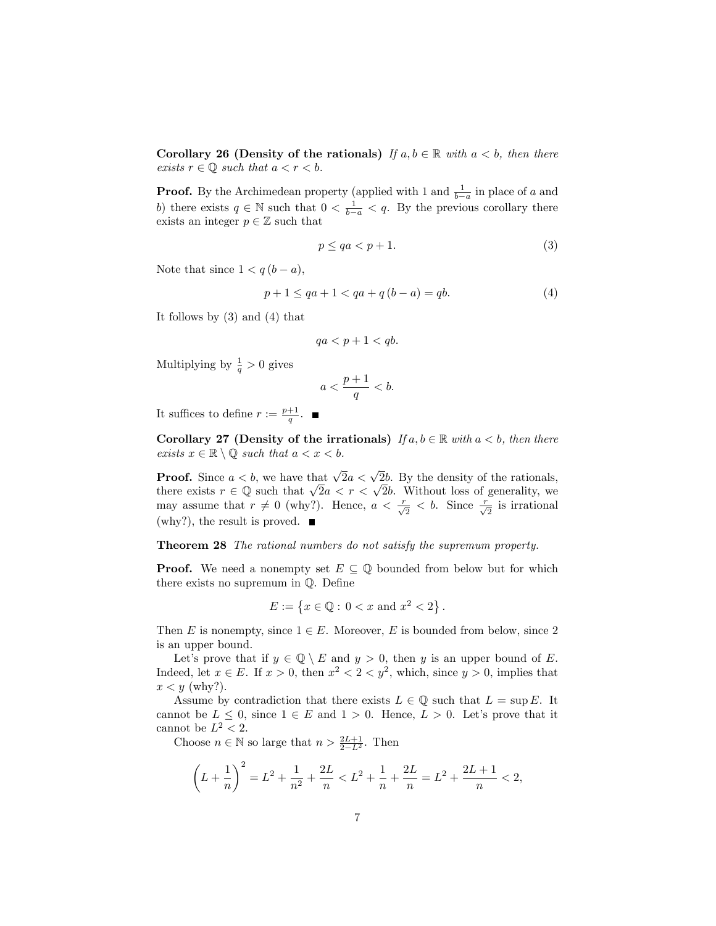Corollary 26 (Density of the rationals) If  $a, b \in \mathbb{R}$  with  $a < b$ , then there exists  $r \in \mathbb{Q}$  such that  $a < r < b$ .

**Proof.** By the Archimedean property (applied with 1 and  $\frac{1}{b-a}$  in place of a and b) there exists  $q \in \mathbb{N}$  such that  $0 < \frac{1}{b-a} < q$ . By the previous corollary there exists an integer  $p \in \mathbb{Z}$  such that

$$
p \le qa < p + 1. \tag{3}
$$

Note that since  $1 < q(b-a)$ ,

$$
p + 1 \le qa + 1 < qa + q(b - a) = qb. \tag{4}
$$

It follows by (3) and (4) that

$$
qa < p + 1 < qb.
$$

Multiplying by  $\frac{1}{q} > 0$  gives

$$
a < \frac{p+1}{q} < b.
$$

It suffices to define  $r := \frac{p+1}{q}$ .

Corollary 27 (Density of the irrationals) If  $a, b \in \mathbb{R}$  with  $a < b$ , then there exists  $x \in \mathbb{R} \setminus \mathbb{O}$  such that  $a < x < b$ .

**Proof.** Since  $a < b$ , we have that  $\sqrt{2}a < \sqrt{2}b$ . By the density of the rationals, there exists  $r \in \mathbb{Q}$  such that  $\sqrt{2a} < r < \sqrt{2b}$ . Without loss of generality, we may assume that  $r \neq 0$  (why?). Hence,  $a < \frac{r}{\sqrt{2}} < b$ . Since  $\frac{r}{\sqrt{2}}$  is irrational  $(\text{why?})$ , the result is proved.  $\blacksquare$ 

Theorem 28 The rational numbers do not satisfy the supremum property.

**Proof.** We need a nonempty set  $E \subseteq \mathbb{Q}$  bounded from below but for which there exists no supremum in  $\mathbb Q$ . Define

$$
E := \{ x \in \mathbb{Q} : \, 0 < x \text{ and } x^2 < 2 \} \, .
$$

Then E is nonempty, since  $1 \in E$ . Moreover, E is bounded from below, since 2 is an upper bound.

Let's prove that if  $y \in \mathbb{Q} \setminus E$  and  $y > 0$ , then y is an upper bound of E. Indeed, let  $x \in E$ . If  $x > 0$ , then  $x^2 < 2 < y^2$ , which, since  $y > 0$ , implies that  $x < y$  (why?).

Assume by contradiction that there exists  $L \in \mathbb{Q}$  such that  $L = \sup E$ . It cannot be  $L \leq 0$ , since  $1 \in E$  and  $1 > 0$ . Hence,  $L > 0$ . Let's prove that it cannot be  $L^2 < 2$ .

Choose  $n \in \mathbb{N}$  so large that  $n > \frac{2L+1}{2-L^2}$ . Then

$$
\left(L+\frac{1}{n}\right)^2 = L^2 + \frac{1}{n^2} + \frac{2L}{n} < L^2 + \frac{1}{n} + \frac{2L}{n} = L^2 + \frac{2L+1}{n} < 2,
$$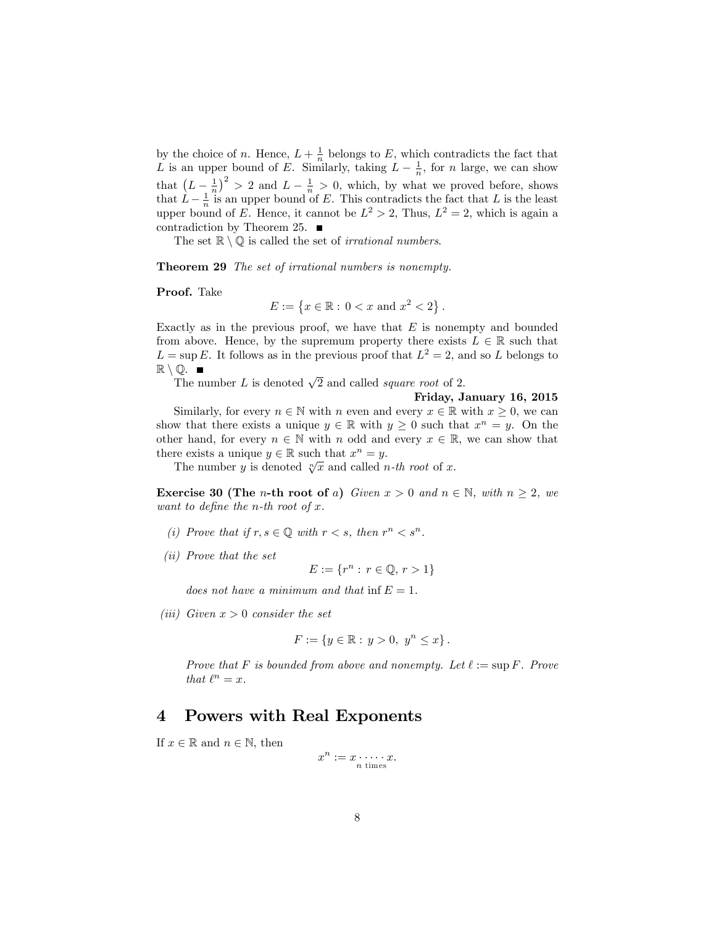by the choice of n. Hence,  $L + \frac{1}{n}$  belongs to E, which contradicts the fact that L is an upper bound of E. Similarly, taking  $L - \frac{1}{n}$ , for n large, we can show that  $(L-\frac{1}{n})^2 > 2$  and  $L-\frac{1}{n} > 0$ , which, by what we proved before, shows that  $\hat{L} - \frac{1}{n}$  is an upper bound of E. This contradicts the fact that L is the least upper bound of E. Hence, it cannot be  $L^2 > 2$ , Thus,  $L^2 = 2$ , which is again a contradiction by Theorem 25.  $\blacksquare$ 

The set  $\mathbb{R} \setminus \mathbb{O}$  is called the set of *irrational numbers*.

**Theorem 29** The set of irrational numbers is nonempty.

Proof. Take

 $E := \{x \in \mathbb{R} : 0 < x \text{ and } x^2 < 2\}.$ 

Exactly as in the previous proof, we have that  $E$  is nonempty and bounded from above. Hence, by the supremum property there exists  $L \in \mathbb{R}$  such that  $L = \sup E$ . It follows as in the previous proof that  $L^2 = 2$ , and so L belongs to  $\mathbb{R} \setminus \mathbb{Q}$ .

The number L is denoted  $\sqrt{2}$  and called *square root* of 2.

### Friday, January 16, 2015

Similarly, for every  $n \in \mathbb{N}$  with n even and every  $x \in \mathbb{R}$  with  $x \geq 0$ , we can show that there exists a unique  $y \in \mathbb{R}$  with  $y \geq 0$  such that  $x^n = y$ . On the other hand, for every  $n \in \mathbb{N}$  with n odd and every  $x \in \mathbb{R}$ , we can show that there exists a unique  $y \in \mathbb{R}$  such that  $x^n = y$ .

The number y is denoted  $\sqrt[n]{x}$  and called *n-th root* of x.

**Exercise 30 (The** *n***-th root of a)** Given  $x > 0$  and  $n \in \mathbb{N}$ , with  $n \ge 2$ , we want to define the n-th root of  $x$ .

- (i) Prove that if  $r, s \in \mathbb{Q}$  with  $r < s$ , then  $r^n < s^n$ .
- (ii) Prove that the set

 $E := \{r^n : r \in \mathbb{Q}, r > 1\}$ 

does not have a minimum and that inf  $E = 1$ .

(iii) Given  $x > 0$  consider the set

$$
F:=\left\{y\in\mathbb{R}:\,y>0,\ y^n\leq x\right\}.
$$

Prove that F is bounded from above and nonempty. Let  $\ell := \sup F$ . Prove that  $\ell^n = x$ .

## 4 Powers with Real Exponents

If  $x \in \mathbb{R}$  and  $n \in \mathbb{N}$ , then

$$
x^n := x \cdot \dots \cdot x.
$$
<sup>n times</sup>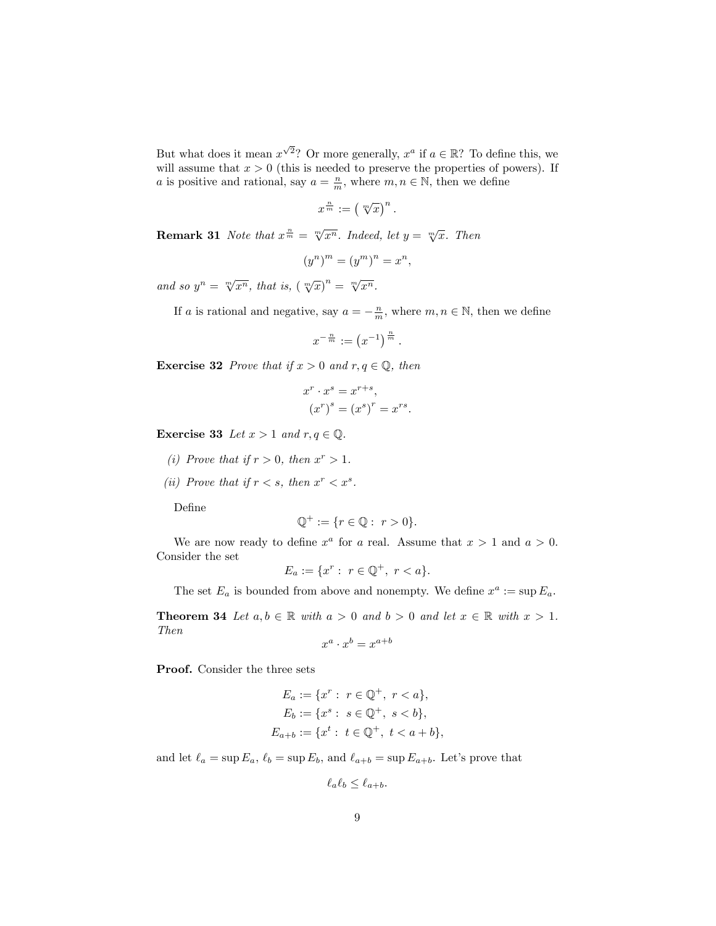But what does it mean  $x^{\sqrt{2}}$ ? Or more generally,  $x^a$  if  $a \in \mathbb{R}$ ? To define this, we will assume that  $x > 0$  (this is needed to preserve the properties of powers). If a is positive and rational, say  $a = \frac{n}{m}$ , where  $m, n \in \mathbb{N}$ , then we define

$$
x^{\frac{n}{m}}:=\left(\sqrt[m]{x}\right)^n.
$$

**Remark 31** Note that  $x^{\frac{n}{m}} = \sqrt[m]{x^n}$ . Indeed, let  $y = \sqrt[m]{x}$ . Then

$$
(y^n)^m = (y^m)^n = x^n,
$$

and so  $y^n = \sqrt[m]{x^n}$ , that is,  $(\sqrt[m]{x})^n = \sqrt[m]{x^n}$ .

If a is rational and negative, say  $a = -\frac{n}{m}$ , where  $m, n \in \mathbb{N}$ , then we define

$$
x^{-\frac{n}{m}} := \left(x^{-1}\right)^{\frac{n}{m}}.
$$

**Exercise 32** Prove that if  $x > 0$  and  $r, q \in \mathbb{Q}$ , then

$$
x^r \cdot x^s = x^{r+s},
$$

$$
(x^r)^s = (x^s)^r = x^{rs}.
$$

Exercise 33 Let  $x > 1$  and  $r, q \in \mathbb{Q}$ .

- (i) Prove that if  $r > 0$ , then  $x^r > 1$ .
- (ii) Prove that if  $r < s$ , then  $x^r < x^s$ .

DeÖne

$$
\mathbb{Q}^+ := \{ r \in \mathbb{Q} : r > 0 \}.
$$

We are now ready to define  $x^a$  for a real. Assume that  $x > 1$  and  $a > 0$ . Consider the set

$$
E_a := \{ x^r : \ r \in \mathbb{Q}^+, \ r < a \}.
$$

The set  $E_a$  is bounded from above and nonempty. We define  $x^a := \sup E_a$ .

**Theorem 34** Let  $a, b \in \mathbb{R}$  with  $a > 0$  and  $b > 0$  and let  $x \in \mathbb{R}$  with  $x > 1$ . Then

 $x^a \cdot x^b = x^{a+b}$ 

Proof. Consider the three sets

$$
E_a := \{x^r : r \in \mathbb{Q}^+, r < a\},
$$
\n
$$
E_b := \{x^s : s \in \mathbb{Q}^+, s < b\},
$$
\n
$$
E_{a+b} := \{x^t : t \in \mathbb{Q}^+, t < a + b\},
$$

and let  $\ell_a = \sup E_a$ ,  $\ell_b = \sup E_b$ , and  $\ell_{a+b} = \sup E_{a+b}$ . Let's prove that

$$
\ell_a \ell_b \le \ell_{a+b}.
$$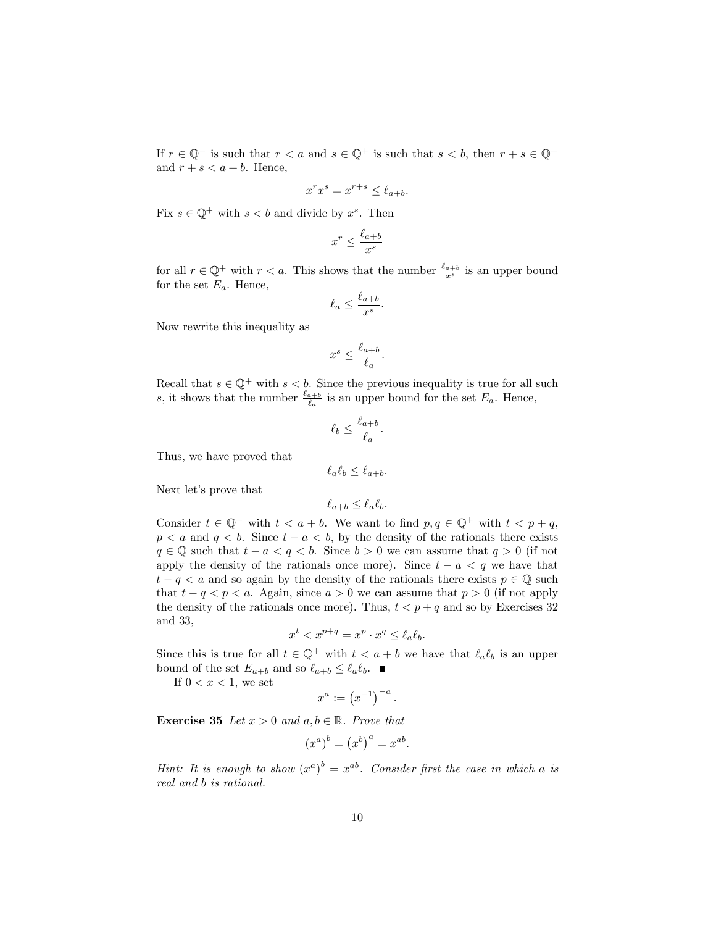If  $r \in \mathbb{Q}^+$  is such that  $r < a$  and  $s \in \mathbb{Q}^+$  is such that  $s < b$ , then  $r + s \in \mathbb{Q}^+$ and  $r + s < a + b$ . Hence,

$$
x^r x^s = x^{r+s} \le \ell_{a+b}.
$$

Fix  $s \in \mathbb{Q}^+$  with  $s < b$  and divide by  $x^s$ . Then

$$
x^r \le \frac{\ell_{a+b}}{x^s}
$$

for all  $r \in \mathbb{Q}^+$  with  $r < a$ . This shows that the number  $\frac{\ell_{a+b}}{x^s}$  is an upper bound for the set  $E_a$ . Hence,

$$
\ell_a \le \frac{\ell_{a+b}}{x^s}.
$$

Now rewrite this inequality as

$$
x^s \le \frac{\ell_{a+b}}{\ell_a}.
$$

Recall that  $s \in \mathbb{Q}^+$  with  $s < b$ . Since the previous inequality is true for all such s, it shows that the number  $\frac{\ell_{a+b}}{\ell_a}$  is an upper bound for the set  $E_a$ . Hence,

$$
\ell_b \le \frac{\ell_{a+b}}{\ell_a}.
$$

Thus, we have proved that

 $\ell_a \ell_b \leq \ell_{a+b}$ .

Next let's prove that

$$
\ell_{a+b} \le \ell_a \ell_b.
$$

Consider  $t \in \mathbb{Q}^+$  with  $t < a + b$ . We want to find  $p, q \in \mathbb{Q}^+$  with  $t < p + q$ ,  $p < a$  and  $q < b$ . Since  $t - a < b$ , by the density of the rationals there exists  $q \in \mathbb{Q}$  such that  $t - a < q < b$ . Since  $b > 0$  we can assume that  $q > 0$  (if not apply the density of the rationals once more). Since  $t - a < q$  we have that  $t - q < a$  and so again by the density of the rationals there exists  $p \in \mathbb{Q}$  such that  $t - q < p < a$ . Again, since  $a > 0$  we can assume that  $p > 0$  (if not apply the density of the rationals once more). Thus,  $t < p + q$  and so by Exercises 32 and 33,

$$
x^t < x^{p+q} = x^p \cdot x^q \le \ell_a \ell_b.
$$

Since this is true for all  $t \in \mathbb{Q}^+$  with  $t < a + b$  we have that  $\ell_a \ell_b$  is an upper bound of the set  $E_{a+b}$  and so  $\ell_{a+b} \leq \ell_a \ell_b$ .

If  $0 < x < 1$ , we set

$$
x^a := \left(x^{-1}\right)^{-a}.
$$

**Exercise 35** Let  $x > 0$  and  $a, b \in \mathbb{R}$ . Prove that

$$
(x^a)^b = (x^b)^a = x^{ab}.
$$

Hint: It is enough to show  $(x^a)^b = x^{ab}$ . Consider first the case in which a is real and b is rational.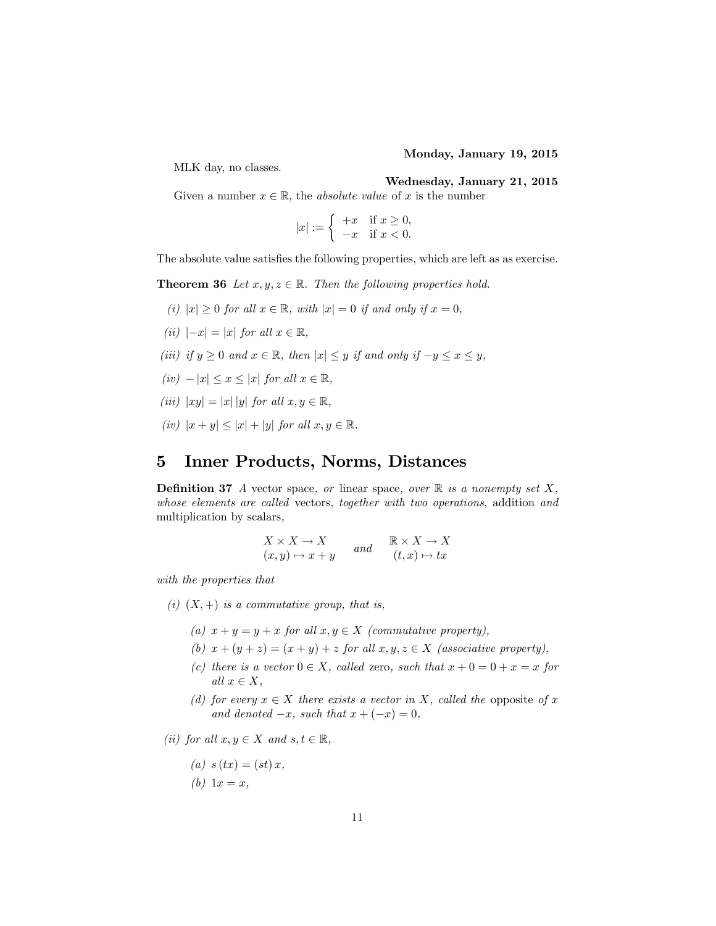#### Monday, January 19, 2015

MLK day, no classes.

### Wednesday, January 21, 2015

Given a number  $x \in \mathbb{R}$ , the *absolute value* of x is the number

$$
|x| := \begin{cases} +x & \text{if } x \ge 0, \\ -x & \text{if } x < 0. \end{cases}
$$

The absolute value satisfies the following properties, which are left as as exercise.

**Theorem 36** Let  $x, y, z \in \mathbb{R}$ . Then the following properties hold.

- (i)  $|x| \geq 0$  for all  $x \in \mathbb{R}$ , with  $|x| = 0$  if and only if  $x = 0$ ,
- (ii)  $|-x| = |x|$  for all  $x \in \mathbb{R}$ ,
- (iii) if  $y \ge 0$  and  $x \in \mathbb{R}$ , then  $|x| \le y$  if and only if  $-y \le x \le y$ ,
- $(iv) |x| \leq x \leq |x|$  for all  $x \in \mathbb{R}$ ,
- (iii)  $|xy| = |x| |y|$  for all  $x, y \in \mathbb{R}$ ,
- (iv)  $|x + y| \leq |x| + |y|$  for all  $x, y \in \mathbb{R}$ .

## 5 Inner Products, Norms, Distances

**Definition 37** A vector space, or linear space, over  $\mathbb{R}$  is a nonempty set X, whose elements are called vectors, together with two operations, addition and multiplication by scalars,

$$
\begin{array}{ccc}\nX \times X \to X & and & \mathbb{R} \times X \to X \\
(x, y) \mapsto x + y & and & (t, x) \mapsto tx\n\end{array}
$$

with the properties that

- (i)  $(X,+)$  is a commutative group, that is,
	- (a)  $x + y = y + x$  for all  $x, y \in X$  (commutative property),
	- (b)  $x + (y + z) = (x + y) + z$  for all  $x, y, z \in X$  (associative property),
	- (c) there is a vector  $0 \in X$ , called zero, such that  $x + 0 = 0 + x = x$  for all  $x \in X$ ,
	- (d) for every  $x \in X$  there exists a vector in X, called the opposite of x and denoted  $-x$ , such that  $x + (-x) = 0$ ,

(ii) for all  $x, y \in X$  and  $s, t \in \mathbb{R}$ ,

$$
(a) s(tx) = (st)x,
$$

$$
(b) 1x = x,
$$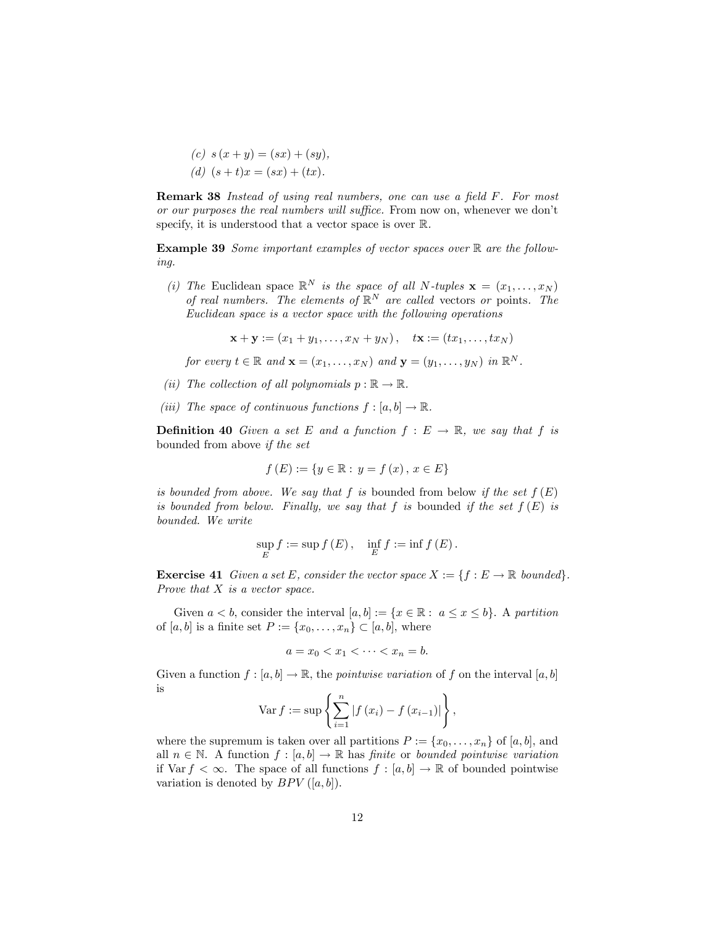(c)  $s(x + y) = (sx) + (sy),$ (d)  $(s + t)x = (sx) + (tx)$ .

**Remark 38** Instead of using real numbers, one can use a field F. For most or our purposes the real numbers will suffice. From now on, whenever we don't specify, it is understood that a vector space is over  $\mathbb{R}$ .

Example 39 Some important examples of vector spaces over  $\mathbb R$  are the following.

(i) The Euclidean space  $\mathbb{R}^N$  is the space of all N-tuples  $\mathbf{x} = (x_1, \ldots, x_N)$ of real numbers. The elements of  $\mathbb{R}^N$  are called vectors or points. The Euclidean space is a vector space with the following operations

 $\mathbf{x} + \mathbf{y} := (x_1 + y_1, \dots, x_N + y_N), \quad \mathbf{tx} := (tx_1, \dots, tx_N)$ 

for every  $t \in \mathbb{R}$  and  $\mathbf{x} = (x_1, \dots, x_N)$  and  $\mathbf{y} = (y_1, \dots, y_N)$  in  $\mathbb{R}^N$ .

- (ii) The collection of all polynomials  $p : \mathbb{R} \to \mathbb{R}$ .
- (iii) The space of continuous functions  $f : [a, b] \to \mathbb{R}$ .

**Definition 40** Given a set E and a function  $f : E \to \mathbb{R}$ , we say that f is bounded from above if the set

$$
f(E) := \{ y \in \mathbb{R} : y = f(x), x \in E \}
$$

is bounded from above. We say that f is bounded from below if the set  $f(E)$ is bounded from below. Finally, we say that f is bounded if the set  $f(E)$  is bounded. We write

$$
\sup_{E}f:=\sup f\left(E\right),\quad \inf_{E}f:=\inf f\left(E\right).
$$

**Exercise 41** Given a set E, consider the vector space  $X := \{f : E \to \mathbb{R} \text{ bounded}\}\.$ Prove that X is a vector space.

Given  $a < b$ , consider the interval  $[a, b] := \{x \in \mathbb{R} : a \leq x \leq b\}$ . A partition of  $[a, b]$  is a finite set  $P := \{x_0, \ldots, x_n\} \subset [a, b]$ , where

$$
a = x_0 < x_1 < \dots < x_n = b.
$$

Given a function  $f : [a, b] \to \mathbb{R}$ , the *pointwise variation* of f on the interval  $[a, b]$ is

$$
Var f := \sup \left\{ \sum_{i=1}^{n} |f(x_i) - f(x_{i-1})| \right\},\
$$

where the supremum is taken over all partitions  $P := \{x_0, \ldots, x_n\}$  of  $[a, b]$ , and all  $n \in \mathbb{N}$ . A function  $f : [a, b] \to \mathbb{R}$  has finite or bounded pointwise variation if Var  $f < \infty$ . The space of all functions  $f : [a, b] \to \mathbb{R}$  of bounded pointwise variation is denoted by  $BPV([a, b])$ .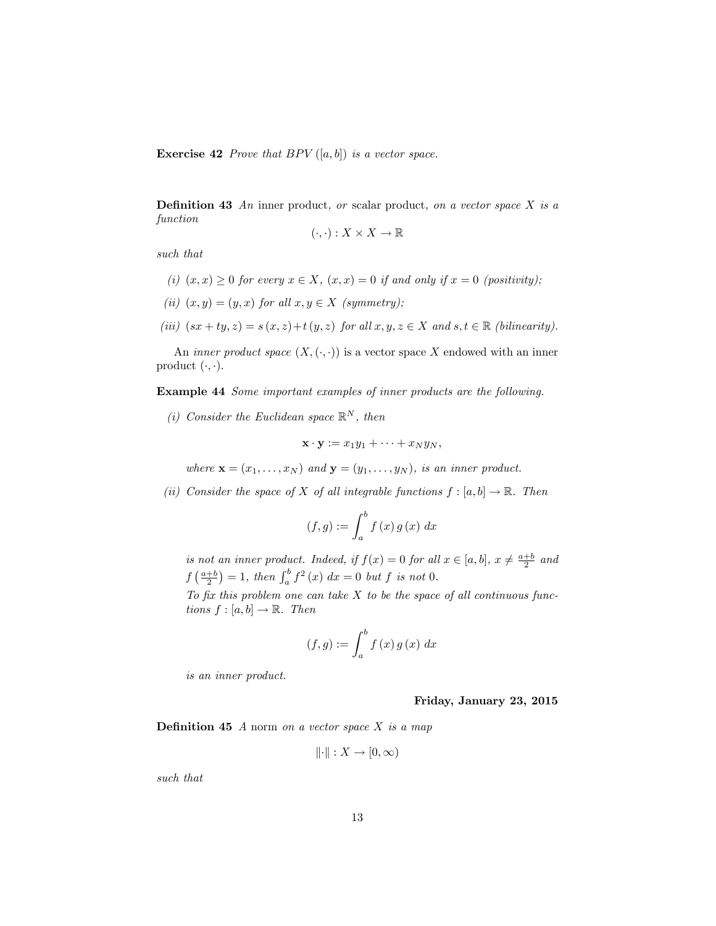**Exercise 42** Prove that BPV  $([a, b])$  is a vector space.

**Definition 43** An inner product, or scalar product, on a vector space  $X$  is a function

$$
(\cdot,\cdot):X\times X\to\mathbb{R}
$$

such that

- (i)  $(x, x) > 0$  for every  $x \in X$ ,  $(x, x) = 0$  if and only if  $x = 0$  (positivity);
- (ii)  $(x, y) = (y, x)$  for all  $x, y \in X$  (symmetry);
- (iii)  $(sx + ty, z) = s(x, z) + t(y, z)$  for all  $x, y, z \in X$  and  $s, t \in \mathbb{R}$  (bilinearity).

An *inner product space*  $(X, \langle \cdot, \cdot \rangle)$  is a vector space X endowed with an inner product  $(\cdot, \cdot)$ .

Example 44 Some important examples of inner products are the following.

(i) Consider the Euclidean space  $\mathbb{R}^N$ , then

$$
\mathbf{x} \cdot \mathbf{y} := x_1 y_1 + \cdots + x_N y_N,
$$

where  $\mathbf{x} = (x_1, \ldots, x_N)$  and  $\mathbf{y} = (y_1, \ldots, y_N)$ , is an inner product.

(ii) Consider the space of X of all integrable functions  $f : [a, b] \to \mathbb{R}$ . Then

$$
(f,g) := \int_{a}^{b} f(x) g(x) dx
$$

is not an inner product. Indeed, if  $f(x) = 0$  for all  $x \in [a, b]$ ,  $x \neq \frac{a+b}{2}$  and  $f\left(\frac{a+b}{2}\right) = 1$ , then  $\int_a^b f^2(x) dx = 0$  but f is not 0.

To fix this problem one can take  $X$  to be the space of all continuous functions  $f : [a, b] \rightarrow \mathbb{R}$ . Then

$$
(f,g) := \int_{a}^{b} f(x) g(x) dx
$$

is an inner product.

Friday, January 23, 2015

**Definition 45**  $A$  norm on a vector space  $X$  is a map

$$
\|\cdot\|: X \to [0, \infty)
$$

such that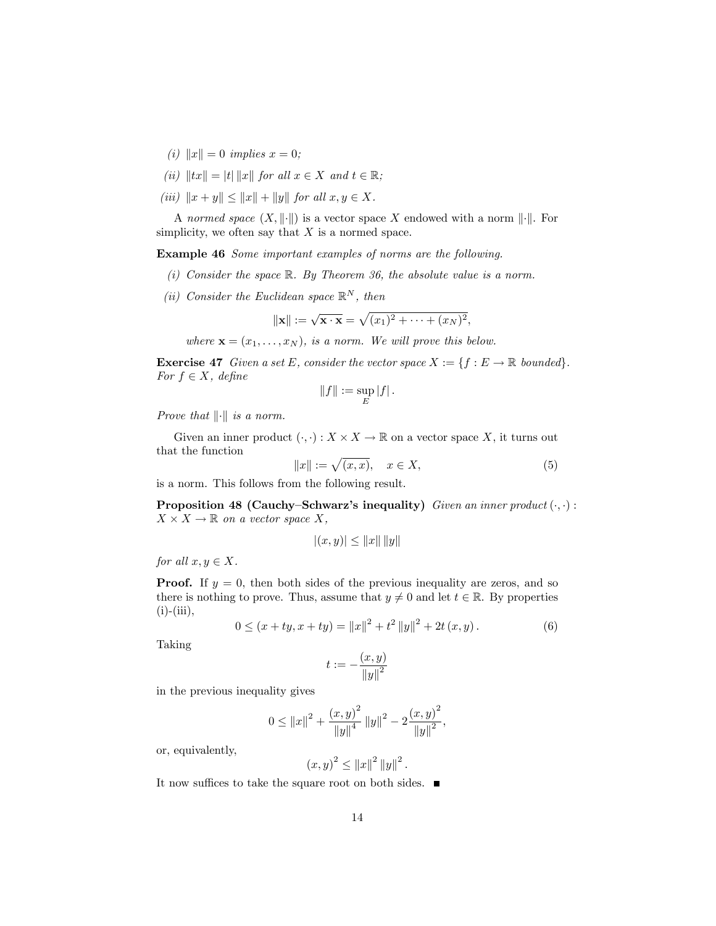- (i)  $||x|| = 0$  implies  $x = 0$ ;
- (ii)  $||tx|| = |t| ||x||$  for all  $x \in X$  and  $t \in \mathbb{R}$ ;
- (iii)  $||x + y|| \le ||x|| + ||y||$  for all  $x, y \in X$ .

A normed space  $(X, \|\cdot\|)$  is a vector space X endowed with a norm  $\|\cdot\|$ . For simplicity, we often say that  $X$  is a normed space.

Example 46 Some important examples of norms are the following.

- (i) Consider the space  $\mathbb R$ . By Theorem 36, the absolute value is a norm.
- (ii) Consider the Euclidean space  $\mathbb{R}^N$ , then

$$
\|\mathbf{x}\| := \sqrt{\mathbf{x} \cdot \mathbf{x}} = \sqrt{(x_1)^2 + \dots + (x_N)^2},
$$

where  $\mathbf{x} = (x_1, \ldots, x_N)$ , is a norm. We will prove this below.

**Exercise 47** Given a set E, consider the vector space  $X := \{f : E \to \mathbb{R} \text{ bounded}\}\.$ For  $f \in X$ , define

$$
||f||:=\sup_E|f|.
$$

Prove that  $\left\| \cdot \right\|$  is a norm.

Given an inner product  $(.,.): X \times X \to \mathbb{R}$  on a vector space X, it turns out that the function

$$
||x|| := \sqrt{(x,x)}, \quad x \in X,\tag{5}
$$

is a norm. This follows from the following result.

**Proposition 48 (Cauchy–Schwarz's inequality)** Given an inner product  $( \cdot, \cdot )$ :  $X \times X \to \mathbb{R}$  on a vector space X,

$$
\left|(x,y)\right|\leq\left\Vert x\right\Vert \left\Vert y\right\Vert
$$

for all  $x, y \in X$ .

**Proof.** If  $y = 0$ , then both sides of the previous inequality are zeros, and so there is nothing to prove. Thus, assume that  $y \neq 0$  and let  $t \in \mathbb{R}$ . By properties  $(i)$ - $(iii)$ ,

$$
0 \le (x + ty, x + ty) = ||x||^{2} + t^{2} ||y||^{2} + 2t (x, y).
$$
 (6)

Taking

$$
t:=-\frac{(x,y)}{\left\|y\right\|^2}
$$

in the previous inequality gives

$$
0 \leq ||x||^{2} + \frac{(x, y)^{2}}{||y||^{4}} ||y||^{2} - 2 \frac{(x, y)^{2}}{||y||^{2}},
$$

or, equivalently,

$$
(x, y)^2 \le ||x||^2 ||y||^2
$$
.

It now suffices to take the square root on both sides.  $\blacksquare$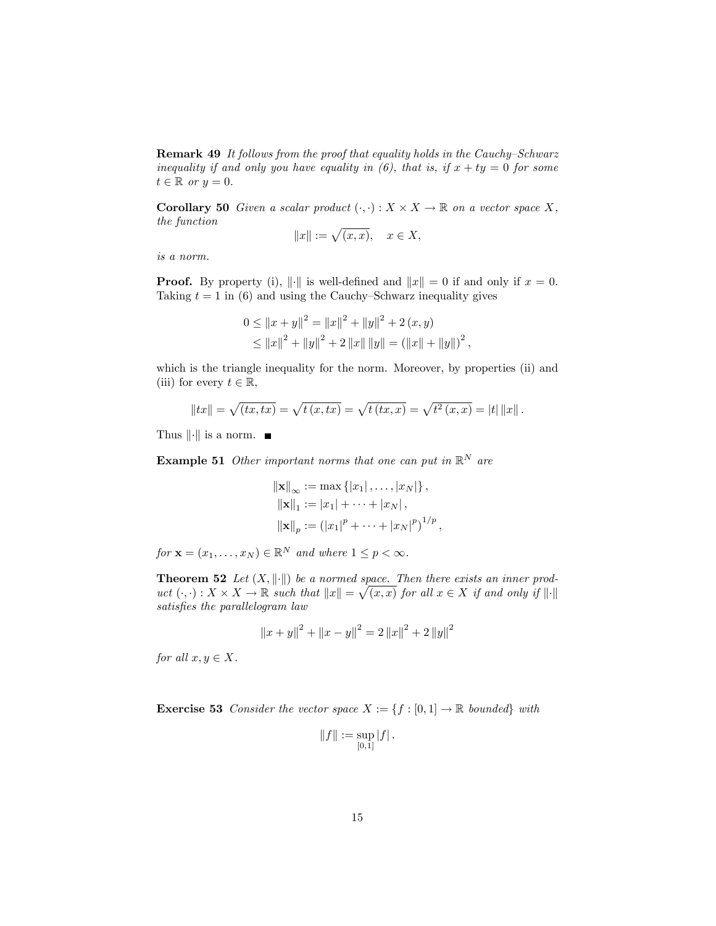Remark 49 It follows from the proof that equality holds in the Cauchy-Schwarz inequality if and only you have equality in (6), that is, if  $x + ty = 0$  for some  $t \in \mathbb{R}$  or  $y = 0$ .

**Corollary 50** Given a scalar product  $( \cdot, \cdot) : X \times X \to \mathbb{R}$  on a vector space X, the function

$$
||x||:=\sqrt{(x,x)},\quad x\in X,
$$

is a norm.

**Proof.** By property (i),  $\|\cdot\|$  is well-defined and  $\|x\| = 0$  if and only if  $x = 0$ . Taking  $t = 1$  in (6) and using the Cauchy–Schwarz inequality gives

$$
0 \le ||x + y||^{2} = ||x||^{2} + ||y||^{2} + 2 (x, y)
$$
  
\n
$$
\le ||x||^{2} + ||y||^{2} + 2 ||x|| ||y|| = (||x|| + ||y||)^{2},
$$

which is the triangle inequality for the norm. Moreover, by properties (ii) and (iii) for every  $t \in \mathbb{R}$ ,

$$
||tx|| = \sqrt{(tx, tx)} = \sqrt{t(x, tx)} = \sqrt{t(x, x)} = \sqrt{t^2(x, x)} = |t| ||x||.
$$

Thus  $\|\cdot\|$  is a norm.  $\blacksquare$ 

**Example 51** Other important norms that one can put in  $\mathbb{R}^N$  are

$$
||\mathbf{x}||_{\infty} := \max \{ |x_1|, \dots, |x_N| \},
$$
  
\n
$$
||\mathbf{x}||_1 := |x_1| + \dots + |x_N|,
$$
  
\n
$$
||\mathbf{x}||_p := (|x_1|^p + \dots + |x_N|^p)^{1/p},
$$

for  $\mathbf{x} = (x_1, \dots, x_N) \in \mathbb{R}^N$  and where  $1 \leq p < \infty$ .

**Theorem 52** Let  $(X, \|\cdot\|)$  be a normed space. Then there exists an inner product  $(\cdot, \cdot) : X \times X \to \mathbb{R}$  such that  $||x|| = \sqrt{(x, x)}$  for all  $x \in X$  if and only if  $||\cdot||$ satisfies the parallelogram law

$$
||x + y||^{2} + ||x - y||^{2} = 2 ||x||^{2} + 2 ||y||^{2}
$$

for all  $x, y \in X$ .

**Exercise 53** Consider the vector space  $X := \{f : [0,1] \to \mathbb{R} \text{ bounded}\}\$  with

$$
||f||:=\sup_{[0,1]}|f|.
$$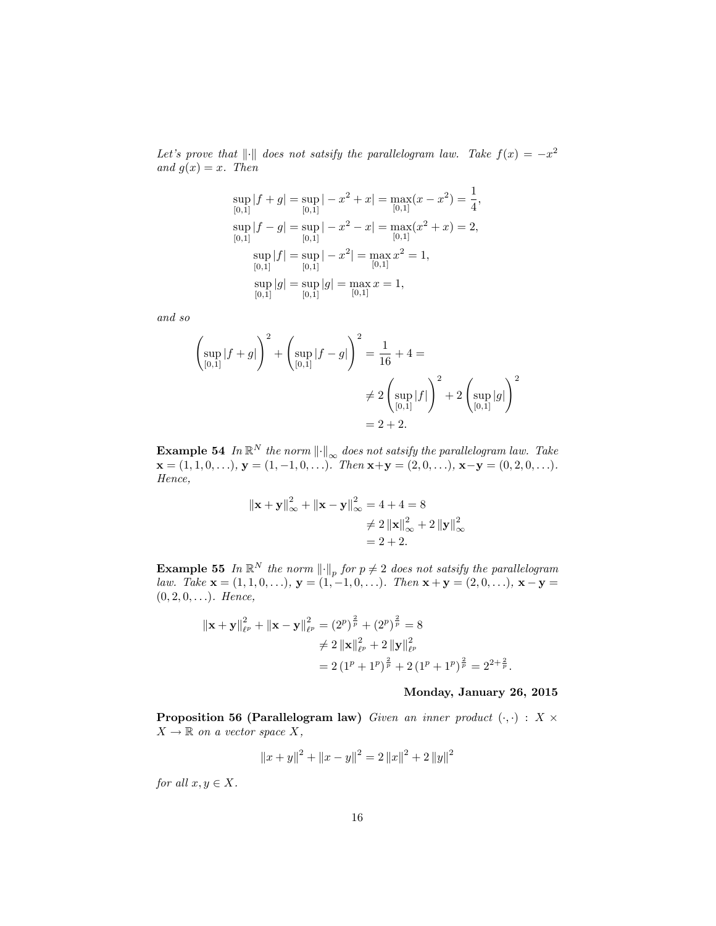Let's prove that  $\|\cdot\|$  does not satsify the parallelogram law. Take  $f(x) = -x^2$ and  $g(x) = x$ . Then

$$
\sup_{[0,1]} |f + g| = \sup_{[0,1]} |-x^2 + x| = \max_{[0,1]} (x - x^2) = \frac{1}{4},
$$
  
\n
$$
\sup_{[0,1]} |f - g| = \sup_{[0,1]} |-x^2 - x| = \max_{[0,1]} (x^2 + x) = 2,
$$
  
\n
$$
\sup_{[0,1]} |f| = \sup_{[0,1]} |-x^2| = \max_{[0,1]} x^2 = 1,
$$
  
\n
$$
\sup_{[0,1]} |g| = \sup_{[0,1]} |g| = \max_{[0,1]} x = 1,
$$

and so

$$
\left(\sup_{[0,1]} |f+g|\right)^2 + \left(\sup_{[0,1]} |f-g|\right)^2 = \frac{1}{16} + 4 =
$$
  

$$
\neq 2 \left(\sup_{[0,1]} |f|\right)^2 + 2 \left(\sup_{[0,1]} |g|\right)^2
$$
  

$$
= 2 + 2.
$$

**Example 54** In  $\mathbb{R}^N$  the norm  $\|\cdot\|_{\infty}$  does not satsify the parallelogram law. Take  $\mathbf{x} = (1, 1, 0, \ldots), \mathbf{y} = (1, -1, 0, \ldots).$  Then  $\mathbf{x} + \mathbf{y} = (2, 0, \ldots), \mathbf{x} - \mathbf{y} = (0, 2, 0, \ldots).$ Hence,

$$
\|\mathbf{x} + \mathbf{y}\|_{\infty}^{2} + \|\mathbf{x} - \mathbf{y}\|_{\infty}^{2} = 4 + 4 = 8
$$
  

$$
\neq 2 \|\mathbf{x}\|_{\infty}^{2} + 2 \|\mathbf{y}\|_{\infty}^{2}
$$
  

$$
= 2 + 2.
$$

**Example 55** In  $\mathbb{R}^N$  the norm  $\|\cdot\|_p$  for  $p \neq 2$  does not satsify the parallelogram law. Take  $\mathbf{x} = (1, 1, 0, \ldots), \mathbf{y} = (1, -1, 0, \ldots).$  Then  $\mathbf{x} + \mathbf{y} = (2, 0, \ldots), \mathbf{x} - \mathbf{y} = (2, 0, \ldots).$  $(0, 2, 0, \ldots)$ . Hence,

$$
\|\mathbf{x} + \mathbf{y}\|_{\ell^p}^2 + \|\mathbf{x} - \mathbf{y}\|_{\ell^p}^2 = (2^p)^{\frac{2}{p}} + (2^p)^{\frac{2}{p}} = 8
$$
  

$$
\neq 2 \|\mathbf{x}\|_{\ell^p}^2 + 2 \|\mathbf{y}\|_{\ell^p}^2
$$
  

$$
= 2 (1^p + 1^p)^{\frac{2}{p}} + 2 (1^p + 1^p)^{\frac{2}{p}} = 2^{2 + \frac{2}{p}}.
$$

### Monday, January 26, 2015

Proposition 56 (Parallelogram law) Given an inner product  $(\cdot, \cdot) : X \times$  $X \to \mathbb{R}$  on a vector space X,

$$
||x + y||^{2} + ||x - y||^{2} = 2 ||x||^{2} + 2 ||y||^{2}
$$

for all  $x, y \in X$ .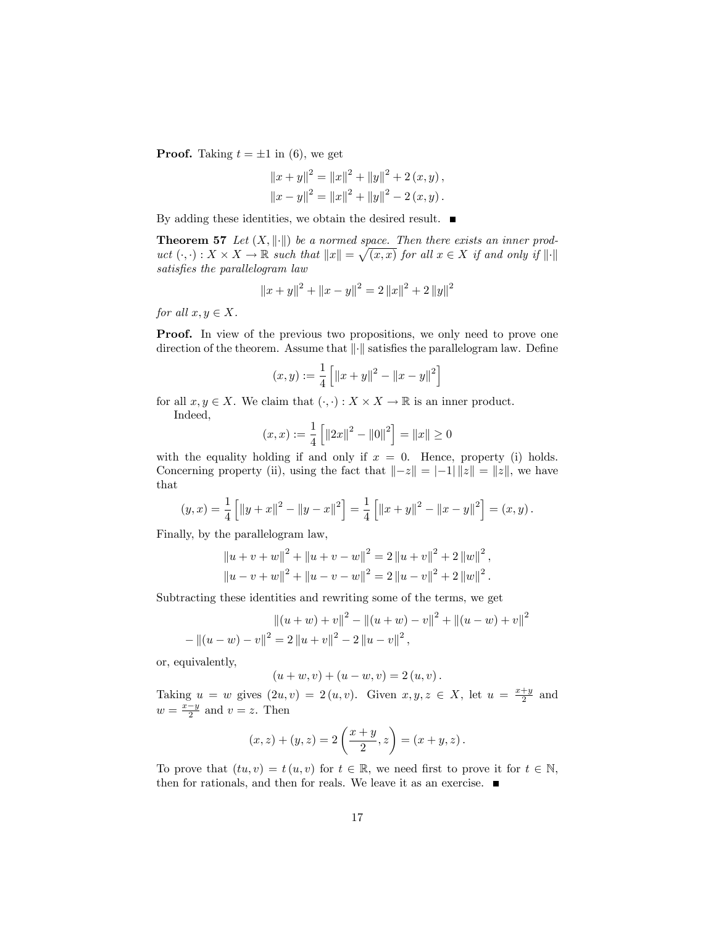**Proof.** Taking  $t = \pm 1$  in (6), we get

$$
||x + y||^{2} = ||x||^{2} + ||y||^{2} + 2 (x, y),
$$
  

$$
||x - y||^{2} = ||x||^{2} + ||y||^{2} - 2 (x, y).
$$

By adding these identities, we obtain the desired result.  $\blacksquare$ 

**Theorem 57** Let  $(X, \|\cdot\|)$  be a normed space. Then there exists an inner product  $(\cdot, \cdot) : X \times X \to \mathbb{R}$  such that  $||x|| = \sqrt{(x, x)}$  for all  $x \in X$  if and only if  $||\cdot||$ satisfies the parallelogram law

$$
||x + y||^{2} + ||x - y||^{2} = 2 ||x||^{2} + 2 ||y||^{2}
$$

for all  $x, y \in X$ .

**Proof.** In view of the previous two propositions, we only need to prove one direction of the theorem. Assume that  $\left\Vert \cdot\right\Vert$  satisfies the parallelogram law. Define

$$
(x, y) := \frac{1}{4} \left[ \|x + y\|^2 - \|x - y\|^2 \right]
$$

for all  $x, y \in X$ . We claim that  $( \cdot, \cdot ) : X \times X \to \mathbb{R}$  is an inner product.

Indeed,

$$
(x, x) := \frac{1}{4} \left[ \|2x\|^2 - \|0\|^2 \right] = \|x\| \ge 0
$$

with the equality holding if and only if  $x = 0$ . Hence, property (i) holds. Concerning property (ii), using the fact that  $\|-z\| = |-1| \|z\| = \|z\|$ , we have that

$$
(y,x) = \frac{1}{4} \left[ \left\| y + x \right\|^2 - \left\| y - x \right\|^2 \right] = \frac{1}{4} \left[ \left\| x + y \right\|^2 - \left\| x - y \right\|^2 \right] = (x,y).
$$

Finally, by the parallelogram law,

$$
||u + v + w||^{2} + ||u + v - w||^{2} = 2 ||u + v||^{2} + 2 ||w||^{2},
$$
  

$$
||u - v + w||^{2} + ||u - v - w||^{2} = 2 ||u - v||^{2} + 2 ||w||^{2}.
$$

Subtracting these identities and rewriting some of the terms, we get

$$
||(u+w) + v||^{2} - ||(u+w) - v||^{2} + ||(u-w) + v||^{2}
$$

$$
- ||(u-w) - v||^{2} = 2 ||u+v||^{2} - 2 ||u-v||^{2},
$$

or, equivalently,

$$
(u + w, v) + (u - w, v) = 2 (u, v).
$$

Taking  $u = w$  gives  $(2u, v) = 2(u, v)$ . Given  $x, y, z \in X$ , let  $u = \frac{x+y}{2}$  and  $w = \frac{x-y}{2}$  and  $v = z$ . Then

$$
(x, z) + (y, z) = 2\left(\frac{x+y}{2}, z\right) = (x + y, z).
$$

To prove that  $(tu, v) = t(u, v)$  for  $t \in \mathbb{R}$ , we need first to prove it for  $t \in \mathbb{N}$ , then for rationals, and then for reals. We leave it as an exercise.  $\blacksquare$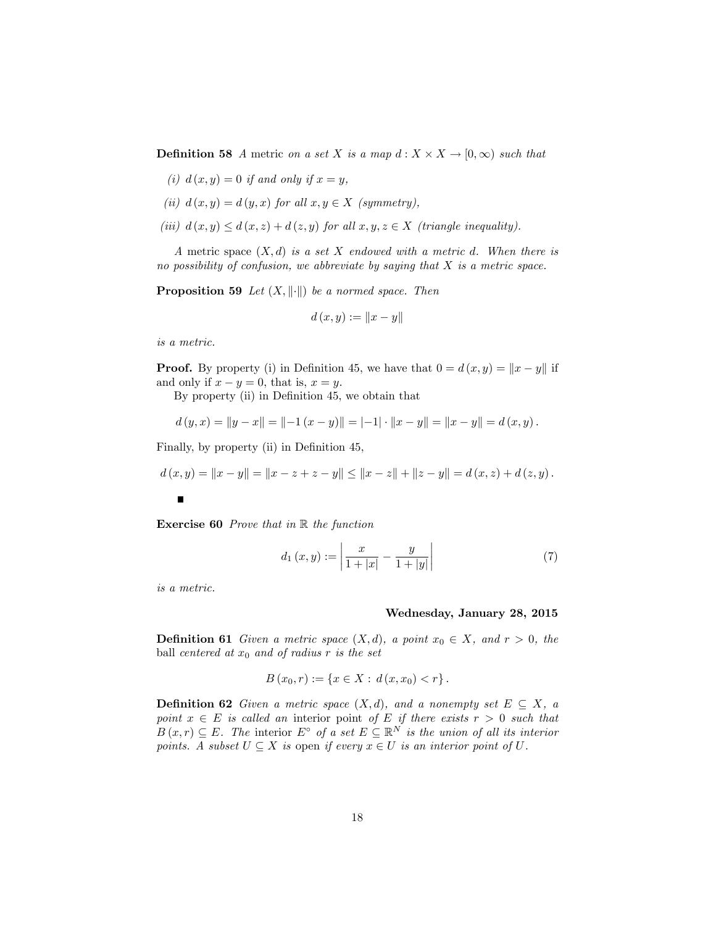**Definition 58** A metric on a set X is a map  $d: X \times X \rightarrow [0, \infty)$  such that

(i) 
$$
d(x, y) = 0
$$
 if and only if  $x = y$ ,

- (ii)  $d(x, y) = d(y, x)$  for all  $x, y \in X$  (symmetry),
- (iii)  $d(x, y) \leq d(x, z) + d(z, y)$  for all  $x, y, z \in X$  (triangle inequality).

A metric space  $(X, d)$  is a set X endowed with a metric d. When there is no possibility of confusion, we abbreviate by saying that  $X$  is a metric space.

**Proposition 59** Let  $(X, \|\cdot\|)$  be a normed space. Then

$$
d(x, y) := \|x - y\|
$$

is a metric.

**Proof.** By property (i) in Definition 45, we have that  $0 = d(x, y) = ||x - y||$  if and only if  $x - y = 0$ , that is,  $x = y$ .

By property (ii) in Definition 45, we obtain that

$$
d(y,x) = ||y-x|| = ||-1(x-y)|| = |-1| \cdot ||x-y|| = ||x-y|| = d(x,y).
$$

Finally, by property (ii) in Definition 45,

$$
d(x,y) = \|x - y\| = \|x - z + z - y\| \le \|x - z\| + \|z - y\| = d(x,z) + d(z,y).
$$

**Exercise 60** Prove that in  $\mathbb R$  the function

$$
d_1(x,y) := \left| \frac{x}{1+|x|} - \frac{y}{1+|y|} \right| \tag{7}
$$

is a metric.

#### Wednesday, January 28, 2015

**Definition 61** Given a metric space  $(X,d)$ , a point  $x_0 \in X$ , and  $r > 0$ , the ball centered at  $x_0$  and of radius r is the set

$$
B(x_0,r) := \{x \in X : d(x,x_0) < r\}.
$$

**Definition 62** Given a metric space  $(X,d)$ , and a nonempty set  $E \subseteq X$ , a point  $x \in E$  is called an interior point of E if there exists  $r > 0$  such that  $B(x,r) \subseteq E$ . The interior  $E^{\circ}$  of a set  $E \subseteq \mathbb{R}^{N}$  is the union of all its interior points. A subset  $U \subseteq X$  is open if every  $x \in U$  is an interior point of U.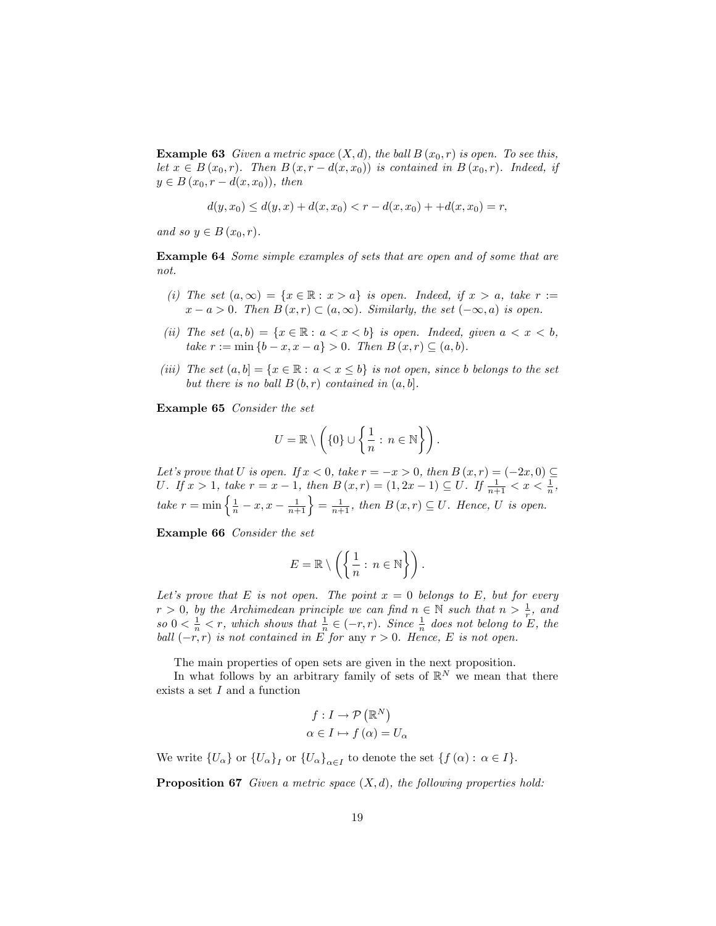**Example 63** Given a metric space  $(X, d)$ , the ball  $B(x_0, r)$  is open. To see this, let  $x \in B(x_0, r)$ . Then  $B(x, r - d(x, x_0))$  is contained in  $B(x_0, r)$ . Indeed, if  $y \in B(x_0, r - d(x, x_0))$ , then

$$
d(y, x_0) \le d(y, x) + d(x, x_0) < r - d(x, x_0) + d(x, x_0) = r,
$$

and so  $y \in B(x_0, r)$ .

Example 64 Some simple examples of sets that are open and of some that are not.

- (i) The set  $(a, \infty) = \{x \in \mathbb{R} : x > a\}$  is open. Indeed, if  $x > a$ , take  $r :=$  $x - a > 0$ . Then  $B(x, r) \subset (a, \infty)$ . Similarly, the set  $(-\infty, a)$  is open.
- (ii) The set  $(a, b) = \{x \in \mathbb{R} : a < x < b\}$  is open. Indeed, given  $a < x < b$ , take  $r := \min \{b - x, x - a\} > 0$ . Then  $B(x, r) \subseteq (a, b)$ .
- (iii) The set  $(a, b] = \{x \in \mathbb{R} : a < x \le b\}$  is not open, since b belongs to the set but there is no ball  $B(b,r)$  contained in  $(a,b]$ .

Example 65 Consider the set

$$
U = \mathbb{R} \setminus \left( \{0\} \cup \left\{ \frac{1}{n} : n \in \mathbb{N} \right\} \right).
$$

Let's prove that U is open. If  $x < 0$ , take  $r = -x > 0$ , then  $B(x,r) = (-2x,0) \subseteq$ U. If  $x > 1$ , take  $r = x - 1$ , then  $B(x, r) = (1, 2x - 1) \subseteq U$ . If  $\frac{1}{n+1} < x < \frac{1}{n}$ , take  $r = \min\left\{\frac{1}{n} - x, x - \frac{1}{n+1}\right\} = \frac{1}{n+1}$ , then  $B(x, r) \subseteq U$ . Hence, U is open.

Example 66 Consider the set

$$
E = \mathbb{R} \setminus \left( \left\{ \frac{1}{n} : n \in \mathbb{N} \right\} \right).
$$

Let's prove that E is not open. The point  $x = 0$  belongs to E, but for every  $r > 0$ , by the Archimedean principle we can find  $n \in \mathbb{N}$  such that  $n > \frac{1}{r}$  and so  $0 < \frac{1}{n} < r$ , which shows that  $\frac{1}{n} \in (-r, r)$ . Since  $\frac{1}{n}$  does not belong to E, the ball  $(-r, r)$  is not contained in E for any  $r > 0$ . Hence, E is not open.

The main properties of open sets are given in the next proposition.

In what follows by an arbitrary family of sets of  $\mathbb{R}^N$  we mean that there exists a set I and a function

$$
f: I \to \mathcal{P}(\mathbb{R}^N)
$$

$$
\alpha \in I \mapsto f(\alpha) = U_{\alpha}
$$

We write  $\{U_{\alpha}\}\$  or  $\{U_{\alpha}\}_I$  or  $\{U_{\alpha}\}_{{\alpha \in I}}$  to denote the set  $\{f(\alpha): \alpha \in I\}$ .

**Proposition 67** Given a metric space  $(X, d)$ , the following properties hold: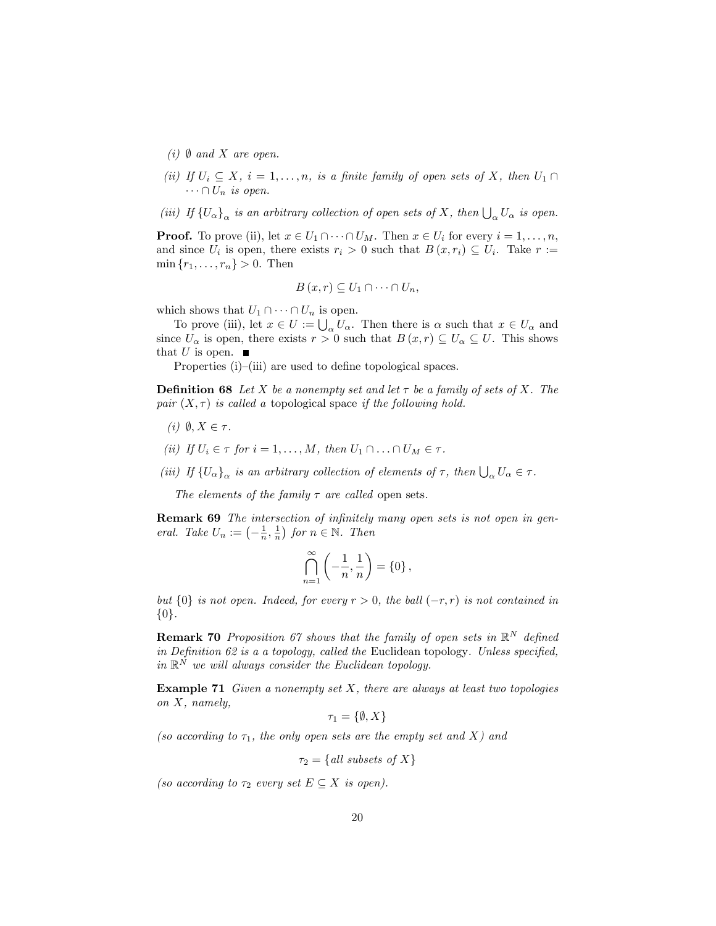- (i)  $\emptyset$  and X are open.
- (ii) If  $U_i \subseteq X$ ,  $i = 1, ..., n$ , is a finite family of open sets of X, then  $U_1 \cap$  $\cdots \cap U_n$  is open.
- (iii) If  $\{U_\alpha\}_\alpha$  is an arbitrary collection of open sets of X, then  $\bigcup_\alpha U_\alpha$  is open.

**Proof.** To prove (ii), let  $x \in U_1 \cap \cdots \cap U_M$ . Then  $x \in U_i$  for every  $i = 1, \ldots, n$ , and since  $U_i$  is open, there exists  $r_i > 0$  such that  $B(x, r_i) \subseteq U_i$ . Take  $r :=$  $\min \{r_1, \ldots, r_n\} > 0.$  Then

$$
B(x,r)\subseteq U_1\cap\cdots\cap U_n,
$$

which shows that  $U_1 \cap \cdots \cap U_n$  is open.

To prove (iii), let  $x \in U := \bigcup_{\alpha} U_{\alpha}$ . Then there is  $\alpha$  such that  $x \in U_{\alpha}$  and since  $U_{\alpha}$  is open, there exists  $r > 0$  such that  $B(x, r) \subseteq U_{\alpha} \subseteq U$ . This shows that U is open.  $\blacksquare$ 

Properties  $(i)$ – $(iii)$  are used to define topological spaces.

**Definition 68** Let X be a nonempty set and let  $\tau$  be a family of sets of X. The pair  $(X, \tau)$  is called a topological space if the following hold.

- (i)  $\emptyset, X \in \tau$ .
- (ii) If  $U_i \in \tau$  for  $i = 1, \ldots, M$ , then  $U_1 \cap \ldots \cap U_M \in \tau$ .
- (iii) If  $\{U_\alpha\}_\alpha$  is an arbitrary collection of elements of  $\tau$ , then  $\bigcup_\alpha U_\alpha \in \tau$ .

The elements of the family  $\tau$  are called open sets.

**Remark 69** The intersection of infinitely many open sets is not open in general. Take  $U_n := \left(-\frac{1}{n}, \frac{1}{n}\right)$  for  $n \in \mathbb{N}$ . Then

$$
\bigcap_{n=1}^{\infty} \left( -\frac{1}{n}, \frac{1}{n} \right) = \{0\} \,,
$$

but  $\{0\}$  is not open. Indeed, for every  $r > 0$ , the ball  $(-r, r)$  is not contained in  $\{0\}.$ 

**Remark 70** Proposition 67 shows that the family of open sets in  $\mathbb{R}^N$  defined in Definition 62 is a a topology, called the Euclidean topology. Unless specified, in  $\mathbb{R}^N$  we will always consider the Euclidean topology.

**Example 71** Given a nonempty set  $X$ , there are always at least two topologies on X, namely,

$$
\tau_1 = \{\emptyset, X\}
$$

(so according to  $\tau_1$ , the only open sets are the empty set and X) and

 $\tau_2 = \{ \text{all subsets of } X \}$ 

(so according to  $\tau_2$  every set  $E \subseteq X$  is open).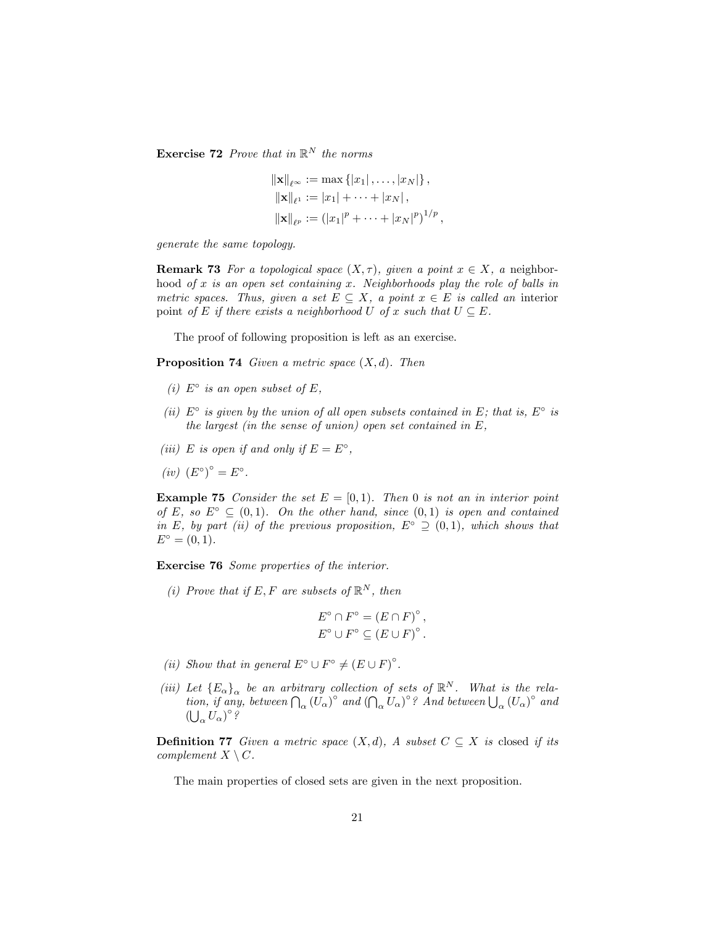**Exercise 72** Prove that in  $\mathbb{R}^N$  the norms

$$
\|\mathbf{x}\|_{\ell^{\infty}} := \max \{ |x_1|, \dots, |x_N| \},
$$
  

$$
\|\mathbf{x}\|_{\ell^1} := |x_1| + \dots + |x_N|,
$$
  

$$
\|\mathbf{x}\|_{\ell^p} := (|x_1|^p + \dots + |x_N|^p)^{1/p},
$$

generate the same topology.

**Remark 73** For a topological space  $(X, \tau)$ , given a point  $x \in X$ , a neighborhood of x is an open set containing x. Neighborhoods play the role of balls in metric spaces. Thus, given a set  $E \subseteq X$ , a point  $x \in E$  is called an interior point of E if there exists a neighborhood U of x such that  $U \subseteq E$ .

The proof of following proposition is left as an exercise.

**Proposition 74** Given a metric space  $(X, d)$ . Then

- (i)  $E^{\circ}$  is an open subset of E,
- (ii)  $E^{\circ}$  is given by the union of all open subsets contained in E; that is,  $E^{\circ}$  is the largest (in the sense of union) open set contained in E,
- (iii) E is open if and only if  $E = E^{\circ}$ ,
- $(iv)$   $(E^{\circ})^{\circ} = E^{\circ}$ .

**Example 75** Consider the set  $E = [0, 1)$ . Then 0 is not an in interior point of E, so  $E^{\circ} \subset (0,1)$ . On the other hand, since  $(0,1)$  is open and contained in E, by part (ii) of the previous proposition,  $E^{\circ} \supseteq (0,1)$ , which shows that  $E^{\circ} = (0, 1).$ 

Exercise 76 Some properties of the interior.

(i) Prove that if E, F are subsets of  $\mathbb{R}^N$ , then

$$
E^{\circ} \cap F^{\circ} = (E \cap F)^{\circ},
$$
  

$$
E^{\circ} \cup F^{\circ} \subseteq (E \cup F)^{\circ}.
$$

- (ii) Show that in general  $E^{\circ} \cup F^{\circ} \neq (E \cup F)^{\circ}$ .
- (iii) Let  ${E_{\alpha}}_{\alpha}$  be an arbitrary collection of sets of  $\mathbb{R}^{N}$ . What is the relation, if any, between  $\bigcap_{\alpha} (U_{\alpha})^{\circ}$  and  $(\bigcap_{\alpha} U_{\alpha})^{\circ}$ ? And between  $\bigcup_{\alpha} (U_{\alpha})^{\circ}$  and  $\left(\bigcup_{\alpha}U_{\alpha}\right)^{\circ}$ ?

**Definition 77** Given a metric space  $(X, d)$ , A subset  $C \subseteq X$  is closed if its complement  $X \setminus C$ .

The main properties of closed sets are given in the next proposition.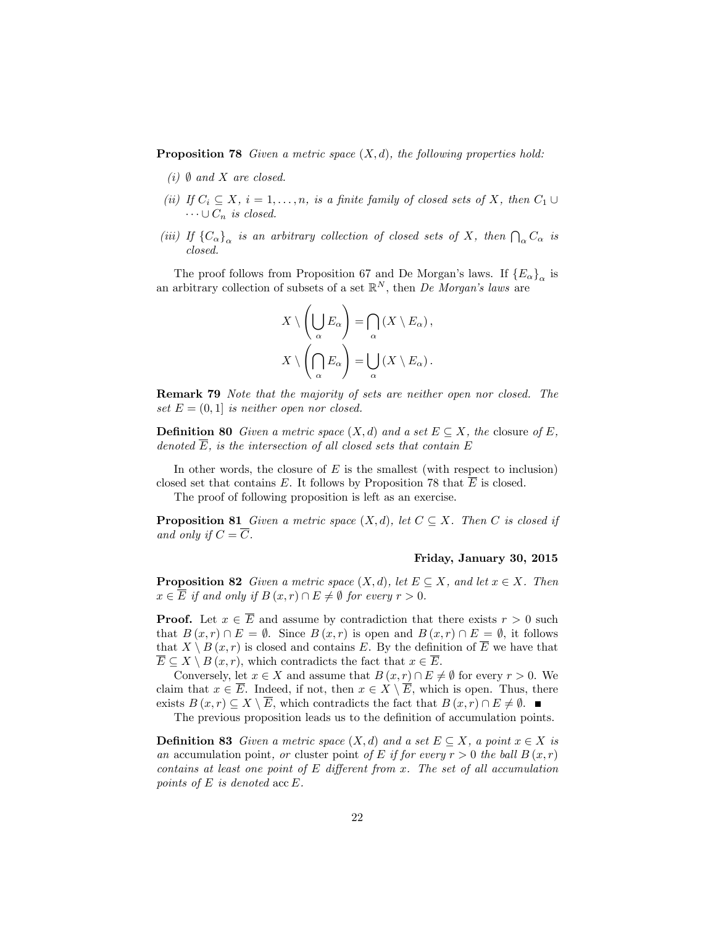**Proposition 78** Given a metric space  $(X, d)$ , the following properties hold:

- (i)  $\emptyset$  and X are closed.
- (ii) If  $C_i \subseteq X$ ,  $i = 1, ..., n$ , is a finite family of closed sets of X, then  $C_1 \cup$  $\cdots \cup C_n$  is closed.
- (iii) If  $\{C_{\alpha}\}_{\alpha}$  is an arbitrary collection of closed sets of X, then  $\bigcap_{\alpha} C_{\alpha}$  is closed.

The proof follows from Proposition 67 and De Morgan's laws. If  ${E_\alpha}_{\alpha}$  is an arbitrary collection of subsets of a set  $\mathbb{R}^N$ , then *De Morgan's laws* are

$$
X \setminus \left(\bigcup_{\alpha} E_{\alpha}\right) = \bigcap_{\alpha} \left(X \setminus E_{\alpha}\right),
$$

$$
X \setminus \left(\bigcap_{\alpha} E_{\alpha}\right) = \bigcup_{\alpha} \left(X \setminus E_{\alpha}\right).
$$

Remark 79 Note that the majority of sets are neither open nor closed. The set  $E = (0, 1)$  is neither open nor closed.

**Definition 80** Given a metric space  $(X,d)$  and a set  $E \subseteq X$ , the closure of E, denoted  $\overline{E}$ , is the intersection of all closed sets that contain  $E$ 

In other words, the closure of  $E$  is the smallest (with respect to inclusion) closed set that contains E. It follows by Proposition 78 that  $\overline{E}$  is closed.

The proof of following proposition is left as an exercise.

**Proposition 81** Given a metric space  $(X, d)$ , let  $C \subseteq X$ . Then C is closed if and only if  $C = \overline{C}$ .

#### Friday, January 30, 2015

**Proposition 82** Given a metric space  $(X, d)$ , let  $E \subseteq X$ , and let  $x \in X$ . Then  $x \in \overline{E}$  if and only if  $B(x, r) \cap E \neq \emptyset$  for every  $r > 0$ .

**Proof.** Let  $x \in \overline{E}$  and assume by contradiction that there exists  $r > 0$  such that  $B(x,r) \cap E = \emptyset$ . Since  $B(x,r)$  is open and  $B(x,r) \cap E = \emptyset$ , it follows that  $X \setminus B(x,r)$  is closed and contains E. By the definition of  $\overline{E}$  we have that  $E \subseteq X \setminus B (x, r)$ , which contradicts the fact that  $x \in \overline{E}$ .

Conversely, let  $x \in X$  and assume that  $B(x, r) \cap E \neq \emptyset$  for every  $r > 0$ . We claim that  $x \in \overline{E}$ . Indeed, if not, then  $x \in X \setminus \overline{E}$ , which is open. Thus, there exists  $B(x,r) \subset X \setminus \overline{E}$ , which contradicts the fact that  $B(x,r) \cap E \neq \emptyset$ .

The previous proposition leads us to the definition of accumulation points.

**Definition 83** Given a metric space  $(X,d)$  and a set  $E \subseteq X$ , a point  $x \in X$  is an accumulation point, or cluster point of E if for every  $r > 0$  the ball  $B(x, r)$ contains at least one point of  $E$  different from  $x$ . The set of all accumulation points of  $E$  is denoted  $\mathrm{acc}\,E$ .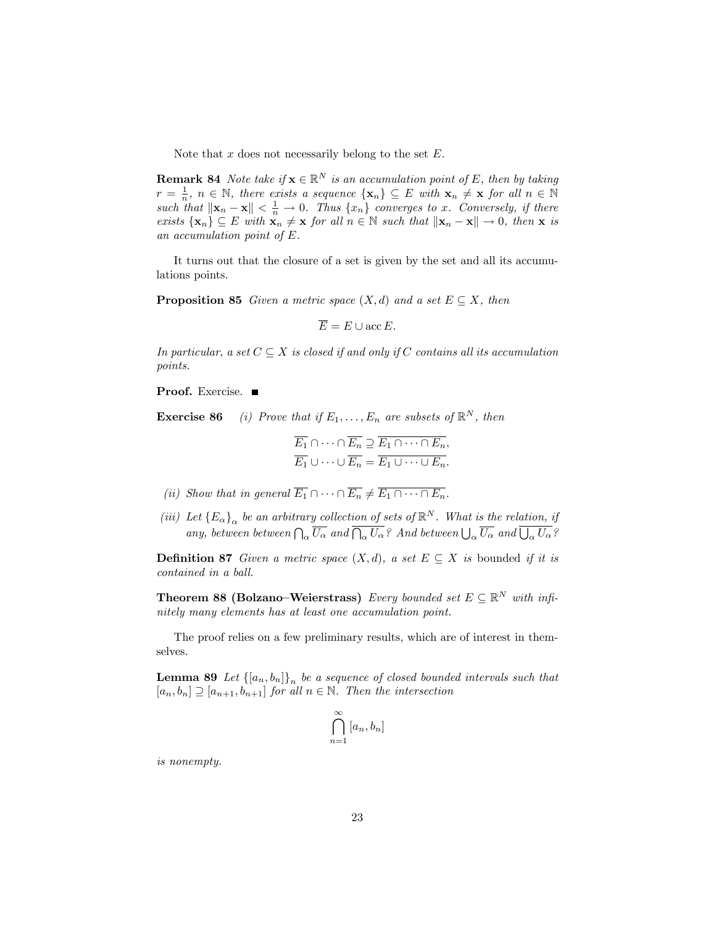Note that  $x$  does not necessarily belong to the set  $E$ .

**Remark 84** Note take if  $\mathbf{x} \in \mathbb{R}^N$  is an accumulation point of E, then by taking  $r = \frac{1}{n}$ ,  $n \in \mathbb{N}$ , there exists a sequence  $\{x_n\} \subseteq E$  with  $x_n \neq x$  for all  $n \in \mathbb{N}$ such that  $\|\mathbf{x}_n - \mathbf{x}\| < \frac{1}{n} \to 0$ . Thus  $\{x_n\}$  converges to x. Conversely, if there exists  $\{x_n\} \subseteq E$  with  $x_n \neq x$  for all  $n \in \mathbb{N}$  such that  $\|x_n - x\| \to 0$ , then  $x$  is an accumulation point of E.

It turns out that the closure of a set is given by the set and all its accumulations points.

**Proposition 85** Given a metric space  $(X, d)$  and a set  $E \subseteq X$ , then

$$
\overline{E} = E \cup \operatorname{acc} E.
$$

In particular, a set  $C \subseteq X$  is closed if and only if C contains all its accumulation points.

Proof. Exercise.

**Exercise 86** (i) Prove that if  $E_1, \ldots, E_n$  are subsets of  $\mathbb{R}^N$ , then

$$
\overline{E_1} \cap \dots \cap \overline{E_n} \supseteq \overline{E_1} \cap \dots \cap E_n,
$$
  

$$
\overline{E_1} \cup \dots \cup \overline{E_n} = \overline{E_1} \cup \dots \cup \overline{E_n}.
$$

- (ii) Show that in general  $\overline{E_1} \cap \cdots \cap \overline{E_n} \neq \overline{E_1 \cap \cdots \cap E_n}$ .
- (iii) Let  ${E_{\alpha}}_{\alpha}$  be an arbitrary collection of sets of  $\mathbb{R}^{N}$ . What is the relation, if any, between between  $\bigcap_{\alpha}\overline{U_{\alpha}}$  and  $\overline{\bigcap_{\alpha}U_{\alpha}}$ ? And between  $\bigcup_{\alpha}\overline{U_{\alpha}}$  and  $\overline{\bigcup_{\alpha}U_{\alpha}}$ ?

**Definition 87** Given a metric space  $(X, d)$ , a set  $E \subseteq X$  is bounded if it is contained in a ball.

**Theorem 88 (Bolzano–Weierstrass)** Every bounded set  $E \subseteq \mathbb{R}^N$  with infinitely many elements has at least one accumulation point.

The proof relies on a few preliminary results, which are of interest in themselves.

**Lemma 89** Let  $\{[a_n, b_n]\}_n$  be a sequence of closed bounded intervals such that  $[a_n, b_n] \supseteq [a_{n+1}, b_{n+1}]$  for all  $n \in \mathbb{N}$ . Then the intersection

$$
\bigcap_{n=1}^{\infty} [a_n, b_n]
$$

is nonempty.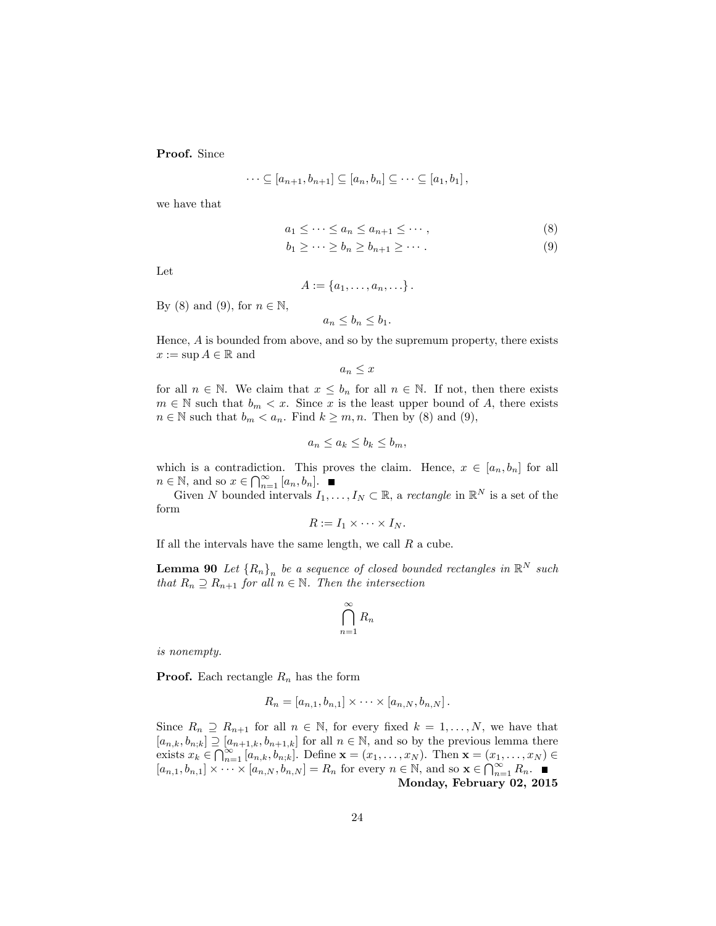Proof. Since

$$
\cdots \subseteq [a_{n+1}, b_{n+1}] \subseteq [a_n, b_n] \subseteq \cdots \subseteq [a_1, b_1],
$$

we have that

$$
a_1 \leq \cdots \leq a_n \leq a_{n+1} \leq \cdots,
$$
\n<sup>(8)</sup>

$$
b_1 \geq \cdots \geq b_n \geq b_{n+1} \geq \cdots \tag{9}
$$

Let

$$
A:=\left\{a_1,\ldots,a_n,\ldots\right\}.
$$

By (8) and (9), for  $n \in \mathbb{N}$ ,

$$
a_n \le b_n \le b_1.
$$

Hence, A is bounded from above, and so by the supremum property, there exists  $x := \sup A \in \mathbb{R}$  and

 $a_n \leq x$ 

for all  $n \in \mathbb{N}$ . We claim that  $x \leq b_n$  for all  $n \in \mathbb{N}$ . If not, then there exists  $m \in \mathbb{N}$  such that  $b_m < x$ . Since x is the least upper bound of A, there exists  $n \in \mathbb{N}$  such that  $b_m < a_n$ . Find  $k \ge m, n$ . Then by (8) and (9),

$$
a_n \le a_k \le b_k \le b_m,
$$

which is a contradiction. This proves the claim. Hence,  $x \in [a_n, b_n]$  for all  $n \in \mathbb{N}$ , and so  $x \in \bigcap_{n=1}^{\infty} [a_n, b_n]$ .

Given N bounded intervals  $I_1, \ldots, I_N \subset \mathbb{R}$ , a rectangle in  $\mathbb{R}^N$  is a set of the form

$$
R:=I_1\times\cdots\times I_N.
$$

If all the intervals have the same length, we call  $R$  a cube.

**Lemma 90** Let  ${R_n}_n$  be a sequence of closed bounded rectangles in  $\mathbb{R}^N$  such that  $R_n \supseteq R_{n+1}$  for all  $n \in \mathbb{N}$ . Then the intersection

$$
\bigcap_{n=1}^{\infty} R_n
$$

is nonempty.

**Proof.** Each rectangle  $R_n$  has the form

$$
R_n = [a_{n,1}, b_{n,1}] \times \cdots \times [a_{n,N}, b_{n,N}].
$$

Since  $R_n \supseteq R_{n+1}$  for all  $n \in \mathbb{N}$ , for every fixed  $k = 1, ..., N$ , we have that  $[a_{n,k}, b_{n,k}] \supseteq [a_{n+1,k}, b_{n+1,k}]$  for all  $n \in \mathbb{N}$ , and so by the previous lemma there exists  $x_k \in \bigcap_{n=1}^{\infty} [a_{n,k}, b_{n,k}]$ . Define  $\mathbf{x} = (x_1, \dots, x_N)$ . Then  $\mathbf{x} = (x_1, \dots, x_N) \in$  $[a_{n,1}, b_{n,1}] \times \cdots \times [a_{n,N}, b_{n,N}] = R_n$  for every  $n \in \mathbb{N}$ , and so  $\mathbf{x} \in \bigcap_{n=1}^{\infty} R_n$ . Monday, February 02, 2015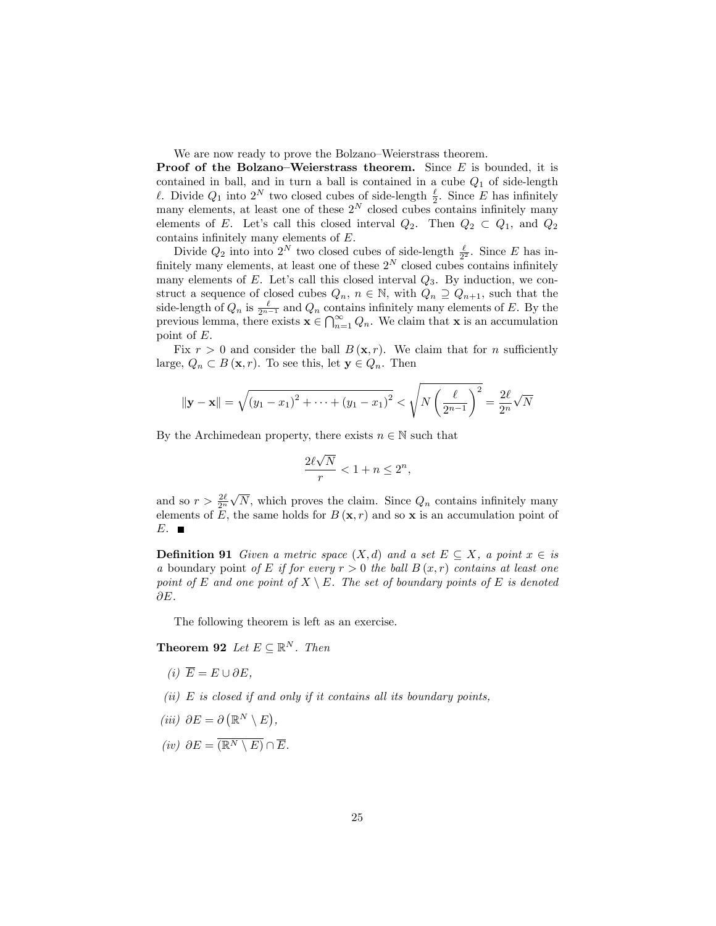We are now ready to prove the Bolzano–Weierstrass theorem.

**Proof of the Bolzano–Weierstrass theorem.** Since  $E$  is bounded, it is contained in ball, and in turn a ball is contained in a cube  $Q_1$  of side-length  $\ell$ . Divide  $Q_1$  into  $2^N$  two closed cubes of side-length  $\frac{\ell}{2}$ . Since E has infinitely many elements, at least one of these  $2^N$  closed cubes contains infinitely many elements of E. Let's call this closed interval  $Q_2$ . Then  $Q_2 \subset Q_1$ , and  $Q_2$ contains infinitely many elements of  $E$ .

Divide  $Q_2$  into into  $2^N$  two closed cubes of side-length  $\frac{\ell}{2^2}$ . Since E has infinitely many elements, at least one of these  $2^N$  closed cubes contains infinitely many elements of  $E$ . Let's call this closed interval  $Q_3$ . By induction, we construct a sequence of closed cubes  $Q_n$ ,  $n \in \mathbb{N}$ , with  $Q_n \supseteq Q_{n+1}$ , such that the side-length of  $Q_n$  is  $\frac{\ell}{2^{n-1}}$  and  $Q_n$  contains infinitely many elements of E. By the previous lemma, there exists  $\mathbf{x} \in \bigcap_{n=1}^{\infty} Q_n$ . We claim that **x** is an accumulation point of E.

Fix  $r > 0$  and consider the ball  $B(\mathbf{x}, r)$ . We claim that for n sufficiently large,  $Q_n \subset B(\mathbf{x}, r)$ . To see this, let  $\mathbf{y} \in Q_n$ . Then

$$
\|\mathbf{y} - \mathbf{x}\| = \sqrt{(y_1 - x_1)^2 + \dots + (y_1 - x_1)^2} < \sqrt{N \left(\frac{\ell}{2^{n-1}}\right)^2} = \frac{2\ell}{2^n} \sqrt{N}
$$

By the Archimedean property, there exists  $n \in \mathbb{N}$  such that

$$
\frac{2\ell\sqrt{N}}{r} < 1 + n \le 2^n,
$$

and so  $r > \frac{2\ell}{2^n} \sqrt{N}$ , which proves the claim. Since  $Q_n$  contains infinitely many elements of E, the same holds for  $B(\mathbf{x}, r)$  and so x is an accumulation point of  $E.$ 

**Definition 91** Given a metric space  $(X,d)$  and a set  $E \subseteq X$ , a point  $x \in i$ s a boundary point of E if for every  $r > 0$  the ball  $B(x, r)$  contains at least one point of E and one point of  $X \setminus E$ . The set of boundary points of E is denoted  $\partial E$ .

The following theorem is left as an exercise.

**Theorem 92** Let  $E \subseteq \mathbb{R}^N$ . Then

- (i)  $\overline{E} = E \cup \partial E$ .
- (ii)  $E$  is closed if and only if it contains all its boundary points,
- $(iii) \;\;\partial E = \partial \left( \mathbb{R}^N \smallsetminus E \right),$
- (iv)  $\partial E = \overline{(\mathbb{R}^N \setminus E)} \cap \overline{E}.$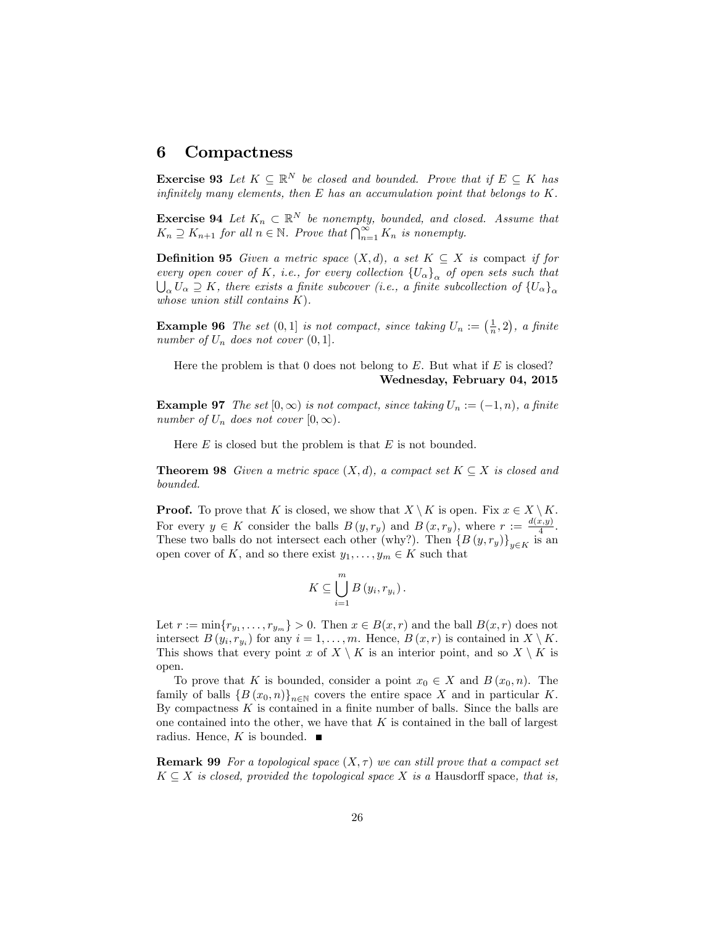## 6 Compactness

**Exercise 93** Let  $K \subseteq \mathbb{R}^N$  be closed and bounded. Prove that if  $E \subseteq K$  has infinitely many elements, then  $E$  has an accumulation point that belongs to  $K$ .

**Exercise 94** Let  $K_n \subset \mathbb{R}^N$  be nonempty, bounded, and closed. Assume that  $K_n \supseteq K_{n+1}$  for all  $n \in \mathbb{N}$ . Prove that  $\bigcap_{n=1}^{\infty} K_n$  is nonempty.

**Definition 95** Given a metric space  $(X,d)$ , a set  $K \subseteq X$  is compact if for every open cover of K, i.e., for every collection  ${U_{\alpha}}_{\alpha}$  of open sets such that  $\bigcup_{\alpha} U_{\alpha} \supseteq K$ , there exists a finite subcover (i.e., a finite subcollection of  $\{U_{\alpha}\}_{\alpha}$ whose union still contains  $K$ ).

**Example 96** The set  $(0,1]$  is not compact, since taking  $U_n := (\frac{1}{n},2)$ , a finite number of  $U_n$  does not cover  $(0, 1]$ .

Here the problem is that 0 does not belong to  $E$ . But what if  $E$  is closed? Wednesday, February 04, 2015

**Example 97** The set  $[0, \infty)$  is not compact, since taking  $U_n := (-1, n)$ , a finite number of  $U_n$  does not cover  $[0, \infty)$ .

Here  $E$  is closed but the problem is that  $E$  is not bounded.

**Theorem 98** Given a metric space  $(X, d)$ , a compact set  $K \subseteq X$  is closed and bounded.

**Proof.** To prove that K is closed, we show that  $X \setminus K$  is open. Fix  $x \in X \setminus K$ . For every  $y \in K$  consider the balls  $B(y, r_y)$  and  $B(x, r_y)$ , where  $r := \frac{d(x,y)}{4}$  $\frac{x,y_1}{4}$ . These two balls do not intersect each other (why?). Then  $\{B(y, r_y)\}_{y \in K}$  is an open cover of K, and so there exist  $y_1, \ldots, y_m \in K$  such that

$$
K\subseteq\bigcup_{i=1}^m B(y_i,r_{y_i}).
$$

Let  $r := \min\{r_{y_1}, \ldots, r_{y_m}\} > 0$ . Then  $x \in B(x, r)$  and the ball  $B(x, r)$  does not intersect  $B(y_i, r_{y_i})$  for any  $i = 1, \ldots, m$ . Hence,  $B(x, r)$  is contained in  $X \setminus K$ . This shows that every point x of  $X \setminus K$  is an interior point, and so  $X \setminus K$  is open.

To prove that K is bounded, consider a point  $x_0 \in X$  and  $B(x_0, n)$ . The family of balls  $\{B(x_0, n)\}_{n \in \mathbb{N}}$  covers the entire space X and in particular K. By compactness  $K$  is contained in a finite number of balls. Since the balls are one contained into the other, we have that  $K$  is contained in the ball of largest radius. Hence,  $K$  is bounded.

**Remark 99** For a topological space  $(X, \tau)$  we can still prove that a compact set  $K \subseteq X$  is closed, provided the topological space X is a Hausdorff space, that is,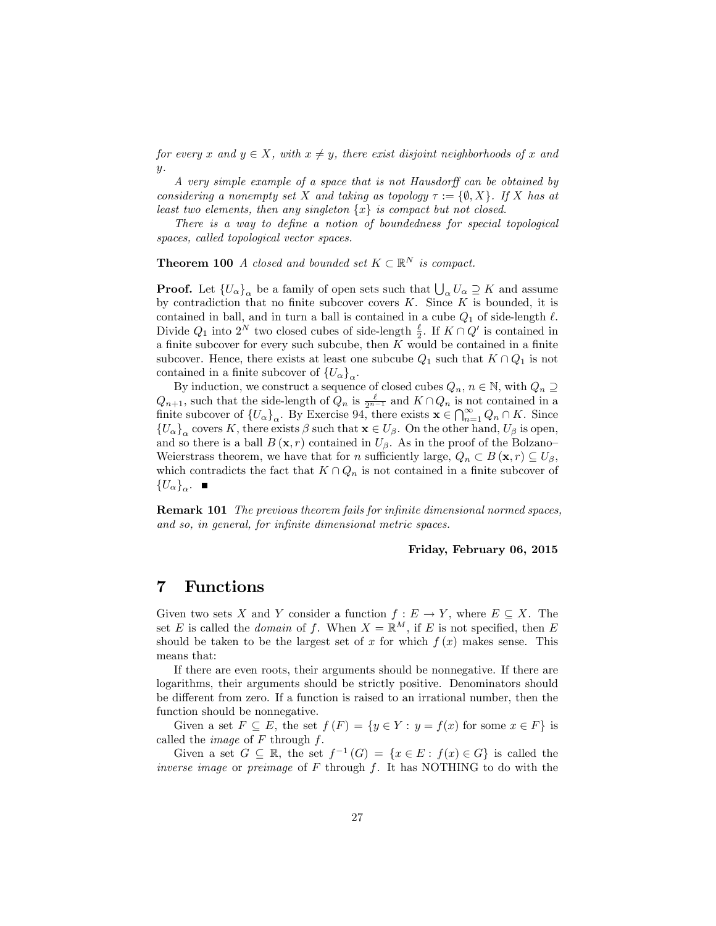for every x and  $y \in X$ , with  $x \neq y$ , there exist disjoint neighborhoods of x and  $y$ .

A very simple example of a space that is not Hausdorff can be obtained by considering a nonempty set X and taking as topology  $\tau := \{ \emptyset, X \}$ . If X has at least two elements, then any singleton  $\{x\}$  is compact but not closed.

There is a way to define a notion of boundedness for special topological spaces, called topological vector spaces.

**Theorem 100** A closed and bounded set  $K \subset \mathbb{R}^N$  is compact.

**Proof.** Let  ${U_\alpha}_{\alpha}$  be a family of open sets such that  $\bigcup_{\alpha} U_\alpha \supseteq K$  and assume by contradiction that no finite subcover covers  $K$ . Since  $K$  is bounded, it is contained in ball, and in turn a ball is contained in a cube  $Q_1$  of side-length  $\ell$ . Divide  $Q_1$  into  $2^N$  two closed cubes of side-length  $\frac{\ell}{2}$ . If  $K \cap Q'$  is contained in a finite subcover for every such subcube, then  $K$  would be contained in a finite subcover. Hence, there exists at least one subcube  $Q_1$  such that  $K \cap Q_1$  is not contained in a finite subcover of  ${U_\alpha}_{\alpha}$ .

By induction, we construct a sequence of closed cubes  $Q_n$ ,  $n \in \mathbb{N}$ , with  $Q_n \supseteq$  $Q_{n+1}$ , such that the side-length of  $Q_n$  is  $\frac{\ell}{2^{n-1}}$  and  $K \cap Q_n$  is not contained in a finite subcover of  $\{U_{\alpha}\}_{\alpha}$ . By Exercise 94, there exists  $\mathbf{x} \in \bigcap_{n=1}^{\infty} Q_n \cap K$ . Since  ${U_\alpha}_{\alpha}$  covers K, there exists  $\beta$  such that  $\mathbf{x} \in U_\beta$ . On the other hand,  $U_\beta$  is open, and so there is a ball  $B(\mathbf{x}, r)$  contained in  $U_{\beta}$ . As in the proof of the Bolzano-Weierstrass theorem, we have that for *n* sufficiently large,  $Q_n \subset B(\mathbf{x}, r) \subseteq U_\beta$ , which contradicts the fact that  $K \cap Q_n$  is not contained in a finite subcover of  ${U_\alpha\}_\alpha$ .

**Remark 101** The previous theorem fails for infinite dimensional normed spaces, and so, in general, for infinite dimensional metric spaces.

### Friday, February 06, 2015

## 7 Functions

Given two sets X and Y consider a function  $f: E \to Y$ , where  $E \subset X$ . The set E is called the *domain* of f. When  $X = \mathbb{R}^M$ , if E is not specified, then E should be taken to be the largest set of x for which  $f(x)$  makes sense. This means that:

If there are even roots, their arguments should be nonnegative. If there are logarithms, their arguments should be strictly positive. Denominators should be different from zero. If a function is raised to an irrational number, then the function should be nonnegative.

Given a set  $F \subseteq E$ , the set  $f(F) = \{y \in Y : y = f(x) \text{ for some } x \in F\}$  is called the *image* of  $F$  through  $f$ .

Given a set  $G \subseteq \mathbb{R}$ , the set  $f^{-1}(G) = \{x \in E : f(x) \in G\}$  is called the inverse image or preimage of  $F$  through  $f$ . It has NOTHING to do with the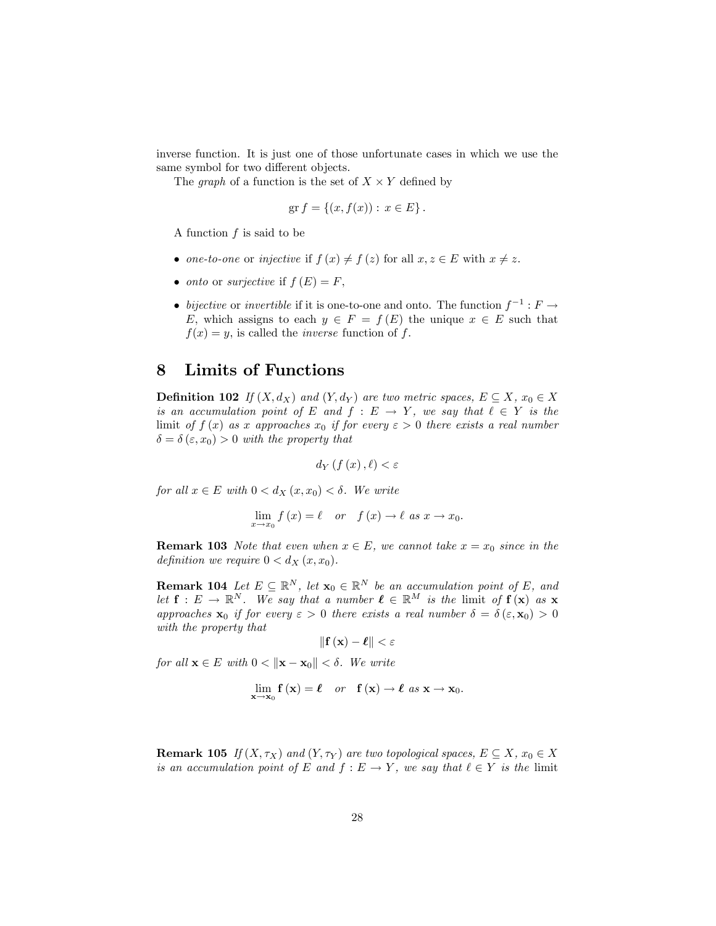inverse function. It is just one of those unfortunate cases in which we use the same symbol for two different objects.

The *graph* of a function is the set of  $X \times Y$  defined by

$$
\text{gr } f = \{ (x, f(x)) : x \in E \}.
$$

A function  $f$  is said to be

- one-to-one or injective if  $f(x) \neq f(z)$  for all  $x, z \in E$  with  $x \neq z$ .
- onto or surjective if  $f(E) = F$ ,
- bijective or invertible if it is one-to-one and onto. The function  $f^{-1}: F \to$ E, which assigns to each  $y \in F = f(E)$  the unique  $x \in E$  such that  $f(x) = y$ , is called the *inverse* function of f.

## 8 Limits of Functions

**Definition 102** If  $(X, d_X)$  and  $(Y, d_Y)$  are two metric spaces,  $E \subseteq X$ ,  $x_0 \in X$ is an accumulation point of E and  $f : E \to Y$ , we say that  $\ell \in Y$  is the limit of  $f(x)$  as x approaches  $x_0$  if for every  $\varepsilon > 0$  there exists a real number  $\delta = \delta (\varepsilon, x_0) > 0$  with the property that

$$
d_Y\left(f\left(x\right),\ell\right) < \varepsilon
$$

for all  $x \in E$  with  $0 < d_X(x, x_0) < \delta$ . We write

$$
\lim_{x \to x_0} f(x) = \ell \quad or \quad f(x) \to \ell \text{ as } x \to x_0.
$$

**Remark 103** Note that even when  $x \in E$ , we cannot take  $x = x_0$  since in the definition we require  $0 < d_X(x, x_0)$ .

**Remark 104** Let  $E \subseteq \mathbb{R}^N$ , let  $\mathbf{x}_0 \in \mathbb{R}^N$  be an accumulation point of E, and let  $f: E \to \mathbb{R}^N$ . We say that a number  $\ell \in \mathbb{R}^M$  is the limit of  $f(\mathbf{x})$  as x approaches  $\mathbf{x}_0$  if for every  $\varepsilon > 0$  there exists a real number  $\delta = \delta(\varepsilon, \mathbf{x}_0) > 0$ with the property that

$$
\|\mathbf{f}\left(\mathbf{x}\right)-\boldsymbol{\ell}\|<\varepsilon
$$

for all  $\mathbf{x} \in E$  with  $0 < ||\mathbf{x} - \mathbf{x}_0|| < \delta$ . We write

$$
\lim_{\mathbf{x}\to\mathbf{x}_0} \mathbf{f}(\mathbf{x}) = \boldsymbol{\ell} \quad or \quad \mathbf{f}(\mathbf{x}) \to \boldsymbol{\ell} \text{ as } \mathbf{x} \to \mathbf{x}_0.
$$

**Remark 105** If  $(X, \tau_X)$  and  $(Y, \tau_Y)$  are two topological spaces,  $E \subseteq X$ ,  $x_0 \in X$ is an accumulation point of E and  $f : E \to Y$ , we say that  $\ell \in Y$  is the limit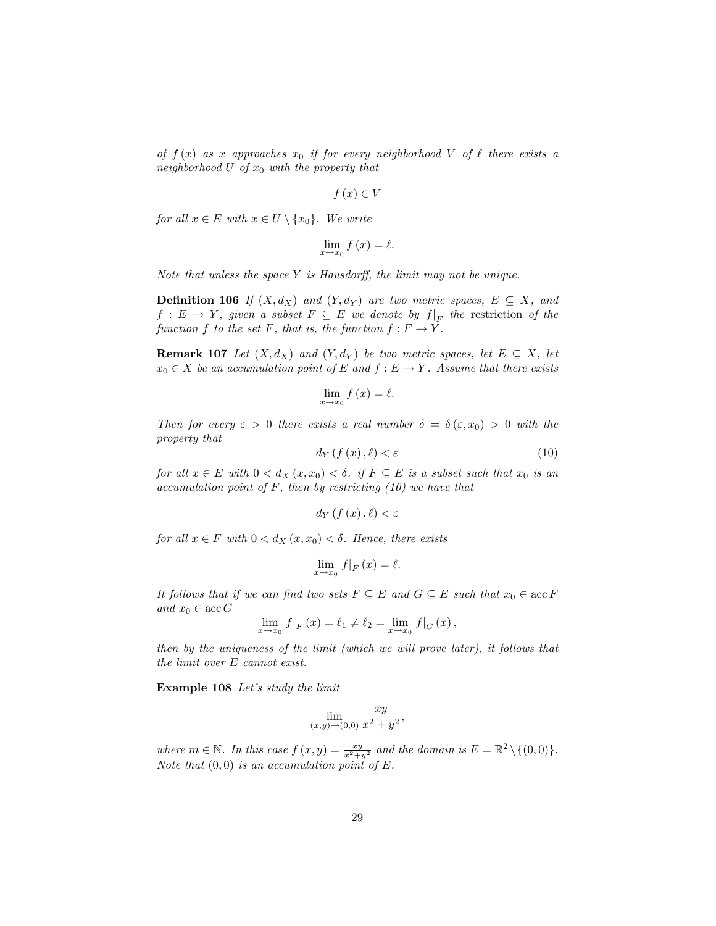of  $f(x)$  as x approaches  $x_0$  if for every neighborhood V of  $\ell$  there exists a neighborhood U of  $x_0$  with the property that

$$
f\left(x\right) \in V
$$

for all  $x \in E$  with  $x \in U \setminus \{x_0\}$ . We write

$$
\lim_{x \to x_0} f(x) = \ell.
$$

Note that unless the space  $Y$  is Hausdorff, the limit may not be unique.

**Definition 106** If  $(X, d_X)$  and  $(Y, d_Y)$  are two metric spaces,  $E \subseteq X$ , and  $f: E \to Y$ , given a subset  $F \subseteq E$  we denote by  $f|_F$  the restriction of the function f to the set F, that is, the function  $f : F \to Y$ .

**Remark 107** Let  $(X, d_X)$  and  $(Y, d_Y)$  be two metric spaces, let  $E \subseteq X$ , let  $x_0 \in X$  be an accumulation point of E and  $f : E \to Y$ . Assume that there exists

$$
\lim_{x \to x_0} f(x) = \ell.
$$

Then for every  $\varepsilon > 0$  there exists a real number  $\delta = \delta(\varepsilon, x_0) > 0$  with the property that

$$
d_Y\left(f\left(x\right),\ell\right) < \varepsilon\tag{10}
$$

for all  $x \in E$  with  $0 < d_X(x, x_0) < \delta$ . if  $F \subseteq E$  is a subset such that  $x_0$  is an accumulation point of  $F$ , then by restricting  $(10)$  we have that

$$
d_{Y}\left(f\left(x\right),\ell\right)<\varepsilon
$$

for all  $x \in F$  with  $0 < d_X(x, x_0) < \delta$ . Hence, there exists

$$
\lim_{x \to x_0} f|_F(x) = \ell.
$$

It follows that if we can find two sets  $F \subseteq E$  and  $G \subseteq E$  such that  $x_0 \in \mathrm{acc}\, F$ and  $x_0 \in \mathrm{acc}\,G$ 

$$
\lim_{x \to x_0} f|_F(x) = \ell_1 \neq \ell_2 = \lim_{x \to x_0} f|_G(x),
$$

then by the uniqueness of the limit (which we will prove later), it follows that the limit over E cannot exist.

Example 108 Let's study the limit

$$
\lim_{(x,y)\to(0,0)}\frac{xy}{x^2+y^2},
$$

where  $m \in \mathbb{N}$ . In this case  $f(x, y) = \frac{xy}{x^2 + y^2}$  and the domain is  $E = \mathbb{R}^2 \setminus \{(0, 0)\}.$ Note that  $(0,0)$  is an accumulation point of E.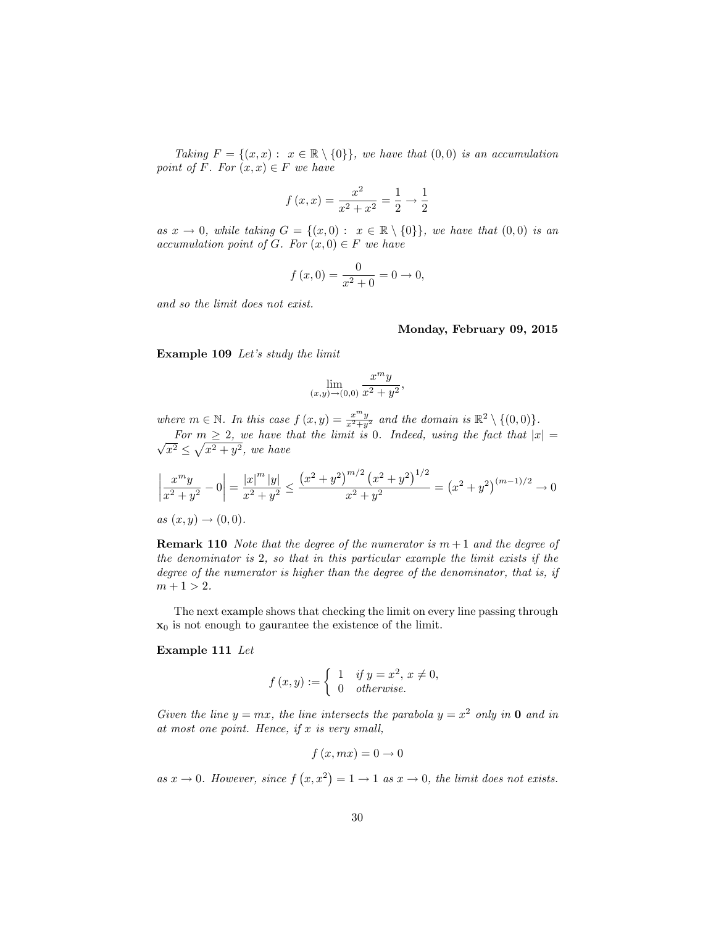Taking  $F = \{(x, x): x \in \mathbb{R} \setminus \{0\}\}\$ , we have that  $(0, 0)$  is an accumulation point of F. For  $(x, x) \in F$  we have

$$
f(x,x) = \frac{x^2}{x^2 + x^2} = \frac{1}{2} \to \frac{1}{2}
$$

as  $x \to 0$ , while taking  $G = \{(x, 0) : x \in \mathbb{R} \setminus \{0\}\}\$ , we have that  $(0, 0)$  is an accumulation point of G. For  $(x, 0) \in F$  we have

$$
f(x, 0) = \frac{0}{x^2 + 0} = 0 \to 0,
$$

and so the limit does not exist.

#### Monday, February 09, 2015

Example 109 Let's study the limit

$$
\lim_{(x,y)\to(0,0)}\frac{x^my}{x^2+y^2},
$$

where  $m \in \mathbb{N}$ . In this case  $f(x, y) = \frac{x^m y}{x^2 + y^2}$  and the domain is  $\mathbb{R}^2 \setminus \{(0, 0)\}.$ 

For  $m \ge 2$ , we have that the limit is 0. Indeed, using the fact that  $|x| = \sqrt{x^2} \le \sqrt{x^2 + y^2}$ , we have

$$
\left| \frac{x^m y}{x^2 + y^2} - 0 \right| = \frac{|x|^m |y|}{x^2 + y^2} \le \frac{\left(x^2 + y^2\right)^{m/2} \left(x^2 + y^2\right)^{1/2}}{x^2 + y^2} = \left(x^2 + y^2\right)^{(m-1)/2} \to 0
$$

 $as(x, y) \to (0, 0).$ 

**Remark 110** Note that the degree of the numerator is  $m + 1$  and the degree of the denominator is 2, so that in this particular example the limit exists if the degree of the numerator is higher than the degree of the denominator, that is, if  $m + 1 > 2$ .

The next example shows that checking the limit on every line passing through  $x_0$  is not enough to gaurantee the existence of the limit.

#### Example 111 Let

$$
f(x,y) := \begin{cases} 1 & \text{if } y = x^2, x \neq 0, \\ 0 & \text{otherwise.} \end{cases}
$$

Given the line  $y = mx$ , the line intersects the parabola  $y = x^2$  only in **0** and in at most one point. Hence, if  $x$  is very small,

$$
f\left(x, mx\right) = 0 \to 0
$$

as  $x \to 0$ . However, since  $f(x, x^2) = 1 \to 1$  as  $x \to 0$ , the limit does not exists.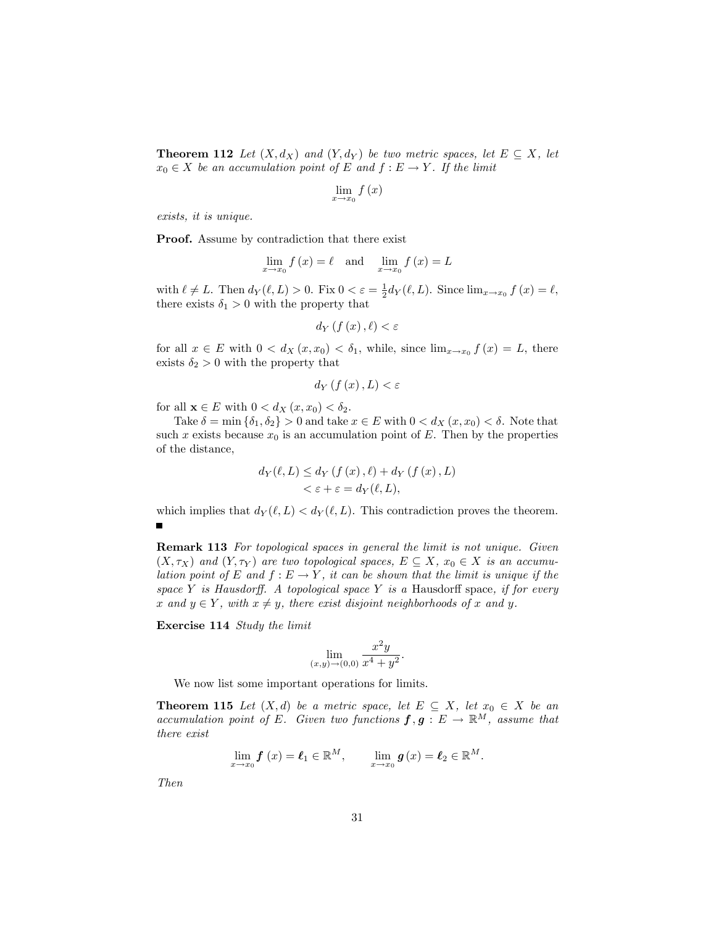**Theorem 112** Let  $(X, d_X)$  and  $(Y, d_Y)$  be two metric spaces, let  $E \subseteq X$ , let  $x_0 \in X$  be an accumulation point of E and  $f : E \to Y$ . If the limit

$$
\lim_{x \to x_0} f(x)
$$

exists, it is unique.

Proof. Assume by contradiction that there exist

$$
\lim_{x \to x_0} f(x) = \ell \quad \text{and} \quad \lim_{x \to x_0} f(x) = L
$$

with  $\ell \neq L$ . Then  $d_Y(\ell, L) > 0$ . Fix  $0 < \varepsilon = \frac{1}{2} d_Y(\ell, L)$ . Since  $\lim_{x \to x_0} f(x) = \ell$ , there exists  $\delta_1 > 0$  with the property that

$$
d_{Y}\left(f\left(x\right),\ell\right)<\varepsilon
$$

for all  $x \in E$  with  $0 < d_X(x, x_0) < \delta_1$ , while, since  $\lim_{x \to x_0} f(x) = L$ , there exists  $\delta_2 > 0$  with the property that

$$
d_{Y}\left( f\left( x\right) ,L\right) <\varepsilon
$$

for all  $\mathbf{x} \in E$  with  $0 < d_X(x, x_0) < \delta_2$ .

Take  $\delta = \min \{\delta_1, \delta_2\} > 0$  and take  $x \in E$  with  $0 < d_X(x, x_0) < \delta$ . Note that such x exists because  $x_0$  is an accumulation point of E. Then by the properties of the distance,

$$
d_Y(\ell, L) \le d_Y(f(x), \ell) + d_Y(f(x), L)
$$
  

$$
< \varepsilon + \varepsilon = d_Y(\ell, L),
$$

which implies that  $d_Y(\ell, L) < d_Y(\ell, L)$ . This contradiction proves the theorem.  $\blacksquare$ 

Remark 113 For topological spaces in general the limit is not unique. Given  $(X, \tau_X)$  and  $(Y, \tau_Y)$  are two topological spaces,  $E \subseteq X$ ,  $x_0 \in X$  is an accumulation point of E and  $f : E \to Y$ , it can be shown that the limit is unique if the space Y is Hausdorff. A topological space Y is a Hausdorff space, if for every x and  $y \in Y$ , with  $x \neq y$ , there exist disjoint neighborhoods of x and y.

Exercise 114 Study the limit

$$
\lim_{(x,y)\to(0,0)}\frac{x^2y}{x^4+y^2}.
$$

We now list some important operations for limits.

**Theorem 115** Let  $(X,d)$  be a metric space, let  $E \subseteq X$ , let  $x_0 \in X$  be an accumulation point of E. Given two functions  $f, g: E \to \mathbb{R}^M$ , assume that there exist

$$
\lim_{x \to x_0} \mathbf{f}(x) = \mathbf{\ell}_1 \in \mathbb{R}^M, \qquad \lim_{x \to x_0} \mathbf{g}(x) = \mathbf{\ell}_2 \in \mathbb{R}^M.
$$

Then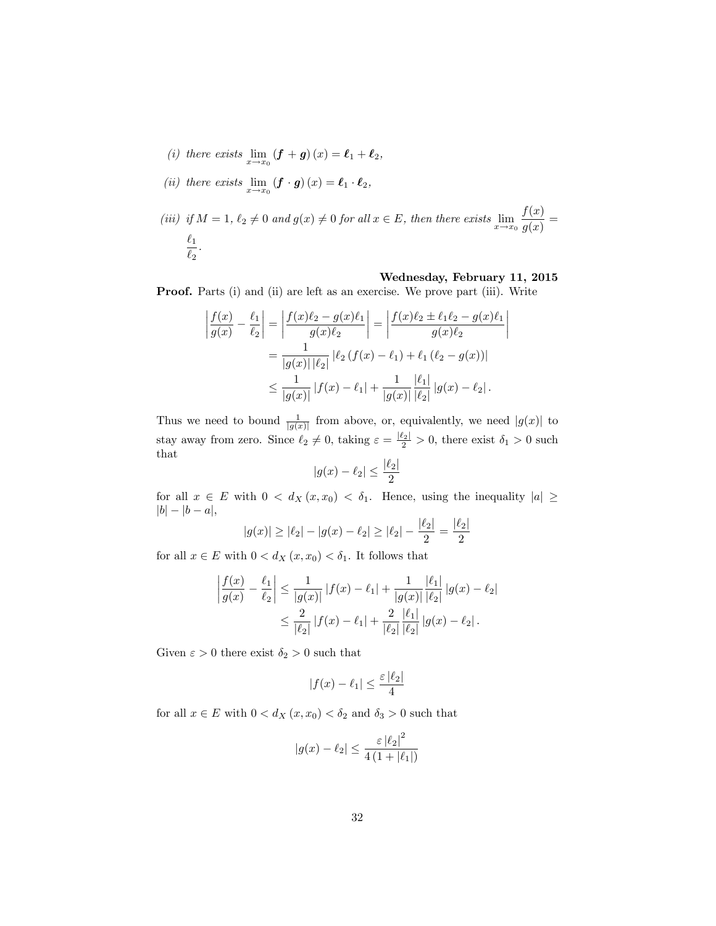- (i) there exists  $\lim_{x \to x_0} (\mathbf{f} + \mathbf{g}) (x) = \mathbf{\ell}_1 + \mathbf{\ell}_2$ ,
- (ii) there exists  $\lim_{x \to x_0} (\mathbf{f} \cdot \mathbf{g}) (x) = \mathbf{\ell}_1 \cdot \mathbf{\ell}_2$ ,

(iii) if 
$$
M = 1
$$
,  $\ell_2 \neq 0$  and  $g(x) \neq 0$  for all  $x \in E$ , then there exists  $\lim_{x \to x_0} \frac{f(x)}{g(x)} = \frac{\ell_1}{\ell_2}$ .

### Wednesday, February 11, 2015

Proof. Parts (i) and (ii) are left as an exercise. We prove part (iii). Write

$$
\left| \frac{f(x)}{g(x)} - \frac{\ell_1}{\ell_2} \right| = \left| \frac{f(x)\ell_2 - g(x)\ell_1}{g(x)\ell_2} \right| = \left| \frac{f(x)\ell_2 \pm \ell_1\ell_2 - g(x)\ell_1}{g(x)\ell_2} \right|
$$

$$
= \frac{1}{|g(x)| |\ell_2|} |\ell_2 (f(x) - \ell_1) + \ell_1 (\ell_2 - g(x))|
$$

$$
\leq \frac{1}{|g(x)|} |f(x) - \ell_1| + \frac{1}{|g(x)|} \frac{|\ell_1|}{|\ell_2|} |g(x) - \ell_2|.
$$

Thus we need to bound  $\frac{1}{|g(x)|}$  from above, or, equivalently, we need  $|g(x)|$  to stay away from zero. Since  $\ell_2 \neq 0$ , taking  $\varepsilon = \frac{|\ell_2|}{2} > 0$ , there exist  $\delta_1 > 0$  such that  $\lvert \ell_2 \rvert$ 

$$
|g(x) - \ell_2| \le \frac{|\ell_2|}{2}
$$

for all  $x \in E$  with  $0 < d_X(x, x_0) < \delta_1$ . Hence, using the inequality  $|a| \ge$  $|b| - |b - a|,$ 

$$
|g(x)| \ge |\ell_2| - |g(x) - \ell_2| \ge |\ell_2| - \frac{|\ell_2|}{2} = \frac{|\ell_2|}{2}
$$

for all  $x \in E$  with  $0 < d_X(x, x_0) < \delta_1$ . It follows that

$$
\left| \frac{f(x)}{g(x)} - \frac{\ell_1}{\ell_2} \right| \le \frac{1}{|g(x)|} |f(x) - \ell_1| + \frac{1}{|g(x)|} \frac{|\ell_1|}{|\ell_2|} |g(x) - \ell_2|
$$
  

$$
\le \frac{2}{|\ell_2|} |f(x) - \ell_1| + \frac{2}{|\ell_2|} \frac{|\ell_1|}{|\ell_2|} |g(x) - \ell_2|.
$$

Given  $\varepsilon > 0$  there exist  $\delta_2 > 0$  such that

$$
|f(x) - \ell_1| \le \frac{\varepsilon |\ell_2|}{4}
$$

for all  $x \in E$  with  $0 < d_X(x, x_0) < \delta_2$  and  $\delta_3 > 0$  such that

$$
|g(x) - \ell_2| \le \frac{\varepsilon |\ell_2|^2}{4 (1 + |\ell_1|)}
$$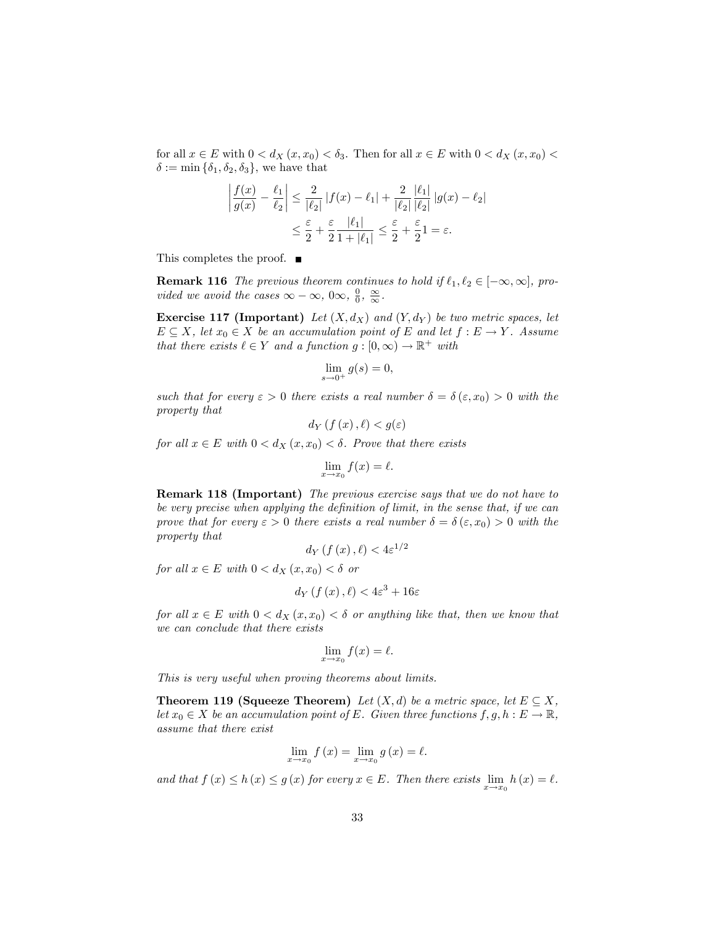for all  $x \in E$  with  $0 < d_X(x, x_0) < \delta_3$ . Then for all  $x \in E$  with  $0 < d_X(x, x_0)$  $\delta := \min \{\delta_1, \delta_2, \delta_3\},\$  we have that

$$
\left|\frac{f(x)}{g(x)} - \frac{\ell_1}{\ell_2}\right| \le \frac{2}{|\ell_2|} |f(x) - \ell_1| + \frac{2}{|\ell_2|} \frac{|\ell_1|}{|\ell_2|} |g(x) - \ell_2|
$$

$$
\le \frac{\varepsilon}{2} + \frac{\varepsilon}{2} \frac{|\ell_1|}{1 + |\ell_1|} \le \frac{\varepsilon}{2} + \frac{\varepsilon}{2} 1 = \varepsilon.
$$

This completes the proof. ■

**Remark 116** The previous theorem continues to hold if  $\ell_1, \ell_2 \in [-\infty, \infty]$ , provided we avoid the cases  $\infty - \infty$ ,  $0\infty$ ,  $\frac{0}{0}$ ,  $\frac{\infty}{\infty}$ .

**Exercise 117 (Important)** Let  $(X, d_X)$  and  $(Y, d_Y)$  be two metric spaces, let  $E \subseteq X$ , let  $x_0 \in X$  be an accumulation point of E and let  $f : E \to Y$ . Assume that there exists  $\ell \in Y$  and a function  $g : [0, \infty) \to \mathbb{R}^+$  with

$$
\lim_{s \to 0^+} g(s) = 0,
$$

such that for every  $\varepsilon > 0$  there exists a real number  $\delta = \delta(\varepsilon, x_0) > 0$  with the property that

$$
d_Y\left(f\left(x\right),\ell\right) < g(\varepsilon)
$$

for all  $x \in E$  with  $0 < d_X(x, x_0) < \delta$ . Prove that there exists

$$
\lim_{x \to x_0} f(x) = \ell.
$$

Remark 118 (Important) The previous exercise says that we do not have to be very precise when applying the definition of limit, in the sense that, if we can prove that for every  $\varepsilon > 0$  there exists a real number  $\delta = \delta(\varepsilon, x_0) > 0$  with the property that

$$
d_Y\left(f\left(x\right),\ell\right) < 4\varepsilon^{1/2}
$$

for all  $x \in E$  with  $0 < d_X(x, x_0) < \delta$  or

$$
d_Y\left(f\left(x\right),\ell\right) < 4\varepsilon^3 + 16\varepsilon
$$

for all  $x \in E$  with  $0 < d_X(x, x_0) < \delta$  or anything like that, then we know that we can conclude that there exists

$$
\lim_{x \to x_0} f(x) = \ell.
$$

This is very useful when proving theorems about limits.

**Theorem 119 (Squeeze Theorem)** Let  $(X, d)$  be a metric space, let  $E \subseteq X$ , let  $x_0 \in X$  be an accumulation point of E. Given three functions  $f, g, h : E \to \mathbb{R}$ , assume that there exist

$$
\lim_{x \to x_0} f(x) = \lim_{x \to x_0} g(x) = \ell.
$$

and that  $f(x) \leq h(x) \leq g(x)$  for every  $x \in E$ . Then there exists  $\lim_{x \to x_0} h(x) = \ell$ .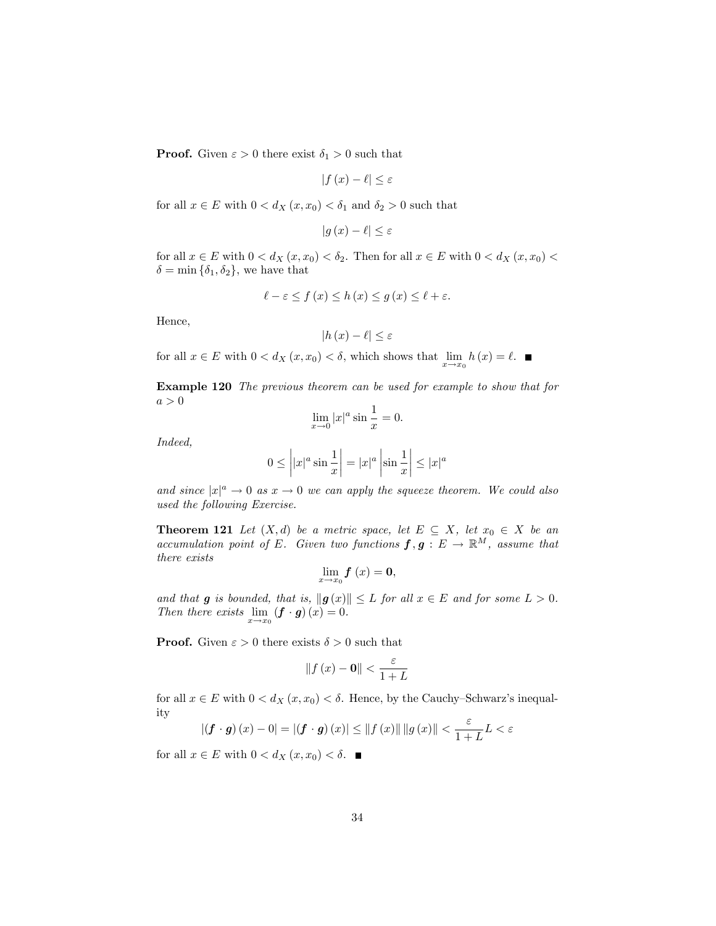**Proof.** Given  $\varepsilon > 0$  there exist  $\delta_1 > 0$  such that

$$
|f(x) - \ell| \le \varepsilon
$$

for all  $x \in E$  with  $0 < d_X(x, x_0) < \delta_1$  and  $\delta_2 > 0$  such that

$$
|g(x) - \ell| \le \varepsilon
$$

for all  $x \in E$  with  $0 < d_X(x, x_0) < \delta_2$ . Then for all  $x \in E$  with  $0 < d_X(x, x_0)$  $\delta = \min \{\delta_1, \delta_2\},\$  we have that

$$
\ell - \varepsilon \le f\left(x\right) \le h\left(x\right) \le g\left(x\right) \le \ell + \varepsilon.
$$

Hence,

$$
|h(x) - \ell| \le \varepsilon
$$

for all  $x \in E$  with  $0 < d_X(x, x_0) < \delta$ , which shows that  $\lim_{x \to x_0} h(x) = \ell$ .

Example 120 The previous theorem can be used for example to show that for  $a > 0$ 

$$
\lim_{x \to 0} |x|^a \sin \frac{1}{x} = 0.
$$

Indeed,

$$
0 \le \left| |x|^a \sin \frac{1}{x} \right| = |x|^a \left| \sin \frac{1}{x} \right| \le |x|^a
$$

and since  $|x|^a \to 0$  as  $x \to 0$  we can apply the squeeze theorem. We could also used the following Exercise.

**Theorem 121** Let  $(X,d)$  be a metric space, let  $E \subseteq X$ , let  $x_0 \in X$  be an accumulation point of E. Given two functions  $f, g : E \to \mathbb{R}^M$ , assume that there exists

$$
\lim_{x\to x_0}f\left(x\right)=0,
$$

and that g is bounded, that is,  $||g(x)|| \leq L$  for all  $x \in E$  and for some  $L > 0$ . Then there exists  $\lim_{x \to x_0} (\mathbf{f} \cdot \mathbf{g}) (x) = 0.$ 

**Proof.** Given  $\varepsilon > 0$  there exists  $\delta > 0$  such that

$$
\|f(x) - \mathbf{0}\| < \frac{\varepsilon}{1 + L}
$$

for all  $x \in E$  with  $0 < d_X(x, x_0) < \delta$ . Hence, by the Cauchy-Schwarz's inequality

$$
\left|\left(\mathbf{f}\cdot\mathbf{g}\right)\left(x\right)-0\right|=\left|\left(\mathbf{f}\cdot\mathbf{g}\right)\left(x\right)\right|\leq\left\|f\left(x\right)\right\|\left\|g\left(x\right)\right\|<\frac{\varepsilon}{1+L}L<\varepsilon
$$

for all  $x \in E$  with  $0 < d_X(x, x_0) < \delta$ .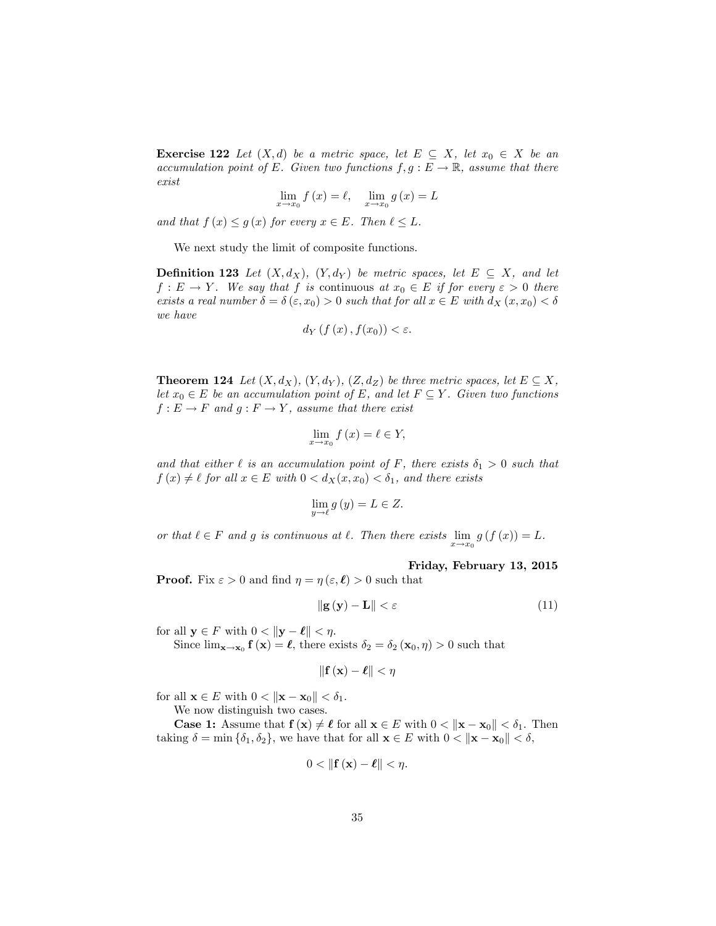**Exercise 122** Let  $(X,d)$  be a metric space, let  $E \subseteq X$ , let  $x_0 \in X$  be an accumulation point of E. Given two functions  $f, g : E \to \mathbb{R}$ , assume that there exist

$$
\lim_{x \to x_0} f(x) = \ell, \quad \lim_{x \to x_0} g(x) = L
$$

and that  $f(x) \leq g(x)$  for every  $x \in E$ . Then  $\ell \leq L$ .

We next study the limit of composite functions.

**Definition 123** Let  $(X, d_X)$ ,  $(Y, d_Y)$  be metric spaces, let  $E \subseteq X$ , and let  $f: E \to Y$ . We say that f is continuous at  $x_0 \in E$  if for every  $\varepsilon > 0$  there exists a real number  $\delta = \delta(\varepsilon, x_0) > 0$  such that for all  $x \in E$  with  $d_X(x, x_0) < \delta$ we have

$$
d_Y\left(f\left(x\right), f(x_0)\right) < \varepsilon.
$$

**Theorem 124** Let  $(X, d_X)$ ,  $(Y, d_Y)$ ,  $(Z, d_Z)$  be three metric spaces, let  $E \subseteq X$ , let  $x_0 \in E$  be an accumulation point of E, and let  $F \subseteq Y$ . Given two functions  $f : E \to F$  and  $g : F \to Y$ , assume that there exist

$$
\lim_{x \to x_0} f(x) = \ell \in Y,
$$

and that either  $\ell$  is an accumulation point of F, there exists  $\delta_1 > 0$  such that  $f(x) \neq \ell$  for all  $x \in E$  with  $0 < d_X(x, x_0) < \delta_1$ , and there exists

$$
\lim_{y \to \ell} g(y) = L \in Z.
$$

or that  $\ell \in F$  and g is continuous at  $\ell$ . Then there exists  $\lim_{x \to x_0} g(f(x)) = L$ .

### Friday, February 13, 2015

**Proof.** Fix  $\varepsilon > 0$  and find  $\eta = \eta(\varepsilon, \ell) > 0$  such that

$$
\|\mathbf{g}\left(\mathbf{y}\right) - \mathbf{L}\| < \varepsilon \tag{11}
$$

for all  $y \in F$  with  $0 < ||y - \ell|| < \eta$ .

Since  $\lim_{\mathbf{x}\to\mathbf{x}_0} \mathbf{f}(\mathbf{x}) = \ell$ , there exists  $\delta_2 = \delta_2 (\mathbf{x}_0, \eta) > 0$  such that

$$
\|\mathbf{f}\left(\mathbf{x}\right)-\boldsymbol{\ell}\|<\eta
$$

for all  $\mathbf{x} \in E$  with  $0 < ||\mathbf{x} - \mathbf{x}_0|| < \delta_1$ .

We now distinguish two cases.

**Case 1:** Assume that  $f(x) \neq \ell$  for all  $x \in E$  with  $0 < ||x - x_0|| < \delta_1$ . Then taking  $\delta = \min \{\delta_1, \delta_2\}$ , we have that for all  $\mathbf{x} \in E$  with  $0 < ||\mathbf{x} - \mathbf{x}_0|| < \delta$ ,

$$
0<\left\Vert \mathbf{f}\left(\mathbf{x}\right)-\boldsymbol{\ell}\right\Vert <\eta.
$$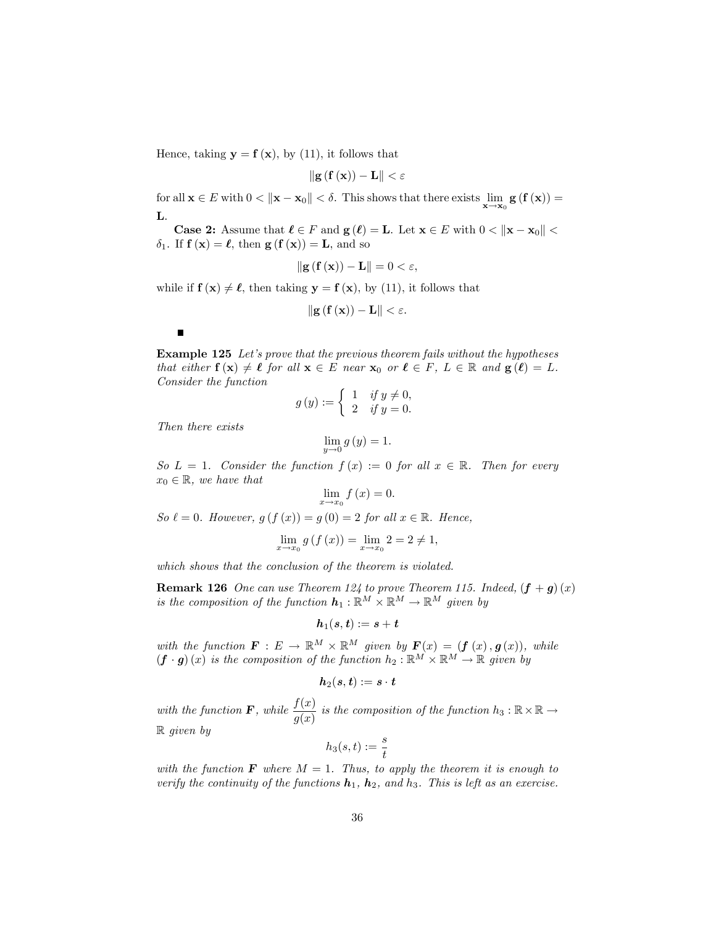Hence, taking  $y = f(x)$ , by (11), it follows that

$$
\|\mathbf{g}\left(\mathbf{f}\left(\mathbf{x}\right)\right)-\mathbf{L}\|<\varepsilon
$$

for all  $\mathbf{x} \in E$  with  $0 < ||\mathbf{x} - \mathbf{x}_0|| < \delta$ . This shows that there exists  $\lim_{\mathbf{x} \to \mathbf{x}_0} \mathbf{g}(\mathbf{f}(\mathbf{x})) =$ L.

**Case 2:** Assume that  $\ell \in F$  and  $g(\ell) = L$ . Let  $x \in E$  with  $0 < ||x - x_0||$  $\delta_1$ . If  $f(x) = \ell$ , then  $g(f(x)) = L$ , and so

$$
\|\mathbf{g}\left(\mathbf{f}\left(\mathbf{x}\right)\right)-\mathbf{L}\|=0<\varepsilon,
$$

while if  $f(x) \neq \ell$ , then taking  $y = f(x)$ , by (11), it follows that

$$
\left\|\mathbf{g}\left(\mathbf{f}\left(\mathbf{x}\right)\right)-\mathbf{L}\right\|<\varepsilon
$$

**Example 125** Let's prove that the previous theorem fails without the hypotheses that either  $f(x) \neq \ell$  for all  $x \in E$  near  $x_0$  or  $\ell \in F$ ,  $L \in \mathbb{R}$  and  $g(\ell) = L$ . Consider the function

$$
g(y) := \begin{cases} 1 & \text{if } y \neq 0, \\ 2 & \text{if } y = 0. \end{cases}
$$

Then there exists

 $\blacksquare$ 

$$
\lim_{y \to 0} g(y) = 1.
$$

So  $L = 1$ . Consider the function  $f(x) := 0$  for all  $x \in \mathbb{R}$ . Then for every  $x_0 \in \mathbb{R}$ , we have that

$$
\lim_{x \to x_0} f(x) = 0.
$$

So  $\ell = 0$ . However,  $g(f(x)) = g(0) = 2$  for all  $x \in \mathbb{R}$ . Hence,

$$
\lim_{x \to x_0} g(f(x)) = \lim_{x \to x_0} 2 = 2 \neq 1,
$$

which shows that the conclusion of the theorem is violated.

**Remark 126** One can use Theorem 124 to prove Theorem 115. Indeed,  $(f + g)(x)$ is the composition of the function  $h_1 : \mathbb{R}^M \times \mathbb{R}^M \to \mathbb{R}^M$  given by

$$
\boldsymbol{h}_1(s,t):=s+t
$$

with the function  $\mathbf{F}: E \to \mathbb{R}^M \times \mathbb{R}^M$  given by  $\mathbf{F}(x) = (\mathbf{f}(x), \mathbf{g}(x)),$  while  $(f \cdot g)(x)$  is the composition of the function  $h_2 : \mathbb{R}^M \times \mathbb{R}^M \to \mathbb{R}$  given by

$$
\boldsymbol{h}_2(\boldsymbol{s},\boldsymbol{t}):=\boldsymbol{s}\cdot\boldsymbol{t}
$$

with the function **F**, while  $\frac{f(x)}{g(x)}$  is the composition of the function  $h_3 : \mathbb{R} \times \mathbb{R} \to$ R given by

$$
h_3(s,t):=\frac{s}{t}
$$

with the function **F** where  $M = 1$ . Thus, to apply the theorem it is enough to verify the continuity of the functions  $h_1$ ,  $h_2$ , and  $h_3$ . This is left as an exercise.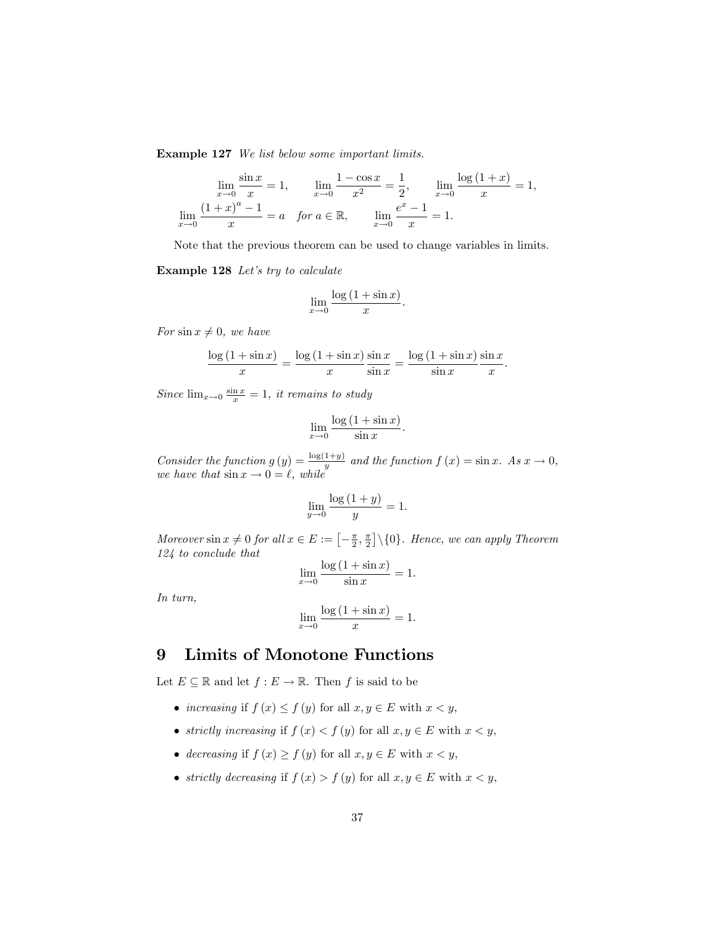Example 127 We list below some important limits.

$$
\lim_{x \to 0} \frac{\sin x}{x} = 1, \qquad \lim_{x \to 0} \frac{1 - \cos x}{x^2} = \frac{1}{2}, \qquad \lim_{x \to 0} \frac{\log (1 + x)}{x} = 1,
$$

$$
\lim_{x \to 0} \frac{(1 + x)^a - 1}{x} = a \quad \text{for } a \in \mathbb{R}, \qquad \lim_{x \to 0} \frac{e^x - 1}{x} = 1.
$$

Note that the previous theorem can be used to change variables in limits.

Example 128 Let's try to calculate

$$
\lim_{x \to 0} \frac{\log\left(1 + \sin x\right)}{x}.
$$

For  $\sin x \neq 0$ , we have

$$
\frac{\log\left(1+\sin x\right)}{x} = \frac{\log\left(1+\sin x\right)}{x} \frac{\sin x}{\sin x} = \frac{\log\left(1+\sin x\right)}{\sin x} \frac{\sin x}{x}
$$

:

Since  $\lim_{x\to 0} \frac{\sin x}{x} = 1$ , it remains to study

$$
\lim_{x \to 0} \frac{\log\left(1 + \sin x\right)}{\sin x}.
$$

Consider the function  $g(y) = \frac{\log(1+y)}{y}$  and the function  $f(x) = \sin x$ . As  $x \to 0$ , we have that  $\sin x \to 0 = \ell$ , while

$$
\lim_{y \to 0} \frac{\log\left(1+y\right)}{y} = 1.
$$

Moreover  $\sin x \neq 0$  for all  $x \in E := \left[ -\frac{\pi}{2}, \frac{\pi}{2} \right] \setminus \{0\}$ . Hence, we can apply Theorem 124 to conclude that

$$
\lim_{x \to 0} \frac{\log\left(1 + \sin x\right)}{\sin x} = 1.
$$

In turn,

$$
\lim_{x \to 0} \frac{\log\left(1 + \sin x\right)}{x} = 1.
$$

# 9 Limits of Monotone Functions

Let  $E \subseteq \mathbb{R}$  and let  $f : E \to \mathbb{R}$ . Then f is said to be

- increasing if  $f(x) \le f(y)$  for all  $x, y \in E$  with  $x < y$ ,
- strictly increasing if  $f(x) < f(y)$  for all  $x, y \in E$  with  $x < y$ ,
- decreasing if  $f(x) \ge f(y)$  for all  $x, y \in E$  with  $x < y$ ,
- strictly decreasing if  $f(x) > f(y)$  for all  $x, y \in E$  with  $x < y$ ,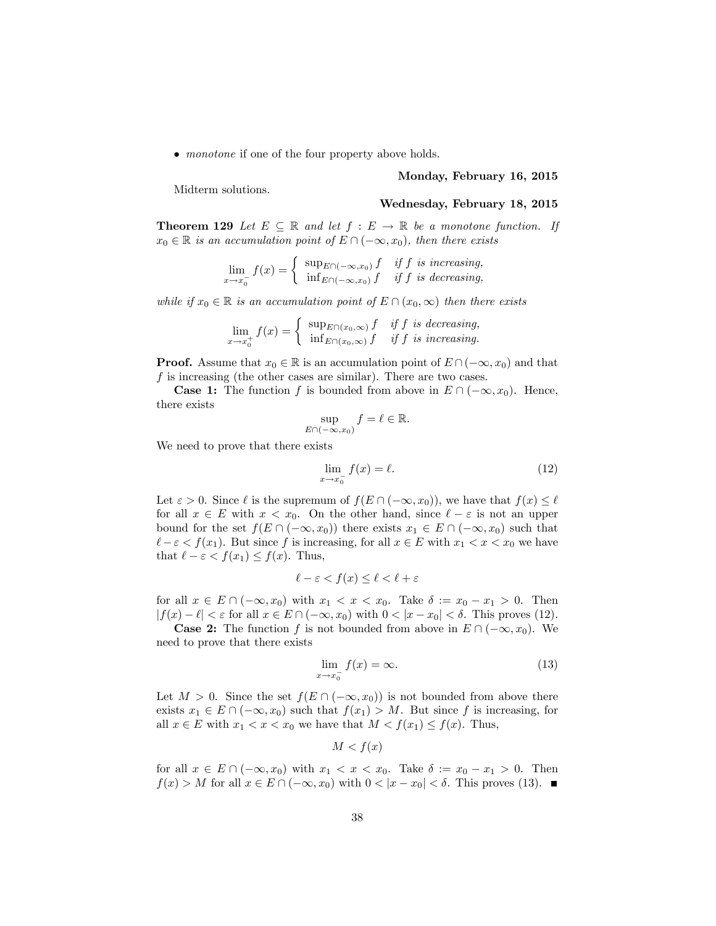• *monotone* if one of the four property above holds.

#### Monday, February 16, 2015

Midterm solutions.

#### Wednesday, February 18, 2015

**Theorem 129** Let  $E \subseteq \mathbb{R}$  and let  $f : E \to \mathbb{R}$  be a monotone function. If  $x_0 \in \mathbb{R}$  is an accumulation point of  $E \cap (-\infty, x_0)$ , then there exists

$$
\lim_{x \to x_0^{-}} f(x) = \begin{cases} \sup_{E \cap (-\infty, x_0)} f & \text{if } f \text{ is increasing,} \\ \inf_{E \cap (-\infty, x_0)} f & \text{if } f \text{ is decreasing,} \end{cases}
$$

while if  $x_0 \in \mathbb{R}$  is an accumulation point of  $E \cap (x_0, \infty)$  then there exists

$$
\lim_{x \to x_0^+} f(x) = \begin{cases} \sup_{E \cap (x_0,\infty)} f & \text{if } f \text{ is decreasing,} \\ \inf_{E \cap (x_0,\infty)} f & \text{if } f \text{ is increasing.} \end{cases}
$$

**Proof.** Assume that  $x_0 \in \mathbb{R}$  is an accumulation point of  $E \cap (-\infty, x_0)$  and that f is increasing (the other cases are similar). There are two cases.

**Case 1:** The function f is bounded from above in  $E \cap (-\infty, x_0)$ . Hence, there exists

$$
\sup_{E \cap (-\infty, x_0)} f = \ell \in \mathbb{R}.
$$

We need to prove that there exists

$$
\lim_{x \to x_0^-} f(x) = \ell. \tag{12}
$$

Let  $\varepsilon > 0$ . Since  $\ell$  is the supremum of  $f(E \cap (-\infty, x_0))$ , we have that  $f(x) \leq \ell$ for all  $x \in E$  with  $x < x_0$ . On the other hand, since  $\ell - \varepsilon$  is not an upper bound for the set  $f(E \cap (-\infty, x_0))$  there exists  $x_1 \in E \cap (-\infty, x_0)$  such that  $\ell - \varepsilon < f(x_1)$ . But since f is increasing, for all  $x \in E$  with  $x_1 < x < x_0$  we have that  $\ell - \varepsilon < f(x_1) \leq f(x)$ . Thus,

$$
\ell - \varepsilon < f(x) \le \ell < \ell + \varepsilon
$$

for all  $x \in E \cap (-\infty, x_0)$  with  $x_1 < x < x_0$ . Take  $\delta := x_0 - x_1 > 0$ . Then  $|f(x) - \ell| < \varepsilon$  for all  $x \in E \cap (-\infty, x_0)$  with  $0 < |x - x_0| < \delta$ . This proves (12).

**Case 2:** The function f is not bounded from above in  $E \cap (-\infty, x_0)$ . We need to prove that there exists

$$
\lim_{x \to x_0^-} f(x) = \infty. \tag{13}
$$

Let  $M > 0$ . Since the set  $f(E \cap (-\infty, x_0))$  is not bounded from above there exists  $x_1 \in E \cap (-\infty, x_0)$  such that  $f(x_1) > M$ . But since f is increasing, for all  $x \in E$  with  $x_1 < x < x_0$  we have that  $M < f(x_1) \le f(x)$ . Thus,

$$
M < f(x)
$$

for all  $x \in E \cap (-\infty, x_0)$  with  $x_1 < x < x_0$ . Take  $\delta := x_0 - x_1 > 0$ . Then  $f(x) > M$  for all  $x \in E \cap (-\infty, x_0)$  with  $0 < |x - x_0| < \delta$ . This proves (13).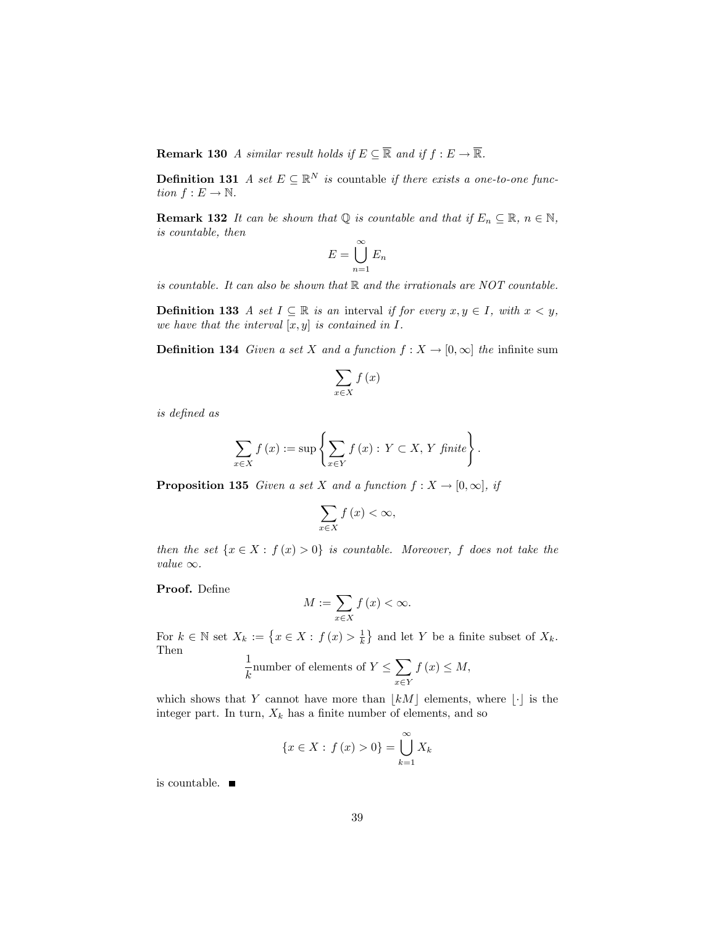**Remark 130** A similar result holds if  $E \subseteq \overline{\mathbb{R}}$  and if  $f : E \to \overline{\mathbb{R}}$ .

**Definition 131** A set  $E \subseteq \mathbb{R}^N$  is countable if there exists a one-to-one function  $f : E \to \mathbb{N}$ .

**Remark 132** It can be shown that  $\mathbb{Q}$  is countable and that if  $E_n \subseteq \mathbb{R}$ ,  $n \in \mathbb{N}$ , is countable, then

$$
E = \bigcup_{n=1}^{\infty} E_n
$$

is countable. It can also be shown that  $\mathbb R$  and the irrationals are NOT countable.

**Definition 133** A set  $I \subseteq \mathbb{R}$  is an interval if for every  $x, y \in I$ , with  $x < y$ , we have that the interval  $[x, y]$  is contained in  $I$ .

**Definition 134** Given a set X and a function  $f : X \to [0, \infty]$  the infinite sum

$$
\sum_{x\in X} f\left(x\right)
$$

is deÖned as

$$
\sum_{x \in X} f(x) := \sup \left\{ \sum_{x \in Y} f(x) : Y \subset X, Y \text{ finite} \right\}.
$$

**Proposition 135** Given a set X and a function  $f : X \to [0, \infty],$  if

$$
\sum_{x\in X} f\left(x\right) < \infty,
$$

then the set  $\{x \in X : f(x) > 0\}$  is countable. Moreover, f does not take the value  $\infty$ .

Proof. Define

$$
M := \sum_{x \in X} f(x) < \infty.
$$

For  $k \in \mathbb{N}$  set  $X_k := \left\{ x \in X : f(x) > \frac{1}{k} \right\}$  and let Y be a finite subset of  $X_k$ . Then

$$
\frac{1}{k}
$$
number of elements of  $Y \le \sum_{x \in Y} f(x) \le M$ ,

which shows that Y cannot have more than  $|kM|$  elements, where  $|\cdot|$  is the integer part. In turn,  $X_k$  has a finite number of elements, and so

$$
\{x \in X : f(x) > 0\} = \bigcup_{k=1}^{\infty} X_k
$$

is countable.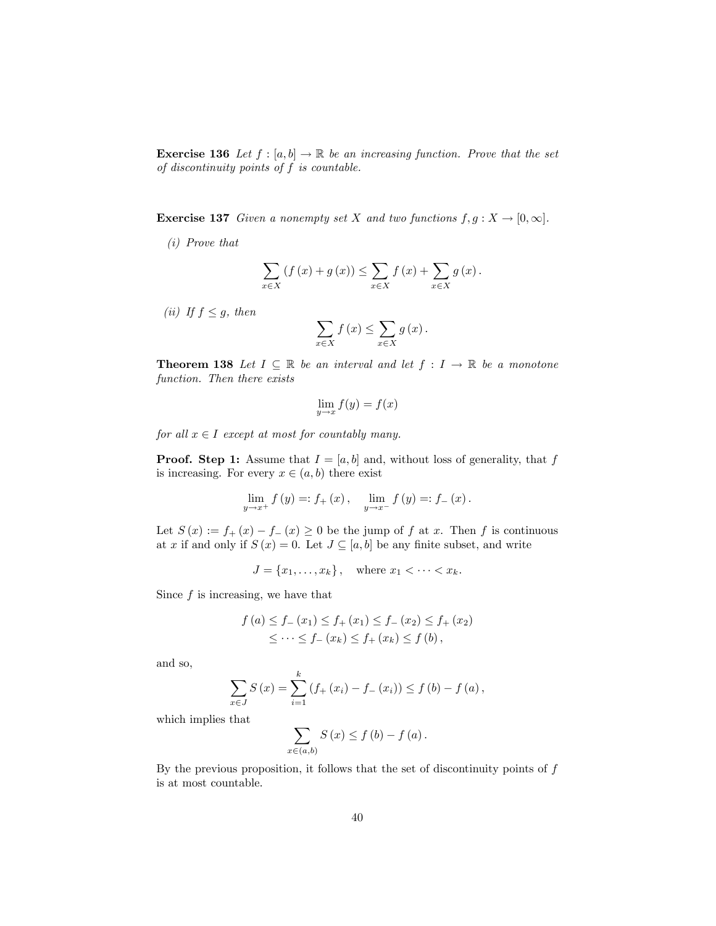**Exercise 136** Let  $f : [a, b] \to \mathbb{R}$  be an increasing function. Prove that the set of discontinuity points of f is countable.

**Exercise 137** Given a nonempty set X and two functions  $f, g: X \to [0, \infty]$ .

(i) Prove that

$$
\sum_{x \in X} \left( f(x) + g(x) \right) \le \sum_{x \in X} f(x) + \sum_{x \in X} g(x).
$$

(ii) If  $f \leq g$ , then

$$
\sum_{x \in X} f(x) \le \sum_{x \in X} g(x).
$$

**Theorem 138** Let  $I \subseteq \mathbb{R}$  be an interval and let  $f : I \to \mathbb{R}$  be a monotone function. Then there exists

$$
\lim_{y \to x} f(y) = f(x)
$$

for all  $x \in I$  except at most for countably many.

**Proof.** Step 1: Assume that  $I = [a, b]$  and, without loss of generality, that f is increasing. For every  $x \in (a, b)$  there exist

$$
\lim_{y \to x^{+}} f(y) =: f_{+}(x), \quad \lim_{y \to x^{-}} f(y) =: f_{-}(x).
$$

Let  $S(x) := f_+(x) - f_-(x) \ge 0$  be the jump of f at x. Then f is continuous at x if and only if  $S(x) = 0$ . Let  $J \subseteq [a, b]$  be any finite subset, and write

$$
J = \{x_1, \dots, x_k\}, \quad \text{where } x_1 < \dots < x_k.
$$

Since  $f$  is increasing, we have that

$$
f(a) \le f_{-}(x_1) \le f_{+}(x_1) \le f_{-}(x_2) \le f_{+}(x_2)
$$
  

$$
\le \dots \le f_{-}(x_k) \le f_{+}(x_k) \le f(b),
$$

and so,

$$
\sum_{x \in J} S(x) = \sum_{i=1}^{k} (f_{+}(x_{i}) - f_{-}(x_{i})) \le f(b) - f(a),
$$

which implies that

$$
\sum_{x \in (a,b)} S(x) \le f(b) - f(a).
$$

By the previous proposition, it follows that the set of discontinuity points of  $f$ is at most countable.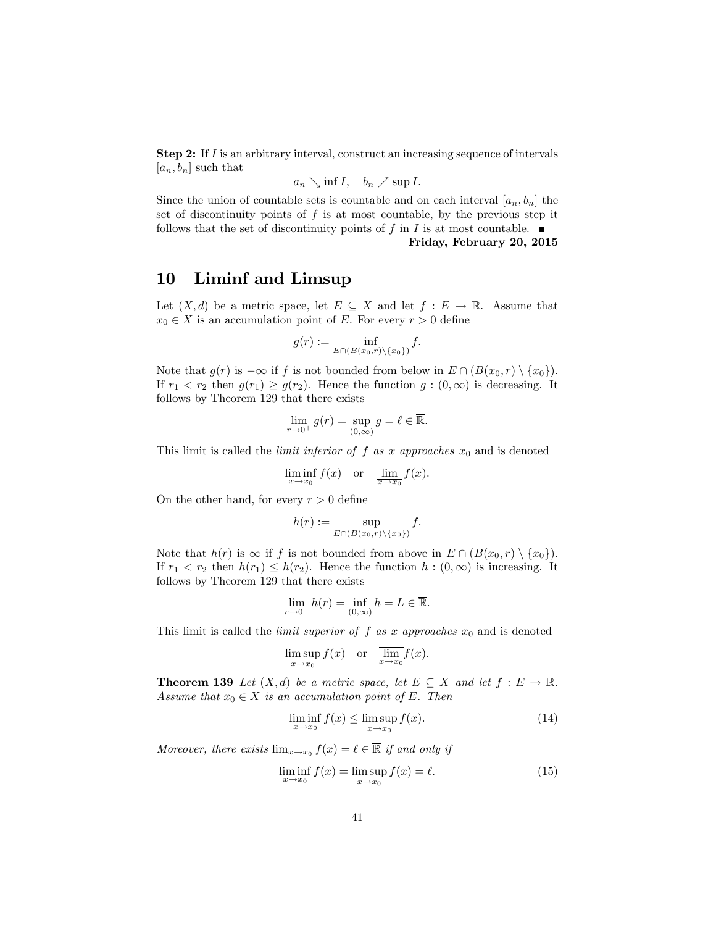Step 2: If I is an arbitrary interval, construct an increasing sequence of intervals  $[a_n, b_n]$  such that

$$
a_n \searrow \inf I, \quad b_n \nearrow \sup I.
$$

Since the union of countable sets is countable and on each interval  $[a_n, b_n]$  the set of discontinuity points of  $f$  is at most countable, by the previous step it follows that the set of discontinuity points of f in I is at most countable.  $\blacksquare$ 

#### Friday, February 20, 2015

# 10 Liminf and Limsup

Let  $(X, d)$  be a metric space, let  $E \subseteq X$  and let  $f : E \to \mathbb{R}$ . Assume that  $x_0 \in X$  is an accumulation point of E. For every  $r > 0$  define

$$
g(r) := \inf_{E \cap (B(x_0,r) \setminus \{x_0\})} f.
$$

Note that  $g(r)$  is  $-\infty$  if f is not bounded from below in  $E \cap (B(x_0, r) \setminus \{x_0\}).$ If  $r_1 < r_2$  then  $g(r_1) \ge g(r_2)$ . Hence the function  $g : (0, \infty)$  is decreasing. It follows by Theorem 129 that there exists

$$
\lim_{r \to 0^+} g(r) = \sup_{(0,\infty)} g = \ell \in \overline{\mathbb{R}}.
$$

This limit is called the *limit inferior of f as x approaches*  $x_0$  and is denoted

$$
\liminf_{x \to x_0} f(x) \quad \text{or} \quad \lim_{x \to x_0} f(x).
$$

On the other hand, for every  $r > 0$  define

$$
h(r) := \sup_{E \cap (B(x_0,r) \setminus \{x_0\})} f.
$$

Note that  $h(r)$  is  $\infty$  if f is not bounded from above in  $E \cap (B(x_0, r) \setminus \{x_0\}).$ If  $r_1 < r_2$  then  $h(r_1) \leq h(r_2)$ . Hence the function  $h : (0, \infty)$  is increasing. It follows by Theorem 129 that there exists

$$
\lim_{r \to 0^+} h(r) = \inf_{(0,\infty)} h = L \in \overline{\mathbb{R}}.
$$

This limit is called the *limit superior of f as x approaches*  $x_0$  and is denoted

$$
\limsup_{x \to x_0} f(x) \quad \text{or} \quad \overline{\lim_{x \to x_0}} f(x).
$$

**Theorem 139** Let  $(X, d)$  be a metric space, let  $E \subseteq X$  and let  $f : E \to \mathbb{R}$ . Assume that  $x_0 \in X$  is an accumulation point of E. Then

$$
\liminf_{x \to x_0} f(x) \le \limsup_{x \to x_0} f(x). \tag{14}
$$

Moreover, there exists  $\lim_{x\to x_0} f(x) = \ell \in \mathbb{R}$  if and only if

$$
\liminf_{x \to x_0} f(x) = \limsup_{x \to x_0} f(x) = \ell. \tag{15}
$$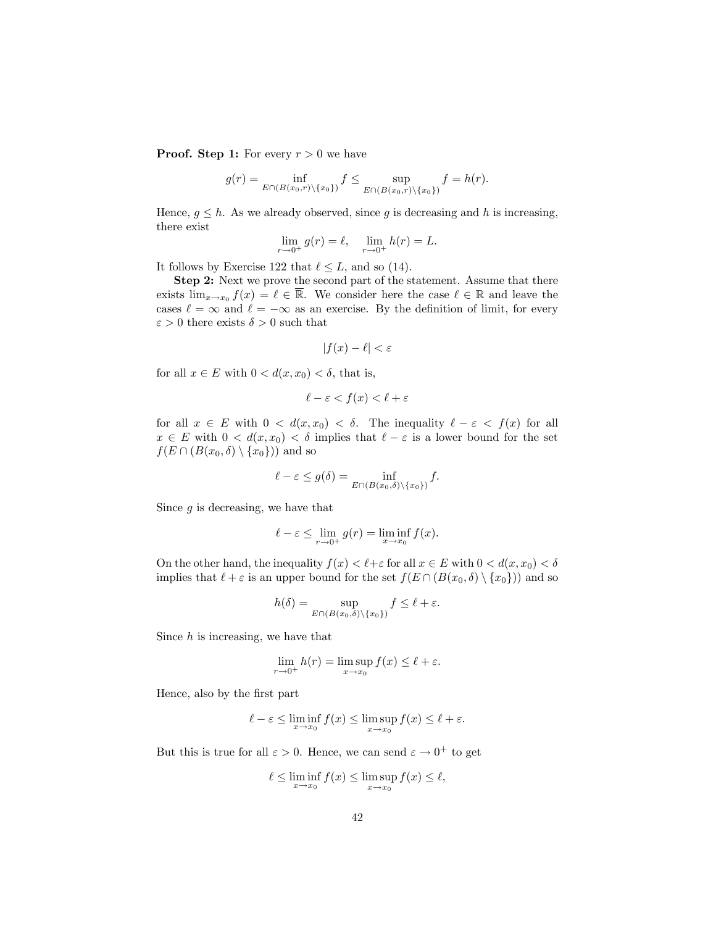**Proof.** Step 1: For every  $r > 0$  we have

$$
g(r) = \inf_{E \cap (B(x_0,r) \setminus \{x_0\})} f \le \sup_{E \cap (B(x_0,r) \setminus \{x_0\})} f = h(r).
$$

Hence,  $g \leq h$ . As we already observed, since g is decreasing and h is increasing, there exist

$$
\lim_{r \to 0^+} g(r) = \ell, \quad \lim_{r \to 0^+} h(r) = L.
$$

It follows by Exercise 122 that  $\ell \leq L$ , and so (14).

Step 2: Next we prove the second part of the statement. Assume that there exists  $\lim_{x\to x_0} f(x) = \ell \in \mathbb{R}$ . We consider here the case  $\ell \in \mathbb{R}$  and leave the cases  $\ell = \infty$  and  $\ell = -\infty$  as an exercise. By the definition of limit, for every  $\varepsilon > 0$  there exists  $\delta > 0$  such that

$$
|f(x) - \ell| < \varepsilon
$$

for all  $x \in E$  with  $0 < d(x, x_0) < \delta$ , that is,

$$
\ell - \varepsilon < f(x) < \ell + \varepsilon
$$

for all  $x \in E$  with  $0 < d(x, x_0) < \delta$ . The inequality  $\ell - \varepsilon < f(x)$  for all  $x \in E$  with  $0 < d(x, x_0) < \delta$  implies that  $\ell - \varepsilon$  is a lower bound for the set  $f(E \cap (B(x_0, \delta) \setminus \{x_0\}))$  and so

$$
\ell - \varepsilon \le g(\delta) = \inf_{E \cap (B(x_0, \delta) \setminus \{x_0\})} f.
$$

Since  $g$  is decreasing, we have that

$$
\ell - \varepsilon \le \lim_{r \to 0^+} g(r) = \liminf_{x \to x_0} f(x).
$$

On the other hand, the inequality  $f(x) < l + \varepsilon$  for all  $x \in E$  with  $0 < d(x, x_0) < \delta$ implies that  $\ell + \varepsilon$  is an upper bound for the set  $f(E \cap (B(x_0, \delta) \setminus \{x_0\}))$  and so

$$
h(\delta) = \sup_{E \cap (B(x_0, \delta) \setminus \{x_0\})} f \le \ell + \varepsilon.
$$

Since  $h$  is increasing, we have that

$$
\lim_{r \to 0^+} h(r) = \limsup_{x \to x_0} f(x) \le \ell + \varepsilon.
$$

Hence, also by the first part

$$
\ell - \varepsilon \le \liminf_{x \to x_0} f(x) \le \limsup_{x \to x_0} f(x) \le \ell + \varepsilon.
$$

But this is true for all  $\varepsilon > 0$ . Hence, we can send  $\varepsilon \to 0^+$  to get

$$
\ell \leq \liminf_{x \to x_0} f(x) \leq \limsup_{x \to x_0} f(x) \leq \ell,
$$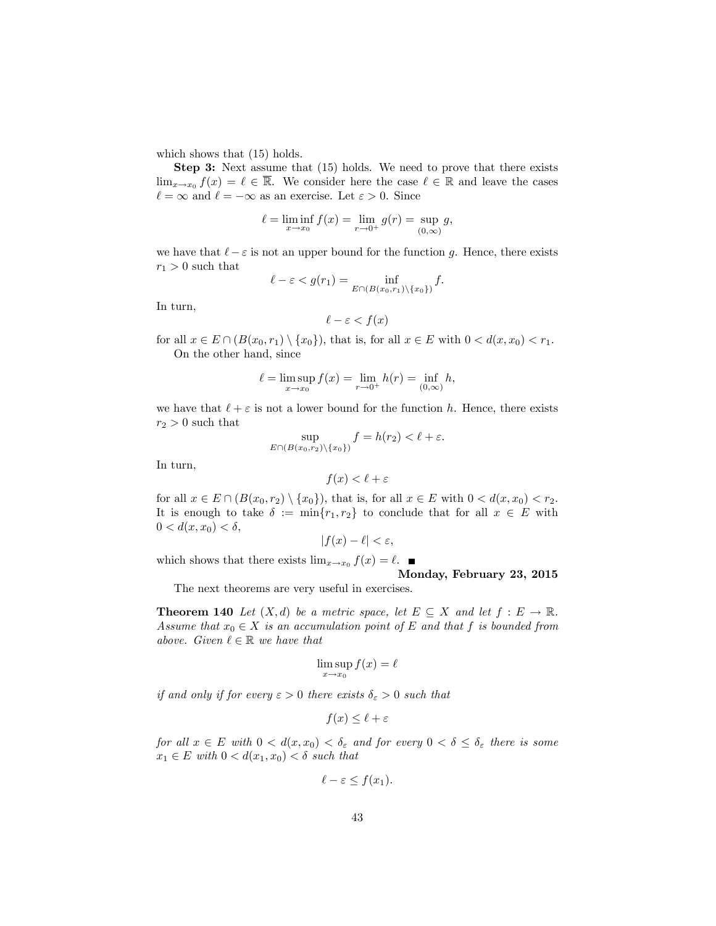which shows that  $(15)$  holds.

Step 3: Next assume that (15) holds. We need to prove that there exists  $\lim_{x\to x_0} f(x) = \ell \in \mathbb{R}$ . We consider here the case  $\ell \in \mathbb{R}$  and leave the cases  $\ell = \infty$  and  $\ell = -\infty$  as an exercise. Let  $\varepsilon > 0$ . Since

$$
\ell = \liminf_{x \to x_0} f(x) = \lim_{r \to 0^+} g(r) = \sup_{(0,\infty)} g,
$$

we have that  $\ell - \varepsilon$  is not an upper bound for the function g. Hence, there exists  $r_1 > 0$  such that

$$
\ell - \varepsilon < g(r_1) = \inf_{E \cap (B(x_0, r_1) \setminus \{x_0\})} f.
$$

In turn,

$$
\ell - \varepsilon < f(x)
$$

for all  $x \in E \cap (B(x_0, r_1) \setminus \{x_0\})$ , that is, for all  $x \in E$  with  $0 < d(x, x_0) < r_1$ . On the other hand, since

$$
\ell = \limsup_{x \to x_0} f(x) = \lim_{r \to 0^+} h(r) = \inf_{(0,\infty)} h,
$$

we have that  $\ell + \varepsilon$  is not a lower bound for the function h. Hence, there exists  $r_2 > 0$  such that

$$
\sup_{E \cap (B(x_0,r_2)\setminus\{x_0\})} f = h(r_2) < \ell + \varepsilon.
$$

In turn,

$$
f(x) < \ell + \varepsilon
$$

for all  $x \in E \cap (B(x_0, r_2) \setminus \{x_0\})$ , that is, for all  $x \in E$  with  $0 < d(x, x_0) < r_2$ . It is enough to take  $\delta := \min\{r_1, r_2\}$  to conclude that for all  $x \in E$  with  $0 < d(x, x_0) < \delta,$ 

$$
|f(x) - \ell| < \varepsilon
$$

which shows that there exists  $\lim_{x\to x_0} f(x) = \ell$ . Monday, February 23, 2015

The next theorems are very useful in exercises.

**Theorem 140** Let  $(X, d)$  be a metric space, let  $E \subseteq X$  and let  $f : E \to \mathbb{R}$ . Assume that  $x_0 \in X$  is an accumulation point of E and that f is bounded from above. Given  $\ell \in \mathbb{R}$  we have that

$$
\limsup_{x \to x_0} f(x) = \ell
$$

if and only if for every  $\varepsilon > 0$  there exists  $\delta_{\varepsilon} > 0$  such that

$$
f(x) \le \ell + \varepsilon
$$

for all  $x \in E$  with  $0 < d(x, x_0) < \delta_{\varepsilon}$  and for every  $0 < \delta \leq \delta_{\varepsilon}$  there is some  $x_1 \in E$  with  $0 < d(x_1, x_0) < \delta$  such that

$$
\ell - \varepsilon \le f(x_1).
$$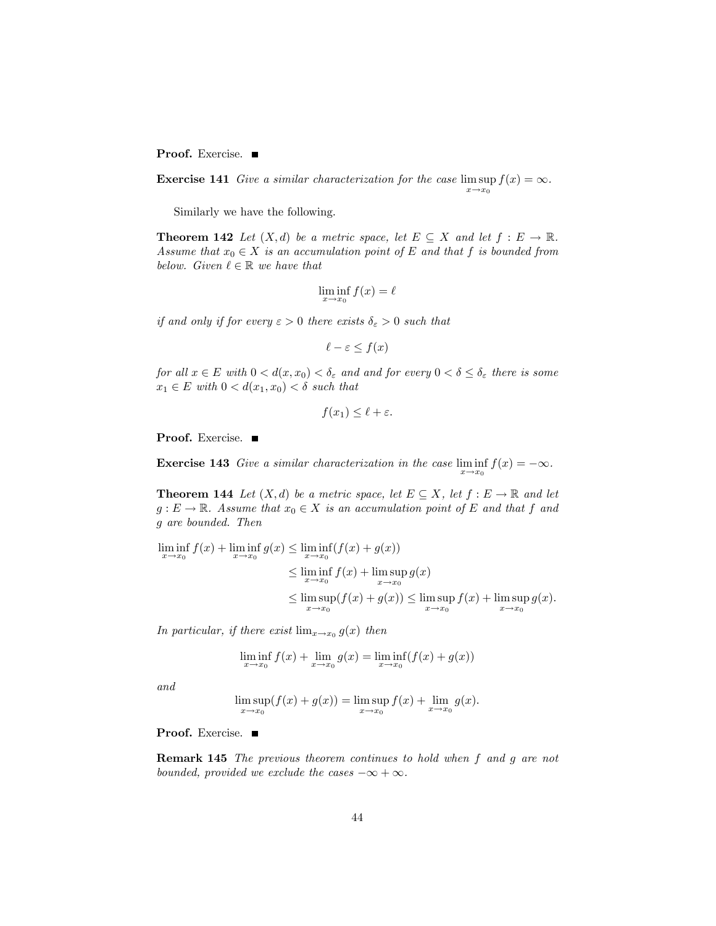Proof. Exercise.

**Exercise 141** Give a similar characterization for the case  $\limsup_{n \to \infty} f(x) = \infty$ .  $x \rightarrow x_0$ 

Similarly we have the following.

**Theorem 142** Let  $(X, d)$  be a metric space, let  $E \subseteq X$  and let  $f : E \to \mathbb{R}$ . Assume that  $x_0 \in X$  is an accumulation point of E and that f is bounded from below. Given  $\ell \in \mathbb{R}$  we have that

$$
\liminf_{x \to x_0} f(x) = \ell
$$

if and only if for every  $\varepsilon > 0$  there exists  $\delta_{\varepsilon} > 0$  such that

$$
\ell - \varepsilon \le f(x)
$$

for all  $x \in E$  with  $0 < d(x, x_0) < \delta_{\varepsilon}$  and and for every  $0 < \delta \leq \delta_{\varepsilon}$  there is some  $x_1 \in E$  with  $0 < d(x_1, x_0) < \delta$  such that

$$
f(x_1) \le \ell + \varepsilon.
$$

Proof. Exercise. ■

**Exercise 143** Give a similar characterization in the case  $\liminf_{x \to x_0} f(x) = -\infty$ .

**Theorem 144** Let  $(X, d)$  be a metric space, let  $E \subseteq X$ , let  $f : E \to \mathbb{R}$  and let  $g: E \to \mathbb{R}$ . Assume that  $x_0 \in X$  is an accumulation point of E and that f and g are bounded. Then

$$
\liminf_{x \to x_0} f(x) + \liminf_{x \to x_0} g(x) \le \liminf_{x \to x_0} (f(x) + g(x))
$$
\n
$$
\le \liminf_{x \to x_0} f(x) + \limsup_{x \to x_0} g(x)
$$
\n
$$
\le \limsup_{x \to x_0} (f(x) + g(x)) \le \limsup_{x \to x_0} f(x) + \limsup_{x \to x_0} g(x).
$$

In particular, if there exist  $\lim_{x\to x_0} g(x)$  then

$$
\liminf_{x \to x_0} f(x) + \lim_{x \to x_0} g(x) = \liminf_{x \to x_0} (f(x) + g(x))
$$

and

$$
\limsup_{x \to x_0} (f(x) + g(x)) = \limsup_{x \to x_0} f(x) + \lim_{x \to x_0} g(x).
$$

Proof. Exercise. ■

Remark 145 The previous theorem continues to hold when f and g are not bounded, provided we exclude the cases  $-\infty + \infty$ .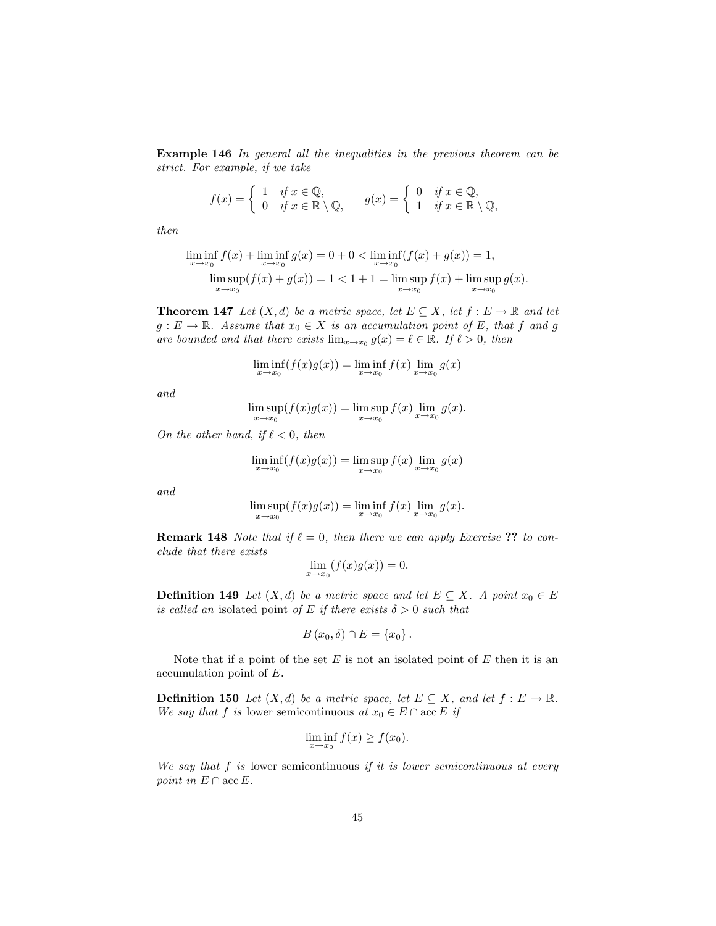Example 146 In general all the inequalities in the previous theorem can be strict. For example, if we take

$$
f(x) = \begin{cases} 1 & \text{if } x \in \mathbb{Q}, \\ 0 & \text{if } x \in \mathbb{R} \setminus \mathbb{Q}, \end{cases} \qquad g(x) = \begin{cases} 0 & \text{if } x \in \mathbb{Q}, \\ 1 & \text{if } x \in \mathbb{R} \setminus \mathbb{Q}, \end{cases}
$$

then

$$
\liminf_{x \to x_0} f(x) + \liminf_{x \to x_0} g(x) = 0 + 0 < \liminf_{x \to x_0} (f(x) + g(x)) = 1,
$$
\n
$$
\limsup_{x \to x_0} (f(x) + g(x)) = 1 < 1 + 1 = \limsup_{x \to x_0} f(x) + \limsup_{x \to x_0} g(x).
$$

**Theorem 147** Let  $(X, d)$  be a metric space, let  $E \subseteq X$ , let  $f : E \to \mathbb{R}$  and let  $g: E \to \mathbb{R}$ . Assume that  $x_0 \in X$  is an accumulation point of E, that f and g are bounded and that there exists  $\lim_{x\to x_0} g(x) = \ell \in \mathbb{R}$ . If  $\ell > 0$ , then

$$
\liminf_{x \to x_0} (f(x)g(x)) = \liminf_{x \to x_0} f(x) \lim_{x \to x_0} g(x)
$$

and

$$
\limsup_{x \to x_0} (f(x)g(x)) = \limsup_{x \to x_0} f(x) \lim_{x \to x_0} g(x).
$$

On the other hand, if  $\ell < 0$ , then

$$
\liminf_{x \to x_0} (f(x)g(x)) = \limsup_{x \to x_0} f(x) \lim_{x \to x_0} g(x)
$$

and

$$
\limsup_{x \to x_0} (f(x)g(x)) = \liminf_{x \to x_0} f(x) \lim_{x \to x_0} g(x).
$$

**Remark 148** Note that if  $\ell = 0$ , then there we can apply Exercise ?? to conclude that there exists

$$
\lim_{x \to x_0} (f(x)g(x)) = 0.
$$

**Definition 149** Let  $(X, d)$  be a metric space and let  $E \subseteq X$ . A point  $x_0 \in E$ is called an isolated point of E if there exists  $\delta > 0$  such that

$$
B(x_0,\delta)\cap E=\{x_0\}\,.
$$

Note that if a point of the set  $E$  is not an isolated point of  $E$  then it is an accumulation point of E.

**Definition 150** Let  $(X, d)$  be a metric space, let  $E \subseteq X$ , and let  $f : E \to \mathbb{R}$ . We say that f is lower semicontinuous at  $x_0 \in E \cap \text{acc } E$  if

$$
\liminf_{x \to x_0} f(x) \ge f(x_0).
$$

We say that  $f$  is lower semicontinuous if it is lower semicontinuous at every point in  $E \cap \mathrm{acc} E$ .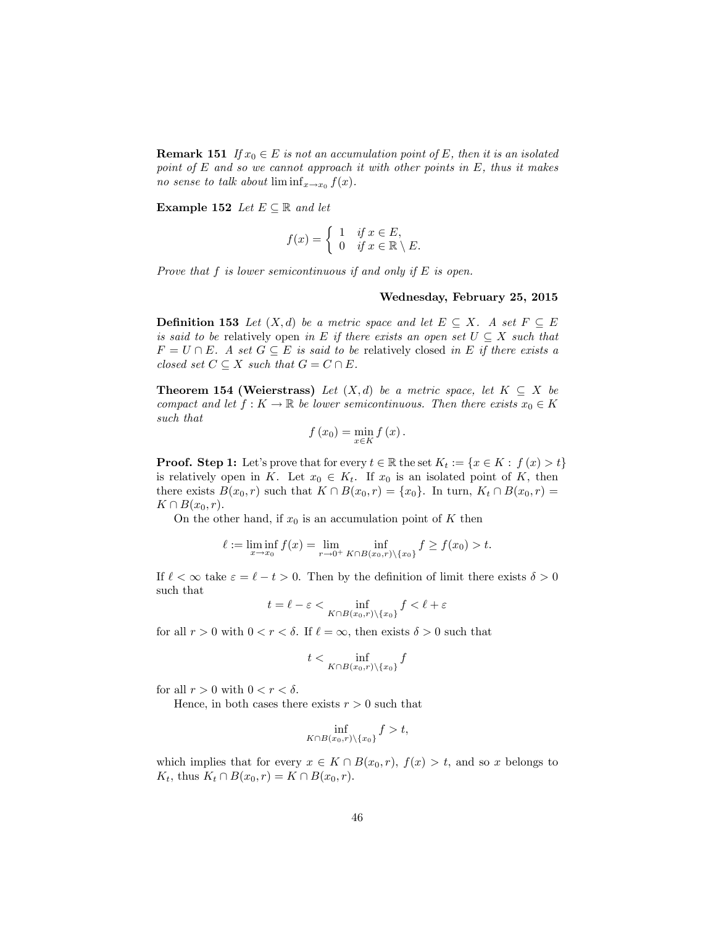**Remark 151** If  $x_0 \in E$  is not an accumulation point of E, then it is an isolated point of  $E$  and so we cannot approach it with other points in  $E$ , thus it makes no sense to talk about  $\liminf_{x\to x_0} f(x)$ .

Example 152 Let  $E \subseteq \mathbb{R}$  and let

$$
f(x) = \begin{cases} 1 & \text{if } x \in E, \\ 0 & \text{if } x \in \mathbb{R} \setminus E. \end{cases}
$$

Prove that  $f$  is lower semicontinuous if and only if  $E$  is open.

#### Wednesday, February 25, 2015

**Definition 153** Let  $(X,d)$  be a metric space and let  $E \subseteq X$ . A set  $F \subseteq E$ is said to be relatively open in E if there exists an open set  $U \subseteq X$  such that  $F = U \cap E$ . A set  $G \subseteq E$  is said to be relatively closed in E if there exists a closed set  $C \subseteq X$  such that  $G = C \cap E$ .

**Theorem 154 (Weierstrass)** Let  $(X,d)$  be a metric space, let  $K \subseteq X$  be compact and let  $f: K \to \mathbb{R}$  be lower semicontinuous. Then there exists  $x_0 \in K$ such that

$$
f\left(x_0\right) = \min_{x \in K} f\left(x\right).
$$

**Proof.** Step 1: Let's prove that for every  $t \in \mathbb{R}$  the set  $K_t := \{x \in K : f(x) > t\}$ is relatively open in K. Let  $x_0 \in K_t$ . If  $x_0$  is an isolated point of K, then there exists  $B(x_0, r)$  such that  $K \cap B(x_0, r) = \{x_0\}$ . In turn,  $K_t \cap B(x_0, r) =$  $K \cap B(x_0, r).$ 

On the other hand, if  $x_0$  is an accumulation point of K then

$$
\ell := \liminf_{x \to x_0} f(x) = \lim_{r \to 0^+} \inf_{K \cap B(x_0, r) \setminus \{x_0\}} f \ge f(x_0) > t.
$$

If  $\ell < \infty$  take  $\varepsilon = \ell - t > 0$ . Then by the definition of limit there exists  $\delta > 0$ such that

$$
t = \ell - \varepsilon < \inf_{K \cap B(x_0, r) \setminus \{x_0\}} f < \ell + \varepsilon
$$

for all  $r > 0$  with  $0 < r < \delta$ . If  $\ell = \infty$ , then exists  $\delta > 0$  such that

$$
t < \inf_{K \cap B(x_0, r) \setminus \{x_0\}} f
$$

for all  $r > 0$  with  $0 < r < \delta$ .

Hence, in both cases there exists  $r > 0$  such that

$$
\inf_{K\cap B(x_0,r)\setminus\{x_0\}}f>t,
$$

which implies that for every  $x \in K \cap B(x_0, r)$ ,  $f(x) > t$ , and so x belongs to  $K_t$ , thus  $K_t \cap B(x_0, r) = K \cap B(x_0, r).$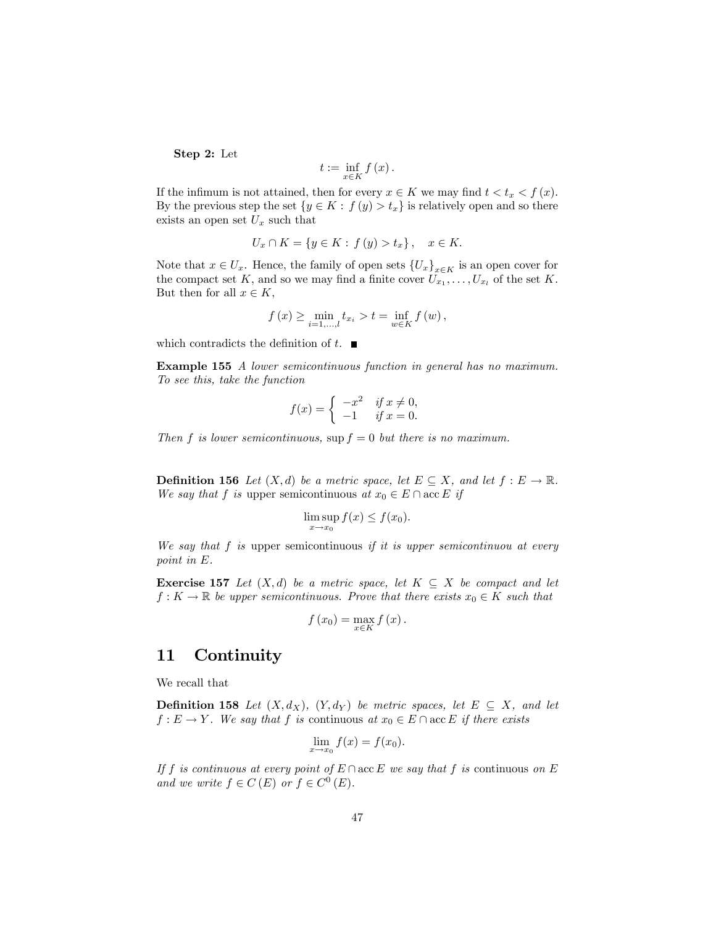Step 2: Let

$$
t:=\inf_{x\in K}f\left(x\right).
$$

If the infimum is not attained, then for every  $x \in K$  we may find  $t < t_x < f(x)$ . By the previous step the set  $\{y \in K : f(y) > t_x\}$  is relatively open and so there exists an open set  $U_x$  such that

$$
U_x \cap K = \{ y \in K : f(y) > t_x \}, \quad x \in K.
$$

Note that  $x \in U_x$ . Hence, the family of open sets  $\{U_x\}_{x \in K}$  is an open cover for the compact set K, and so we may find a finite cover  $U_{x_1}, \ldots, U_{x_l}$  of the set K. But then for all  $x \in K$ ,

$$
f(x) \ge \min_{i=1,...,l} t_{x_i} > t = \inf_{w \in K} f(w),
$$

which contradicts the definition of  $t$ .

Example 155 A lower semicontinuous function in general has no maximum. To see this, take the function

$$
f(x) = \begin{cases} -x^2 & \text{if } x \neq 0, \\ -1 & \text{if } x = 0. \end{cases}
$$

Then f is lower semicontinuous,  $\sup f = 0$  but there is no maximum.

**Definition 156** Let  $(X, d)$  be a metric space, let  $E \subseteq X$ , and let  $f : E \to \mathbb{R}$ . We say that f is upper semicontinuous at  $x_0 \in E \cap \text{acc } E$  if

$$
\limsup_{x \to x_0} f(x) \le f(x_0).
$$

We say that  $f$  is upper semicontinuous if it is upper semicontinuou at every point in E.

**Exercise 157** Let  $(X, d)$  be a metric space, let  $K \subseteq X$  be compact and let  $f: K \to \mathbb{R}$  be upper semicontinuous. Prove that there exists  $x_0 \in K$  such that

$$
f(x_0) = \max_{x \in K} f(x).
$$

## 11 Continuity

We recall that

**Definition 158** Let  $(X, d_X)$ ,  $(Y, d_Y)$  be metric spaces, let  $E \subseteq X$ , and let  $f: E \to Y$ . We say that f is continuous at  $x_0 \in E \cap \text{acc } E$  if there exists

$$
\lim_{x \to x_0} f(x) = f(x_0).
$$

If f is continuous at every point of  $E \cap acc E$  we say that f is continuous on E and we write  $f \in C(E)$  or  $f \in C<sup>0</sup>(E)$ .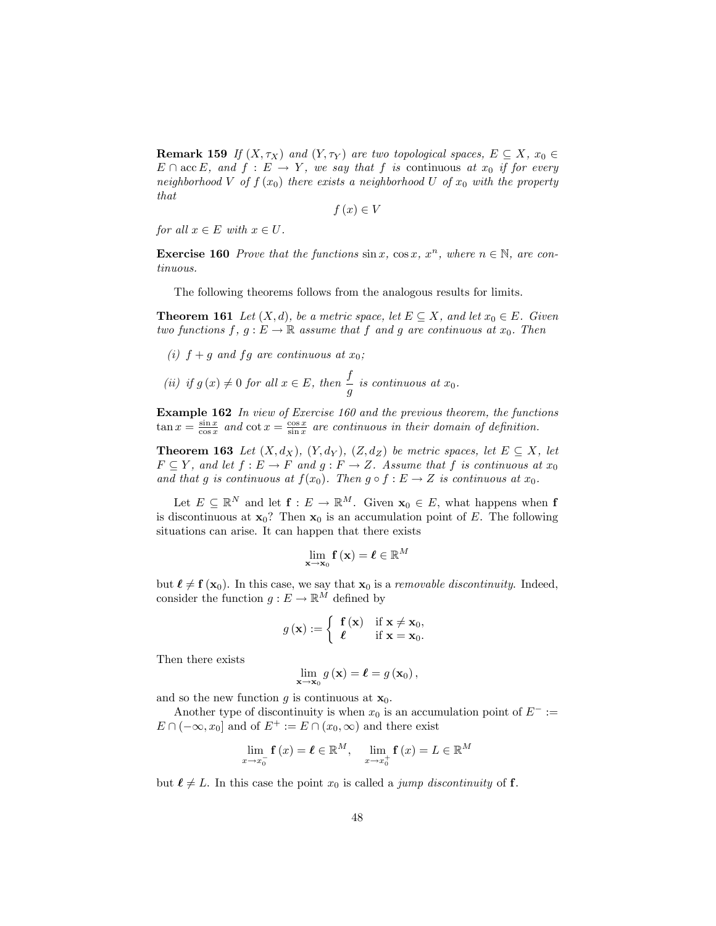**Remark 159** If  $(X, \tau_X)$  and  $(Y, \tau_Y)$  are two topological spaces,  $E \subseteq X$ ,  $x_0 \in Y$  $E \cap \text{acc } E$ , and  $f : E \to Y$ , we say that f is continuous at  $x_0$  if for every neighborhood V of  $f(x_0)$  there exists a neighborhood U of  $x_0$  with the property that

 $f(x) \in V$ 

for all  $x \in E$  with  $x \in U$ .

**Exercise 160** Prove that the functions  $\sin x$ ,  $\cos x$ ,  $x^n$ , where  $n \in \mathbb{N}$ , are continuous.

The following theorems follows from the analogous results for limits.

**Theorem 161** Let  $(X, d)$ , be a metric space, let  $E \subseteq X$ , and let  $x_0 \in E$ . Given two functions  $f, g : E \to \mathbb{R}$  assume that f and g are continuous at  $x_0$ . Then

- (i)  $f + g$  and  $fg$  are continuous at  $x_0$ ;
- (ii) if  $g(x) \neq 0$  for all  $x \in E$ , then  $\frac{f}{g}$  is continuous at  $x_0$ .

Example 162 In view of Exercise 160 and the previous theorem, the functions  $\tan x = \frac{\sin x}{\cos x}$  and  $\cot x = \frac{\cos x}{\sin x}$  are continuous in their domain of definition.

**Theorem 163** Let  $(X, d_X)$ ,  $(Y, d_Y)$ ,  $(Z, d_Z)$  be metric spaces, let  $E \subseteq X$ , let  $F \subseteq Y$ , and let  $f : E \to F$  and  $g : F \to Z$ . Assume that f is continuous at  $x_0$ and that g is continuous at  $f(x_0)$ . Then  $g \circ f : E \to Z$  is continuous at  $x_0$ .

Let  $E \subseteq \mathbb{R}^N$  and let  $f : E \to \mathbb{R}^M$ . Given  $\mathbf{x}_0 \in E$ , what happens when f is discontinuous at  $x_0$ ? Then  $x_0$  is an accumulation point of E. The following situations can arise. It can happen that there exists

$$
\lim_{\mathbf{x}\to\mathbf{x}_0} \mathbf{f}\left(\mathbf{x}\right) = \boldsymbol{\ell} \in \mathbb{R}^M
$$

but  $\ell \neq f(x_0)$ . In this case, we say that  $x_0$  is a *removable discontinuity*. Indeed, consider the function  $g: E \to \mathbb{R}^M$  defined by

$$
g\left(\mathbf{x}\right) := \left\{ \begin{array}{ll} \mathbf{f}\left(\mathbf{x}\right) & \text{if } \mathbf{x} \neq \mathbf{x}_0, \\ \ell & \text{if } \mathbf{x} = \mathbf{x}_0. \end{array} \right.
$$

Then there exists

$$
\lim_{\mathbf{x}\to\mathbf{x}_0} g\left(\mathbf{x}\right) = \boldsymbol{\ell} = g\left(\mathbf{x}_0\right),\,
$$

and so the new function g is continuous at  $\mathbf{x}_0$ .

Another type of discontinuity is when  $x_0$  is an accumulation point of  $E^- :=$  $E \cap (-\infty, x_0]$  and of  $E^+ := E \cap (x_0, \infty)$  and there exist

$$
\lim_{x \to x_0^-} \mathbf{f}(x) = \boldsymbol{\ell} \in \mathbb{R}^M, \quad \lim_{x \to x_0^+} \mathbf{f}(x) = L \in \mathbb{R}^M
$$

but  $\ell \neq L$ . In this case the point  $x_0$  is called a *jump discontinuity* of **f**.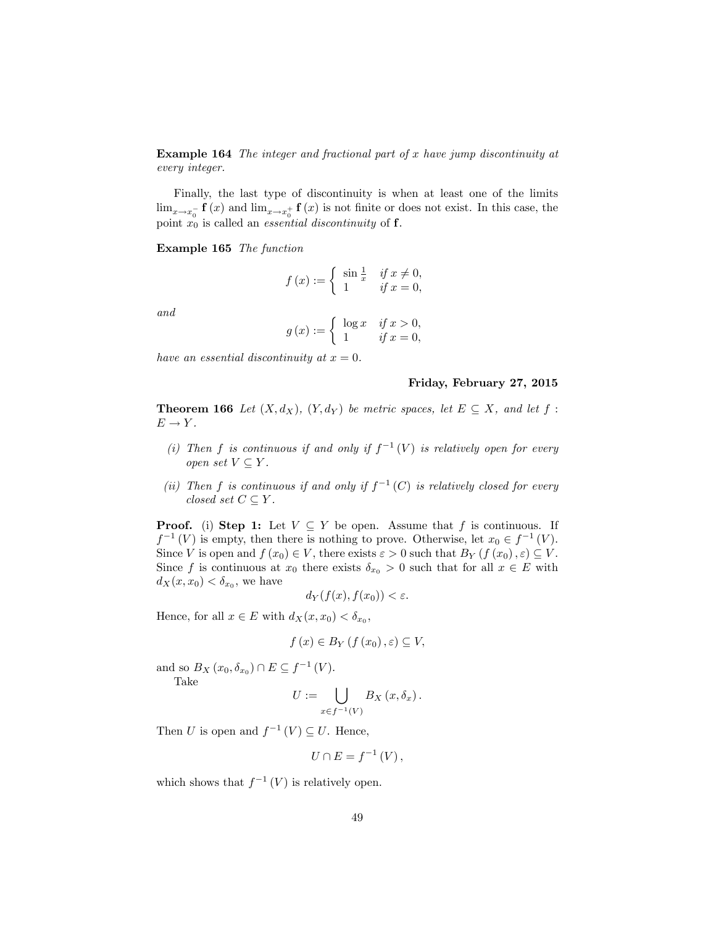Example 164 The integer and fractional part of x have jump discontinuity at every integer.

Finally, the last type of discontinuity is when at least one of the limits  $\lim_{x\to x_0^-} \mathbf{f}(x)$  and  $\lim_{x\to x_0^+} \mathbf{f}(x)$  is not finite or does not exist. In this case, the point  $x_0$  is called an *essential discontinuity* of **f**.

#### Example 165 The function

$$
f(x) := \begin{cases} \sin\frac{1}{x} & \text{if } x \neq 0, \\ 1 & \text{if } x = 0, \end{cases}
$$

and

$$
g(x) := \begin{cases} \log x & \text{if } x > 0, \\ 1 & \text{if } x = 0, \end{cases}
$$

have an essential discontinuity at  $x = 0$ .

#### Friday, February 27, 2015

**Theorem 166** Let  $(X, d_X)$ ,  $(Y, d_Y)$  be metric spaces, let  $E \subseteq X$ , and let  $f$ :  $E \rightarrow Y$ .

- (i) Then f is continuous if and only if  $f^{-1}(V)$  is relatively open for every open set  $V \subseteq Y$ .
- (ii) Then f is continuous if and only if  $f^{-1}(C)$  is relatively closed for every closed set  $C \subseteq Y$ .

**Proof.** (i) Step 1: Let  $V \subseteq Y$  be open. Assume that f is continuous. If  $f^{-1}(V)$  is empty, then there is nothing to prove. Otherwise, let  $x_0 \in f^{-1}(V)$ . Since V is open and  $f(x_0) \in V$ , there exists  $\varepsilon > 0$  such that  $B_Y(f(x_0), \varepsilon) \subseteq V$ . Since f is continuous at  $x_0$  there exists  $\delta_{x_0} > 0$  such that for all  $x \in E$  with  $d_X(x, x_0) < \delta_{x_0}$ , we have

$$
d_Y(f(x), f(x_0)) < \varepsilon.
$$

Hence, for all  $x \in E$  with  $d_X(x, x_0) < \delta_{x_0}$ ,

$$
f(x) \in B_Y(f(x_0), \varepsilon) \subseteq V
$$

and so  $B_X(x_0, \delta_{x_0}) \cap E \subseteq f^{-1}(V)$ . Take

$$
U := \bigcup_{x \in f^{-1}(V)} B_X(x, \delta_x).
$$

Then U is open and  $f^{-1}(V) \subseteq U$ . Hence,

$$
U\cap E=f^{-1}\left( V\right) ,
$$

which shows that  $f^{-1}(V)$  is relatively open.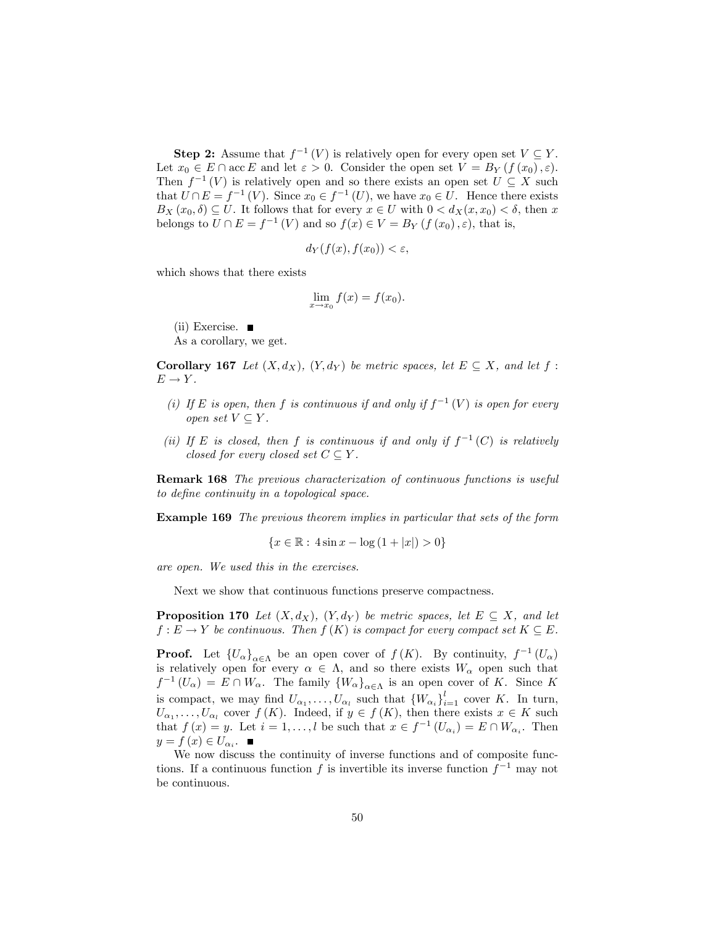**Step 2:** Assume that  $f^{-1}(V)$  is relatively open for every open set  $V \subseteq Y$ . Let  $x_0 \in E \cap \text{acc } E$  and let  $\varepsilon > 0$ . Consider the open set  $V = B_Y(f(x_0), \varepsilon)$ . Then  $f^{-1}(V)$  is relatively open and so there exists an open set  $U \subseteq X$  such that  $U \cap E = f^{-1}(V)$ . Since  $x_0 \in f^{-1}(U)$ , we have  $x_0 \in U$ . Hence there exists  $B_X(x_0, \delta) \subseteq U$ . It follows that for every  $x \in U$  with  $0 < d_X(x, x_0) < \delta$ , then x belongs to  $U \cap E = f^{-1}(V)$  and so  $f(x) \in V = B_Y(f(x_0), \varepsilon)$ , that is,

$$
d_Y(f(x), f(x_0)) < \varepsilon
$$

which shows that there exists

$$
\lim_{x \to x_0} f(x) = f(x_0).
$$

(ii) Exercise.

As a corollary, we get.

**Corollary 167** Let  $(X, d_X)$ ,  $(Y, d_Y)$  be metric spaces, let  $E \subseteq X$ , and let  $f$ :  $E \to Y$ .

- (i) If E is open, then f is continuous if and only if  $f^{-1}(V)$  is open for every open set  $V \subseteq Y$ .
- (ii) If E is closed, then f is continuous if and only if  $f^{-1}(C)$  is relatively closed for every closed set  $C \subseteq Y$ .

Remark 168 The previous characterization of continuous functions is useful to define continuity in a topological space.

Example 169 The previous theorem implies in particular that sets of the form

$$
\{x \in \mathbb{R} : 4\sin x - \log(1+|x|) > 0\}
$$

are open. We used this in the exercises.

Next we show that continuous functions preserve compactness.

**Proposition 170** Let  $(X, d_X)$ ,  $(Y, d_Y)$  be metric spaces, let  $E \subseteq X$ , and let  $f: E \to Y$  be continuous. Then  $f(K)$  is compact for every compact set  $K \subseteq E$ .

**Proof.** Let  $\{U_{\alpha}\}_{{\alpha}\in{\Lambda}}$  be an open cover of  $f(K)$ . By continuity,  $f^{-1}(U_{\alpha})$ is relatively open for every  $\alpha \in \Lambda$ , and so there exists  $W_{\alpha}$  open such that  $f^{-1}(U_{\alpha}) = E \cap W_{\alpha}$ . The family  $\{W_{\alpha}\}_{{\alpha \in {\Lambda}}}$  is an open cover of K. Since K is compact, we may find  $U_{\alpha_1}, \ldots, U_{\alpha_l}$  such that  $\{W_{\alpha_i}\}_{i=1}^l$  cover K. In turn,  $U_{\alpha_1}, \ldots, U_{\alpha_l}$  cover  $f(K)$ . Indeed, if  $y \in f(K)$ , then there exists  $x \in K$  such that  $f(x) = y$ . Let  $i = 1, ..., l$  be such that  $x \in f^{-1}(U_{\alpha_i}) = E \cap W_{\alpha_i}$ . Then  $y = f(x) \in U_{\alpha_i}.$ 

We now discuss the continuity of inverse functions and of composite functions. If a continuous function  $f$  is invertible its inverse function  $f^{-1}$  may not be continuous.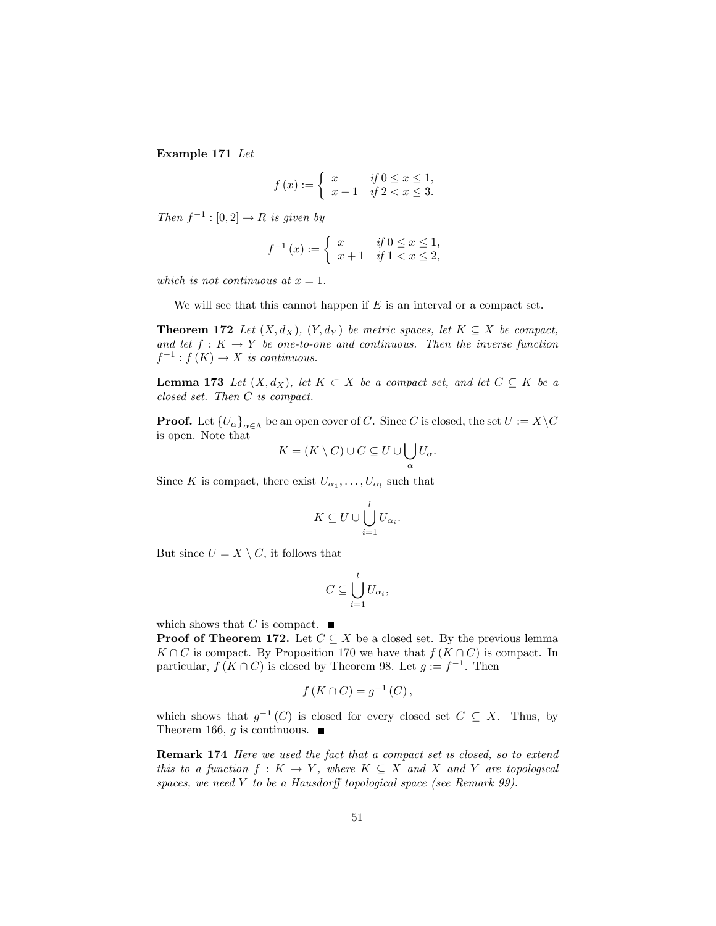Example 171 Let

$$
f(x) := \begin{cases} x & \text{if } 0 \le x \le 1, \\ x - 1 & \text{if } 2 < x \le 3. \end{cases}
$$

Then  $f^{-1} : [0,2] \rightarrow R$  is given by

$$
f^{-1}(x) := \begin{cases} x & \text{if } 0 \le x \le 1, \\ x+1 & \text{if } 1 < x \le 2, \end{cases}
$$

which is not continuous at  $x = 1$ .

We will see that this cannot happen if  $E$  is an interval or a compact set.

**Theorem 172** Let  $(X, d_X)$ ,  $(Y, d_Y)$  be metric spaces, let  $K \subseteq X$  be compact, and let  $f: K \to Y$  be one-to-one and continuous. Then the inverse function  $f^{-1}: f(K) \to X$  is continuous.

**Lemma 173** Let  $(X, d_X)$ , let  $K \subset X$  be a compact set, and let  $C \subseteq K$  be a closed set. Then C is compact.

**Proof.** Let  $\{U_{\alpha}\}_{{\alpha}\in{\Lambda}}$  be an open cover of C. Since C is closed, the set  $U:=X\backslash C$ is open. Note that

$$
K = (K \setminus C) \cup C \subseteq U \cup \bigcup_{\alpha} U_{\alpha}.
$$

Since K is compact, there exist  $U_{\alpha_1}, \ldots, U_{\alpha_l}$  such that

$$
K \subseteq U \cup \bigcup_{i=1}^{l} U_{\alpha_i}.
$$

But since  $U = X \setminus C$ , it follows that

$$
C\subseteq \bigcup_{i=1}^l U_{\alpha_i},
$$

which shows that C is compact.  $\blacksquare$ 

**Proof of Theorem 172.** Let  $C \subseteq X$  be a closed set. By the previous lemma  $K \cap C$  is compact. By Proposition 170 we have that  $f(K \cap C)$  is compact. In particular,  $f(K \cap C)$  is closed by Theorem 98. Let  $g := f^{-1}$ . Then

$$
f(K\cap C)=g^{-1}(C),
$$

which shows that  $g^{-1}(C)$  is closed for every closed set  $C \subseteq X$ . Thus, by Theorem 166, g is continuous.  $\blacksquare$ 

Remark 174 Here we used the fact that a compact set is closed, so to extend this to a function  $f: K \to Y$ , where  $K \subseteq X$  and X and Y are topological spaces, we need Y to be a Hausdorff topological space (see Remark 99).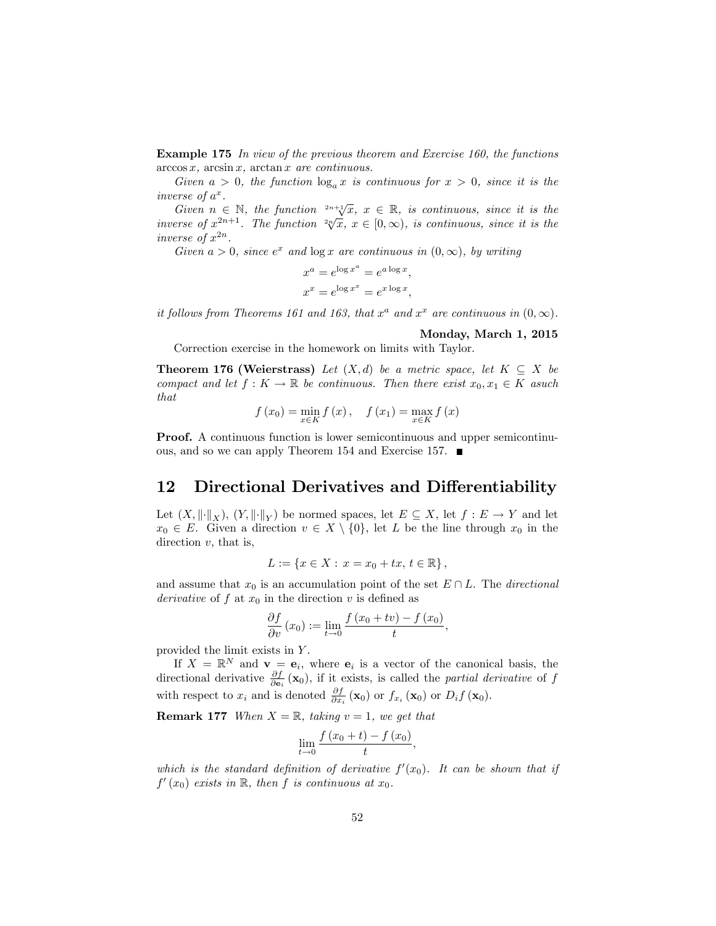Example 175 In view of the previous theorem and Exercise 160, the functions  $arccos x$ ,  $arcsin x$ ,  $arctan x$  are continuous.

Given  $a > 0$ , the function  $\log_a x$  is continuous for  $x > 0$ , since it is the inverse of  $a^x$ .

Given  $n \in \mathbb{N}$ , the function  $2^{n+1}\sqrt{x}$ ,  $x \in \mathbb{R}$ , is continuous, since it is the inverse of  $x^{2n+1}$ . The function  $\sqrt[n]{x}$ ,  $x \in [0,\infty)$ , is continuous, since it is the inverse of  $x^{2n}$ .

Given  $a > 0$ , since  $e^x$  and  $\log x$  are continuous in  $(0, \infty)$ , by writing

$$
x^{a} = e^{\log x^{a}} = e^{a \log x},
$$
  

$$
x^{x} = e^{\log x^{x}} = e^{x \log x},
$$

it follows from Theorems 161 and 163, that  $x^a$  and  $x^x$  are continuous in  $(0, \infty)$ .

#### Monday, March 1, 2015

Correction exercise in the homework on limits with Taylor.

**Theorem 176 (Weierstrass)** Let  $(X,d)$  be a metric space, let  $K \subseteq X$  be compact and let  $f: K \to \mathbb{R}$  be continuous. Then there exist  $x_0, x_1 \in K$  asuch that

$$
f(x_0) = \min_{x \in K} f(x), \quad f(x_1) = \max_{x \in K} f(x)
$$

**Proof.** A continuous function is lower semicontinuous and upper semicontinuous, and so we can apply Theorem 154 and Exercise 157.

## 12 Directional Derivatives and Differentiability

Let  $(X, \|\cdot\|_X)$ ,  $(Y, \|\cdot\|_Y)$  be normed spaces, let  $E \subseteq X$ , let  $f : E \to Y$  and let  $x_0 \in E$ . Given a direction  $v \in X \setminus \{0\}$ , let L be the line through  $x_0$  in the direction  $v$ , that is,

$$
L := \{ x \in X : x = x_0 + tx, t \in \mathbb{R} \},
$$

and assume that  $x_0$  is an accumulation point of the set  $E \cap L$ . The *directional* derivative of f at  $x_0$  in the direction v is defined as

$$
\frac{\partial f}{\partial v}(x_0) := \lim_{t \to 0} \frac{f(x_0 + tv) - f(x_0)}{t},
$$

provided the limit exists in Y .

If  $X = \mathbb{R}^N$  and  $\mathbf{v} = \mathbf{e}_i$ , where  $\mathbf{e}_i$  is a vector of the canonical basis, the directional derivative  $\frac{\partial f}{\partial \mathbf{e}_i}(\mathbf{x}_0)$ , if it exists, is called the *partial derivative* of f with respect to  $x_i$  and is denoted  $\frac{\partial f}{\partial x_i}(\mathbf{x}_0)$  or  $f_{x_i}(\mathbf{x}_0)$  or  $D_i f(\mathbf{x}_0)$ .

**Remark 177** When  $X = \mathbb{R}$ , taking  $v = 1$ , we get that

$$
\lim_{t \to 0} \frac{f(x_0 + t) - f(x_0)}{t},
$$

which is the standard definition of derivative  $f'(x_0)$ . It can be shown that if  $f'(x_0)$  exists in  $\mathbb R$ , then  $f$  is continuous at  $x_0$ .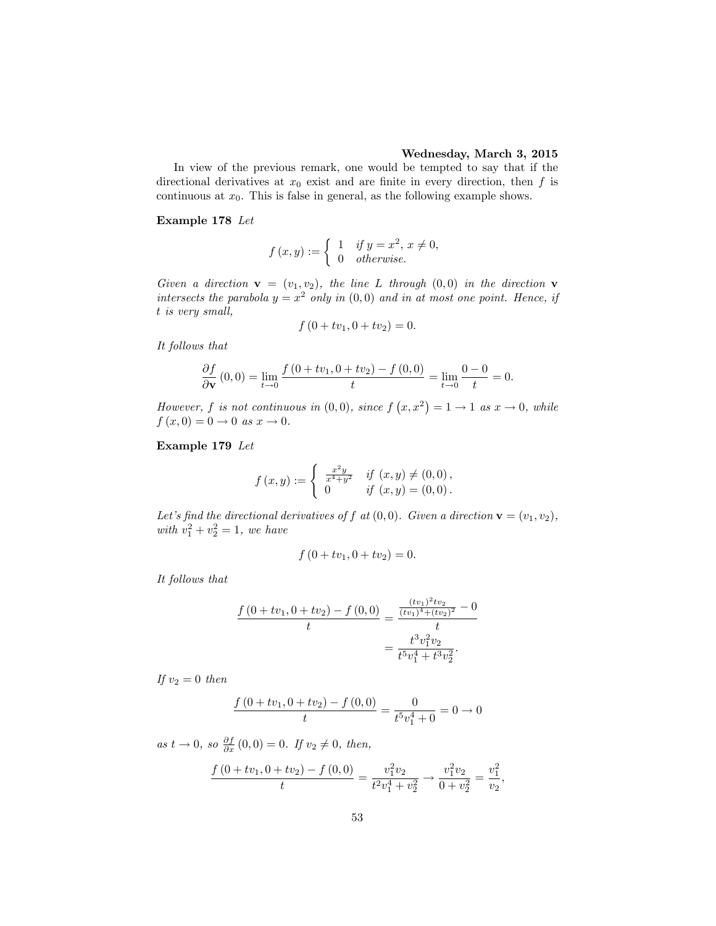#### Wednesday, March 3, 2015

In view of the previous remark, one would be tempted to say that if the directional derivatives at  $x_0$  exist and are finite in every direction, then f is continuous at  $x_0$ . This is false in general, as the following example shows.

#### Example 178 Let

$$
f(x,y) := \begin{cases} 1 & \text{if } y = x^2, \, x \neq 0, \\ 0 & \text{otherwise.} \end{cases}
$$

Given a direction  $\mathbf{v} = (v_1, v_2)$ , the line L through  $(0, 0)$  in the direction  $\mathbf{v}$ intersects the parabola  $y = x^2$  only in  $(0,0)$  and in at most one point. Hence, if t is very small,

$$
f(0 + tv_1, 0 + tv_2) = 0.
$$

It follows that

$$
\frac{\partial f}{\partial \mathbf{v}}(0,0) = \lim_{t \to 0} \frac{f(0 + tv_1, 0 + tv_2) - f(0,0)}{t} = \lim_{t \to 0} \frac{0 - 0}{t} = 0.
$$

However, f is not continuous in  $(0,0)$ , since  $f(x,x^2) = 1 \rightarrow 1$  as  $x \rightarrow 0$ , while  $f (x, 0) = 0 \to 0 \text{ as } x \to 0.$ 

Example 179 Let

$$
f(x,y) := \begin{cases} \frac{x^2y}{x^4+y^2} & \text{if } (x,y) \neq (0,0), \\ 0 & \text{if } (x,y) = (0,0). \end{cases}
$$

Let's find the directional derivatives of f at  $(0,0)$ . Given a direction  $\mathbf{v} = (v_1, v_2)$ , with  $v_1^2 + v_2^2 = 1$ , we have

$$
f(0 + tv_1, 0 + tv_2) = 0.
$$

It follows that

$$
\frac{f(0+tv_1, 0+tv_2) - f(0,0)}{t} = \frac{\frac{(tv_1)^2 tv_2}{(tv_1)^4 + (tv_2)^2} - 0}{t}
$$

$$
= \frac{t^3 v_1^2 v_2}{t^5 v_1^4 + t^3 v_2^2}.
$$

If  $v_2 = 0$  then

$$
\frac{f(0+tv_1, 0+tv_2) - f(0,0)}{t} = \frac{0}{t^5 v_1^4 + 0} = 0 \to 0
$$

as  $t \to 0$ , so  $\frac{\partial f}{\partial x}(0,0) = 0$ . If  $v_2 \neq 0$ , then,

$$
\frac{f(0+tv_1, 0+tv_2) - f(0,0)}{t} = \frac{v_1^2 v_2}{t^2 v_1^4 + v_2^2} \longrightarrow \frac{v_1^2 v_2}{0 + v_2^2} = \frac{v_1^2}{v_2},
$$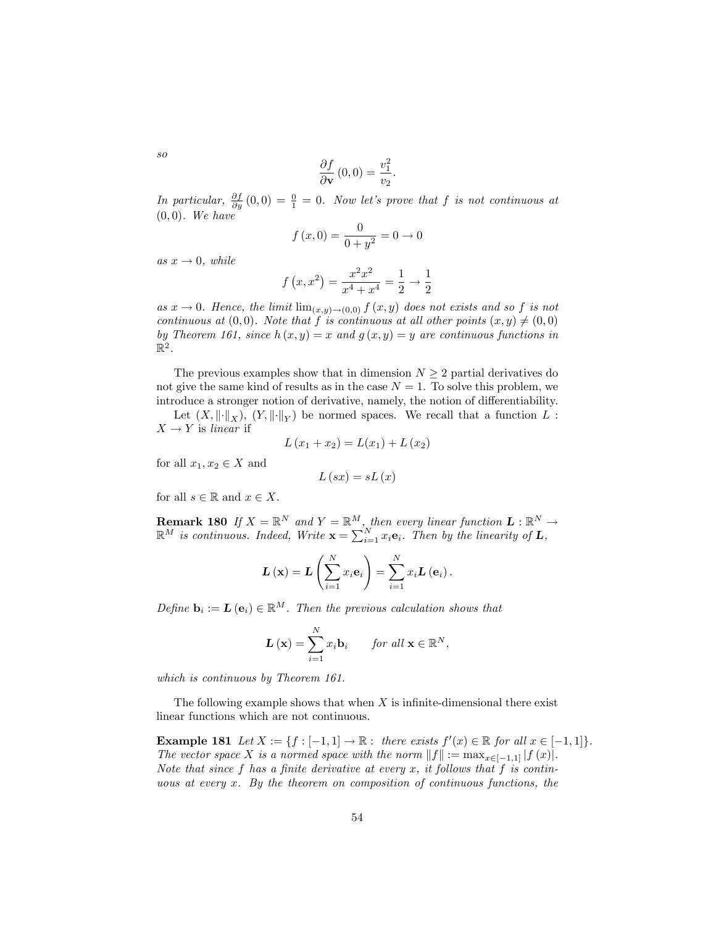$$
\frac{\partial f}{\partial \mathbf{v}}(0,0) = \frac{v_1^2}{v_2}.
$$

In particular,  $\frac{\partial f}{\partial y}(0,0) = \frac{0}{1} = 0$ . Now let's prove that f is not continuous at  $(0, 0)$ . We have

$$
f(x,0) = \frac{0}{0+y^2} = 0 \to 0
$$

as  $x \to 0$ , while

$$
f(x, x^2) = \frac{x^2 x^2}{x^4 + x^4} = \frac{1}{2} \rightarrow \frac{1}{2}
$$

as  $x \to 0$ . Hence, the limit  $\lim_{(x,y)\to(0,0)} f(x,y)$  does not exists and so f is not continuous at  $(0,0)$ . Note that f is continuous at all other points  $(x, y) \neq (0, 0)$ by Theorem 161, since  $h(x, y) = x$  and  $g(x, y) = y$  are continuous functions in  $\mathbb{R}^2$ .

The previous examples show that in dimension  $N \geq 2$  partial derivatives do not give the same kind of results as in the case  $N = 1$ . To solve this problem, we introduce a stronger notion of derivative, namely, the notion of differentiability.

Let  $(X, \|\cdot\|_X)$ ,  $(Y, \|\cdot\|_Y)$  be normed spaces. We recall that a function  $L$ :  $X \rightarrow Y$  is linear if

$$
L(x_1 + x_2) = L(x_1) + L(x_2)
$$

for all  $x_1, x_2 \in X$  and

$$
L\left(sx\right)=sL\left(x\right)
$$

for all  $s \in \mathbb{R}$  and  $x \in X$ .

**Remark 180** If  $X = \mathbb{R}^N$  and  $Y = \mathbb{R}^M$ , then every linear function  $L : \mathbb{R}^N \to \mathbb{R}^M$  $\mathbb{R}^M$  is continuous. Indeed, Write  $\mathbf{x} = \sum_{i=1}^N x_i \mathbf{e}_i$ . Then by the linearity of  $\mathbf{L}$ ,

$$
\mathbf{L}(\mathbf{x}) = \mathbf{L} \left( \sum_{i=1}^{N} x_i \mathbf{e}_i \right) = \sum_{i=1}^{N} x_i \mathbf{L} \left( \mathbf{e}_i \right).
$$

Define  $\mathbf{b}_i := \mathbf{L}(\mathbf{e}_i) \in \mathbb{R}^M$ . Then the previous calculation shows that

$$
\mathbf{L}\left(\mathbf{x}\right) = \sum_{i=1}^{N} x_i \mathbf{b}_i \quad \text{for all } \mathbf{x} \in \mathbb{R}^N,
$$

which is continuous by Theorem 161.

The following example shows that when  $X$  is infinite-dimensional there exist linear functions which are not continuous.

**Example 181** Let  $X := \{f : [-1, 1] \to \mathbb{R} : \text{ there exists } f'(x) \in \mathbb{R} \text{ for all } x \in [-1, 1] \}.$ The vector space X is a normed space with the norm  $||f|| := \max_{x \in [-1,1]} |f(x)|$ . Note that since  $f$  has a finite derivative at every  $x$ , it follows that  $f$  is continuous at every  $x$ . By the theorem on composition of continuous functions, the

so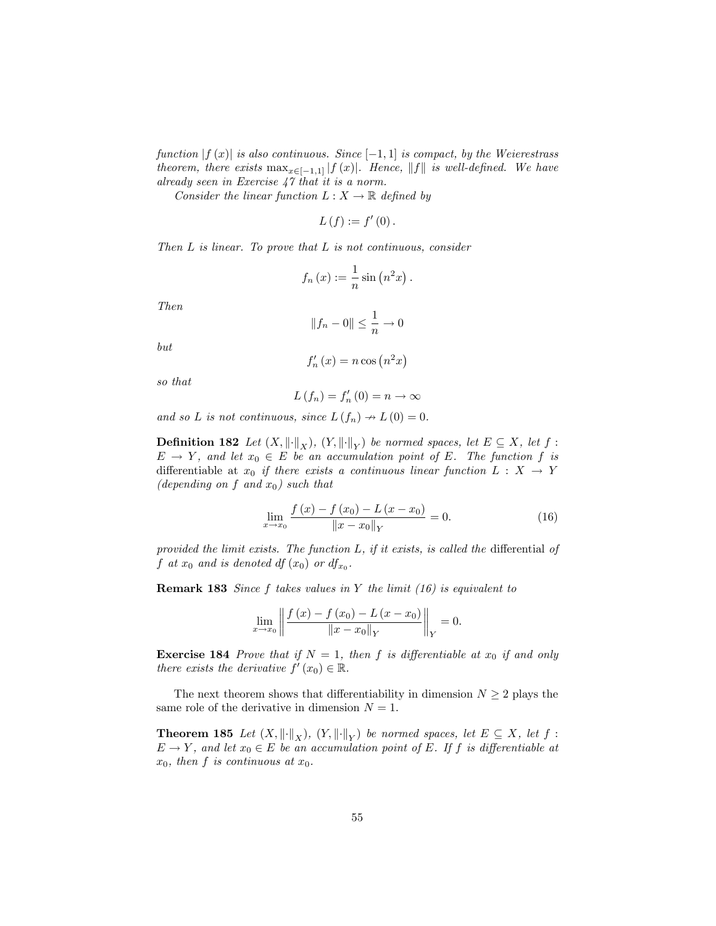function  $|f(x)|$  is also continuous. Since  $[-1, 1]$  is compact, by the Weierestrass theorem, there exists  $\max_{x \in [-1,1]} |f(x)|$ . Hence, ||f|| is well-defined. We have already seen in Exercise 47 that it is a norm.

Consider the linear function  $L : X \to \mathbb{R}$  defined by

$$
L(f):=f'(0).
$$

Then  $L$  is linear. To prove that  $L$  is not continuous, consider

$$
f_n(x) := \frac{1}{n} \sin(n^2 x).
$$

Then

$$
||f_n - 0|| \le \frac{1}{n} \to 0
$$

but

$$
f_n'(x) = n \cos\left(n^2 x\right)
$$

so that

$$
L(f_n) = f'_n(0) = n \to \infty
$$

and so L is not continuous, since  $L(f_n) \to L(0) = 0$ .

**Definition 182** Let  $(X, \|\cdot\|_X)$ ,  $(Y, \|\cdot\|_Y)$  be normed spaces, let  $E \subseteq X$ , let  $f$ :  $E \to Y$ , and let  $x_0 \in E$  be an accumulation point of E. The function f is differentiable at  $x_0$  if there exists a continuous linear function  $L : X \rightarrow Y$ (depending on f and  $x_0$ ) such that

$$
\lim_{x \to x_0} \frac{f(x) - f(x_0) - L(x - x_0)}{\|x - x_0\|_Y} = 0.
$$
\n(16)

provided the limit exists. The function  $L$ , if it exists, is called the differential of  $f$  at  $x_0$  and is denoted df  $(x_0)$  or  $df_{x_0}$ .

**Remark 183** Since f takes values in Y the limit  $(16)$  is equivalent to

$$
\lim_{x \to x_0} \left\| \frac{f(x) - f(x_0) - L(x - x_0)}{\|x - x_0\|_Y} \right\|_Y = 0.
$$

**Exercise 184** Prove that if  $N = 1$ , then f is differentiable at  $x_0$  if and only there exists the derivative  $f'(x_0) \in \mathbb{R}$ .

The next theorem shows that differentiability in dimension  $N \geq 2$  plays the same role of the derivative in dimension  $N = 1$ .

**Theorem 185** Let  $(X, \|\cdot\|_X)$ ,  $(Y, \|\cdot\|_Y)$  be normed spaces, let  $E \subseteq X$ , let  $f$ :  $E \to Y$ , and let  $x_0 \in E$  be an accumulation point of E. If f is differentiable at  $x_0$ , then f is continuous at  $x_0$ .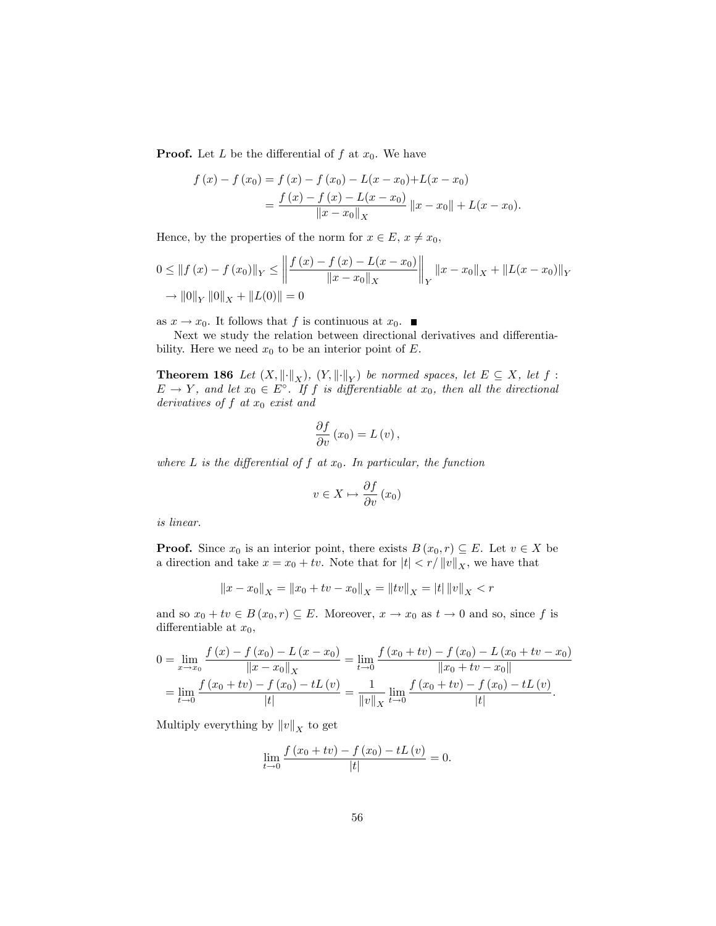**Proof.** Let L be the differential of f at  $x_0$ . We have

$$
f(x) - f(x_0) = f(x) - f(x_0) - L(x - x_0) + L(x - x_0)
$$
  
= 
$$
\frac{f(x) - f(x) - L(x - x_0)}{\|x - x_0\|_X} \|x - x_0\| + L(x - x_0).
$$

Hence, by the properties of the norm for  $x \in E$ ,  $x \neq x_0$ ,

$$
0 \le ||f(x) - f(x_0)||_Y \le \left\| \frac{f(x) - f(x) - L(x - x_0)}{||x - x_0||_X} \right\|_Y ||x - x_0||_X + ||L(x - x_0)||_Y
$$
  
\n
$$
\to ||0||_Y ||0||_X + ||L(0)|| = 0
$$

as  $x \to x_0$ . It follows that f is continuous at  $x_0$ .

Next we study the relation between directional derivatives and differentiability. Here we need  $x_0$  to be an interior point of E.

**Theorem 186** Let  $(X, \|\cdot\|_X)$ ,  $(Y, \|\cdot\|_Y)$  be normed spaces, let  $E \subseteq X$ , let  $f$ :  $E \to Y$ , and let  $x_0 \in E^{\circ}$ . If f is differentiable at  $x_0$ , then all the directional derivatives of  $f$  at  $x_0$  exist and

$$
\frac{\partial f}{\partial v}(x_0) = L(v),
$$

where  $L$  is the differential of  $f$  at  $x_0$ . In particular, the function

$$
v \in X \mapsto \frac{\partial f}{\partial v} \left( x_0 \right)
$$

is linear.

**Proof.** Since  $x_0$  is an interior point, there exists  $B(x_0, r) \subseteq E$ . Let  $v \in X$  be a direction and take  $x = x_0 + tv$ . Note that for  $|t| < r/||v||_X$ , we have that

$$
||x - x_0||_X = ||x_0 + tv - x_0||_X = ||tv||_X = |t| ||v||_X < r
$$

and so  $x_0 + tv \in B(x_0, r) \subseteq E$ . Moreover,  $x \to x_0$  as  $t \to 0$  and so, since f is differentiable at  $x_0$ ,

$$
0 = \lim_{x \to x_0} \frac{f(x) - f(x_0) - L(x - x_0)}{\|x - x_0\|_X} = \lim_{t \to 0} \frac{f(x_0 + tv) - f(x_0) - L(x_0 + tv - x_0)}{\|x_0 + tv - x_0\|}
$$
  
= 
$$
\lim_{t \to 0} \frac{f(x_0 + tv) - f(x_0) - tL(v)}{|t|} = \frac{1}{\|v\|_X} \lim_{t \to 0} \frac{f(x_0 + tv) - f(x_0) - tL(v)}{|t|}.
$$

Multiply everything by  $||v||_X$  to get

$$
\lim_{t \to 0} \frac{f(x_0 + tv) - f(x_0) - tL(v)}{|t|} = 0.
$$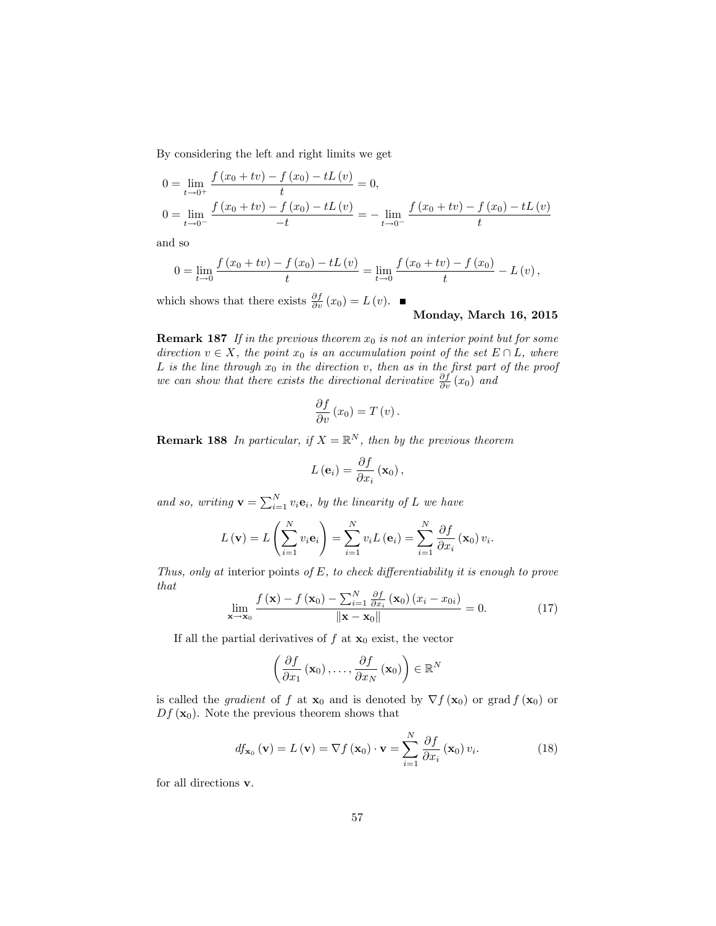By considering the left and right limits we get

$$
0 = \lim_{t \to 0^{+}} \frac{f(x_0 + tv) - f(x_0) - tL(v)}{t} = 0,
$$
  
\n
$$
0 = \lim_{t \to 0^{-}} \frac{f(x_0 + tv) - f(x_0) - tL(v)}{-t} = -\lim_{t \to 0^{-}} \frac{f(x_0 + tv) - f(x_0) - tL(v)}{t}
$$

and so

$$
0 = \lim_{t \to 0} \frac{f(x_0 + tv) - f(x_0) - tL(v)}{t} = \lim_{t \to 0} \frac{f(x_0 + tv) - f(x_0)}{t} - L(v),
$$

which shows that there exists  $\frac{\partial f}{\partial v}(x_0) = L(v)$ .

# Monday, March 16, 2015

**Remark 187** If in the previous theorem  $x_0$  is not an interior point but for some direction  $v \in X$ , the point  $x_0$  is an accumulation point of the set  $E \cap L$ , where L is the line through  $x_0$  in the direction v, then as in the first part of the proof we can show that there exists the directional derivative  $\frac{\partial f}{\partial v}(x_0)$  and

$$
\frac{\partial f}{\partial v}(x_0) = T(v).
$$

**Remark 188** In particular, if  $X = \mathbb{R}^N$ , then by the previous theorem

$$
L\left(\mathbf{e}_{i}\right) = \frac{\partial f}{\partial x_{i}}\left(\mathbf{x}_{0}\right),\,
$$

and so, writing  $\mathbf{v} = \sum_{i=1}^{N} v_i \mathbf{e}_i$ , by the linearity of L we have

$$
L(\mathbf{v}) = L\left(\sum_{i=1}^{N} v_i \mathbf{e}_i\right) = \sum_{i=1}^{N} v_i L(\mathbf{e}_i) = \sum_{i=1}^{N} \frac{\partial f}{\partial x_i} (\mathbf{x}_0) v_i.
$$

Thus, only at interior points of  $E$ , to check differentiability it is enough to prove that

$$
\lim_{\mathbf{x}\to\mathbf{x}_0} \frac{f(\mathbf{x}) - f(\mathbf{x}_0) - \sum_{i=1}^N \frac{\partial f}{\partial x_i}(\mathbf{x}_0) (x_i - x_{0i})}{\|\mathbf{x} - \mathbf{x}_0\|} = 0.
$$
 (17)

If all the partial derivatives of f at  $x_0$  exist, the vector

$$
\left(\frac{\partial f}{\partial x_1}\left(\mathbf{x}_0\right),\ldots,\frac{\partial f}{\partial x_N}\left(\mathbf{x}_0\right)\right)\in\mathbb{R}^N
$$

is called the *gradient* of f at  $\mathbf{x}_0$  and is denoted by  $\nabla f(\mathbf{x}_0)$  or grad  $f(\mathbf{x}_0)$  or  $Df(\mathbf{x}_0)$ . Note the previous theorem shows that

$$
df_{\mathbf{x}_0}(\mathbf{v}) = L(\mathbf{v}) = \nabla f(\mathbf{x}_0) \cdot \mathbf{v} = \sum_{i=1}^{N} \frac{\partial f}{\partial x_i}(\mathbf{x}_0) v_i.
$$
 (18)

for all directions v.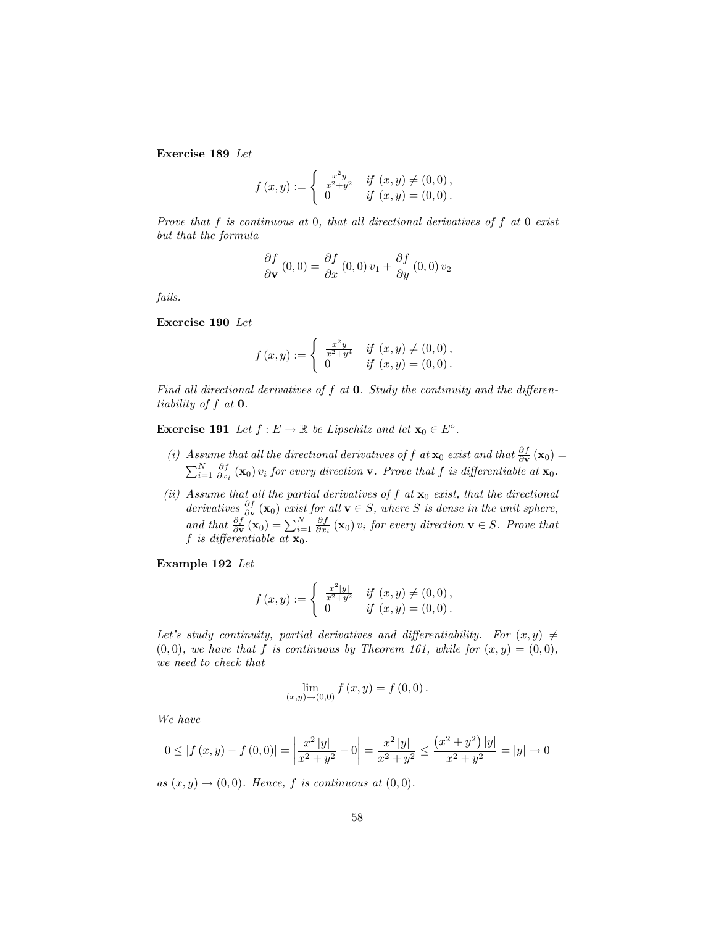Exercise 189 Let

$$
f(x,y) := \begin{cases} \frac{x^2y}{x^2+y^2} & \text{if } (x,y) \neq (0,0), \\ 0 & \text{if } (x,y) = (0,0). \end{cases}
$$

Prove that  $f$  is continuous at  $0$ , that all directional derivatives of  $f$  at  $0$  exist but that the formula

$$
\frac{\partial f}{\partial \mathbf{v}}(0,0) = \frac{\partial f}{\partial x}(0,0) v_1 + \frac{\partial f}{\partial y}(0,0) v_2
$$

fails.

Exercise 190 Let

$$
f(x,y) := \begin{cases} \n\frac{x^2y}{x^2+y^4} & \text{if } (x,y) \neq (0,0), \\
0 & \text{if } (x,y) = (0,0).\n\end{cases}
$$

Find all directional derivatives of  $f$  at  $0$ . Study the continuity and the differentiability of  $f$  at  $0$ .

**Exercise 191** Let  $f : E \to \mathbb{R}$  be Lipschitz and let  $\mathbf{x}_0 \in E^{\circ}$ .

- (i) Assume that all the directional derivatives of f at  $\mathbf{x}_0$  exist and that  $\frac{\partial f}{\partial \mathbf{v}}(\mathbf{x}_0)$  =  $\sum_{i=1}^{N} \frac{\partial f}{\partial x_i}(\mathbf{x}_0)$  v<sub>i</sub> for every direction **v**. Prove that f is differentiable at  $\mathbf{x}_0$ .
- (ii) Assume that all the partial derivatives of  $f$  at  $x_0$  exist, that the directional derivatives  $\frac{\partial f}{\partial \mathbf{v}}(\mathbf{x}_0)$  exist for all  $\mathbf{v} \in S$ , where S is dense in the unit sphere, and that  $\frac{\partial f}{\partial \mathbf{v}}(\mathbf{x}_0) = \sum_{i=1}^N \frac{\partial f}{\partial x_i}(\mathbf{x}_0) v_i$  for every direction  $\mathbf{v} \in S$ . Prove that f is differentiable at  $\mathbf{x}_0$ .

Example 192 Let

$$
f(x,y) := \begin{cases} \n\frac{x^2|y|}{x^2+y^2} & \text{if } (x,y) \neq (0,0), \\
0 & \text{if } (x,y) = (0,0).\n\end{cases}
$$

Let's study continuity, partial derivatives and differentiability. For  $(x, y) \neq$  $(0,0)$ , we have that f is continuous by Theorem 161, while for  $(x,y) = (0,0)$ , we need to check that

$$
\lim_{(x,y)\to(0,0)} f(x,y) = f(0,0).
$$

We have

$$
0 \le |f(x,y) - f(0,0)| = \left| \frac{x^2 |y|}{x^2 + y^2} - 0 \right| = \frac{x^2 |y|}{x^2 + y^2} \le \frac{\left( x^2 + y^2 \right) |y|}{x^2 + y^2} = |y| \to 0
$$

as  $(x, y) \rightarrow (0, 0)$ . Hence, f is continuous at  $(0, 0)$ .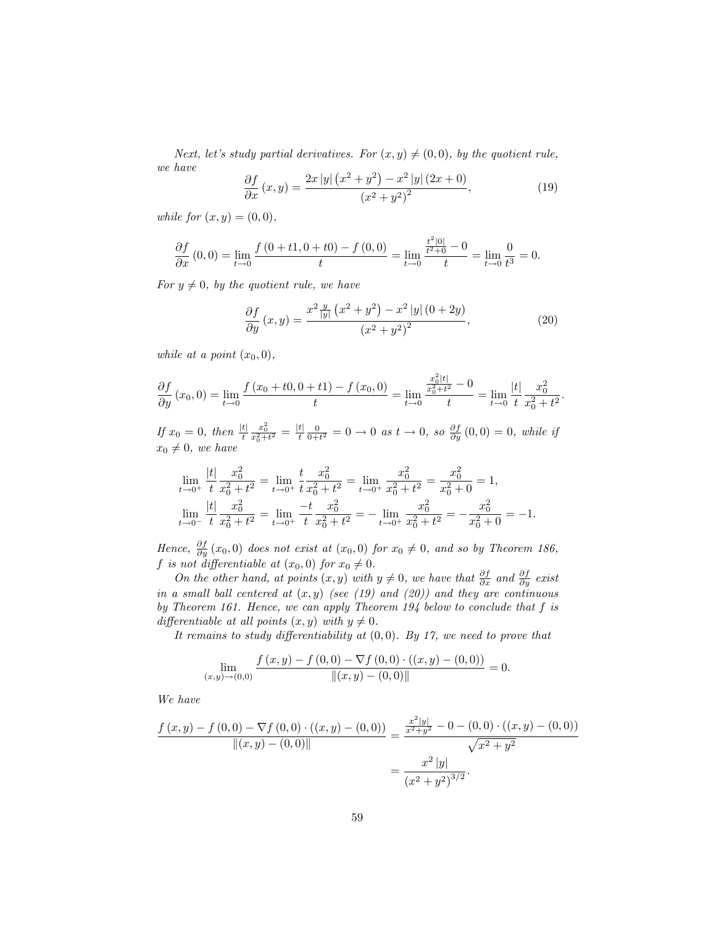Next, let's study partial derivatives. For  $(x, y) \neq (0, 0)$ , by the quotient rule, we have  $\mathbb{R}^2$ 

$$
\frac{\partial f}{\partial x}(x,y) = \frac{2x\left|y\right|\left(x^2 + y^2\right) - x^2\left|y\right|\left(2x + 0\right)}{\left(x^2 + y^2\right)^2},\tag{19}
$$

while for  $(x, y) = (0, 0)$ ,

$$
\frac{\partial f}{\partial x}(0,0) = \lim_{t \to 0} \frac{f(0 + t, 0 + t)}{t} = \lim_{t \to 0} \frac{\frac{t^2 |0|}{t^2 + 0} - 0}{t} = \lim_{t \to 0} \frac{0}{t^3} = 0.
$$

For  $y \neq 0$ , by the quotient rule, we have

$$
\frac{\partial f}{\partial y}(x,y) = \frac{x^2 \frac{y}{|y|} (x^2 + y^2) - x^2 |y| (0 + 2y)}{(x^2 + y^2)^2},
$$
\n(20)

while at a point  $(x_0, 0)$ ,

$$
\frac{\partial f}{\partial y}(x_0,0) = \lim_{t \to 0} \frac{f(x_0 + t0, 0 + t1) - f(x_0, 0)}{t} = \lim_{t \to 0} \frac{\frac{x_0^2 |t|}{x_0^2 + t^2} - 0}{t} = \lim_{t \to 0} \frac{|t|}{t} \frac{x_0^2}{x_0^2 + t^2}.
$$

If  $x_0 = 0$ , then  $\frac{|t|}{t}$  $\frac{x_0^2}{x_0^2+t^2} = \frac{|t|}{t}\frac{0}{0+t^2} = 0 \to 0$  as  $t \to 0$ , so  $\frac{\partial f}{\partial y}(0,0) = 0$ , while if  $x_0 \neq 0$ , we have

$$
\lim_{t \to 0^+} \frac{|t|}{t} \frac{x_0^2}{x_0^2 + t^2} = \lim_{t \to 0^+} \frac{t}{t} \frac{x_0^2}{x_0^2 + t^2} = \lim_{t \to 0^+} \frac{x_0^2}{x_0^2 + t^2} = \frac{x_0^2}{x_0^2 + 0} = 1,
$$
\n
$$
\lim_{t \to 0^-} \frac{|t|}{t} \frac{x_0^2}{x_0^2 + t^2} = \lim_{t \to 0^+} \frac{-t}{t} \frac{x_0^2}{x_0^2 + t^2} = -\lim_{t \to 0^+} \frac{x_0^2}{x_0^2 + t^2} = -\frac{x_0^2}{x_0^2 + 0} = -1.
$$

Hence,  $\frac{\partial f}{\partial y}(x_0,0)$  does not exist at  $(x_0,0)$  for  $x_0 \neq 0$ , and so by Theorem 186, f is not differentiable at  $(x_0, 0)$  for  $x_0 \neq 0$ .

On the other hand, at points  $(x, y)$  with  $y \neq 0$ , we have that  $\frac{\partial f}{\partial x}$  and  $\frac{\partial f}{\partial y}$  exist in a small ball centered at  $(x, y)$  (see (19) and (20)) and they are continuous by Theorem 161. Hence, we can apply Theorem 194 below to conclude that f is differentiable at all points  $(x, y)$  with  $y \neq 0$ .

It remains to study differentiability at  $(0,0)$ . By 17, we need to prove that

$$
\lim_{(x,y)\to(0,0)}\frac{f(x,y)-f(0,0)-\nabla f(0,0)\cdot((x,y)-(0,0))}{\|(x,y)-(0,0)\|}=0.
$$

We have

$$
\frac{f(x,y) - f(0,0) - \nabla f(0,0) \cdot ((x,y) - (0,0))}{\|(x,y) - (0,0)\|} = \frac{\frac{x^2|y|}{x^2 + y^2} - 0 - (0,0) \cdot ((x,y) - (0,0))}{\sqrt{x^2 + y^2}}
$$

$$
= \frac{x^2|y|}{(x^2 + y^2)^{3/2}}.
$$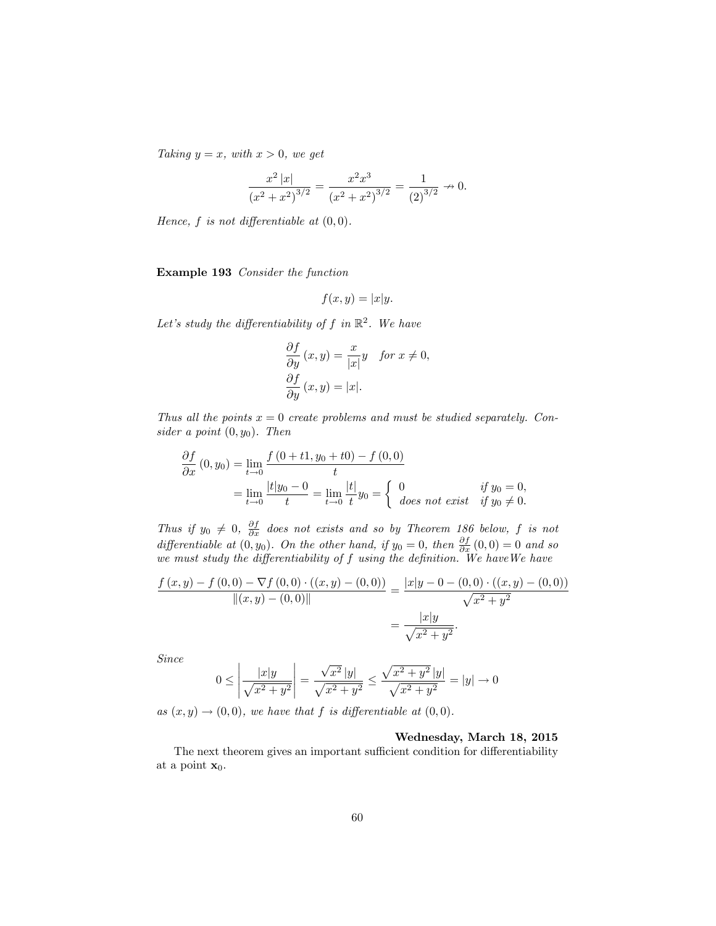Taking  $y = x$ , with  $x > 0$ , we get

$$
\frac{x^2 |x|}{\left(x^2 + x^2\right)^{3/2}} = \frac{x^2 x^3}{\left(x^2 + x^2\right)^{3/2}} = \frac{1}{\left(2\right)^{3/2}} \to 0.
$$

Hence,  $f$  is not differentiable at  $(0,0)$ .

Example 193 Consider the function

$$
f(x,y) = |x|y.
$$

Let's study the differentiability of f in  $\mathbb{R}^2$ . We have

$$
\frac{\partial f}{\partial y}(x, y) = \frac{x}{|x|}y \quad \text{for } x \neq 0,
$$
  

$$
\frac{\partial f}{\partial y}(x, y) = |x|.
$$

Thus all the points  $x = 0$  create problems and must be studied separately. Consider a point  $(0, y_0)$ . Then

$$
\frac{\partial f}{\partial x}(0, y_0) = \lim_{t \to 0} \frac{f(0 + t_1, y_0 + t_0) - f(0, 0)}{t}
$$
  
= 
$$
\lim_{t \to 0} \frac{|t|y_0 - 0}{t} = \lim_{t \to 0} \frac{|t|}{t} y_0 = \begin{cases} 0 & \text{if } y_0 = 0, \\ \text{does not exist} & \text{if } y_0 \neq 0. \end{cases}
$$

Thus if  $y_0 \neq 0$ ,  $\frac{\partial f}{\partial x}$  does not exists and so by Theorem 186 below, f is not differentiable at  $(0, y_0)$ . On the other hand, if  $y_0 = 0$ , then  $\frac{\partial f}{\partial x}(0, 0) = 0$  and so we must study the differentiability of  $f$  using the definition. We have We have

$$
\frac{f(x,y) - f(0,0) - \nabla f(0,0) \cdot ((x,y) - (0,0))}{\|(x,y) - (0,0)\|} = \frac{|x|y - 0 - (0,0) \cdot ((x,y) - (0,0))}{\sqrt{x^2 + y^2}}
$$

$$
= \frac{|x|y}{\sqrt{x^2 + y^2}}.
$$

Since

$$
0 \le \left| \frac{|x|y}{\sqrt{x^2 + y^2}} \right| = \frac{\sqrt{x^2} |y|}{\sqrt{x^2 + y^2}} \le \frac{\sqrt{x^2 + y^2} |y|}{\sqrt{x^2 + y^2}} = |y| \to 0
$$

as  $(x, y) \rightarrow (0, 0)$ , we have that f is differentiable at  $(0, 0)$ .

Wednesday, March 18, 2015

The next theorem gives an important sufficient condition for differentiability at a point  $\mathbf{x}_0$ .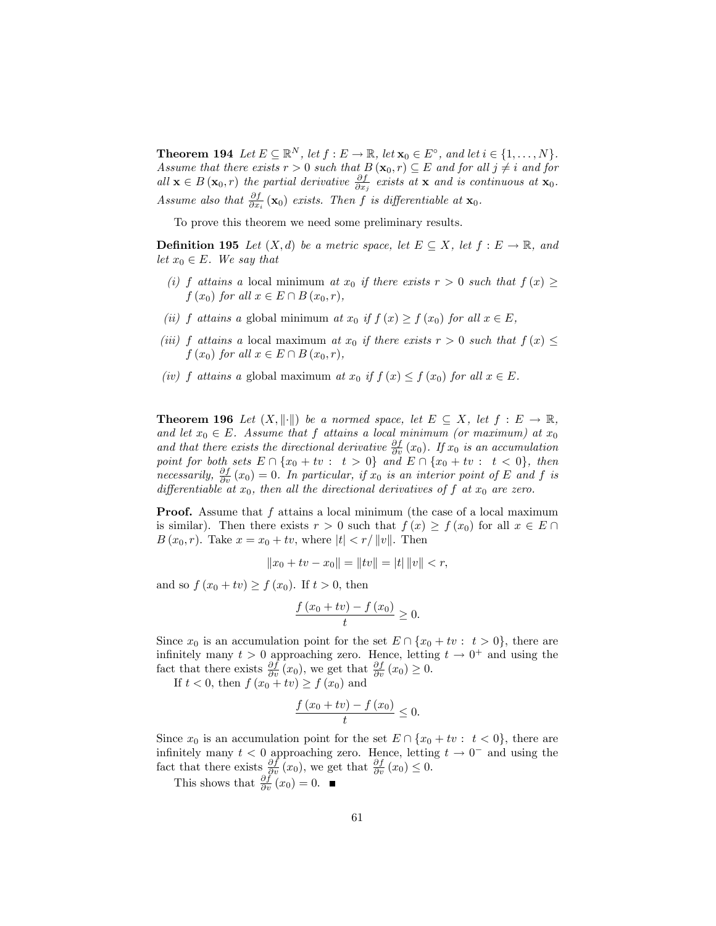**Theorem 194** Let  $E \subseteq \mathbb{R}^N$ , let  $f : E \to \mathbb{R}$ , let  $\mathbf{x}_0 \in E^{\circ}$ , and let  $i \in \{1, ..., N\}$ . Assume that there exists  $r > 0$  such that  $B(\mathbf{x}_0, r) \subseteq E$  and for all  $j \neq i$  and for all  $\mathbf{x} \in B(\mathbf{x}_0,r)$  the partial derivative  $\frac{\partial f}{\partial x_j}$  exists at  $\mathbf{x}$  and is continuous at  $\mathbf{x}_0$ . Assume also that  $\frac{\partial f}{\partial x_i}(\mathbf{x}_0)$  exists. Then f is differentiable at  $\mathbf{x}_0$ .

To prove this theorem we need some preliminary results.

**Definition 195** Let  $(X, d)$  be a metric space, let  $E \subseteq X$ , let  $f : E \to \mathbb{R}$ , and let  $x_0 \in E$ . We say that

- (i) f attains a local minimum at  $x_0$  if there exists  $r > 0$  such that  $f(x) \geq$  $f(x_0)$  for all  $x \in E \cap B(x_0, r)$ ,
- (ii) f attains a global minimum at  $x_0$  if  $f(x) \ge f(x_0)$  for all  $x \in E$ ,
- (iii) f attains a local maximum at  $x_0$  if there exists  $r > 0$  such that  $f(x) \leq$  $f(x_0)$  for all  $x \in E \cap B(x_0, r)$ ,
- (iv) f attains a global maximum at  $x_0$  if  $f(x) \le f(x_0)$  for all  $x \in E$ .

**Theorem 196** Let  $(X, \|\cdot\|)$  be a normed space, let  $E \subseteq X$ , let  $f : E \to \mathbb{R}$ , and let  $x_0 \in E$ . Assume that f attains a local minimum (or maximum) at  $x_0$ and that there exists the directional derivative  $\frac{\partial f}{\partial v}(x_0)$ . If  $x_0$  is an accumulation point for both sets  $E \cap \{x_0 + tv : t > 0\}$  and  $E \cap \{x_0 + tv : t < 0\}$ , then necessarily,  $\frac{\partial f}{\partial v}(x_0) = 0$ . In particular, if  $x_0$  is an interior point of E and f is differentiable at  $x_0$ , then all the directional derivatives of f at  $x_0$  are zero.

**Proof.** Assume that f attains a local minimum (the case of a local maximum is similar). Then there exists  $r > 0$  such that  $f(x) \ge f(x_0)$  for all  $x \in E \cap$  $B(x_0, r)$ . Take  $x = x_0 + tv$ , where  $|t| < r/||v||$ . Then

$$
||x_0 + tv - x_0|| = ||tv|| = |t| ||v|| < r,
$$

and so  $f(x_0 + tv) \ge f(x_0)$ . If  $t > 0$ , then

$$
\frac{f(x_0+tv)-f(x_0)}{t}\geq 0.
$$

Since  $x_0$  is an accumulation point for the set  $E \cap \{x_0 + tv : t > 0\}$ , there are infinitely many  $t > 0$  approaching zero. Hence, letting  $t \to 0^+$  and using the fact that there exists  $\frac{\partial f}{\partial v}(x_0)$ , we get that  $\frac{\partial f}{\partial v}(x_0) \geq 0$ .

If  $t < 0$ , then  $f(x_0 + tv) \ge f(x_0)$  and

$$
\frac{f\left(x_0+tv\right)-f\left(x_0\right)}{t}\leq 0.
$$

Since  $x_0$  is an accumulation point for the set  $E \cap \{x_0 + tv : t < 0\}$ , there are infinitely many  $t < 0$  approaching zero. Hence, letting  $t \to 0^-$  and using the fact that there exists  $\frac{\partial f}{\partial v}(x_0)$ , we get that  $\frac{\partial f}{\partial v}(x_0) \leq 0$ .

This shows that  $\frac{\partial f}{\partial v}(x_0) = 0$ .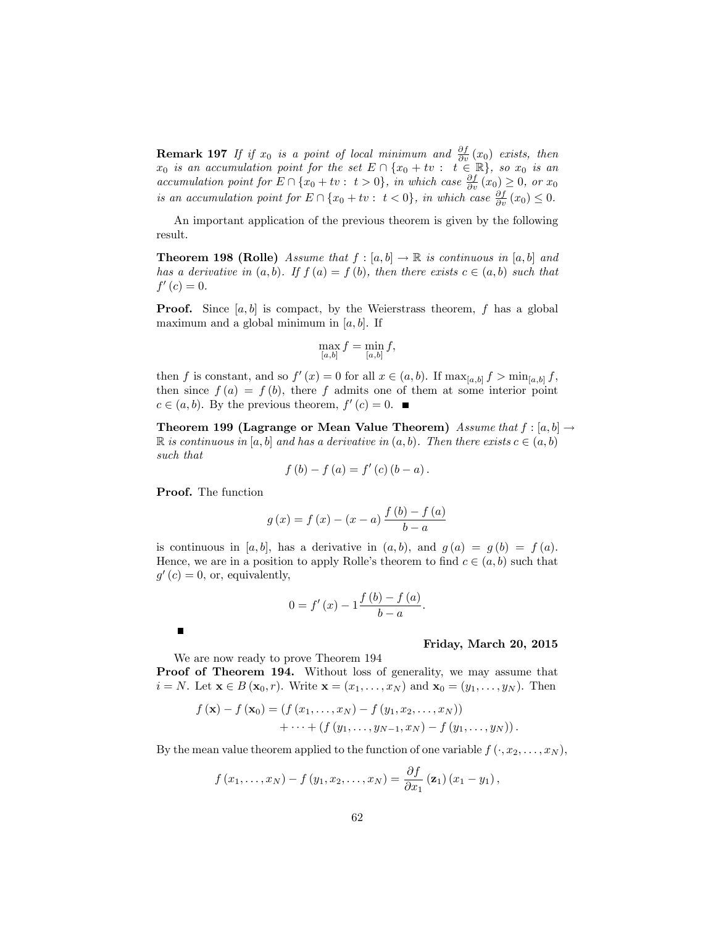**Remark 197** If if  $x_0$  is a point of local minimum and  $\frac{\partial f}{\partial v}(x_0)$  exists, then  $x_0$  is an accumulation point for the set  $E \cap \{x_0 + tv : t \in \mathbb{R}\},$  so  $x_0$  is an accumulation point for  $E \cap \{x_0 + tv : t > 0\}$ , in which case  $\frac{\partial f}{\partial v}(x_0) \geq 0$ , or  $x_0$ is an accumulation point for  $E \cap \{x_0 + tv : t < 0\}$ , in which case  $\frac{\partial f}{\partial v}(x_0) \leq 0$ .

An important application of the previous theorem is given by the following result.

**Theorem 198 (Rolle)** Assume that  $f : [a, b] \rightarrow \mathbb{R}$  is continuous in  $[a, b]$  and has a derivative in  $(a, b)$ . If  $f(a) = f(b)$ , then there exists  $c \in (a, b)$  such that  $f'(c) = 0.$ 

**Proof.** Since  $[a, b]$  is compact, by the Weierstrass theorem, f has a global maximum and a global minimum in  $|a, b|$ . If

$$
\max_{[a,b]} f = \min_{[a,b]} f,
$$

then f is constant, and so  $f'(x) = 0$  for all  $x \in (a, b)$ . If  $\max_{[a,b]} f > \min_{[a,b]} f$ , then since  $f(a) = f(b)$ , there f admits one of them at some interior point  $c \in (a, b)$ . By the previous theorem,  $f'(c) = 0$ .

Theorem 199 (Lagrange or Mean Value Theorem) Assume that  $f : [a, b] \rightarrow$  $\mathbb R$  is continuous in [a, b] and has a derivative in  $(a, b)$ . Then there exists  $c \in (a, b)$ such that

$$
f (b) - f (a) = f' (c) (b - a).
$$

Proof. The function

$$
g(x) = f(x) - (x - a) \frac{f(b) - f(a)}{b - a}
$$

is continuous in [a, b], has a derivative in  $(a, b)$ , and  $g(a) = g(b) = f(a)$ . Hence, we are in a position to apply Rolle's theorem to find  $c \in (a, b)$  such that  $g'(c) = 0$ , or, equivalently,

$$
0 = f'(x) - 1 \frac{f(b) - f(a)}{b - a}.
$$

 $\blacksquare$ 

#### Friday, March 20, 2015

We are now ready to prove Theorem 194

Proof of Theorem 194. Without loss of generality, we may assume that  $i = N$ . Let  $\mathbf{x} \in B(\mathbf{x}_0, r)$ . Write  $\mathbf{x} = (x_1, \dots, x_N)$  and  $\mathbf{x}_0 = (y_1, \dots, y_N)$ . Then

$$
f(\mathbf{x}) - f(\mathbf{x}_0) = (f(x_1, ..., x_N) - f(y_1, x_2, ..., x_N)) + \cdots + (f(y_1, ..., y_{N-1}, x_N) - f(y_1, ..., y_N)).
$$

By the mean value theorem applied to the function of one variable  $f(\cdot, x_2, \ldots, x_N)$ ,

$$
f(x_1,\ldots,x_N)-f(y_1,x_2,\ldots,x_N)=\frac{\partial f}{\partial x_1}(\mathbf{z}_1)(x_1-y_1),
$$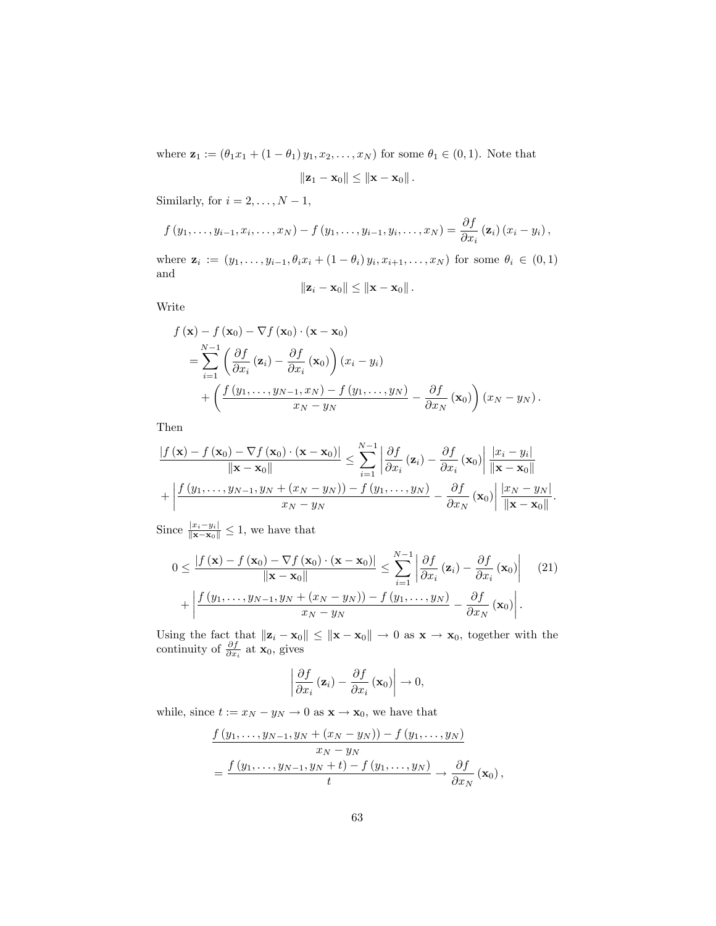where  $z_1 := (\theta_1 x_1 + (1 - \theta_1) y_1, x_2, \dots, x_N)$  for some  $\theta_1 \in (0, 1)$ . Note that

$$
\|\mathbf{z}_1-\mathbf{x}_0\|\leq \|\mathbf{x}-\mathbf{x}_0\|.
$$

Similarly, for  $i = 2, \ldots, N - 1$ ,

$$
f(y_1,\ldots,y_{i-1},x_i,\ldots,x_N)-f(y_1,\ldots,y_{i-1},y_i,\ldots,x_N)=\frac{\partial f}{\partial x_i}(\mathbf{z}_i)(x_i-y_i),
$$

where  $\mathbf{z}_i := (y_1, \ldots, y_{i-1}, \theta_i x_i + (1 - \theta_i) y_i, x_{i+1}, \ldots, x_N)$  for some  $\theta_i \in (0, 1)$ and

$$
\|\mathbf{z}_i-\mathbf{x}_0\|\leq \|\mathbf{x}-\mathbf{x}_0\|.
$$

Write

$$
f(\mathbf{x}) - f(\mathbf{x}_0) - \nabla f(\mathbf{x}_0) \cdot (\mathbf{x} - \mathbf{x}_0)
$$
  
= 
$$
\sum_{i=1}^{N-1} \left( \frac{\partial f}{\partial x_i} (\mathbf{z}_i) - \frac{\partial f}{\partial x_i} (\mathbf{x}_0) \right) (x_i - y_i)
$$
  
+ 
$$
\left( \frac{f(y_1, \dots, y_{N-1}, x_N) - f(y_1, \dots, y_N)}{x_N - y_N} - \frac{\partial f}{\partial x_N} (\mathbf{x}_0) \right) (x_N - y_N).
$$

Then

$$
\frac{|f(\mathbf{x}) - f(\mathbf{x}_0) - \nabla f(\mathbf{x}_0) \cdot (\mathbf{x} - \mathbf{x}_0)|}{\|\mathbf{x} - \mathbf{x}_0\|} \leq \sum_{i=1}^{N-1} \left| \frac{\partial f}{\partial x_i} (\mathbf{z}_i) - \frac{\partial f}{\partial x_i} (\mathbf{x}_0) \right| \frac{|x_i - y_i|}{\|\mathbf{x} - \mathbf{x}_0\|} + \left| \frac{f(y_1, \dots, y_{N-1}, y_N + (x_N - y_N)) - f(y_1, \dots, y_N)}{x_N - y_N} - \frac{\partial f}{\partial x_N} (\mathbf{x}_0) \right| \frac{|x_N - y_N|}{\|\mathbf{x} - \mathbf{x}_0\|}.
$$

Since  $\frac{|x_i - y_i|}{\|\mathbf{x} - \mathbf{x}_0\|} \leq 1$ , we have that

$$
0 \leq \frac{|f(\mathbf{x}) - f(\mathbf{x}_0) - \nabla f(\mathbf{x}_0) \cdot (\mathbf{x} - \mathbf{x}_0)|}{\|\mathbf{x} - \mathbf{x}_0\|} \leq \sum_{i=1}^{N-1} \left| \frac{\partial f}{\partial x_i}(\mathbf{z}_i) - \frac{\partial f}{\partial x_i}(\mathbf{x}_0) \right| \quad (21)
$$

$$
+ \left| \frac{f(y_1, \dots, y_{N-1}, y_N + (x_N - y_N)) - f(y_1, \dots, y_N)}{x_N - y_N} - \frac{\partial f}{\partial x_N}(\mathbf{x}_0) \right|.
$$

Using the fact that  $\|\mathbf{z}_i - \mathbf{x}_0\| \leq \|\mathbf{x} - \mathbf{x}_0\| \to 0$  as  $\mathbf{x} \to \mathbf{x}_0$ , together with the continuity of  $\frac{\partial f}{\partial x_i}$  at  $\mathbf{x}_0$ , gives

$$
\left|\frac{\partial f}{\partial x_i}\left(\mathbf{z}_i\right) - \frac{\partial f}{\partial x_i}\left(\mathbf{x}_0\right)\right| \to 0,
$$

while, since  $t := x_N - y_N \to 0$  as  $\mathbf{x} \to \mathbf{x}_0$ , we have that

$$
\frac{f(y_1,\ldots,y_{N-1},y_N+(x_N-y_N))-f(y_1,\ldots,y_N)}{x_N-y_N}
$$
\n
$$
=\frac{f(y_1,\ldots,y_{N-1},y_N+t)-f(y_1,\ldots,y_N)}{t}\to \frac{\partial f}{\partial x_N}(\mathbf{x}_0),
$$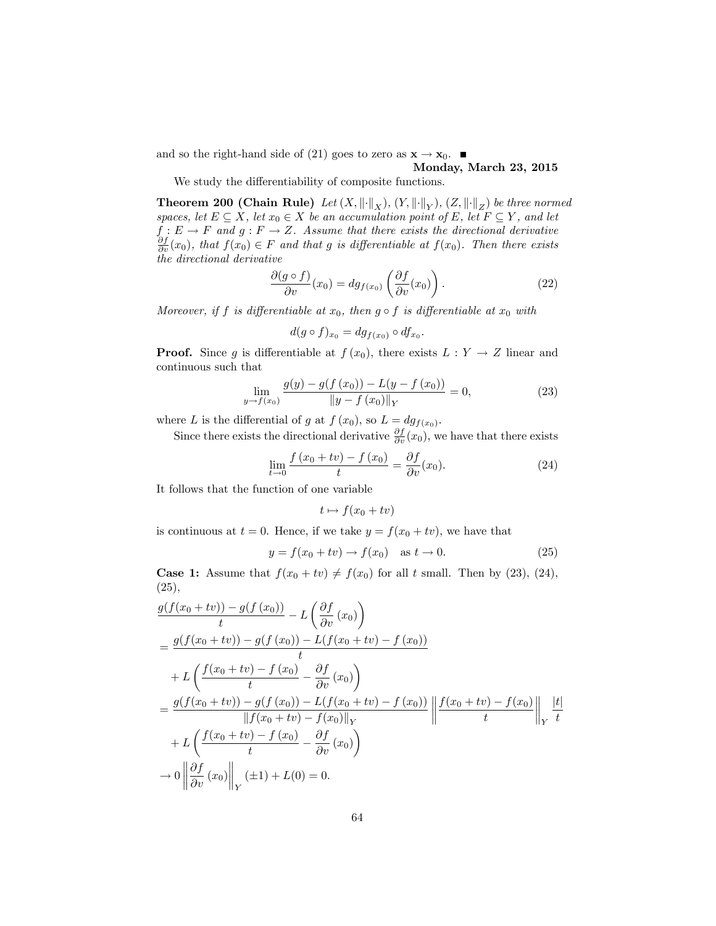and so the right-hand side of (21) goes to zero as  $\mathbf{x} \to \mathbf{x}_0$ .

### Monday, March 23, 2015

We study the differentiability of composite functions.

**Theorem 200 (Chain Rule)** Let  $(X, \|\cdot\|_X)$ ,  $(Y, \|\cdot\|_Y)$ ,  $(Z, \|\cdot\|_Z)$  be three normed spaces, let  $E \subseteq X$ , let  $x_0 \in X$  be an accumulation point of E, let  $F \subseteq Y$ , and let  $f: E \to F$  and  $g: F \to Z$ . Assume that there exists the directional derivative  $\frac{\partial f}{\partial v}(x_0)$ , that  $f(x_0) \in F$  and that g is differentiable at  $f(x_0)$ . Then there exists the directional derivative

$$
\frac{\partial (g \circ f)}{\partial v}(x_0) = dg_{f(x_0)}\left(\frac{\partial f}{\partial v}(x_0)\right). \tag{22}
$$

Moreover, if f is differentiable at  $x_0$ , then  $g \circ f$  is differentiable at  $x_0$  with

$$
d(g\circ f)_{x_0}=dg_{f(x_0)}\circ df_{x_0}.
$$

**Proof.** Since g is differentiable at  $f(x_0)$ , there exists  $L: Y \to Z$  linear and continuous such that

$$
\lim_{y \to f(x_0)} \frac{g(y) - g(f(x_0)) - L(y - f(x_0))}{\|y - f(x_0)\|_Y} = 0,
$$
\n(23)

where L is the differential of g at  $f(x_0)$ , so  $L = dg_{f(x_0)}$ .

Since there exists the directional derivative  $\frac{\partial f}{\partial v}(x_0)$ , we have that there exists

$$
\lim_{t \to 0} \frac{f(x_0 + tv) - f(x_0)}{t} = \frac{\partial f}{\partial v}(x_0).
$$
\n(24)

It follows that the function of one variable

$$
t \mapsto f(x_0 + tv)
$$

is continuous at  $t = 0$ . Hence, if we take  $y = f(x_0 + tv)$ , we have that

$$
y = f(x_0 + tv) \to f(x_0)
$$
 as  $t \to 0$ . (25)

**Case 1:** Assume that  $f(x_0 + tv) \neq f(x_0)$  for all t small. Then by (23), (24), (25),

$$
\frac{g(f(x_0 + tv)) - g(f(x_0))}{t} - L\left(\frac{\partial f}{\partial v}(x_0)\right)
$$
\n
$$
= \frac{g(f(x_0 + tv)) - g(f(x_0)) - L(f(x_0 + tv) - f(x_0))}{t}
$$
\n
$$
+ L\left(\frac{f(x_0 + tv) - f(x_0)}{t} - \frac{\partial f}{\partial v}(x_0)\right)
$$
\n
$$
= \frac{g(f(x_0 + tv)) - g(f(x_0)) - L(f(x_0 + tv) - f(x_0))}{\|f(x_0 + tv) - f(x_0)\|_{Y}} \left\|\frac{f(x_0 + tv) - f(x_0)}{t}\right\|_{Y} \frac{|t|}{t}
$$
\n
$$
+ L\left(\frac{f(x_0 + tv) - f(x_0)}{t} - \frac{\partial f}{\partial v}(x_0)\right)
$$
\n
$$
\to 0 \left\|\frac{\partial f}{\partial v}(x_0)\right\|_{Y} (\pm 1) + L(0) = 0.
$$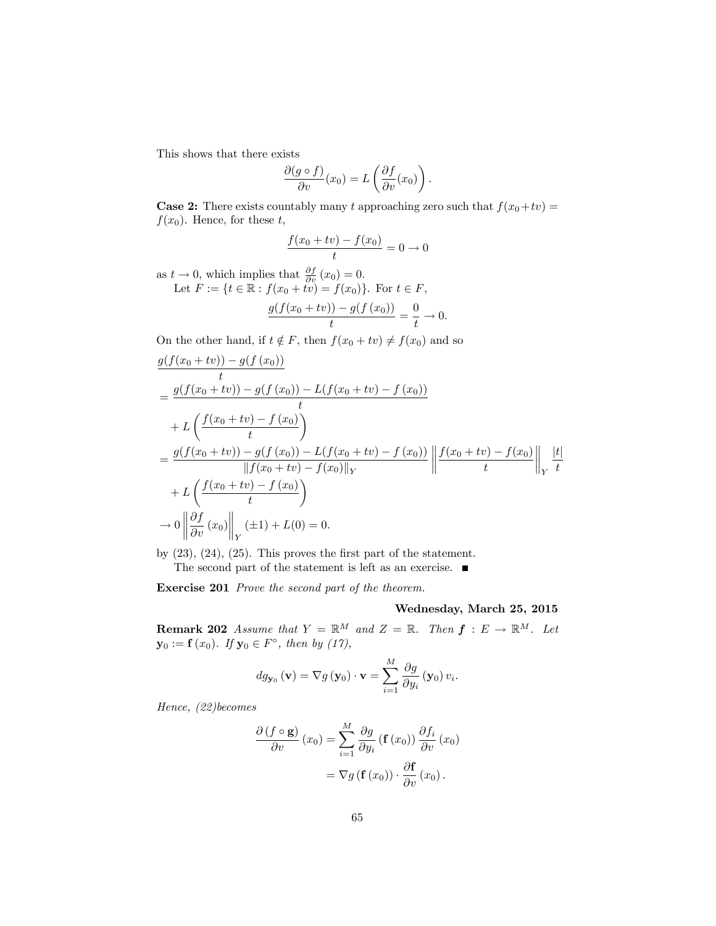This shows that there exists

$$
\frac{\partial (g \circ f)}{\partial v}(x_0) = L\left(\frac{\partial f}{\partial v}(x_0)\right).
$$

**Case 2:** There exists countably many t approaching zero such that  $f(x_0+tv)$  =  $f(x_0)$ . Hence, for these t,

$$
\frac{f(x_0 + tv) - f(x_0)}{t} = 0 \to 0
$$

as  $t \to 0$ , which implies that  $\frac{\partial f}{\partial v}(x_0) = 0$ .

Let  $F := \{ t \in \mathbb{R} : f(x_0 + tv) = f(x_0) \}.$  For  $t \in F$ ,

$$
\frac{g(f(x_0 + tv)) - g(f(x_0))}{t} = \frac{0}{t} \to 0.
$$

On the other hand, if  $t \notin F$ , then  $f(x_0 + tv) \neq f(x_0)$  and so

$$
\frac{g(f(x_0 + tv)) - g(f(x_0))}{t}
$$
\n
$$
= \frac{g(f(x_0 + tv)) - g(f(x_0)) - L(f(x_0 + tv) - f(x_0))}{t}
$$
\n
$$
+ L\left(\frac{f(x_0 + tv) - f(x_0)}{t}\right)
$$
\n
$$
= \frac{g(f(x_0 + tv)) - g(f(x_0)) - L(f(x_0 + tv) - f(x_0))}{\|f(x_0 + tv) - f(x_0)\|_Y}\left\|\frac{f(x_0 + tv) - f(x_0)}{t}\right\|_Y\frac{|t|}{t}
$$
\n
$$
+ L\left(\frac{f(x_0 + tv) - f(x_0)}{t}\right)
$$
\n
$$
\to 0 \left\|\frac{\partial f}{\partial v}(x_0)\right\|_Y(\pm 1) + L(0) = 0.
$$

by  $(23)$ ,  $(24)$ ,  $(25)$ . This proves the first part of the statement. The second part of the statement is left as an exercise.  $\blacksquare$ 

Exercise 201 Prove the second part of the theorem.

#### Wednesday, March 25, 2015

**Remark 202** Assume that  $Y = \mathbb{R}^M$  and  $Z = \mathbb{R}$ . Then  $f : E \to \mathbb{R}^M$ . Let  $y_0 := f(x_0)$ . If  $y_0 \in F^{\circ}$ , then by (17),

$$
dg_{\mathbf{y}_0}(\mathbf{v}) = \nabla g(\mathbf{y}_0) \cdot \mathbf{v} = \sum_{i=1}^{M} \frac{\partial g}{\partial y_i}(\mathbf{y}_0) v_i.
$$

Hence, (22)becomes

$$
\frac{\partial (f \circ \mathbf{g})}{\partial v} (x_0) = \sum_{i=1}^{M} \frac{\partial g}{\partial y_i} (\mathbf{f} (x_0)) \frac{\partial f_i}{\partial v} (x_0)
$$

$$
= \nabla g (\mathbf{f} (x_0)) \cdot \frac{\partial \mathbf{f}}{\partial v} (x_0).
$$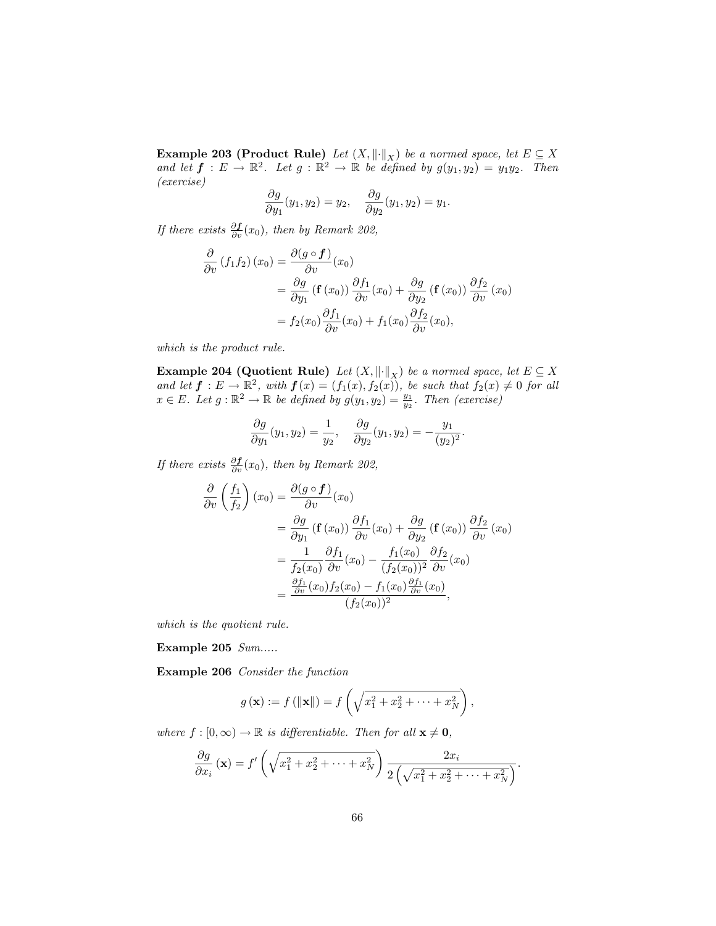**Example 203 (Product Rule)** Let  $(X, \|\cdot\|_X)$  be a normed space, let  $E \subseteq X$ and let  $f: E \to \mathbb{R}^2$ . Let  $g: \mathbb{R}^2 \to \mathbb{R}$  be defined by  $g(y_1, y_2) = y_1y_2$ . Then (exercise)

$$
\frac{\partial g}{\partial y_1}(y_1, y_2) = y_2, \quad \frac{\partial g}{\partial y_2}(y_1, y_2) = y_1.
$$

If there exists  $\frac{\partial \boldsymbol{f}}{\partial v}(x_0)$ , then by Remark 202,

$$
\frac{\partial}{\partial v} (f_1 f_2) (x_0) = \frac{\partial (g \circ f)}{\partial v} (x_0)
$$
  
=  $\frac{\partial g}{\partial y_1} (\mathbf{f} (x_0)) \frac{\partial f_1}{\partial v} (x_0) + \frac{\partial g}{\partial y_2} (\mathbf{f} (x_0)) \frac{\partial f_2}{\partial v} (x_0)$   
=  $f_2(x_0) \frac{\partial f_1}{\partial v} (x_0) + f_1(x_0) \frac{\partial f_2}{\partial v} (x_0),$ 

which is the product rule.

**Example 204 (Quotient Rule)** Let  $(X, \|\cdot\|_X)$  be a normed space, let  $E \subseteq X$ and let  $f: E \to \mathbb{R}^2$ , with  $f(x) = (f_1(x), f_2(x))$ , be such that  $f_2(x) \neq 0$  for all  $x \in E$ . Let  $g : \mathbb{R}^2 \to \mathbb{R}$  be defined by  $g(y_1, y_2) = \frac{y_1}{y_2}$ . Then (exercise)

$$
\frac{\partial g}{\partial y_1}(y_1, y_2) = \frac{1}{y_2}, \quad \frac{\partial g}{\partial y_2}(y_1, y_2) = -\frac{y_1}{(y_2)^2}.
$$

If there exists  $\frac{\partial \boldsymbol{f}}{\partial v}(x_0)$ , then by Remark 202,

$$
\frac{\partial}{\partial v} \left( \frac{f_1}{f_2} \right) (x_0) = \frac{\partial (g \circ f)}{\partial v} (x_0)
$$
\n
$$
= \frac{\partial g}{\partial y_1} (\mathbf{f} (x_0)) \frac{\partial f_1}{\partial v} (x_0) + \frac{\partial g}{\partial y_2} (\mathbf{f} (x_0)) \frac{\partial f_2}{\partial v} (x_0)
$$
\n
$$
= \frac{1}{f_2(x_0)} \frac{\partial f_1}{\partial v} (x_0) - \frac{f_1(x_0)}{(f_2(x_0))^2} \frac{\partial f_2}{\partial v} (x_0)
$$
\n
$$
= \frac{\frac{\partial f_1}{\partial v} (x_0) f_2(x_0) - f_1(x_0) \frac{\partial f_1}{\partial v} (x_0)}{(f_2(x_0))^2},
$$

which is the quotient rule.

Example 205 Sum.....

Example 206 Consider the function

$$
g(\mathbf{x}) := f(||\mathbf{x}||) = f\left(\sqrt{x_1^2 + x_2^2 + \dots + x_N^2}\right),
$$

where  $f : [0, \infty) \to \mathbb{R}$  is differentiable. Then for all  $\mathbf{x} \neq \mathbf{0}$ ,

$$
\frac{\partial g}{\partial x_i}(\mathbf{x}) = f'\left(\sqrt{x_1^2 + x_2^2 + \dots + x_N^2}\right) \frac{2x_i}{2\left(\sqrt{x_1^2 + x_2^2 + \dots + x_N^2}\right)}.
$$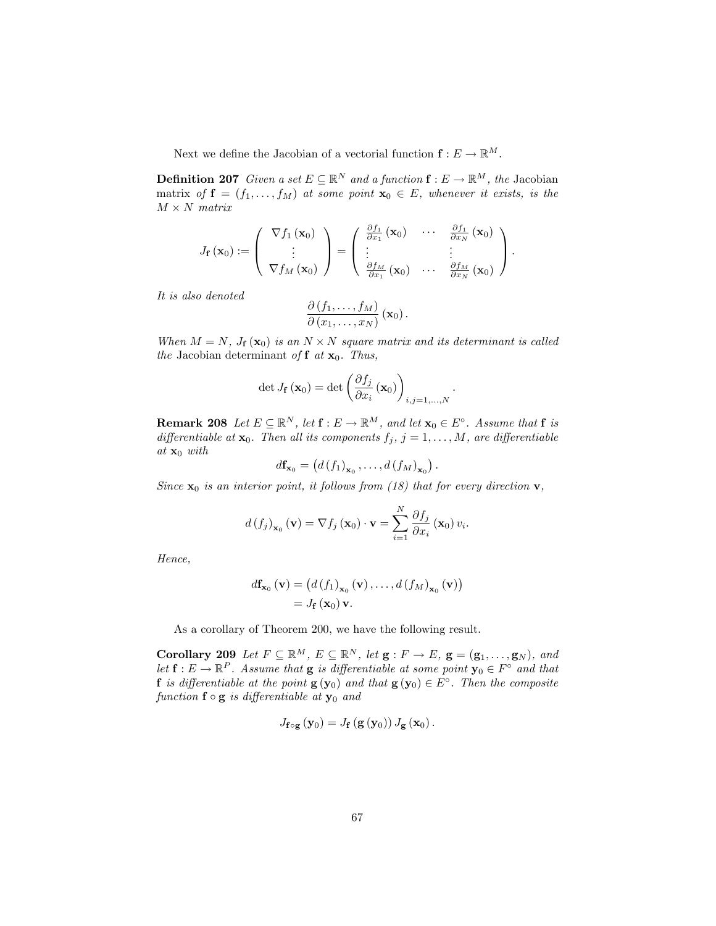Next we define the Jacobian of a vectorial function  $\mathbf{f} : E \to \mathbb{R}^M$ .

**Definition 207** Given a set  $E \subseteq \mathbb{R}^N$  and a function  $f : E \to \mathbb{R}^M$ , the Jacobian matrix of  $f = (f_1, \ldots, f_M)$  at some point  $x_0 \in E$ , whenever it exists, is the  $M \times N$  matrix

$$
J_{\mathbf{f}}(\mathbf{x}_0) := \left(\begin{array}{c} \nabla f_1(\mathbf{x}_0) \\ \vdots \\ \nabla f_M(\mathbf{x}_0) \end{array}\right) = \left(\begin{array}{ccc} \frac{\partial f_1}{\partial x_1}(\mathbf{x}_0) & \cdots & \frac{\partial f_1}{\partial x_N}(\mathbf{x}_0) \\ \vdots & \vdots \\ \frac{\partial f_M}{\partial x_1}(\mathbf{x}_0) & \cdots & \frac{\partial f_M}{\partial x_N}(\mathbf{x}_0) \end{array}\right).
$$

It is also denoted

$$
\frac{\partial (f_1,\ldots,f_M)}{\partial (x_1,\ldots,x_N)}(\mathbf{x}_0).
$$

When  $M = N$ ,  $J_f(\mathbf{x}_0)$  is an  $N \times N$  square matrix and its determinant is called the Jacobian determinant of f at  $x_0$ . Thus,

$$
\det J_{\mathbf{f}}(\mathbf{x}_0) = \det \left( \frac{\partial f_j}{\partial x_i}(\mathbf{x}_0) \right)_{i,j=1,\ldots,N}.
$$

**Remark 208** Let  $E \subseteq \mathbb{R}^N$ , let  $\mathbf{f} : E \to \mathbb{R}^M$ , and let  $\mathbf{x}_0 \in E^\circ$ . Assume that  $\mathbf{f}$  is differentiable at  $\mathbf{x}_0$ . Then all its components  $f_j$ ,  $j = 1, \ldots, M$ , are differentiable at  $\mathbf{x}_0$  with

$$
d\mathbf{f}_{\mathbf{x}_0} = (d(f_1)_{\mathbf{x}_0}, \ldots, d(f_M)_{\mathbf{x}_0}).
$$

Since  $\mathbf{x}_0$  is an interior point, it follows from (18) that for every direction  $\mathbf{v}$ ,

$$
d(f_j)_{\mathbf{x}_0}(\mathbf{v}) = \nabla f_j(\mathbf{x}_0) \cdot \mathbf{v} = \sum_{i=1}^N \frac{\partial f_j}{\partial x_i}(\mathbf{x}_0) v_i.
$$

Hence,

$$
d\mathbf{f}_{\mathbf{x}_0}(\mathbf{v}) = (d(f_1)_{\mathbf{x}_0}(\mathbf{v}), \dots, d(f_M)_{\mathbf{x}_0}(\mathbf{v}))
$$
  
=  $J_{\mathbf{f}}(\mathbf{x}_0) \mathbf{v}.$ 

As a corollary of Theorem 200, we have the following result.

**Corollary 209** Let  $F \subseteq \mathbb{R}^M$ ,  $E \subseteq \mathbb{R}^N$ , let  $\mathbf{g} : F \to E$ ,  $\mathbf{g} = (\mathbf{g}_1, \ldots, \mathbf{g}_N)$ , and let  $f: E \to \mathbb{R}^P$ . Assume that  $g$  is differentiable at some point  $y_0 \in F^\circ$  and that **f** is differentiable at the point  $g(y_0)$  and that  $g(y_0) \in E^{\circ}$ . Then the composite function  $f \circ g$  is differentiable at  $y_0$  and

$$
J_{\mathbf{f}\circ\mathbf{g}}\left(\mathbf{y}_{0}\right)=J_{\mathbf{f}}\left(\mathbf{g}\left(\mathbf{y}_{0}\right)\right)J_{\mathbf{g}}\left(\mathbf{x}_{0}\right).
$$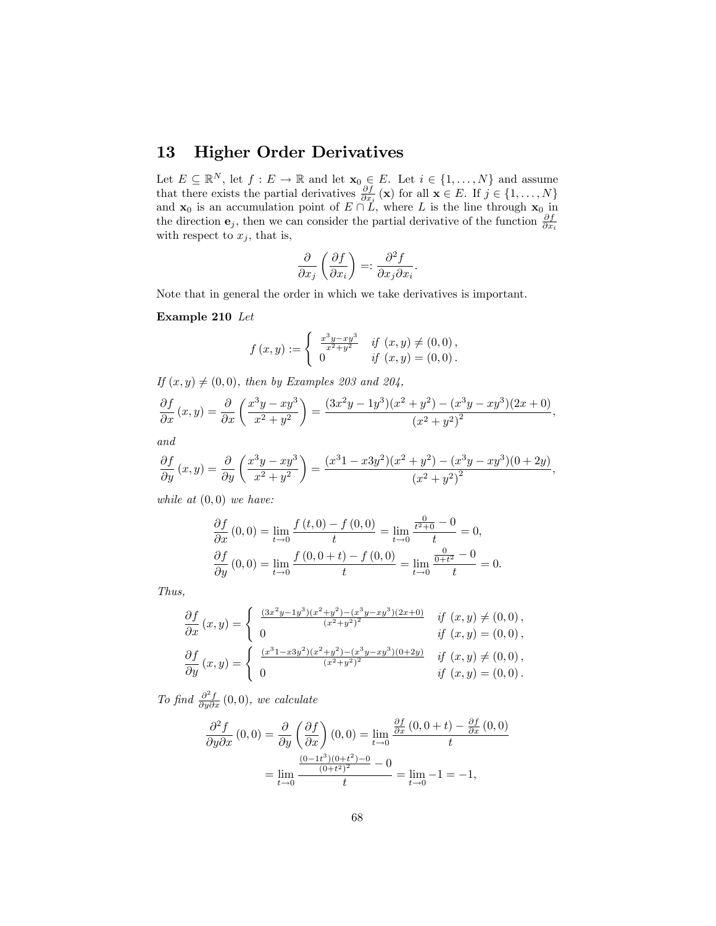## 13 Higher Order Derivatives

Let  $E \subseteq \mathbb{R}^N$ , let  $f : E \to \mathbb{R}$  and let  $\mathbf{x}_0 \in E$ . Let  $i \in \{1, \ldots, N\}$  and assume that there exists the partial derivatives  $\frac{\partial f}{\partial x_i}(\mathbf{x})$  for all  $\mathbf{x} \in E$ . If  $j \in \{1, ..., N\}$ and  $\mathbf{x}_0$  is an accumulation point of  $E \cap L$ , where L is the line through  $\mathbf{x}_0$  in the direction  $e_j$ , then we can consider the partial derivative of the function  $\frac{\partial f}{\partial x_i}$ with respect to  $x_j$ , that is,

$$
\frac{\partial}{\partial x_j}\left(\frac{\partial f}{\partial x_i}\right) =: \frac{\partial^2 f}{\partial x_j \partial x_i}
$$

:

Note that in general the order in which we take derivatives is important.

#### Example 210 Let

$$
f(x,y) := \begin{cases} \frac{x^3y - xy^3}{x^2 + y^2} & \text{if } (x,y) \neq (0,0), \\ 0 & \text{if } (x,y) = (0,0). \end{cases}
$$

If  $(x, y) \neq (0, 0)$ , then by Examples 203 and 204,

$$
\frac{\partial f}{\partial x}(x,y) = \frac{\partial}{\partial x}\left(\frac{x^3y - xy^3}{x^2 + y^2}\right) = \frac{(3x^2y - 1y^3)(x^2 + y^2) - (x^3y - xy^3)(2x + 0)}{(x^2 + y^2)^2},
$$

and

$$
\frac{\partial f}{\partial y}(x,y) = \frac{\partial}{\partial y}\left(\frac{x^3y - xy^3}{x^2 + y^2}\right) = \frac{(x^3 - x3y^2)(x^2 + y^2) - (x^3y - xy^3)(0 + 2y)}{(x^2 + y^2)^2},
$$

while at  $(0,0)$  we have:

$$
\frac{\partial f}{\partial x}(0,0) = \lim_{t \to 0} \frac{f(t,0) - f(0,0)}{t} = \lim_{t \to 0} \frac{\frac{0}{t^2 + 0} - 0}{t} = 0,
$$
  

$$
\frac{\partial f}{\partial y}(0,0) = \lim_{t \to 0} \frac{f(0,0 + t) - f(0,0)}{t} = \lim_{t \to 0} \frac{\frac{0}{0 + t^2} - 0}{t} = 0.
$$

Thus,

$$
\frac{\partial f}{\partial x}(x,y) = \begin{cases}\n\frac{(3x^2y - 1y^3)(x^2 + y^2) - (x^3y - xy^3)(2x + 0)}{(x^2 + y^2)^2} & \text{if } (x,y) \neq (0,0), \\
0 & \text{if } (x,y) = (0,0), \\
\frac{\partial f}{\partial y}(x,y) = \begin{cases}\n\frac{(x^31 - x3y^2)(x^2 + y^2) - (x^3y - xy^3)(0 + 2y)}{(x^2 + y^2)^2} & \text{if } (x,y) \neq (0,0), \\
0 & \text{if } (x,y) = (0,0).\n\end{cases}
$$

To find  $\frac{\partial^2 f}{\partial y \partial x}(0,0)$ , we calculate

$$
\frac{\partial^2 f}{\partial y \partial x}(0,0) = \frac{\partial}{\partial y} \left(\frac{\partial f}{\partial x}\right)(0,0) = \lim_{t \to 0} \frac{\frac{\partial f}{\partial x}(0,0+t) - \frac{\partial f}{\partial x}(0,0)}{t}
$$

$$
= \lim_{t \to 0} \frac{\frac{(0-1t^3)(0+t^2)-0}{(0+t^2)^2} - 0}{t} = \lim_{t \to 0} -1 = -1,
$$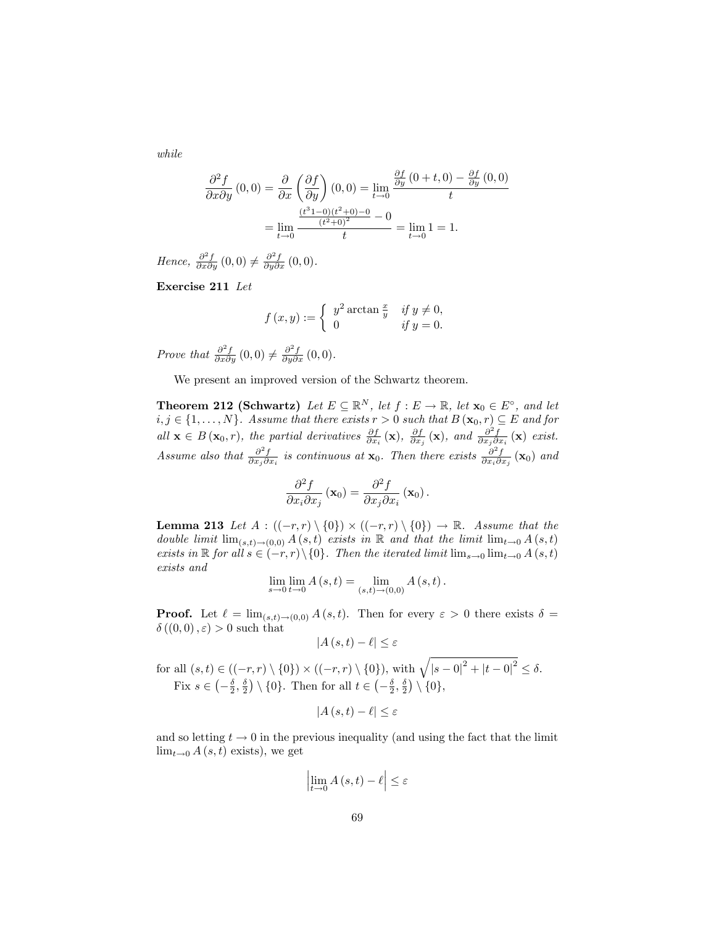while

$$
\frac{\partial^2 f}{\partial x \partial y}(0,0) = \frac{\partial}{\partial x} \left(\frac{\partial f}{\partial y}\right)(0,0) = \lim_{t \to 0} \frac{\frac{\partial f}{\partial y}(0+t,0) - \frac{\partial f}{\partial y}(0,0)}{t}
$$

$$
= \lim_{t \to 0} \frac{\frac{(t^3 - 0)(t^2 + 0) - 0}{(t^2 + 0)^2} - 0}{t} = \lim_{t \to 0} 1 = 1.
$$

Hence,  $\frac{\partial^2 f}{\partial x \partial y}(0,0) \neq \frac{\partial^2 f}{\partial y \partial x}(0,0)$ .

Exercise 211 Let

$$
f(x,y) := \begin{cases} y^2 \arctan \frac{x}{y} & \text{if } y \neq 0, \\ 0 & \text{if } y = 0. \end{cases}
$$

Prove that  $\frac{\partial^2 f}{\partial x \partial y}(0,0) \neq \frac{\partial^2 f}{\partial y \partial x}(0,0)$ .

We present an improved version of the Schwartz theorem.

**Theorem 212 (Schwartz)** Let  $E \subseteq \mathbb{R}^N$ , let  $f : E \to \mathbb{R}$ , let  $\mathbf{x}_0 \in E^{\circ}$ , and let  $i, j \in \{1, \ldots, N\}$ . Assume that there exists  $r > 0$  such that  $B(\mathbf{x}_0, r) \subseteq E$  and for all  $\mathbf{x} \in B(\mathbf{x}_0, r)$ , the partial derivatives  $\frac{\partial f}{\partial x_i}(\mathbf{x})$ ,  $\frac{\partial f}{\partial x_j}(\mathbf{x})$ , and  $\frac{\partial^2 f}{\partial x_j \partial x_i}(\mathbf{x})$  exist. Assume also that  $\frac{\partial^2 f}{\partial x_j \partial x_i}$  is continuous at  $\mathbf{x}_0$ . Then there exists  $\frac{\partial^2 f}{\partial x_i \partial x_j}(\mathbf{x}_0)$  and

$$
\frac{\partial^2 f}{\partial x_i \partial x_j} \left( \mathbf{x}_0 \right) = \frac{\partial^2 f}{\partial x_j \partial x_i} \left( \mathbf{x}_0 \right).
$$

**Lemma 213** Let  $A: ((-r,r) \setminus \{0\}) \times ((-r,r) \setminus \{0\}) \to \mathbb{R}$ . Assume that the double limit  $\lim_{(s,t)\to(0,0)} A(s,t)$  exists in R and that the limit  $\lim_{t\to 0} A(s,t)$ exists in  $\mathbb R$  for all  $s \in (-r, r) \setminus \{0\}$ . Then the iterated limit  $\lim_{s\to 0} \lim_{t\to 0} A(s, t)$ exists and

$$
\lim_{s \to 0} \lim_{t \to 0} A(s,t) = \lim_{(s,t) \to (0,0)} A(s,t).
$$

**Proof.** Let  $\ell = \lim_{(s,t)\to(0,0)} A(s,t)$ . Then for every  $\varepsilon > 0$  there exists  $\delta =$  $\delta((0,0), \varepsilon) > 0$  such that

$$
|A(s,t) - \ell| \le \varepsilon
$$

for all  $(s, t) \in ((-r, r) \setminus \{0\}) \times ((-r, r) \setminus \{0\}),$  with  $\sqrt{|s - 0|^2 + |t - 0|^2} \le \delta$ . Fix  $s \in \left(-\frac{\delta}{2}, \frac{\delta}{2}\right) \setminus \{0\}$ . Then for all  $t \in \left(-\frac{\delta}{2}, \frac{\delta}{2}\right) \setminus \{0\}$ ,

$$
|A(s,t) - \ell| \le \varepsilon
$$

and so letting  $t \to 0$  in the previous inequality (and using the fact that the limit  $\lim_{t\to 0} A(s, t)$  exists), we get

$$
\left|\lim_{t \to 0} A\left(s, t\right) - \ell\right| \le \varepsilon
$$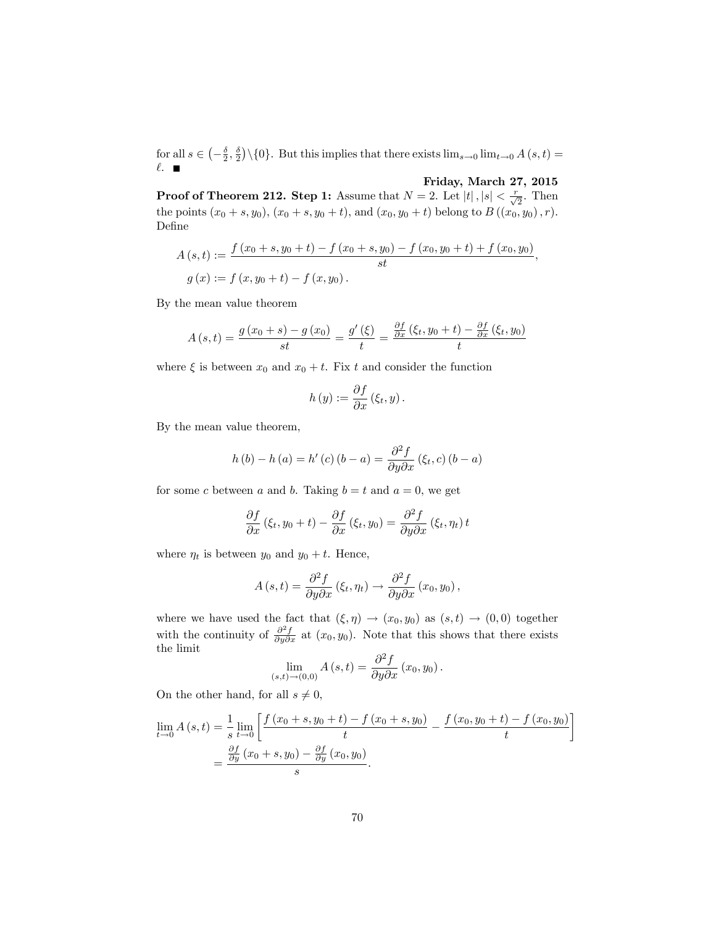for all  $s \in \left(-\frac{\delta}{2}, \frac{\delta}{2}\right) \setminus \{0\}$ . But this implies that there exists  $\lim_{s\to 0} \lim_{t\to 0} A(s, t) =$  $\ell$ .

## Friday, March 27, 2015

Ĭ.

**Proof of Theorem 212. Step 1:** Assume that  $N = 2$ . Let  $|t|, |s| < \frac{r}{\sqrt{2}}$ . Then the points  $(x_0 + s, y_0)$ ,  $(x_0 + s, y_0 + t)$ , and  $(x_0, y_0 + t)$  belong to  $B((x_0, y_0), r)$ . Define

$$
A(s,t) := \frac{f(x_0+s,y_0+t) - f(x_0+s,y_0) - f(x_0,y_0+t) + f(x_0,y_0)}{st},
$$
  
 
$$
g(x) := f(x,y_0+t) - f(x,y_0).
$$

By the mean value theorem

$$
A(s,t) = \frac{g(x_0+s) - g(x_0)}{st} = \frac{g'(\xi)}{t} = \frac{\frac{\partial f}{\partial x}(\xi_t, y_0 + t) - \frac{\partial f}{\partial x}(\xi_t, y_0)}{t}
$$

where  $\xi$  is between  $x_0$  and  $x_0 + t$ . Fix t and consider the function

$$
h(y) := \frac{\partial f}{\partial x} (\xi_t, y).
$$

By the mean value theorem,

$$
h(b) - h(a) = h'(c) (b - a) = \frac{\partial^2 f}{\partial y \partial x} (\xi_t, c) (b - a)
$$

for some c between a and b. Taking  $b = t$  and  $a = 0$ , we get

$$
\frac{\partial f}{\partial x}(\xi_t, y_0 + t) - \frac{\partial f}{\partial x}(\xi_t, y_0) = \frac{\partial^2 f}{\partial y \partial x}(\xi_t, \eta_t) t
$$

where  $\eta_t$  is between  $y_0$  and  $y_0 + t$ . Hence,

$$
A(s,t) = \frac{\partial^2 f}{\partial y \partial x} (\xi_t, \eta_t) \rightarrow \frac{\partial^2 f}{\partial y \partial x} (x_0, y_0),
$$

where we have used the fact that  $(\xi, \eta) \rightarrow (x_0, y_0)$  as  $(s, t) \rightarrow (0, 0)$  together with the continuity of  $\frac{\partial^2 f}{\partial y \partial x}$  at  $(x_0, y_0)$ . Note that this shows that there exists the limit

$$
\lim_{(s,t)\to(0,0)} A(s,t) = \frac{\partial^2 f}{\partial y \partial x}(x_0, y_0).
$$

On the other hand, for all  $s \neq 0$ ,

$$
\lim_{t \to 0} A(s,t) = \frac{1}{s} \lim_{t \to 0} \left[ \frac{f(x_0 + s, y_0 + t) - f(x_0 + s, y_0)}{t} - \frac{f(x_0, y_0 + t) - f(x_0, y_0)}{t} \right]
$$

$$
= \frac{\frac{\partial f}{\partial y}(x_0 + s, y_0) - \frac{\partial f}{\partial y}(x_0, y_0)}{s}.
$$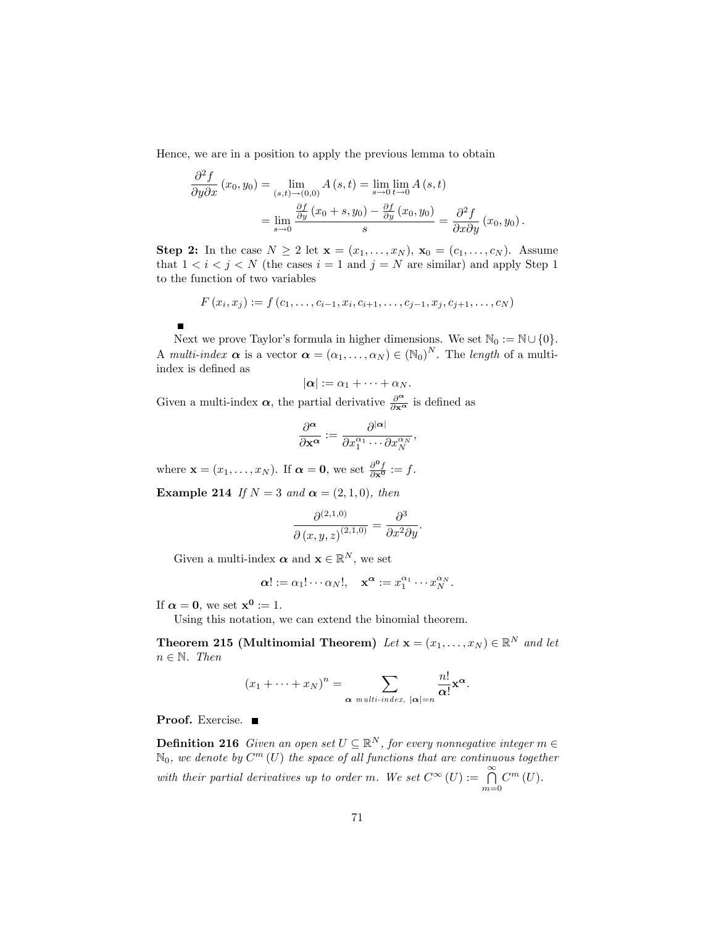Hence, we are in a position to apply the previous lemma to obtain

$$
\frac{\partial^2 f}{\partial y \partial x}(x_0, y_0) = \lim_{\substack{(s,t) \to (0,0)}} A(s,t) = \lim_{s \to 0} \lim_{t \to 0} A(s,t)
$$

$$
= \lim_{s \to 0} \frac{\frac{\partial f}{\partial y}(x_0 + s, y_0) - \frac{\partial f}{\partial y}(x_0, y_0)}{s} = \frac{\partial^2 f}{\partial x \partial y}(x_0, y_0).
$$

Step 2: In the case  $N \geq 2$  let  $\mathbf{x} = (x_1, \ldots, x_N)$ ,  $\mathbf{x}_0 = (c_1, \ldots, c_N)$ . Assume that  $1 < i < j < N$  (the cases  $i = 1$  and  $j = N$  are similar) and apply Step 1 to the function of two variables

$$
F(x_i, x_j) := f(c_1, \ldots, c_{i-1}, x_i, c_{i+1}, \ldots, c_{j-1}, x_j, c_{j+1}, \ldots, c_N)
$$

Next we prove Taylor's formula in higher dimensions. We set  $\mathbb{N}_0 := \mathbb{N} \cup \{0\}.$ A multi-index  $\alpha$  is a vector  $\alpha = (\alpha_1, \ldots, \alpha_N) \in (\mathbb{N}_0)^N$ . The length of a multiindex is defined as

$$
|\boldsymbol{\alpha}|:=\alpha_1+\cdots+\alpha_N.
$$

Given a multi-index  $\alpha$ , the partial derivative  $\frac{\partial^{\alpha}}{\partial x^{\alpha}}$  is defined as

$$
\frac{\partial^{\boldsymbol{\alpha}}}{\partial \mathbf{x}^{\boldsymbol{\alpha}}} := \frac{\partial^{|\boldsymbol{\alpha}|}}{\partial x_1^{\alpha_1} \cdots \partial x_N^{\alpha_N}}
$$

;

where  $\mathbf{x} = (x_1, \dots, x_N)$ . If  $\boldsymbol{\alpha} = \mathbf{0}$ , we set  $\frac{\partial^{\mathbf{0}} f}{\partial \mathbf{x}^{\mathbf{0}}} := f$ .

Example 214 If  $N = 3$  and  $\alpha = (2, 1, 0)$ , then

$$
\frac{\partial^{(2,1,0)}}{\partial (x,y,z)^{(2,1,0)}} = \frac{\partial^3}{\partial x^2 \partial y}.
$$

Given a multi-index  $\boldsymbol{\alpha}$  and  $\mathbf{x} \in \mathbb{R}^N$ , we set

$$
\alpha! := \alpha_1! \cdots \alpha_N!, \quad \mathbf{x}^{\alpha} := x_1^{\alpha_1} \cdots x_N^{\alpha_N}.
$$

If  $\alpha = 0$ , we set  $x^0 := 1$ .

 $\blacksquare$ 

Using this notation, we can extend the binomial theorem.

**Theorem 215 (Multinomial Theorem)** Let  $\mathbf{x} = (x_1, \dots, x_N) \in \mathbb{R}^N$  and let  $n \in \mathbb{N}$ . Then

$$
(x_1 + \cdots + x_N)^n = \sum_{\alpha \text{ multi-index, } |\alpha| = n} \frac{n!}{\alpha!} \mathbf{x}^{\alpha}.
$$

Proof. Exercise.

**Definition 216** Given an open set  $U \subseteq \mathbb{R}^N$ , for every nonnegative integer  $m \in \mathbb{R}^N$  $\mathbb{N}_0$ , we denote by  $C^m$  (U) the space of all functions that are continuous together with their partial derivatives up to order m. We set  $C^{\infty}(U) := \bigcap_{m=0}^{\infty} C^m(U)$ .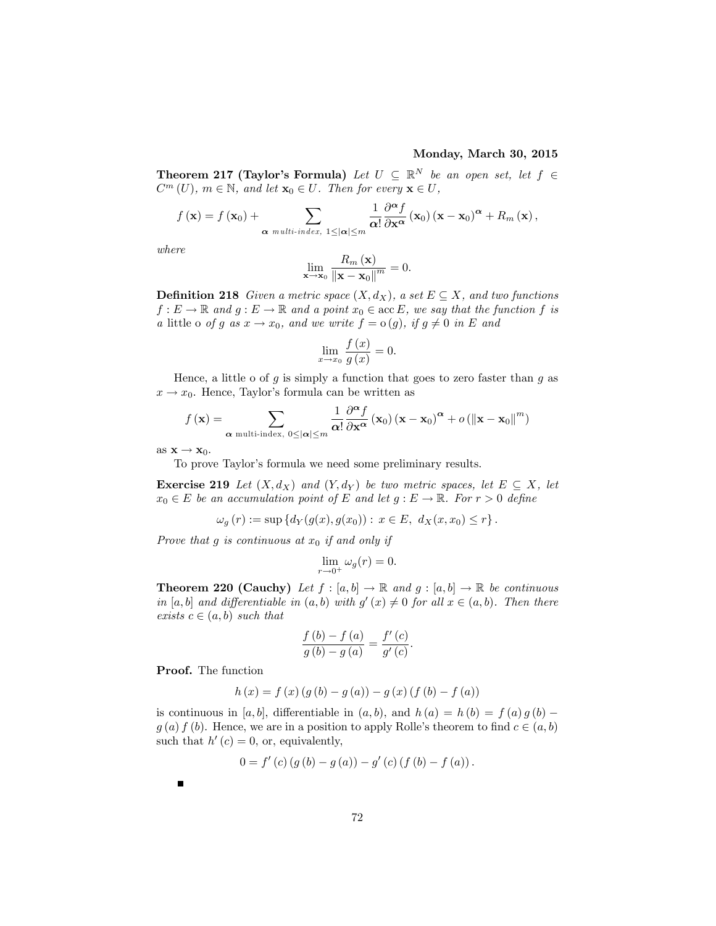#### Monday, March 30, 2015

**Theorem 217 (Taylor's Formula)** Let  $U \subseteq \mathbb{R}^N$  be an open set, let  $f \in \mathbb{R}^N$  $C^m(U)$ ,  $m \in \mathbb{N}$ , and let  $\mathbf{x}_0 \in U$ . Then for every  $\mathbf{x} \in U$ ,

$$
f(\mathbf{x}) = f(\mathbf{x}_0) + \sum_{\alpha \text{ multi-index, } 1 \leq |\alpha| \leq m} \frac{1}{\alpha!} \frac{\partial^{\alpha} f}{\partial \mathbf{x}^{\alpha}}(\mathbf{x}_0) (\mathbf{x} - \mathbf{x}_0)^{\alpha} + R_m(\mathbf{x}),
$$

where

$$
\lim_{\mathbf{x}\to\mathbf{x}_0}\frac{R_m\left(\mathbf{x}\right)}{\left\|\mathbf{x}-\mathbf{x}_0\right\|^m}=0.
$$

**Definition 218** Given a metric space  $(X, d_X)$ , a set  $E \subseteq X$ , and two functions  $f: E \to \mathbb{R}$  and  $g: E \to \mathbb{R}$  and a point  $x_0 \in \text{acc } E$ , we say that the function f is a little o of g as  $x \to x_0$ , and we write  $f = o(g)$ , if  $g \neq 0$  in E and

$$
\lim_{x \to x_0} \frac{f(x)}{g(x)} = 0.
$$

Hence, a little o of  $g$  is simply a function that goes to zero faster than  $g$  as  $x \to x_0$ . Hence, Taylor's formula can be written as

$$
f(\mathbf{x}) = \sum_{\alpha \text{ multi-index, } 0 \leq |\alpha| \leq m} \frac{1}{\alpha!} \frac{\partial^{\alpha} f}{\partial \mathbf{x}^{\alpha}} (\mathbf{x}_0) (\mathbf{x} - \mathbf{x}_0)^{\alpha} + o(||\mathbf{x} - \mathbf{x}_0||^m)
$$

as  $\mathbf{x} \to \mathbf{x}_0$ .

To prove Taylor's formula we need some preliminary results.

**Exercise 219** Let  $(X, d_X)$  and  $(Y, d_Y)$  be two metric spaces, let  $E \subseteq X$ , let  $x_0 \in E$  be an accumulation point of E and let  $g : E \to \mathbb{R}$ . For  $r > 0$  define

$$
\omega_g(r) := \sup \{ d_Y(g(x), g(x_0)) : x \in E, d_X(x, x_0) \le r \}.
$$

Prove that g is continuous at  $x_0$  if and only if

$$
\lim_{r \to 0^+} \omega_g(r) = 0.
$$

**Theorem 220 (Cauchy)** Let  $f : [a, b] \to \mathbb{R}$  and  $g : [a, b] \to \mathbb{R}$  be continuous in [a, b] and differentiable in  $(a, b)$  with  $g'(x) \neq 0$  for all  $x \in (a, b)$ . Then there exists  $c \in (a, b)$  such that

$$
\frac{f(b) - f(a)}{g(b) - g(a)} = \frac{f'(c)}{g'(c)}.
$$

Proof. The function

$$
h(x) = f(x) (g (b) – g (a)) – g (x) (f (b) – f (a))
$$

is continuous in [a, b], differentiable in  $(a, b)$ , and  $h(a) = h(b) = f(a) g(b)$  $g(a) f (b)$ . Hence, we are in a position to apply Rolle's theorem to find  $c \in (a, b)$ such that  $h'(c) = 0$ , or, equivalently,

$$
0 = f'(c) (g (b) - g (a)) - g'(c) (f (b) - f (a)).
$$

П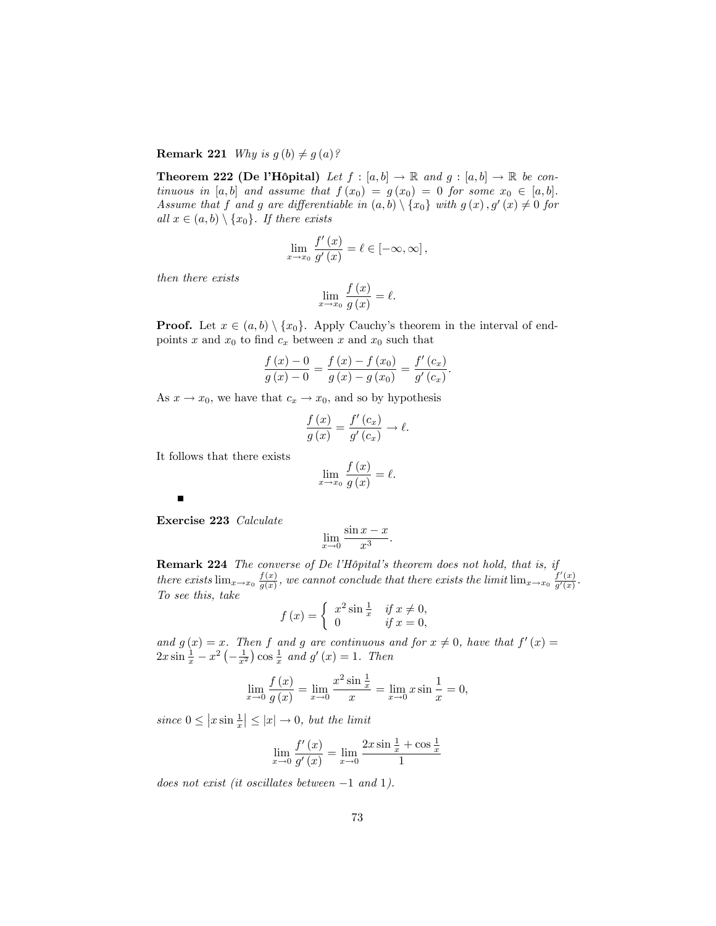**Remark 221** Why is  $g(b) \neq g(a)$ ?

**Theorem 222 (De l'Hôpital)** Let  $f : [a, b] \to \mathbb{R}$  and  $g : [a, b] \to \mathbb{R}$  be continuous in [a, b] and assume that  $f(x_0) = g(x_0) = 0$  for some  $x_0 \in [a, b]$ . Assume that f and g are differentiable in  $(a, b) \setminus \{x_0\}$  with  $g(x), g'(x) \neq 0$  for all  $x \in (a, b) \setminus \{x_0\}$ . If there exists

$$
\lim_{x \to x_0} \frac{f'(x)}{g'(x)} = \ell \in [-\infty, \infty],
$$

then there exists

$$
\lim_{x \to x_0} \frac{f(x)}{g(x)} = \ell.
$$

**Proof.** Let  $x \in (a, b) \setminus \{x_0\}$ . Apply Cauchy's theorem in the interval of endpoints x and  $x_0$  to find  $c_x$  between x and  $x_0$  such that

$$
\frac{f(x) - 0}{g(x) - 0} = \frac{f(x) - f(x_0)}{g(x) - g(x_0)} = \frac{f'(c_x)}{g'(c_x)}.
$$

As  $x \to x_0$ , we have that  $c_x \to x_0$ , and so by hypothesis

$$
\frac{f(x)}{g(x)} = \frac{f'(c_x)}{g'(c_x)} \to \ell.
$$

It follows that there exists

$$
\lim_{x \to x_0} \frac{f(x)}{g(x)} = \ell.
$$

Exercise 223 Calculate

 $\blacksquare$ 

$$
\lim_{x \to 0} \frac{\sin x - x}{x^3}.
$$

**Remark 224** The converse of De l'Hôpital's theorem does not hold, that is, if there exists  $\lim_{x\to x_0} \frac{f(x)}{g(x)}$  $\frac{f(x)}{g(x)}$ , we cannot conclude that there exists the limit  $\lim_{x\to x_0} \frac{f'(x)}{g'(x)}$  $\frac{f(x)}{g'(x)}$ . To see this, take

$$
f(x) = \begin{cases} x^2 \sin \frac{1}{x} & \text{if } x \neq 0, \\ 0 & \text{if } x = 0, \end{cases}
$$

and  $g(x) = x$ . Then f and g are continuous and for  $x \neq 0$ , have that  $f'(x) =$  $2x \sin \frac{1}{x} - x^2 \left(-\frac{1}{x^2}\right) \cos \frac{1}{x}$  and  $g'(x) = 1$ . Then

$$
\lim_{x \to 0} \frac{f(x)}{g(x)} = \lim_{x \to 0} \frac{x^2 \sin \frac{1}{x}}{x} = \lim_{x \to 0} x \sin \frac{1}{x} = 0,
$$

since  $0 \leq |x \sin \frac{1}{x}| \leq |x| \to 0$ , but the limit

$$
\lim_{x \to 0} \frac{f'(x)}{g'(x)} = \lim_{x \to 0} \frac{2x \sin \frac{1}{x} + \cos \frac{1}{x}}{1}
$$

does not exist (it oscillates between  $-1$  and 1).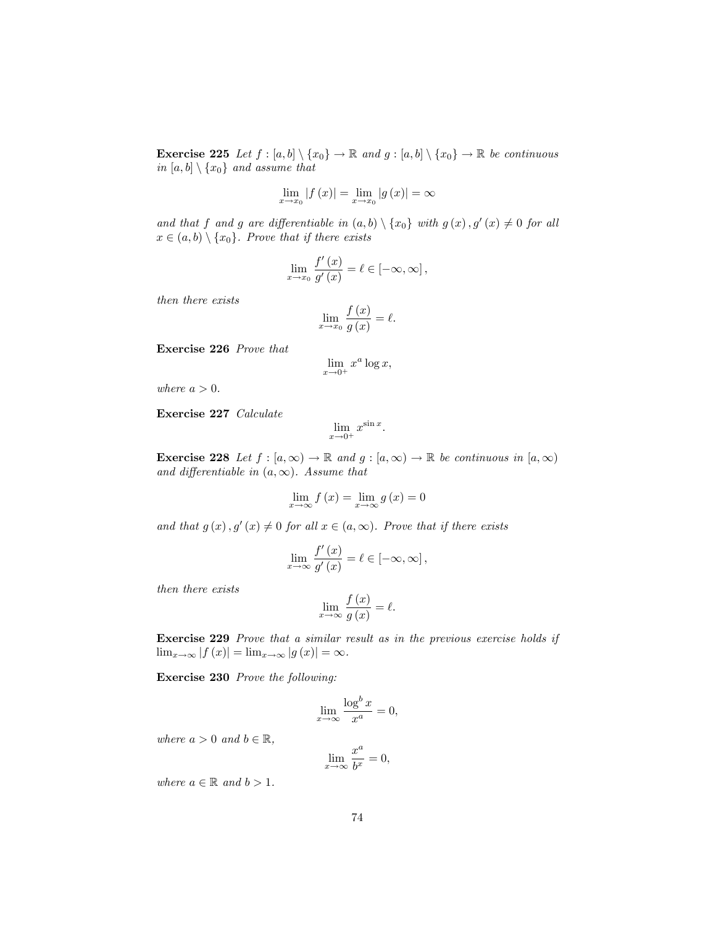**Exercise 225** Let  $f : [a, b] \setminus \{x_0\} \to \mathbb{R}$  and  $g : [a, b] \setminus \{x_0\} \to \mathbb{R}$  be continuous in [a, b]  $\setminus \{x_0\}$  and assume that

$$
\lim_{x \to x_0} |f(x)| = \lim_{x \to x_0} |g(x)| = \infty
$$

and that f and g are differentiable in  $(a, b) \setminus \{x_0\}$  with  $g(x), g'(x) \neq 0$  for all  $x \in (a, b) \setminus \{x_0\}$ . Prove that if there exists

$$
\lim_{x \to x_0} \frac{f'(x)}{g'(x)} = \ell \in [-\infty, \infty],
$$

then there exists

$$
\lim_{x \to x_0} \frac{f(x)}{g(x)} = \ell.
$$

Exercise 226 Prove that

$$
\lim_{x \to 0^+} x^a \log x,
$$

where  $a > 0$ .

Exercise 227 Calculate

$$
\lim_{x \to 0^+} x^{\sin x}.
$$

**Exercise 228** Let  $f : [a, \infty) \to \mathbb{R}$  and  $g : [a, \infty) \to \mathbb{R}$  be continuous in  $[a, \infty)$ and differentiable in  $(a, \infty)$ . Assume that

$$
\lim_{x \to \infty} f(x) = \lim_{x \to \infty} g(x) = 0
$$

and that  $g(x)$ ,  $g'(x) \neq 0$  for all  $x \in (a, \infty)$ . Prove that if there exists

$$
\lim_{x \to \infty} \frac{f'(x)}{g'(x)} = \ell \in [-\infty, \infty],
$$

then there exists

$$
\lim_{x \to \infty} \frac{f(x)}{g(x)} = \ell.
$$

Exercise 229 Prove that a similar result as in the previous exercise holds if  $\lim_{x \to \infty} |f(x)| = \lim_{x \to \infty} |g(x)| = \infty.$ 

Exercise 230 Prove the following:

$$
\lim_{x \to \infty} \frac{\log^b x}{x^a} = 0,
$$

where  $a > 0$  and  $b \in \mathbb{R}$ ,

$$
\lim_{x \to \infty} \frac{x^a}{b^x} = 0,
$$

where  $a \in \mathbb{R}$  and  $b > 1$ .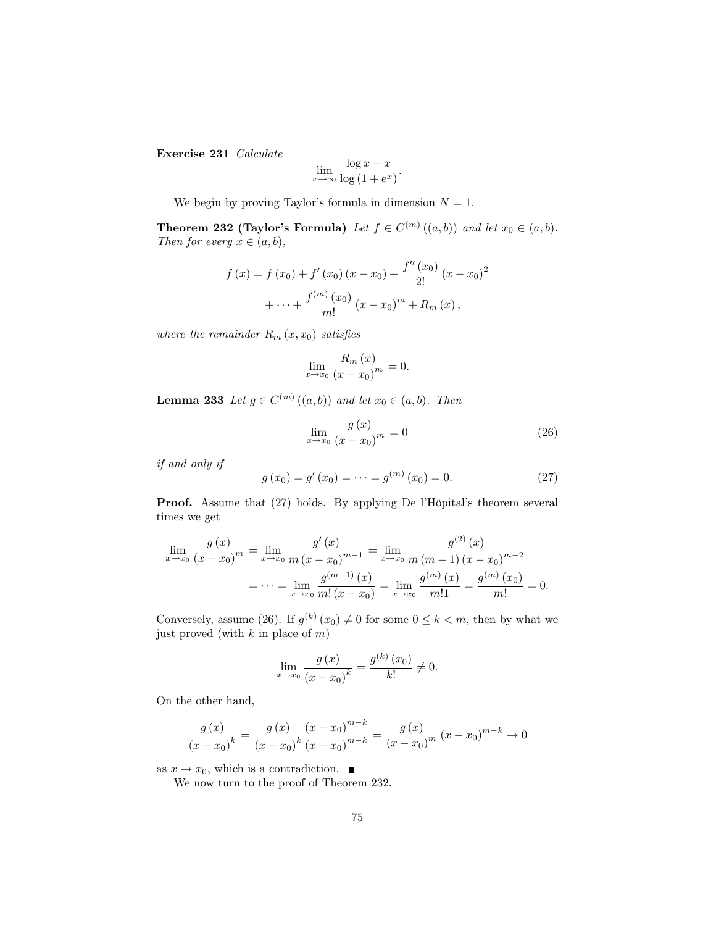Exercise 231 Calculate

$$
\lim_{x \to \infty} \frac{\log x - x}{\log (1 + e^x)}.
$$

We begin by proving Taylor's formula in dimension  $N = 1$ .

**Theorem 232 (Taylor's Formula)** Let  $f \in C^{(m)}((a, b))$  and let  $x_0 \in (a, b)$ . Then for every  $x \in (a, b)$ ,

$$
f(x) = f(x_0) + f'(x_0)(x - x_0) + \frac{f''(x_0)}{2!}(x - x_0)^2
$$

$$
+ \dots + \frac{f^{(m)}(x_0)}{m!}(x - x_0)^m + R_m(x),
$$

where the remainder  $R_m(x, x_0)$  satisfies

$$
\lim_{x \to x_0} \frac{R_m(x)}{(x - x_0)^m} = 0.
$$

**Lemma 233** Let  $g \in C^{(m)}((a, b))$  and let  $x_0 \in (a, b)$ . Then

$$
\lim_{x \to x_0} \frac{g(x)}{(x - x_0)^m} = 0
$$
\n(26)

if and only if

$$
g(x_0) = g'(x_0) = \dots = g^{(m)}(x_0) = 0.
$$
 (27)

**Proof.** Assume that (27) holds. By applying De l'Hôpital's theorem several times we get

$$
\lim_{x \to x_0} \frac{g(x)}{(x - x_0)^m} = \lim_{x \to x_0} \frac{g'(x)}{m (x - x_0)^{m-1}} = \lim_{x \to x_0} \frac{g^{(2)}(x)}{m (m - 1) (x - x_0)^{m-2}}
$$

$$
= \dots = \lim_{x \to x_0} \frac{g^{(m-1)}(x)}{m! (x - x_0)} = \lim_{x \to x_0} \frac{g^{(m)}(x)}{m!1} = \frac{g^{(m)}(x_0)}{m!} = 0.
$$

Conversely, assume (26). If  $g^{(k)}(x_0) \neq 0$  for some  $0 \leq k < m$ , then by what we just proved (with  $k$  in place of  $m$ )

$$
\lim_{x \to x_0} \frac{g(x)}{(x - x_0)^k} = \frac{g^{(k)}(x_0)}{k!} \neq 0.
$$

On the other hand,

$$
\frac{g(x)}{(x-x_0)^k} = \frac{g(x)}{(x-x_0)^k} \frac{(x-x_0)^{m-k}}{(x-x_0)^{m-k}} = \frac{g(x)}{(x-x_0)^m} (x-x_0)^{m-k} \to 0
$$

as  $x \to x_0$ , which is a contradiction.

We now turn to the proof of Theorem 232.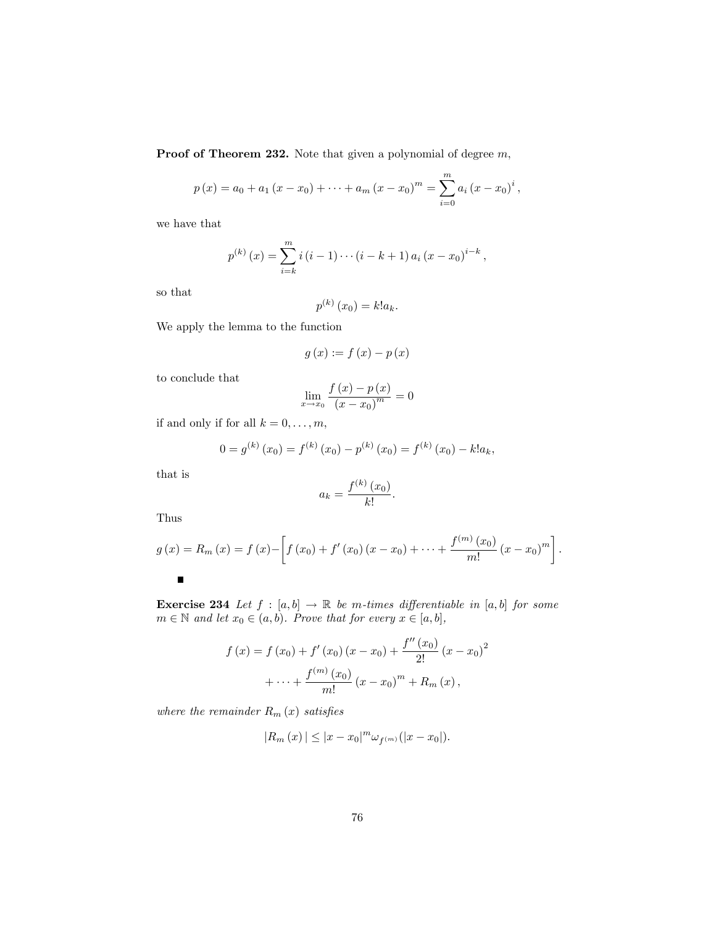Proof of Theorem 232. Note that given a polynomial of degree  $m$ ,

$$
p(x) = a_0 + a_1 (x - x_0) + \dots + a_m (x - x_0)^m = \sum_{i=0}^m a_i (x - x_0)^i
$$
,

we have that

$$
p^{(k)}(x) = \sum_{i=k}^{m} i(i-1)\cdots(i-k+1)a_i(x-x_0)^{i-k},
$$

so that

$$
p^{(k)}(x_0) = k!a_k.
$$

We apply the lemma to the function

$$
g\left(x\right) := f\left(x\right) - p\left(x\right)
$$

to conclude that

$$
\lim_{x \to x_0} \frac{f(x) - p(x)}{(x - x_0)^m} = 0
$$

if and only if for all  $k = 0, \ldots, m$ ,

$$
0 = g^{(k)}(x_0) = f^{(k)}(x_0) - p^{(k)}(x_0) = f^{(k)}(x_0) - k!a_k,
$$

that is

$$
a_k = \frac{f^{(k)}(x_0)}{k!}.
$$

Thus

$$
g(x) = R_m(x) = f(x) - \left[ f(x_0) + f'(x_0)(x - x_0) + \dots + \frac{f^{(m)}(x_0)}{m!}(x - x_0)^m \right].
$$

**Exercise 234** Let  $f : [a, b] \rightarrow \mathbb{R}$  be m-times differentiable in  $[a, b]$  for some  $m \in \mathbb{N}$  and let  $x_0 \in (a, b)$ . Prove that for every  $x \in [a, b]$ ,

$$
f(x) = f(x_0) + f'(x_0)(x - x_0) + \frac{f''(x_0)}{2!}(x - x_0)^2
$$

$$
+ \dots + \frac{f^{(m)}(x_0)}{m!}(x - x_0)^m + R_m(x),
$$

where the remainder  $R_m(x)$  satisfies

$$
|R_m(x)| \leq |x - x_0|^m \omega_{f^{(m)}}(|x - x_0|).
$$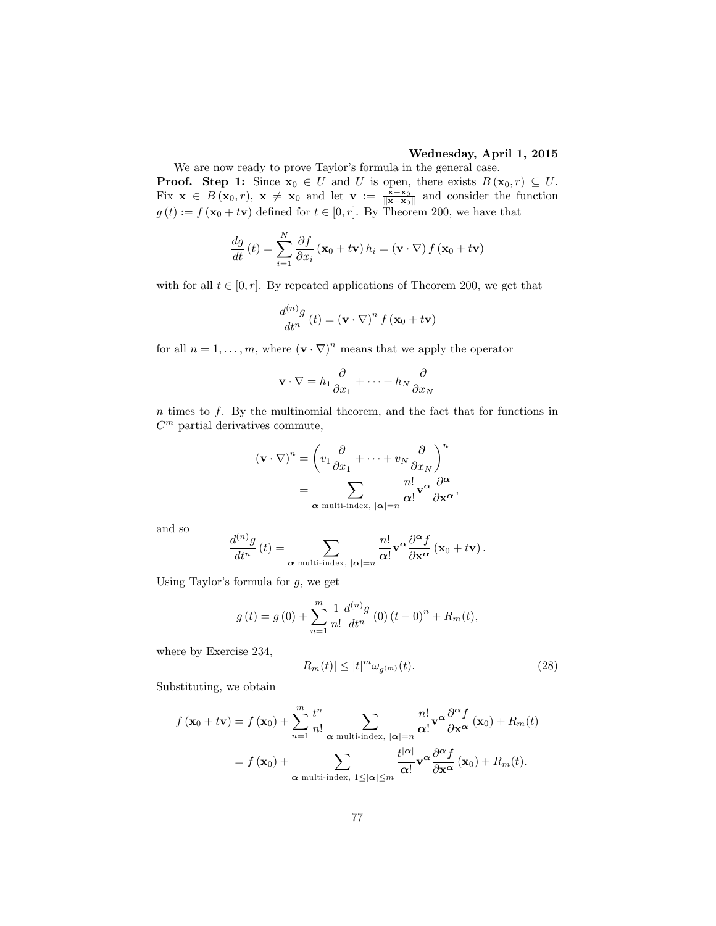#### Wednesday, April 1, 2015

We are now ready to prove Taylor's formula in the general case. **Proof.** Step 1: Since  $x_0 \in U$  and U is open, there exists  $B(x_0, r) \subseteq U$ . Fix  $\mathbf{x} \in B(\mathbf{x}_0, r)$ ,  $\mathbf{x} \neq \mathbf{x}_0$  and let  $\mathbf{v} := \frac{\mathbf{x} - \mathbf{x}_0}{\|\mathbf{x} - \mathbf{x}_0\|}$  and consider the function  $g(t) := f(\mathbf{x}_0 + t\mathbf{v})$  defined for  $t \in [0, r]$ . By Theorem 200, we have that

$$
\frac{dg}{dt}\left(t\right) = \sum_{i=1}^{N} \frac{\partial f}{\partial x_i} \left(\mathbf{x}_0 + t\mathbf{v}\right) h_i = \left(\mathbf{v} \cdot \nabla\right) f \left(\mathbf{x}_0 + t\mathbf{v}\right)
$$

with for all  $t \in [0, r]$ . By repeated applications of Theorem 200, we get that

$$
\frac{d^{(n)}g}{dt^n}\left(t\right) = \left(\mathbf{v} \cdot \nabla\right)^n f\left(\mathbf{x}_0 + t\mathbf{v}\right)
$$

for all  $n = 1, \ldots, m$ , where  $(\mathbf{v} \cdot \nabla)^n$  means that we apply the operator

$$
\mathbf{v} \cdot \nabla = h_1 \frac{\partial}{\partial x_1} + \dots + h_N \frac{\partial}{\partial x_N}
$$

 $n$  times to  $f$ . By the multinomial theorem, and the fact that for functions in  $C<sup>m</sup>$  partial derivatives commute,

$$
(\mathbf{v} \cdot \nabla)^n = \left(v_1 \frac{\partial}{\partial x_1} + \dots + v_N \frac{\partial}{\partial x_N}\right)^n
$$
  
= 
$$
\sum_{\mathbf{\alpha} \text{ multi-index, } |\mathbf{\alpha}| = n} \frac{n!}{\mathbf{\alpha}!} \mathbf{v}^{\mathbf{\alpha}} \frac{\partial^{\mathbf{\alpha}}}{\partial \mathbf{x}^{\mathbf{\alpha}}},
$$

and so

$$
\frac{d^{(n)}g}{dt^n}(t) = \sum_{\alpha \text{ multi-index, } |\alpha| = n} \frac{n!}{\alpha!} \mathbf{v}^{\alpha} \frac{\partial^{\alpha} f}{\partial \mathbf{x}^{\alpha}} (\mathbf{x}_0 + t\mathbf{v}).
$$

Using Taylor's formula for  $g$ , we get

$$
g(t) = g(0) + \sum_{n=1}^{m} \frac{1}{n!} \frac{d^{(n)}g}{dt^n} (0) (t - 0)^n + R_m(t),
$$

where by Exercise 234,

$$
|R_m(t)| \le |t|^m \omega_{g^{(m)}}(t). \tag{28}
$$

Substituting, we obtain

$$
f(\mathbf{x}_0 + t\mathbf{v}) = f(\mathbf{x}_0) + \sum_{n=1}^m \frac{t^n}{n!} \sum_{\alpha \text{ multi-index, } |\alpha| = n} \frac{n!}{\alpha!} \mathbf{v}^\alpha \frac{\partial^\alpha f}{\partial \mathbf{x}^\alpha}(\mathbf{x}_0) + R_m(t)
$$
  
=  $f(\mathbf{x}_0) + \sum_{\alpha \text{ multi-index, } 1 \leq |\alpha| \leq m} \frac{t^{|\alpha|}}{\alpha!} \mathbf{v}^\alpha \frac{\partial^\alpha f}{\partial \mathbf{x}^\alpha}(\mathbf{x}_0) + R_m(t).$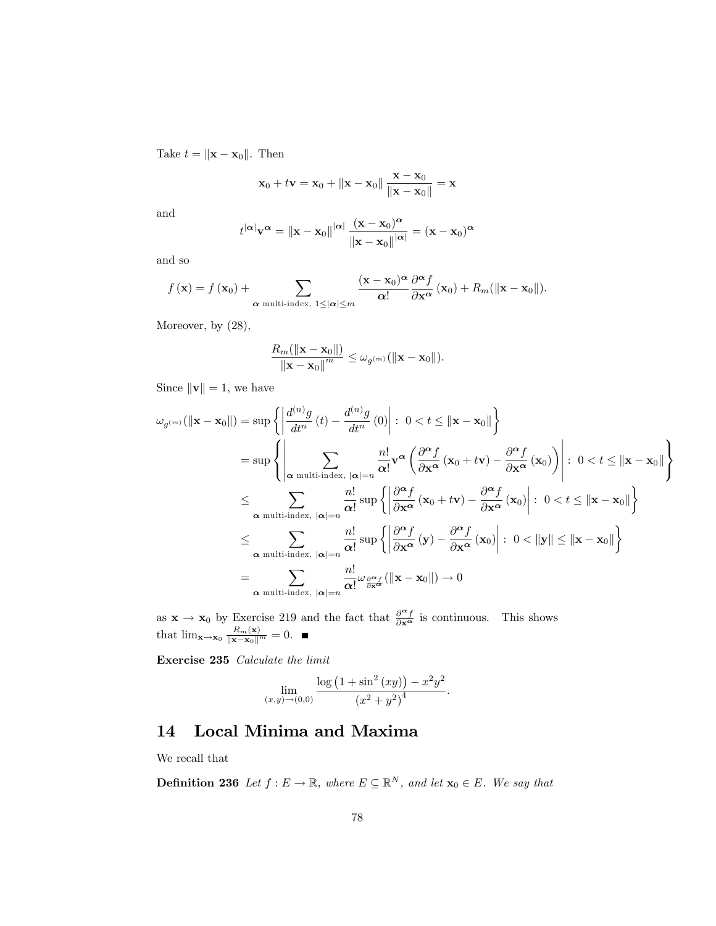Take  $t = \|\mathbf{x} - \mathbf{x}_0\|$ . Then

$$
\mathbf{x}_0 + t\mathbf{v} = \mathbf{x}_0 + \|\mathbf{x} - \mathbf{x}_0\| \frac{\mathbf{x} - \mathbf{x}_0}{\|\mathbf{x} - \mathbf{x}_0\|} = \mathbf{x}
$$

and

$$
t^{|\alpha|} \mathbf{v}^{\alpha} = ||\mathbf{x} - \mathbf{x}_0||^{|\alpha|} \frac{(\mathbf{x} - \mathbf{x}_0)^{\alpha}}{||\mathbf{x} - \mathbf{x}_0||^{|\alpha|}} = (\mathbf{x} - \mathbf{x}_0)^{\alpha}
$$

and so

$$
f(\mathbf{x}) = f(\mathbf{x}_0) + \sum_{\alpha \text{ multi-index, } 1 \leq |\alpha| \leq m} \frac{(\mathbf{x} - \mathbf{x}_0)^{\alpha}}{\alpha!} \frac{\partial^{\alpha} f}{\partial \mathbf{x}^{\alpha}}(\mathbf{x}_0) + R_m(\|\mathbf{x} - \mathbf{x}_0\|).
$$

Moreover, by  $(28)$ ,

$$
\frac{R_m(\|\mathbf{x}-\mathbf{x}_0\|)}{\|\mathbf{x}-\mathbf{x}_0\|^{m}} \leq \omega_{g^{(m)}}(\|\mathbf{x}-\mathbf{x}_0\|).
$$

Since  $\left\Vert \mathbf{v}\right\Vert =1,$  we have

$$
\omega_{g^{(m)}}(||\mathbf{x} - \mathbf{x}_{0}||) = \sup \left\{ \left| \frac{d^{(n)}g}{dt^{n}}(t) - \frac{d^{(n)}g}{dt^{n}}(0) \right| : 0 < t \leq ||\mathbf{x} - \mathbf{x}_{0}|| \right\}
$$
  
\n
$$
= \sup \left\{ \left| \sum_{\alpha \text{ multi-index, } |\alpha| = n} \frac{n!}{\alpha!} \mathbf{v}^{\alpha} \left( \frac{\partial^{\alpha} f}{\partial \mathbf{x}^{\alpha}} (\mathbf{x}_{0} + t\mathbf{v}) - \frac{\partial^{\alpha} f}{\partial \mathbf{x}^{\alpha}} (\mathbf{x}_{0}) \right) \right| : 0 < t \leq ||\mathbf{x} - \mathbf{x}_{0}|| \right\}
$$
  
\n
$$
\leq \sum_{\alpha \text{ multi-index, } |\alpha| = n} \frac{n!}{\alpha!} \sup \left\{ \left| \frac{\partial^{\alpha} f}{\partial \mathbf{x}^{\alpha}} (\mathbf{x}_{0} + t\mathbf{v}) - \frac{\partial^{\alpha} f}{\partial \mathbf{x}^{\alpha}} (\mathbf{x}_{0}) \right| : 0 < t \leq ||\mathbf{x} - \mathbf{x}_{0}|| \right\}
$$
  
\n
$$
\leq \sum_{\alpha \text{ multi-index, } |\alpha| = n} \frac{n!}{\alpha!} \sup \left\{ \left| \frac{\partial^{\alpha} f}{\partial \mathbf{x}^{\alpha}} (\mathbf{y}) - \frac{\partial^{\alpha} f}{\partial \mathbf{x}^{\alpha}} (\mathbf{x}_{0}) \right| : 0 < ||\mathbf{y}|| \leq ||\mathbf{x} - \mathbf{x}_{0}|| \right\}
$$
  
\n
$$
= \sum_{\alpha \text{ multi-index, } |\alpha| = n} \frac{n!}{\alpha!} \omega_{\frac{\partial^{\alpha} f}{\partial \mathbf{x}^{\alpha}}} (||\mathbf{x} - \mathbf{x}_{0}||) \to 0
$$

as  $\mathbf{x} \to \mathbf{x}_0$  by Exercise 219 and the fact that  $\frac{\partial^{\alpha} f}{\partial \mathbf{x}^{\alpha}}$  is continuous. This shows that  $\lim_{\mathbf{x}\to\mathbf{x}_0} \frac{R_m(\mathbf{x})}{\|\mathbf{x}-\mathbf{x}_0\|^m} = 0.$ 

Exercise 235 Calculate the limit

$$
\lim_{(x,y)\to(0,0)}\frac{\log(1+\sin^2(xy))-x^2y^2}{(x^2+y^2)^4}.
$$

# 14 Local Minima and Maxima

We recall that

**Definition 236** Let  $f : E \to \mathbb{R}$ , where  $E \subseteq \mathbb{R}^N$ , and let  $\mathbf{x}_0 \in E$ . We say that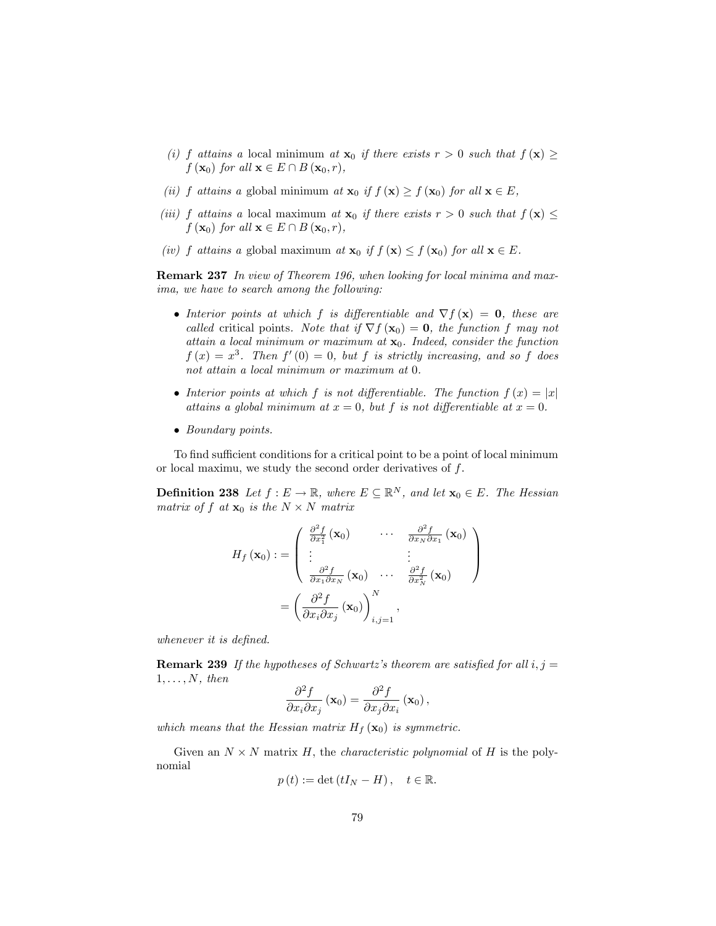- (i) f attains a local minimum at  $\mathbf{x}_0$  if there exists  $r > 0$  such that  $f(\mathbf{x}) \geq$  $f(\mathbf{x}_0)$  for all  $\mathbf{x} \in E \cap B(\mathbf{x}_0, r)$ ,
- (ii) f attains a global minimum at  $\mathbf{x}_0$  if  $f(\mathbf{x}) \ge f(\mathbf{x}_0)$  for all  $\mathbf{x} \in E$ ,
- (iii) f attains a local maximum at  $\mathbf{x}_0$  if there exists  $r > 0$  such that  $f(\mathbf{x}) \leq$  $f(\mathbf{x}_0)$  for all  $\mathbf{x} \in E \cap B(\mathbf{x}_0,r)$ ,
- (iv) f attains a global maximum at  $\mathbf{x}_0$  if  $f(\mathbf{x}) \leq f(\mathbf{x}_0)$  for all  $\mathbf{x} \in E$ .

Remark 237 In view of Theorem 196, when looking for local minima and maxima, we have to search among the following:

- Interior points at which f is differentiable and  $\nabla f(\mathbf{x}) = \mathbf{0}$ , these are called critical points. Note that if  $\nabla f(\mathbf{x}_0) = \mathbf{0}$ , the function f may not attain a local minimum or maximum at  $x_0$ . Indeed, consider the function  $f(x) = x^3$ . Then  $f'(0) = 0$ , but f is strictly increasing, and so f does not attain a local minimum or maximum at 0.
- Interior points at which f is not differentiable. The function  $f(x) = |x|$ attains a global minimum at  $x = 0$ , but f is not differentiable at  $x = 0$ .
- Boundary points.

To find sufficient conditions for a critical point to be a point of local minimum or local maximu, we study the second order derivatives of f.

**Definition 238** Let  $f : E \to \mathbb{R}$ , where  $E \subseteq \mathbb{R}^N$ , and let  $\mathbf{x}_0 \in E$ . The Hessian matrix of f at  $\mathbf{x}_0$  is the  $N \times N$  matrix

$$
H_f(\mathbf{x}_0) := \begin{pmatrix} \frac{\partial^2 f}{\partial x_1^2}(\mathbf{x}_0) & \cdots & \frac{\partial^2 f}{\partial x_N \partial x_1}(\mathbf{x}_0) \\ \vdots & & \vdots \\ \frac{\partial^2 f}{\partial x_1 \partial x_N}(\mathbf{x}_0) & \cdots & \frac{\partial^2 f}{\partial x_N^2}(\mathbf{x}_0) \end{pmatrix}
$$

$$
= \left(\frac{\partial^2 f}{\partial x_i \partial x_j}(\mathbf{x}_0)\right)_{i,j=1}^N,
$$

whenever it is defined.

**Remark 239** If the hypotheses of Schwartz's theorem are satisfied for all  $i, j =$  $1, \ldots, N,$  then

$$
\frac{\partial^2 f}{\partial x_i \partial x_j} \left( \mathbf{x}_0 \right) = \frac{\partial^2 f}{\partial x_j \partial x_i} \left( \mathbf{x}_0 \right),\,
$$

which means that the Hessian matrix  $H_f(\mathbf{x}_0)$  is symmetric.

Given an  $N \times N$  matrix H, the *characteristic polynomial* of H is the polynomial

$$
p(t) := \det(tI_N - H), \quad t \in \mathbb{R}.
$$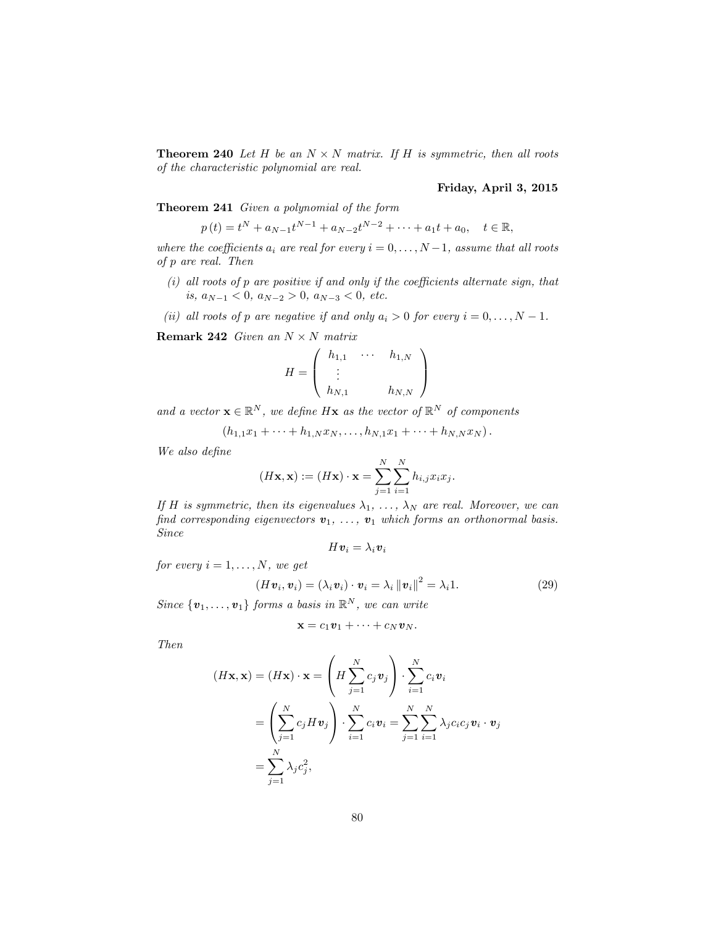**Theorem 240** Let H be an  $N \times N$  matrix. If H is symmetric, then all roots of the characteristic polynomial are real.

#### Friday, April 3, 2015

Theorem 241 Given a polynomial of the form

$$
p(t) = t^N + a_{N-1}t^{N-1} + a_{N-2}t^{N-2} + \dots + a_1t + a_0, \quad t \in \mathbb{R},
$$

where the coefficients  $a_i$  are real for every  $i = 0, \ldots, N-1$ , assume that all roots of p are real. Then

- $(i)$  all roots of  $p$  are positive if and only if the coefficients alternate sign, that is,  $a_{N-1} < 0$ ,  $a_{N-2} > 0$ ,  $a_{N-3} < 0$ , etc.
- (ii) all roots of p are negative if and only  $a_i > 0$  for every  $i = 0, \ldots, N 1$ .

**Remark 242** Given an  $N \times N$  matrix

$$
H = \left(\begin{array}{ccc} h_{1,1} & \cdots & h_{1,N} \\ \vdots & & \\ h_{N,1} & & h_{N,N} \end{array}\right)
$$

and a vector  $\mathbf{x} \in \mathbb{R}^N$ , we define  $H\mathbf{x}$  as the vector of  $\mathbb{R}^N$  of components

$$
(h_{1,1}x_1 + \cdots + h_{1,N}x_N, \ldots, h_{N,1}x_1 + \cdots + h_{N,N}x_N).
$$

We also define

$$
(H\mathbf{x}, \mathbf{x}) := (H\mathbf{x}) \cdot \mathbf{x} = \sum_{j=1}^{N} \sum_{i=1}^{N} h_{i,j} x_i x_j.
$$

If H is symmetric, then its eigenvalues  $\lambda_1, \ldots, \lambda_N$  are real. Moreover, we can find corresponding eigenvectors  $v_1, \ldots, v_1$  which forms an orthonormal basis. Since

$$
H\boldsymbol{v}_i=\lambda_i\boldsymbol{v}_i
$$

for every  $i = 1, \ldots, N$ , we get

$$
(H\boldsymbol{v}_i,\boldsymbol{v}_i)=(\lambda_i\boldsymbol{v}_i)\cdot\boldsymbol{v}_i=\lambda_i\|\boldsymbol{v}_i\|^2=\lambda_i1.
$$
 (29)

Since  $\{v_1, \ldots, v_1\}$  forms a basis in  $\mathbb{R}^N$ , we can write

$$
\mathbf{x} = c_1 \mathbf{v}_1 + \cdots + c_N \mathbf{v}_N.
$$

Then

$$
(H\mathbf{x}, \mathbf{x}) = (H\mathbf{x}) \cdot \mathbf{x} = \left(H \sum_{j=1}^{N} c_j \mathbf{v}_j\right) \cdot \sum_{i=1}^{N} c_i \mathbf{v}_i
$$

$$
= \left(\sum_{j=1}^{N} c_j H \mathbf{v}_j\right) \cdot \sum_{i=1}^{N} c_i \mathbf{v}_i = \sum_{j=1}^{N} \sum_{i=1}^{N} \lambda_j c_i c_j \mathbf{v}_i \cdot \mathbf{v}_j
$$

$$
= \sum_{j=1}^{N} \lambda_j c_j^2,
$$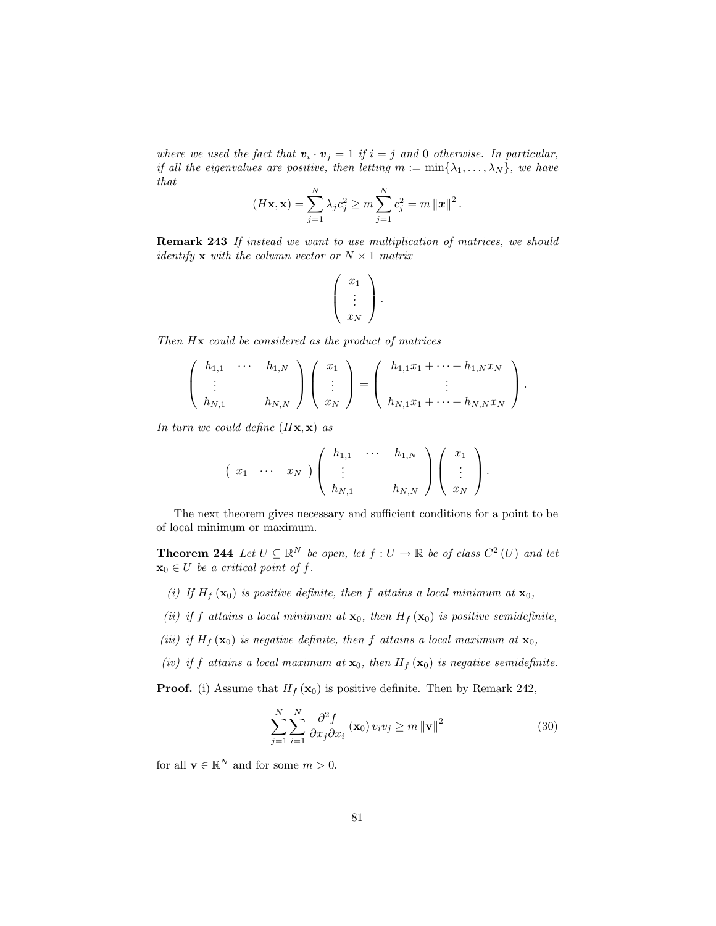where we used the fact that  $v_i \cdot v_j = 1$  if  $i = j$  and 0 otherwise. In particular, if all the eigenvalues are positive, then letting  $m := \min\{\lambda_1, \ldots, \lambda_N\}$ , we have that

$$
(H\mathbf{x}, \mathbf{x}) = \sum_{j=1}^{N} \lambda_j c_j^2 \ge m \sum_{j=1}^{N} c_j^2 = m ||\mathbf{x}||^2.
$$

Remark 243 If instead we want to use multiplication of matrices, we should *identify* **x** with the column vector or  $N \times 1$  matrix

$$
\left(\begin{array}{c}x_1\\ \vdots\\ x_N\end{array}\right).
$$

Then  $H\mathbf{x}$  could be considered as the product of matrices

$$
\begin{pmatrix} h_{1,1} & \cdots & h_{1,N} \\ \vdots & & \\ h_{N,1} & & h_{N,N} \end{pmatrix} \begin{pmatrix} x_1 \\ \vdots \\ x_N \end{pmatrix} = \begin{pmatrix} h_{1,1}x_1 + \cdots + h_{1,N}x_N \\ \vdots \\ h_{N,1}x_1 + \cdots + h_{N,N}x_N \end{pmatrix}.
$$

In turn we could define  $(H\mathbf{x}, \mathbf{x})$  as

$$
\left(\begin{array}{ccc} x_1 & \cdots & x_N \end{array}\right) \left(\begin{array}{ccc} h_{1,1} & \cdots & h_{1,N} \\ \vdots & & \\ h_{N,1} & & h_{N,N} \end{array}\right) \left(\begin{array}{c} x_1 \\ \vdots \\ x_N \end{array}\right).
$$

The next theorem gives necessary and sufficient conditions for a point to be of local minimum or maximum.

**Theorem 244** Let  $U \subseteq \mathbb{R}^N$  be open, let  $f : U \to \mathbb{R}$  be of class  $C^2(U)$  and let  $\mathbf{x}_0 \in U$  be a critical point of f.

- (i) If  $H_f(\mathbf{x}_0)$  is positive definite, then f attains a local minimum at  $\mathbf{x}_0$ ,
- (ii) if f attains a local minimum at  $\mathbf{x}_0$ , then  $H_f(\mathbf{x}_0)$  is positive semidefinite,
- (iii) if  $H_f(\mathbf{x}_0)$  is negative definite, then f attains a local maximum at  $\mathbf{x}_0$ ,
- (iv) if f attains a local maximum at  $\mathbf{x}_0$ , then  $H_f(\mathbf{x}_0)$  is negative semidefinite.

**Proof.** (i) Assume that  $H_f(\mathbf{x}_0)$  is positive definite. Then by Remark 242,

$$
\sum_{j=1}^{N} \sum_{i=1}^{N} \frac{\partial^2 f}{\partial x_j \partial x_i} (\mathbf{x}_0) v_i v_j \ge m \| \mathbf{v} \|^2
$$
 (30)

for all  $\mathbf{v} \in \mathbb{R}^N$  and for some  $m > 0$ .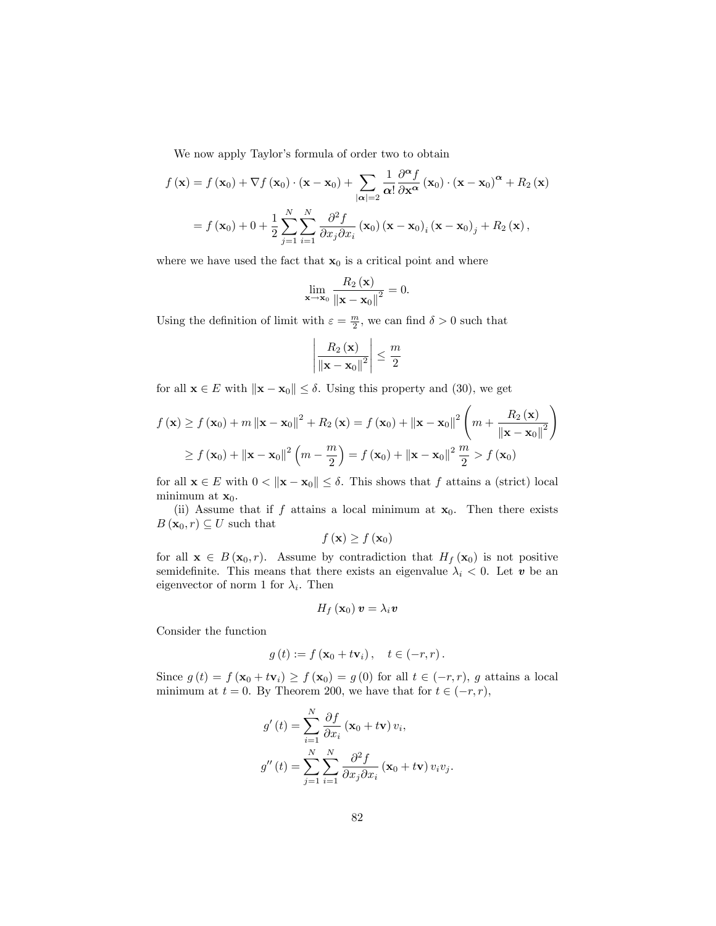We now apply Taylor's formula of order two to obtain

$$
f(\mathbf{x}) = f(\mathbf{x}_0) + \nabla f(\mathbf{x}_0) \cdot (\mathbf{x} - \mathbf{x}_0) + \sum_{|\alpha|=2} \frac{1}{\alpha!} \frac{\partial^{\alpha} f}{\partial \mathbf{x}^{\alpha}} (\mathbf{x}_0) \cdot (\mathbf{x} - \mathbf{x}_0)^{\alpha} + R_2(\mathbf{x})
$$

$$
= f(\mathbf{x}_0) + 0 + \frac{1}{2} \sum_{j=1}^{N} \sum_{i=1}^{N} \frac{\partial^2 f}{\partial x_j \partial x_i} (\mathbf{x}_0) (\mathbf{x} - \mathbf{x}_0)_i (\mathbf{x} - \mathbf{x}_0)_j + R_2(\mathbf{x}),
$$

where we have used the fact that  $x_0$  is a critical point and where

$$
\lim_{\mathbf{x}\to\mathbf{x}_0}\frac{R_2(\mathbf{x})}{\left\|\mathbf{x}-\mathbf{x}_0\right\|^2}=0.
$$

Using the definition of limit with  $\varepsilon = \frac{m}{2}$ , we can find  $\delta > 0$  such that

$$
\left|\frac{R_{2}\left(\mathbf{x}\right)}{\left\|\mathbf{x}-\mathbf{x}_{0}\right\|^{2}}\right| \leq \frac{m}{2}
$$

for all  $\mathbf{x} \in E$  with  $\|\mathbf{x} - \mathbf{x}_0\| \le \delta$ . Using this property and (30), we get

$$
f(\mathbf{x}) \ge f(\mathbf{x}_0) + m \left\| \mathbf{x} - \mathbf{x}_0 \right\|^2 + R_2(\mathbf{x}) = f(\mathbf{x}_0) + \left\| \mathbf{x} - \mathbf{x}_0 \right\|^2 \left( m + \frac{R_2(\mathbf{x})}{\left\| \mathbf{x} - \mathbf{x}_0 \right\|^2} \right)
$$
  
\n
$$
\ge f(\mathbf{x}_0) + \left\| \mathbf{x} - \mathbf{x}_0 \right\|^2 \left( m - \frac{m}{2} \right) = f(\mathbf{x}_0) + \left\| \mathbf{x} - \mathbf{x}_0 \right\|^2 \frac{m}{2} > f(\mathbf{x}_0)
$$

for all  $\mathbf{x} \in E$  with  $0 < ||\mathbf{x} - \mathbf{x}_0|| \leq \delta$ . This shows that f attains a (strict) local minimum at  $\mathbf{x}_0$ .

(ii) Assume that if f attains a local minimum at  $x_0$ . Then there exists  $B(\mathbf{x}_0,r) \subseteq U$  such that

$$
f\left(\mathbf{x}\right) \geq f\left(\mathbf{x}_0\right)
$$

for all  $\mathbf{x} \in B(\mathbf{x}_0, r)$ . Assume by contradiction that  $H_f(\mathbf{x}_0)$  is not positive semidefinite. This means that there exists an eigenvalue  $\lambda_i < 0$ . Let v be an eigenvector of norm 1 for  $\lambda_i$ . Then

$$
H_f\left(\mathbf{x}_0\right)\bm{v}=\lambda_i\bm{v}
$$

Consider the function

$$
g(t) := f(\mathbf{x}_0 + t\mathbf{v}_i), \quad t \in (-r, r).
$$

Since  $g(t) = f(\mathbf{x}_0 + t\mathbf{v}_i) \ge f(\mathbf{x}_0) = g(0)$  for all  $t \in (-r, r)$ , g attains a local minimum at  $t = 0$ . By Theorem 200, we have that for  $t \in (-r, r)$ ,

$$
g'(t) = \sum_{i=1}^{N} \frac{\partial f}{\partial x_i} (\mathbf{x}_0 + t\mathbf{v}) v_i,
$$
  

$$
g''(t) = \sum_{j=1}^{N} \sum_{i=1}^{N} \frac{\partial^2 f}{\partial x_j \partial x_i} (\mathbf{x}_0 + t\mathbf{v}) v_i v_j.
$$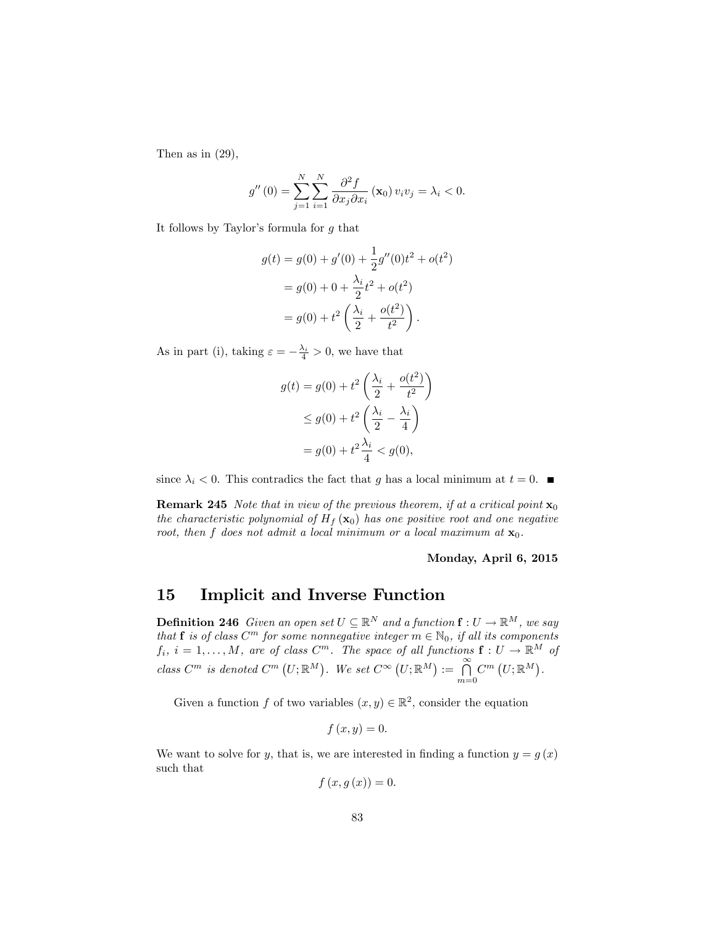Then as in  $(29)$ ,

$$
g''(0) = \sum_{j=1}^{N} \sum_{i=1}^{N} \frac{\partial^2 f}{\partial x_j \partial x_i} (\mathbf{x}_0) v_i v_j = \lambda_i < 0.
$$

It follows by Taylor's formula for  $g$  that

$$
g(t) = g(0) + g'(0) + \frac{1}{2}g''(0)t^2 + o(t^2)
$$
  
=  $g(0) + 0 + \frac{\lambda_i}{2}t^2 + o(t^2)$   
=  $g(0) + t^2 \left(\frac{\lambda_i}{2} + \frac{o(t^2)}{t^2}\right).$ 

As in part (i), taking  $\varepsilon = -\frac{\lambda_i}{4} > 0$ , we have that

$$
g(t) = g(0) + t^2 \left(\frac{\lambda_i}{2} + \frac{o(t^2)}{t^2}\right)
$$
  
\n
$$
\leq g(0) + t^2 \left(\frac{\lambda_i}{2} - \frac{\lambda_i}{4}\right)
$$
  
\n
$$
= g(0) + t^2 \frac{\lambda_i}{4} < g(0),
$$

since  $\lambda_i < 0$ . This contradics the fact that g has a local minimum at  $t = 0$ .

**Remark 245** Note that in view of the previous theorem, if at a critical point  $\mathbf{x}_0$ the characteristic polynomial of  $H_f(\mathbf{x}_0)$  has one positive root and one negative root, then f does not admit a local minimum or a local maximum at  $\mathbf{x}_0$ .

#### Monday, April 6, 2015

# 15 Implicit and Inverse Function

**Definition 246** Given an open set  $U \subseteq \mathbb{R}^N$  and a function  $f : U \to \mathbb{R}^M$ , we say that **f** is of class  $C^m$  for some nonnegative integer  $m \in \mathbb{N}_0$ , if all its components  $f_i, i = 1, \ldots, M$ , are of class  $C^m$ . The space of all functions  $f: U \to \mathbb{R}^M$  of class  $C^m$  is denoted  $C^m(U; \mathbb{R}^M)$ . We set  $C^{\infty}(U; \mathbb{R}^M) := \bigcap_{m=0}^{\infty} C^m(U; \mathbb{R}^M)$ .

Given a function f of two variables  $(x, y) \in \mathbb{R}^2$ , consider the equation

$$
f\left(x,y\right)=0.
$$

We want to solve for y, that is, we are interested in finding a function  $y = g(x)$ such that

$$
f\left(x,g\left(x\right)\right)=0.
$$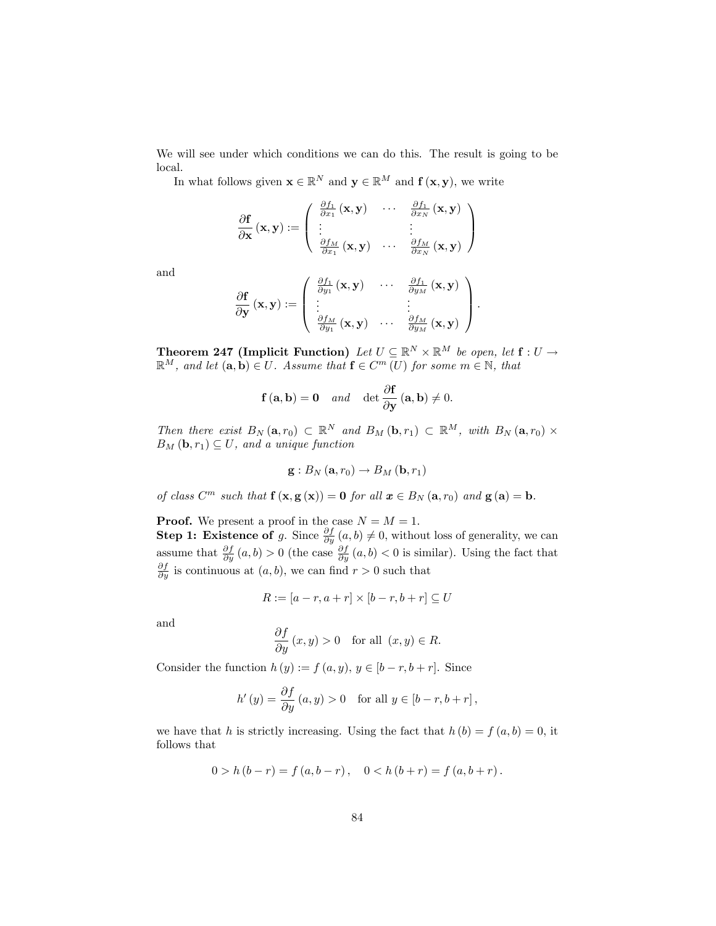We will see under which conditions we can do this. The result is going to be local.

In what follows given  $\mathbf{x} \in \mathbb{R}^N$  and  $\mathbf{y} \in \mathbb{R}^M$  and  $\mathbf{f}(\mathbf{x}, \mathbf{y})$ , we write

$$
\frac{\partial \mathbf{f}}{\partial \mathbf{x}} (\mathbf{x}, \mathbf{y}) := \left( \begin{array}{ccc} \frac{\partial f_1}{\partial x_1} (\mathbf{x}, \mathbf{y}) & \cdots & \frac{\partial f_1}{\partial x_N} (\mathbf{x}, \mathbf{y}) \\ \vdots & & \vdots \\ \frac{\partial f_M}{\partial x_1} (\mathbf{x}, \mathbf{y}) & \cdots & \frac{\partial f_M}{\partial x_N} (\mathbf{x}, \mathbf{y}) \end{array} \right)
$$

and

$$
\frac{\partial \mathbf{f}}{\partial \mathbf{y}}\left(\mathbf{x},\mathbf{y}\right):=\left(\begin{array}{ccc} \frac{\partial f_1}{\partial y_1}\left(\mathbf{x},\mathbf{y}\right) & \cdots & \frac{\partial f_1}{\partial y_M}\left(\mathbf{x},\mathbf{y}\right) \\ \vdots & & \vdots \\ \frac{\partial f_M}{\partial y_1}\left(\mathbf{x},\mathbf{y}\right) & \cdots & \frac{\partial f_M}{\partial y_M}\left(\mathbf{x},\mathbf{y}\right) \end{array}\right).
$$

**Theorem 247 (Implicit Function)** Let  $U \subseteq \mathbb{R}^N \times \mathbb{R}^M$  be open, let  $f : U \to$  $\mathbb{R}^M$ , and let  $(\mathbf{a}, \mathbf{b}) \in U$ . Assume that  $\mathbf{f} \in C^m(U)$  for some  $m \in \mathbb{N}$ , that

$$
f(\mathbf{a}, \mathbf{b}) = \mathbf{0}
$$
 and  $\det \frac{\partial f}{\partial y}(\mathbf{a}, \mathbf{b}) \neq 0$ .

Then there exist  $B_N(\mathbf{a}, r_0) \subset \mathbb{R}^N$  and  $B_M(\mathbf{b}, r_1) \subset \mathbb{R}^M$ , with  $B_N(\mathbf{a}, r_0) \times$  $B_M(\mathbf{b}, r_1) \subseteq U$ , and a unique function

$$
\mathbf{g}:B_{N}\left(\mathbf{a},r_{0}\right)\rightarrow B_{M}\left(\mathbf{b},r_{1}\right)
$$

of class  $C^m$  such that  $f(x, g(x)) = 0$  for all  $x \in B_N(a, r_0)$  and  $g(a) = b$ .

**Proof.** We present a proof in the case  $N = M = 1$ .

**Step 1: Existence of** g. Since  $\frac{\partial f}{\partial y}(a, b) \neq 0$ , without loss of generality, we can assume that  $\frac{\partial f}{\partial y}(a, b) > 0$  (the case  $\frac{\partial f}{\partial y}(a, b) < 0$  is similar). Using the fact that  $\frac{\partial f}{\partial y}$  is continuous at  $(a, b)$ , we can find  $r > 0$  such that

$$
R := [a - r, a + r] \times [b - r, b + r] \subseteq U
$$

and

$$
\frac{\partial f}{\partial y}(x, y) > 0 \quad \text{for all } (x, y) \in R.
$$

Consider the function  $h(y) := f(a, y), y \in [b - r, b + r]$ . Since

$$
h'(y) = \frac{\partial f}{\partial y}(a, y) > 0 \text{ for all } y \in [b-r, b+r],
$$

we have that h is strictly increasing. Using the fact that  $h(b) = f(a, b) = 0$ , it follows that

$$
0 > h (b - r) = f (a, b - r), \quad 0 < h (b + r) = f (a, b + r).
$$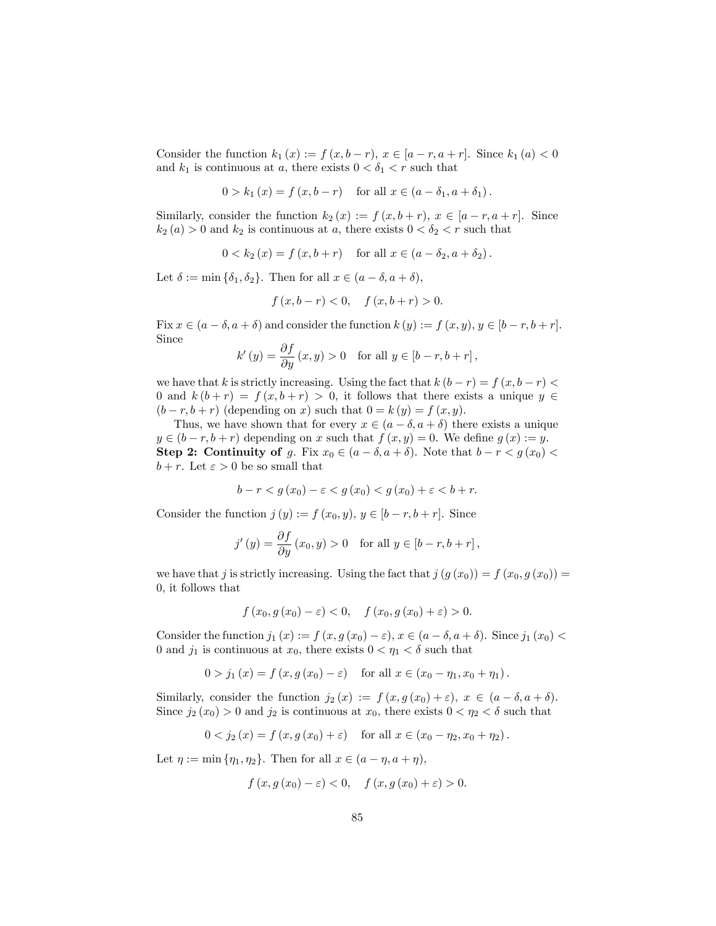Consider the function  $k_1(x) := f(x, b-r)$ ,  $x \in [a-r, a+r]$ . Since  $k_1(a) < 0$ and  $k_1$  is continuous at a, there exists  $0 < \delta_1 < r$  such that

$$
0 > k_1(x) = f(x, b - r) \text{ for all } x \in (a - \delta_1, a + \delta_1).
$$

Similarly, consider the function  $k_2(x) := f(x, b+r)$ ,  $x \in [a-r, a+r]$ . Since  $k_2(a) > 0$  and  $k_2$  is continuous at a, there exists  $0 < \delta_2 < r$  such that

 $0 < k_2(x) = f(x, b+r)$  for all  $x \in (a - \delta_2, a + \delta_2).$ 

Let  $\delta := \min \{\delta_1, \delta_2\}$ . Then for all  $x \in (a - \delta, a + \delta)$ ,

$$
f(x, b - r) < 0
$$
,  $f(x, b + r) > 0$ .

Fix  $x \in (a - \delta, a + \delta)$  and consider the function  $k(y) := f(x, y), y \in [b - r, b + r]$ . Since

$$
k'(y) = \frac{\partial f}{\partial y}(x, y) > 0 \text{ for all } y \in [b-r, b+r],
$$

we have that k is strictly increasing. Using the fact that  $k (b - r) = f (x, b - r)$ 0 and  $k(b + r) = f(x, b + r) > 0$ , it follows that there exists a unique  $y \in$  $(b - r, b + r)$  (depending on x) such that  $0 = k(y) = f(x, y)$ .

Thus, we have shown that for every  $x \in (a - \delta, a + \delta)$  there exists a unique  $y \in (b - r, b + r)$  depending on x such that  $f(x, y) = 0$ . We define  $g(x) := y$ . Step 2: Continuity of g. Fix  $x_0 \in (a - \delta, a + \delta)$ . Note that  $b - r < g(x_0)$  $b + r$ . Let  $\varepsilon > 0$  be so small that

$$
b - r < g(x_0) - \varepsilon < g(x_0) < g(x_0) + \varepsilon < b + r.
$$

Consider the function  $j(y) := f(x_0, y), y \in [b - r, b + r]$ . Since

j

$$
j'(y) = \frac{\partial f}{\partial y}(x_0, y) > 0 \text{ for all } y \in [b-r, b+r],
$$

we have that j is strictly increasing. Using the fact that  $j(g(x_0)) = f(x_0, g(x_0)) =$ 0, it follows that

$$
f(x_0, g(x_0) - \varepsilon) < 0, \quad f(x_0, g(x_0) + \varepsilon) > 0.
$$

Consider the function  $j_1(x) := f(x, g(x_0) - \varepsilon), x \in (a - \delta, a + \delta)$ . Since  $j_1(x_0)$ 0 and  $j_1$  is continuous at  $x_0$ , there exists  $0 < \eta_1 < \delta$  such that

$$
0 > j_1(x) = f(x, g(x_0) - \varepsilon) \text{ for all } x \in (x_0 - \eta_1, x_0 + \eta_1).
$$

Similarly, consider the function  $j_2(x) := f(x, g(x_0) + \varepsilon), x \in (a - \delta, a + \delta).$ Since  $j_2(x_0) > 0$  and  $j_2$  is continuous at  $x_0$ , there exists  $0 < \eta_2 < \delta$  such that

$$
0 < j_2(x) = f(x, g(x_0) + \varepsilon) \text{ for all } x \in (x_0 - \eta_2, x_0 + \eta_2).
$$

Let  $\eta := \min \{ \eta_1, \eta_2 \}.$  Then for all  $x \in (a - \eta, a + \eta),$ 

$$
f(x, g(x_0) - \varepsilon) < 0, \quad f(x, g(x_0) + \varepsilon) > 0.
$$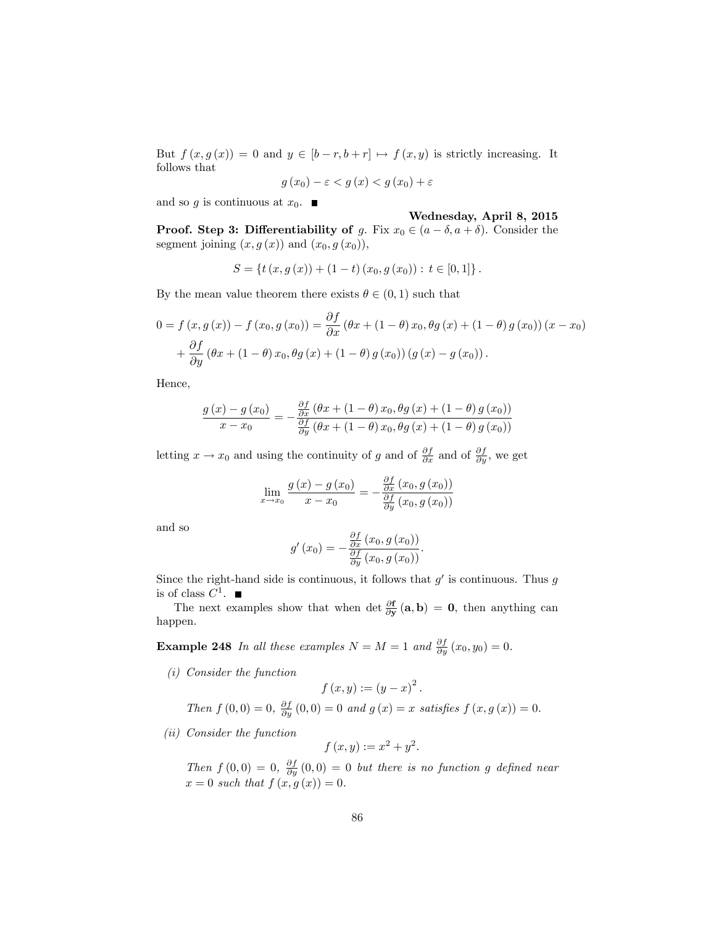But  $f(x, g(x)) = 0$  and  $y \in [b-r, b+r] \mapsto f(x, y)$  is strictly increasing. It follows that

$$
g(x_0) - \varepsilon < g(x) < g(x_0) + \varepsilon
$$

and so g is continuous at  $x_0$ .

#### Wednesday, April 8, 2015

**Proof.** Step 3: Differentiability of g. Fix  $x_0 \in (a - \delta, a + \delta)$ . Consider the segment joining  $(x, g(x))$  and  $(x_0, g(x_0))$ ,

$$
S = \{ t(x, g(x)) + (1-t) (x_0, g(x_0)) : t \in [0,1] \}.
$$

By the mean value theorem there exists  $\theta \in (0, 1)$  such that

$$
0 = f(x, g(x)) - f(x_0, g(x_0)) = \frac{\partial f}{\partial x} (\theta x + (1 - \theta) x_0, \theta g(x) + (1 - \theta) g(x_0)) (x - x_0) + \frac{\partial f}{\partial y} (\theta x + (1 - \theta) x_0, \theta g(x) + (1 - \theta) g(x_0)) (g(x) - g(x_0)).
$$

Hence,

$$
\frac{g(x) - g(x_0)}{x - x_0} = -\frac{\frac{\partial f}{\partial x} (\theta x + (1 - \theta) x_0, \theta g(x) + (1 - \theta) g(x_0))}{\frac{\partial f}{\partial y} (\theta x + (1 - \theta) x_0, \theta g(x) + (1 - \theta) g(x_0))}
$$

letting  $x \to x_0$  and using the continuity of g and of  $\frac{\partial f}{\partial x}$  and of  $\frac{\partial f}{\partial y}$ , we get

$$
\lim_{x \to x_0} \frac{g(x) - g(x_0)}{x - x_0} = -\frac{\frac{\partial f}{\partial x}(x_0, g(x_0))}{\frac{\partial f}{\partial y}(x_0, g(x_0))}
$$

and so

$$
g'(x_0) = -\frac{\frac{\partial f}{\partial x}(x_0, g(x_0))}{\frac{\partial f}{\partial y}(x_0, g(x_0))}.
$$

Since the right-hand side is continuous, it follows that  $g'$  is continuous. Thus g is of class  $C^1$ .

The next examples show that when det  $\frac{\partial \mathbf{f}}{\partial \mathbf{y}}(\mathbf{a}, \mathbf{b}) = \mathbf{0}$ , then anything can happen.

**Example 248** In all these examples  $N = M = 1$  and  $\frac{\partial f}{\partial y}(x_0, y_0) = 0$ .

(i) Consider the function

$$
f(x,y) := (y - x)^2
$$

:

Then  $f(0,0) = 0$ ,  $\frac{\partial f}{\partial y}(0,0) = 0$  and  $g(x) = x$  satisfies  $f(x, g(x)) = 0$ .

(ii) Consider the function

$$
f(x,y) := x^2 + y^2.
$$

Then  $f(0,0) = 0$ ,  $\frac{\partial f}{\partial y}(0,0) = 0$  but there is no function g defined near  $x = 0$  such that  $f(x, g(x)) = 0$ .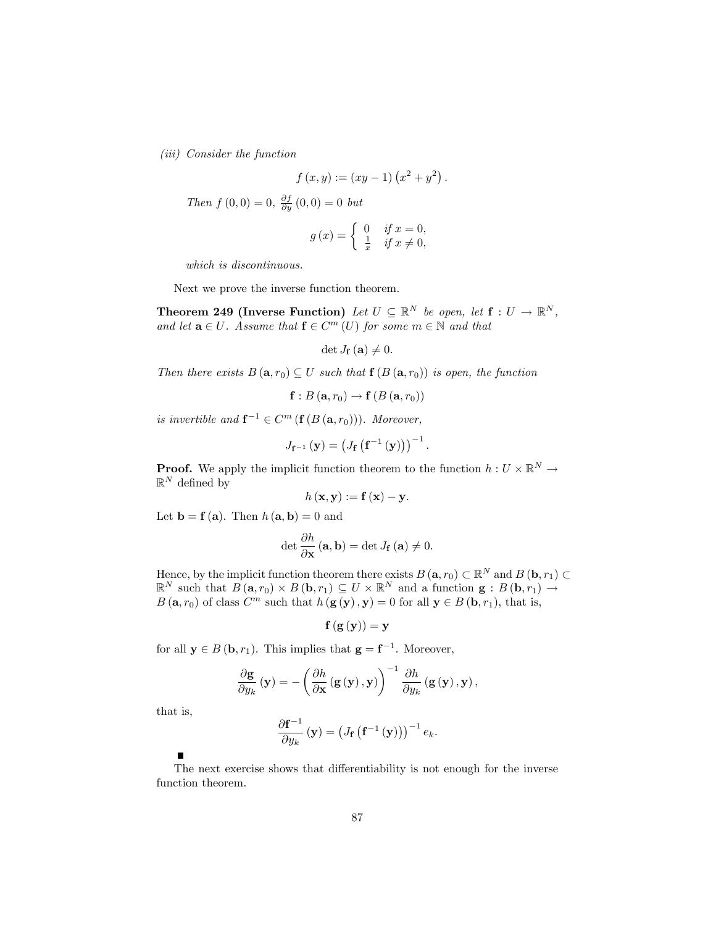(iii) Consider the function

$$
f(x,y) := (xy-1)(x^2 + y^2).
$$

Then  $f(0,0) = 0$ ,  $\frac{\partial f}{\partial y}(0,0) = 0$  but

$$
g(x) = \begin{cases} 0 & \text{if } x = 0, \\ \frac{1}{x} & \text{if } x \neq 0, \end{cases}
$$

which is discontinuous.

Next we prove the inverse function theorem.

**Theorem 249 (Inverse Function)** Let  $U \subseteq \mathbb{R}^N$  be open, let  $f: U \to \mathbb{R}^N$ , and let  $\mathbf{a} \in U$ . Assume that  $\mathbf{f} \in C^m(U)$  for some  $m \in \mathbb{N}$  and that

det  $J_{\mathbf{f}}(\mathbf{a}) \neq 0.$ 

Then there exists  $B(\mathbf{a}, r_0) \subseteq U$  such that  $\mathbf{f}(B(\mathbf{a}, r_0))$  is open, the function

$$
\mathbf{f}:B\left(\mathbf{a},r_0\right)\to\mathbf{f}\left(B\left(\mathbf{a},r_0\right)\right)
$$

is invertible and  $f^{-1} \in C^m$   $(f(B(a, r_0)))$ . Moreover,

$$
J_{\mathbf{f}^{-1}}\left(\mathbf{y}\right) = \left(J_{\mathbf{f}}\left(\mathbf{f}^{-1}\left(\mathbf{y}\right)\right)\right)^{-1}.
$$

**Proof.** We apply the implicit function theorem to the function  $h: U \times \mathbb{R}^N \to$  $\mathbb{R}^N$  defined by

$$
h(\mathbf{x}, \mathbf{y}) := \mathbf{f}(\mathbf{x}) - \mathbf{y}.
$$

Let  $\mathbf{b} = \mathbf{f}(\mathbf{a})$ . Then  $h(\mathbf{a}, \mathbf{b}) = 0$  and

$$
\det \frac{\partial h}{\partial \mathbf{x}} \left( \mathbf{a}, \mathbf{b} \right) = \det J_{\mathbf{f}} \left( \mathbf{a} \right) \neq 0.
$$

Hence, by the implicit function theorem there exists  $B(\mathbf{a}, r_0) \subset \mathbb{R}^N$  and  $B(\mathbf{b}, r_1) \subset \mathbb{R}^N$  $\mathbb{R}^N$  such that  $B(\mathbf{a}, r_0) \times B(\mathbf{b}, r_1) \subseteq U \times \mathbb{R}^N$  and a function  $\mathbf{g} : B(\mathbf{b}, r_1) \to$  $B(\mathbf{a}, r_0)$  of class  $C^m$  such that  $h(\mathbf{g}(\mathbf{y}), \mathbf{y}) = 0$  for all  $\mathbf{y} \in B(\mathbf{b}, r_1)$ , that is,

$$
\mathbf{f}\left(\mathbf{g}\left(\mathbf{y}\right)\right) = \mathbf{y}
$$

for all  $y \in B(b, r_1)$ . This implies that  $g = f^{-1}$ . Moreover,

$$
\frac{\partial \mathbf{g}}{\partial y_{k}}\left(\mathbf{y}\right)=-\left(\frac{\partial h}{\partial \mathbf{x}}\left(\mathbf{g}\left(\mathbf{y}\right),\mathbf{y}\right)\right)^{-1}\frac{\partial h}{\partial y_{k}}\left(\mathbf{g}\left(\mathbf{y}\right),\mathbf{y}\right),\,
$$

that is,

Н

$$
\frac{\partial \mathbf{f}^{-1}}{\partial y_k}(\mathbf{y}) = \left(J_{\mathbf{f}}\left(\mathbf{f}^{-1}\left(\mathbf{y}\right)\right)\right)^{-1}e_k.
$$

The next exercise shows that differentiability is not enough for the inverse function theorem.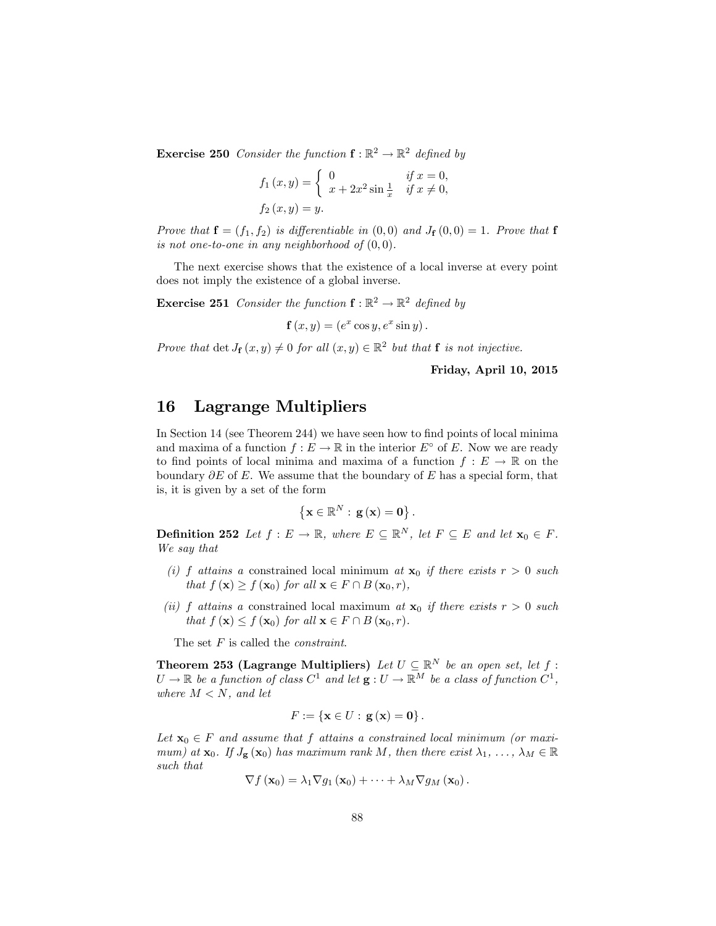**Exercise 250** Consider the function  $f : \mathbb{R}^2 \to \mathbb{R}^2$  defined by

$$
f_1(x,y) = \begin{cases} 0 & \text{if } x = 0, \\ x + 2x^2 \sin \frac{1}{x} & \text{if } x \neq 0, \end{cases}
$$
  

$$
f_2(x,y) = y.
$$

Prove that  $f = (f_1, f_2)$  is differentiable in  $(0,0)$  and  $J_f(0,0) = 1$ . Prove that f is not one-to-one in any neighborhood of  $(0,0)$ .

The next exercise shows that the existence of a local inverse at every point does not imply the existence of a global inverse.

**Exercise 251** Consider the function  $f : \mathbb{R}^2 \to \mathbb{R}^2$  defined by

 $\mathbf{f}(x,y) = (e^x \cos y, e^x \sin y).$ 

Prove that  $\det J_{\mathbf{f}}(x,y) \neq 0$  for all  $(x,y) \in \mathbb{R}^2$  but that  $\mathbf{f}$  is not injective.

Friday, April 10, 2015

## 16 Lagrange Multipliers

In Section 14 (see Theorem 244) we have seen how to find points of local minima and maxima of a function  $f : E \to \mathbb{R}$  in the interior  $E^{\circ}$  of E. Now we are ready to find points of local minima and maxima of a function  $f : E \to \mathbb{R}$  on the boundary  $\partial E$  of E. We assume that the boundary of E has a special form, that is, it is given by a set of the form

$$
\left\{\mathbf{x}\in\mathbb{R}^{N}:\,\mathbf{g}\left(\mathbf{x}\right)=\mathbf{0}\right\}.
$$

**Definition 252** Let  $f : E \to \mathbb{R}$ , where  $E \subseteq \mathbb{R}^N$ , let  $F \subseteq E$  and let  $\mathbf{x}_0 \in F$ . We say that

- (i) f attains a constrained local minimum at  $x_0$  if there exists  $r > 0$  such that  $f(\mathbf{x}) \ge f(\mathbf{x}_0)$  for all  $\mathbf{x} \in F \cap B(\mathbf{x}_0, r)$ ,
- (ii) f attains a constrained local maximum at  $x_0$  if there exists  $r > 0$  such that  $f(\mathbf{x}) \leq f(\mathbf{x}_0)$  for all  $\mathbf{x} \in F \cap B(\mathbf{x}_0,r)$ .

The set F is called the *constraint*.

**Theorem 253 (Lagrange Multipliers)** Let  $U \subseteq \mathbb{R}^N$  be an open set, let  $f :$  $U \to \mathbb{R}$  be a function of class  $C^1$  and let  $\mathbf{g}: U \to \mathbb{R}^M$  be a class of function  $C^1$ , where  $M < N$ , and let

$$
F:=\left\{\mathbf{x}\in U:\,\mathbf{g}\left(\mathbf{x}\right)=\mathbf{0}\right\}.
$$

Let  $\mathbf{x}_0 \in F$  and assume that f attains a constrained local minimum (or maximum) at  $\mathbf{x}_0$ . If  $J_{\mathbf{g}}(\mathbf{x}_0)$  has maximum rank M, then there exist  $\lambda_1, \ldots, \lambda_M \in \mathbb{R}$ such that

$$
\nabla f\left(\mathbf{x}_0\right)=\lambda_1\nabla g_1\left(\mathbf{x}_0\right)+\cdots+\lambda_M\nabla g_M\left(\mathbf{x}_0\right).
$$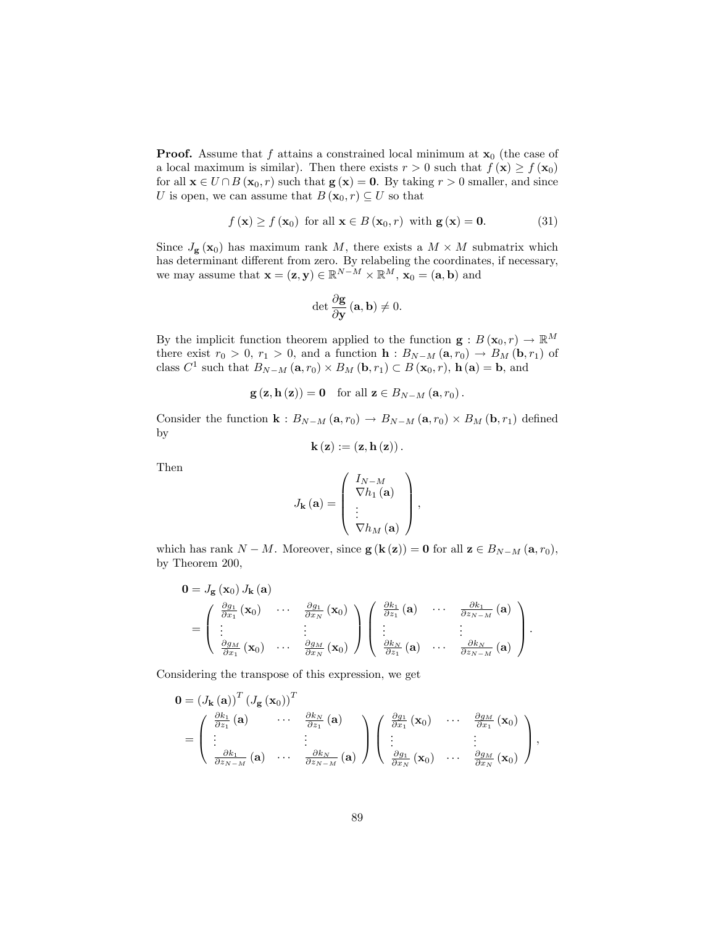**Proof.** Assume that f attains a constrained local minimum at  $x_0$  (the case of a local maximum is similar). Then there exists  $r > 0$  such that  $f(\mathbf{x}) \ge f(\mathbf{x}_0)$ for all  $\mathbf{x} \in U \cap B(\mathbf{x}_0, r)$  such that  $\mathbf{g}(\mathbf{x}) = \mathbf{0}$ . By taking  $r > 0$  smaller, and since U is open, we can assume that  $B(\mathbf{x}_0,r) \subseteq U$  so that

$$
f(\mathbf{x}) \ge f(\mathbf{x}_0)
$$
 for all  $\mathbf{x} \in B(\mathbf{x}_0, r)$  with  $\mathbf{g}(\mathbf{x}) = \mathbf{0}.$  (31)

Since  $J_{\mathbf{g}}(\mathbf{x}_0)$  has maximum rank M, there exists a  $M \times M$  submatrix which has determinant different from zero. By relabeling the coordinates, if necessary, we may assume that  $\mathbf{x} = (\mathbf{z}, \mathbf{y}) \in \mathbb{R}^{N-M} \times \mathbb{R}^{M}$ ,  $\mathbf{x}_0 = (\mathbf{a}, \mathbf{b})$  and

$$
\det \frac{\partial \mathbf{g}}{\partial \mathbf{y}} \left( \mathbf{a}, \mathbf{b} \right) \neq 0.
$$

By the implicit function theorem applied to the function  $\mathbf{g}: B(\mathbf{x}_0,r) \to \mathbb{R}^M$ there exist  $r_0 > 0$ ,  $r_1 > 0$ , and a function  $\mathbf{h}: B_{N-M} (\mathbf{a}, r_0) \to B_M (\mathbf{b}, r_1)$  of class  $C^1$  such that  $B_{N-M} (\mathbf{a}, r_0) \times B_M (\mathbf{b}, r_1) \subset B (\mathbf{x}_0, r)$ ,  $\mathbf{h} (\mathbf{a}) = \mathbf{b}$ , and

$$
\mathbf{g}(\mathbf{z}, \mathbf{h}(\mathbf{z})) = \mathbf{0} \quad \text{for all } \mathbf{z} \in B_{N-M}(\mathbf{a}, r_0).
$$

Consider the function  $\mathbf{k}: B_{N-M} (\mathbf{a}, r_0) \to B_{N-M} (\mathbf{a}, r_0) \times B_M (\mathbf{b}, r_1)$  defined by

$$
\mathbf{k}\left(\mathbf{z}\right):=\left(\mathbf{z},\mathbf{h}\left(\mathbf{z}\right)\right).
$$

Then

$$
J_{\mathbf{k}}\left(\mathbf{a}\right) = \left(\begin{array}{c} I_{N-M} \\ \nabla h_1\left(\mathbf{a}\right) \\ \vdots \\ \nabla h_M\left(\mathbf{a}\right) \end{array}\right),\,
$$

which has rank  $N - M$ . Moreover, since  $g(k(z)) = 0$  for all  $z \in B_{N-M} (a, r_0)$ , by Theorem 200,

$$
\mathbf{0} = J_{\mathbf{g}}(\mathbf{x}_{0}) J_{\mathbf{k}}(\mathbf{a})
$$
\n
$$
= \begin{pmatrix}\n\frac{\partial g_{1}}{\partial x_{1}}(\mathbf{x}_{0}) & \cdots & \frac{\partial g_{1}}{\partial x_{N}}(\mathbf{x}_{0}) \\
\vdots & \vdots & \ddots \\
\frac{\partial g_{M}}{\partial x_{1}}(\mathbf{x}_{0}) & \cdots & \frac{\partial g_{M}}{\partial x_{N}}(\mathbf{x}_{0})\n\end{pmatrix}\n\begin{pmatrix}\n\frac{\partial k_{1}}{\partial z_{1}}(\mathbf{a}) & \cdots & \frac{\partial k_{1}}{\partial z_{N-M}}(\mathbf{a}) \\
\vdots & \vdots & \ddots \\
\frac{\partial k_{N}}{\partial z_{1}}(\mathbf{a}) & \cdots & \frac{\partial k_{N}}{\partial z_{N-M}}(\mathbf{a})\n\end{pmatrix}.
$$

Considering the transpose of this expression, we get

$$
\mathbf{0} = (J_{\mathbf{k}}(\mathbf{a}))^{T} (J_{\mathbf{g}}(\mathbf{x}_{0}))^{T}
$$
  
= 
$$
\begin{pmatrix} \frac{\partial k_{1}}{\partial z_{1}}(\mathbf{a}) & \cdots & \frac{\partial k_{N}}{\partial z_{1}}(\mathbf{a}) \\ \vdots & \vdots & \vdots \\ \frac{\partial k_{1}}{\partial z_{N-M}}(\mathbf{a}) & \cdots & \frac{\partial k_{N}}{\partial z_{N-M}}(\mathbf{a}) \end{pmatrix} \begin{pmatrix} \frac{\partial g_{1}}{\partial x_{1}}(\mathbf{x}_{0}) & \cdots & \frac{\partial g_{M}}{\partial x_{1}}(\mathbf{x}_{0}) \\ \vdots & \vdots & \vdots \\ \frac{\partial g_{1}}{\partial x_{N}}(\mathbf{x}_{0}) & \cdots & \frac{\partial g_{M}}{\partial x_{N}}(\mathbf{x}_{0}) \end{pmatrix},
$$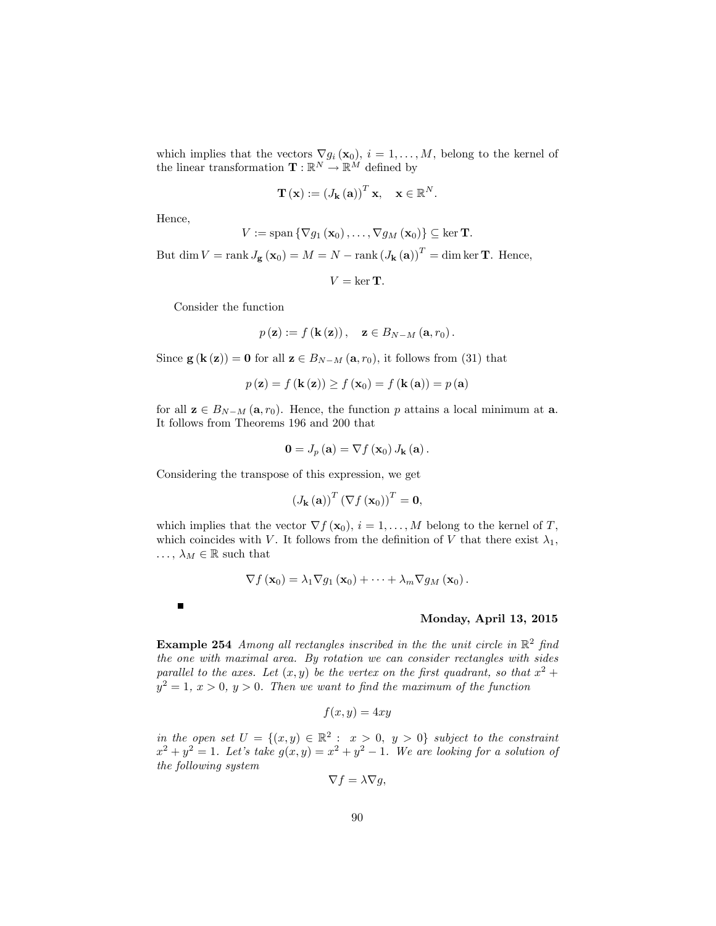which implies that the vectors  $\nabla g_i(\mathbf{x}_0), i = 1, \ldots, M$ , belong to the kernel of the linear transformation  $\mathbf{T} : \mathbb{R}^N \to \mathbb{R}^M$  defined by

$$
\mathbf{T}(\mathbf{x}) := (J_{\mathbf{k}}(\mathbf{a}))^{T} \mathbf{x}, \quad \mathbf{x} \in \mathbb{R}^{N}.
$$

Hence,

 $\begin{array}{c} \hline \end{array}$ 

$$
V := \mathrm{span}\left\{\nabla g_1\left(\mathbf{x}_0\right), \ldots, \nabla g_M\left(\mathbf{x}_0\right)\right\} \subseteq \ker \mathbf{T}.
$$

But dim  $V = \text{rank } J_{\mathbf{g}}(\mathbf{x}_0) = M = N - \text{rank} (J_{\mathbf{k}}(\mathbf{a}))^T = \dim \ker \mathbf{T}$ . Hence,

 $V = \ker T.$ 

Consider the function

$$
p(\mathbf{z}) := f(\mathbf{k}(\mathbf{z})), \quad \mathbf{z} \in B_{N-M}(\mathbf{a},r_0).
$$

Since  $\mathbf{g}(\mathbf{k}(\mathbf{z})) = \mathbf{0}$  for all  $\mathbf{z} \in B_{N-M} (\mathbf{a}, r_0)$ , it follows from (31) that

$$
p(\mathbf{z}) = f(\mathbf{k}(\mathbf{z})) \ge f(\mathbf{x}_0) = f(\mathbf{k}(\mathbf{a})) = p(\mathbf{a})
$$

for all  $z \in B_{N-M} (a, r_0)$ . Hence, the function p attains a local minimum at a. It follows from Theorems 196 and 200 that

$$
\mathbf{0}=J_{p}\left(\mathbf{a}\right)=\nabla f\left(\mathbf{x}_{0}\right)J_{\mathbf{k}}\left(\mathbf{a}\right).
$$

Considering the transpose of this expression, we get

$$
\left(J_{\mathbf{k}}\left(\mathbf{a}\right)\right)^{T}\left(\nabla f\left(\mathbf{x}_{0}\right)\right)^{T}=\mathbf{0},
$$

which implies that the vector  $\nabla f(\mathbf{x}_0)$ ,  $i = 1, ..., M$  belong to the kernel of T, which coincides with V. It follows from the definition of V that there exist  $\lambda_1$ ,  $\ldots, \lambda_M \in \mathbb{R}$  such that

$$
\nabla f\left(\mathbf{x}_0\right)=\lambda_1\nabla g_1\left(\mathbf{x}_0\right)+\cdots+\lambda_m\nabla g_M\left(\mathbf{x}_0\right).
$$

Monday, April 13, 2015

**Example 254** Among all rectangles inscribed in the the unit circle in  $\mathbb{R}^2$  find the one with maximal area. By rotation we can consider rectangles with sides parallel to the axes. Let  $(x, y)$  be the vertex on the first quadrant, so that  $x^2 + y^2$  $y^2 = 1, x > 0, y > 0$ . Then we want to find the maximum of the function

$$
f(x,y) = 4xy
$$

in the open set  $U = \{(x, y) \in \mathbb{R}^2 : x > 0, y > 0\}$  subject to the constraint  $x^2 + y^2 = 1$ . Let's take  $g(x, y) = x^2 + y^2 - 1$ . We are looking for a solution of the following system

$$
\nabla f = \lambda \nabla g,
$$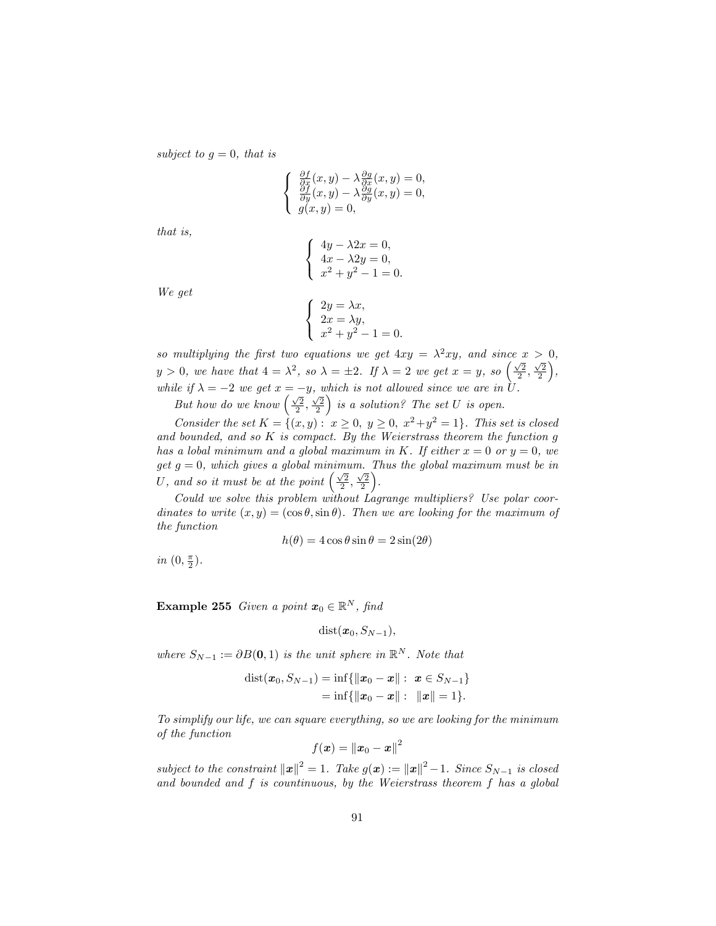subject to  $g = 0$ , that is

$$
\begin{cases}\n\frac{\partial f}{\partial x}(x,y) - \lambda \frac{\partial g}{\partial x}(x,y) = 0, \\
\frac{\partial f}{\partial y}(x,y) - \lambda \frac{\partial g}{\partial y}(x,y) = 0, \\
g(x,y) = 0,\n\end{cases}
$$

that is,

$$
\begin{cases}\n4y - \lambda 2x = 0, \\
4x - \lambda 2y = 0, \\
x^2 + y^2 - 1 = 0.\n\end{cases}
$$

We get

$$
\begin{cases}\n2y = \lambda x, \\
2x = \lambda y, \\
x^2 + y^2 - 1 = 0.\n\end{cases}
$$

so multiplying the first two equations we get  $4xy = \lambda^2 xy$ , and since  $x > 0$ ,  $y > 0$ , we have that  $4 = \lambda^2$ , so  $\lambda = \pm 2$ . If  $\lambda = 2$  we get  $x = y$ , so  $\left(\frac{\sqrt{2}}{2}, \frac{\sqrt{2}}{2}\right)$  $\big)$ , while if  $\lambda = -2$  we get  $x = -y$ , which is not allowed since we are in U.

But how do we know  $\left(\frac{\sqrt{2}}{2}, \frac{\sqrt{2}}{2}\right)$ is a solution? The set  $U$  is open.

Consider the set  $K = \{(x, y): x \ge 0, y \ge 0, x^2 + y^2 = 1\}$ . This set is closed and bounded, and so  $K$  is compact. By the Weierstrass theorem the function  $g$ has a lobal minimum and a global maximum in K. If either  $x = 0$  or  $y = 0$ , we get  $g = 0$ , which gives a global minimum. Thus the global maximum must be in U, and so it must be at the point  $\left(\frac{\sqrt{2}}{2},\frac{\sqrt{2}}{2}\right)$ .

Could we solve this problem without Lagrange multipliers? Use polar coordinates to write  $(x, y) = (\cos \theta, \sin \theta)$ . Then we are looking for the maximum of the function

$$
h(\theta) = 4\cos\theta\sin\theta = 2\sin(2\theta)
$$

in  $(0, \frac{\pi}{2}).$ 

**Example 255** Given a point  $x_0 \in \mathbb{R}^N$ , find

 $dist(\mathbf{x}_0, S_{N-1}),$ 

where  $S_{N-1} := \partial B(0,1)$  is the unit sphere in  $\mathbb{R}^N$ . Note that

dist
$$
(x_0, S_{N-1})
$$
 = inf $\{ ||x_0 - x|| : x \in S_{N-1} \}$   
= inf $\{ ||x_0 - x|| : ||x|| = 1 \}$ .

To simplify our life, we can square everything, so we are looking for the minimum of the function

$$
f(\boldsymbol{x}) = \left\|\boldsymbol{x}_0 - \boldsymbol{x}\right\|^2
$$

subject to the constraint  $||x||^2 = 1$ . Take  $g(x) := ||x||^2 - 1$ . Since  $S_{N-1}$  is closed and bounded and f is countinuous, by the Weierstrass theorem f has a global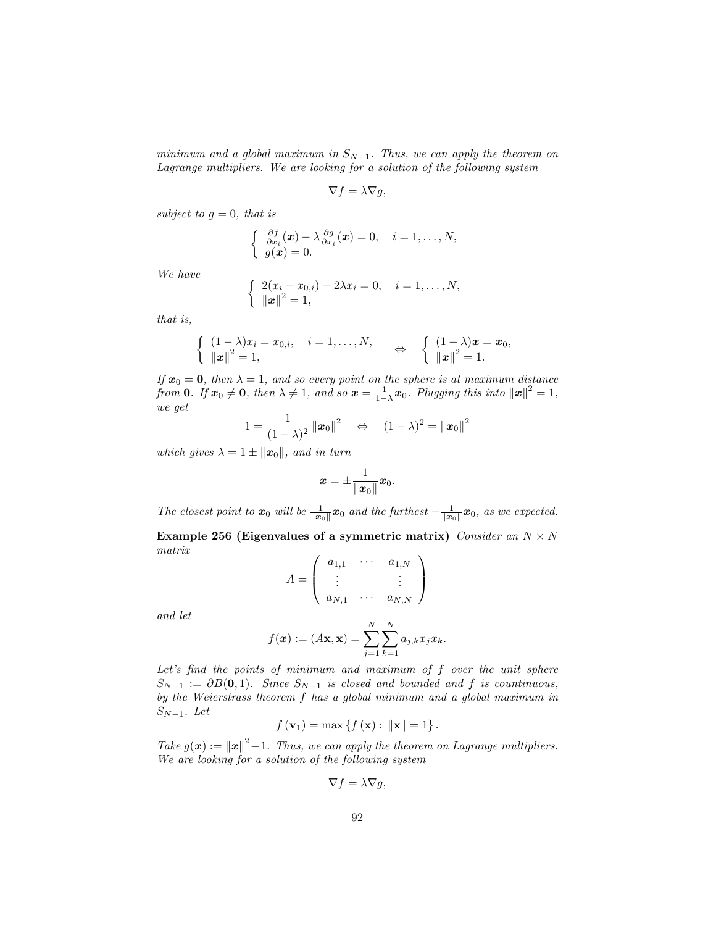minimum and a global maximum in  $S_{N-1}$ . Thus, we can apply the theorem on Lagrange multipliers. We are looking for a solution of the following system

$$
\nabla f = \lambda \nabla g,
$$

subject to  $g = 0$ , that is

$$
\begin{cases} \frac{\partial f}{\partial x_i}(\boldsymbol{x}) - \lambda \frac{\partial g}{\partial x_i}(\boldsymbol{x}) = 0, \quad i = 1, \ldots, N, \\ g(\boldsymbol{x}) = 0. \end{cases}
$$

We have

$$
\begin{cases} 2(x_i - x_{0,i}) - 2\lambda x_i = 0, \quad i = 1, \dots, N, \\ ||x||^2 = 1, \end{cases}
$$

that is,

$$
\begin{cases}\n(1-\lambda)x_i = x_{0,i}, & i = 1,\ldots,N, \\
\|\boldsymbol{x}\|^2 = 1,\n\end{cases}\n\Leftrightarrow\n\begin{cases}\n(1-\lambda)\boldsymbol{x} = \boldsymbol{x}_0, \\
\|\boldsymbol{x}\|^2 = 1.\n\end{cases}
$$

If  $x_0 = 0$ , then  $\lambda = 1$ , and so every point on the sphere is at maximum distance from **0**. If  $x_0 \neq \mathbf{0}$ , then  $\lambda \neq 1$ , and so  $\mathbf{x} = \frac{1}{1-\lambda}x_0$ . Plugging this into  $\|\mathbf{x}\|^2 = 1$ , we get

$$
1 = \frac{1}{(1 - \lambda)^2} ||\mathbf{x}_0||^2 \quad \Leftrightarrow \quad (1 - \lambda)^2 = ||\mathbf{x}_0||^2
$$

which gives  $\lambda = 1 \pm ||\mathbf{x}_0||$ , and in turn

$$
\boldsymbol{x} = \pm \frac{1}{\|\boldsymbol{x}_0\|} \boldsymbol{x}_0.
$$

The closest point to  $x_0$  will be  $\frac{1}{\|x_0\|}x_0$  and the furthest  $-\frac{1}{\|x_0\|}x_0$ , as we expected.

Example 256 (Eigenvalues of a symmetric matrix)  $\emph{Consider an $N \times N$}$ matrix

$$
A = \left( \begin{array}{ccc} a_{1,1} & \cdots & a_{1,N} \\ \vdots & & \vdots \\ a_{N,1} & \cdots & a_{N,N} \end{array} \right)
$$

and let

$$
f(\boldsymbol{x}) := (A\mathbf{x}, \mathbf{x}) = \sum_{j=1}^N \sum_{k=1}^N a_{j,k} x_j x_k.
$$

Let's find the points of minimum and maximum of  $f$  over the unit sphere  $S_{N-1} := \partial B(0,1)$ . Since  $S_{N-1}$  is closed and bounded and f is countinuous, by the Weierstrass theorem f has a global minimum and a global maximum in  $S_{N-1}$ . Let

$$
f(\mathbf{v}_1)=\max\left\{f\left(\mathbf{x}\right): \,\|\mathbf{x}\|=1\right\}.
$$

Take  $g(\boldsymbol{x}) := ||\boldsymbol{x}||^2 - 1$ . Thus, we can apply the theorem on Lagrange multipliers. We are looking for a solution of the following system

$$
\nabla f = \lambda \nabla g,
$$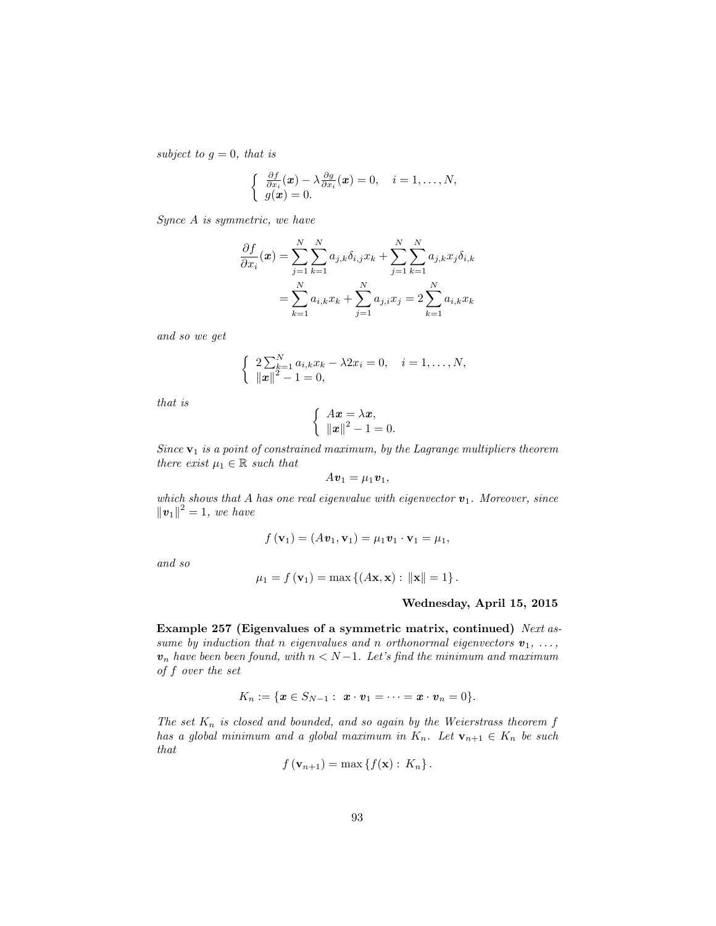subject to  $g = 0$ , that is

$$
\begin{cases}\n\frac{\partial f}{\partial x_i}(\boldsymbol{x}) - \lambda \frac{\partial g}{\partial x_i}(\boldsymbol{x}) = 0, \quad i = 1, \ldots, N, \\
g(\boldsymbol{x}) = 0.\n\end{cases}
$$

Synce A is symmetric, we have

$$
\frac{\partial f}{\partial x_i}(\mathbf{x}) = \sum_{j=1}^N \sum_{k=1}^N a_{j,k} \delta_{i,j} x_k + \sum_{j=1}^N \sum_{k=1}^N a_{j,k} x_j \delta_{i,k}
$$

$$
= \sum_{k=1}^N a_{i,k} x_k + \sum_{j=1}^N a_{j,i} x_j = 2 \sum_{k=1}^N a_{i,k} x_k
$$

and so we get

$$
\begin{cases} 2\sum_{k=1}^{N} a_{i,k}x_k - \lambda 2x_i = 0, \quad i = 1, \dots, N, \\ ||x||^2 - 1 = 0, \end{cases}
$$

that is

$$
\begin{cases}\nAx = \lambda x, \\
\|x\|^2 - 1 = 0.\n\end{cases}
$$

Since  $v_1$  is a point of constrained maximum, by the Lagrange multipliers theorem there exist  $\mu_1 \in \mathbb{R}$  such that

$$
Av_1=\mu_1\boldsymbol{v}_1,
$$

which shows that A has one real eigenvalue with eigenvector  $v_1$ . Moreover, since  $\|\bm{v}_1\|^2 = 1$ , we have

$$
f(\mathbf{v}_1) = (A\mathbf{v}_1, \mathbf{v}_1) = \mu_1 \mathbf{v}_1 \cdot \mathbf{v}_1 = \mu_1,
$$

and so

$$
\mu_1 = f(\mathbf{v}_1) = \max \left\{ (A\mathbf{x}, \mathbf{x}) : ||\mathbf{x}|| = 1 \right\}.
$$

#### Wednesday, April 15, 2015

Example 257 (Eigenvalues of a symmetric matrix, continued) Next assume by induction that n eigenvalues and n orthonormal eigenvectors  $v_1, \ldots,$  $v_n$  have been been found, with  $n < N-1$ . Let's find the minimum and maximum of f over the set

$$
K_n:=\{\boldsymbol{x}\in S_{N-1}:\ \boldsymbol{x}\cdot\boldsymbol{v}_1=\cdots=\boldsymbol{x}\cdot\boldsymbol{v}_n=0\}.
$$

The set  $K_n$  is closed and bounded, and so again by the Weierstrass theorem  $f$ has a global minimum and a global maximum in  $K_n$ . Let  $\mathbf{v}_{n+1} \in K_n$  be such that

$$
f(\mathbf{v}_{n+1}) = \max\left\{f(\mathbf{x}): K_n\right\}.
$$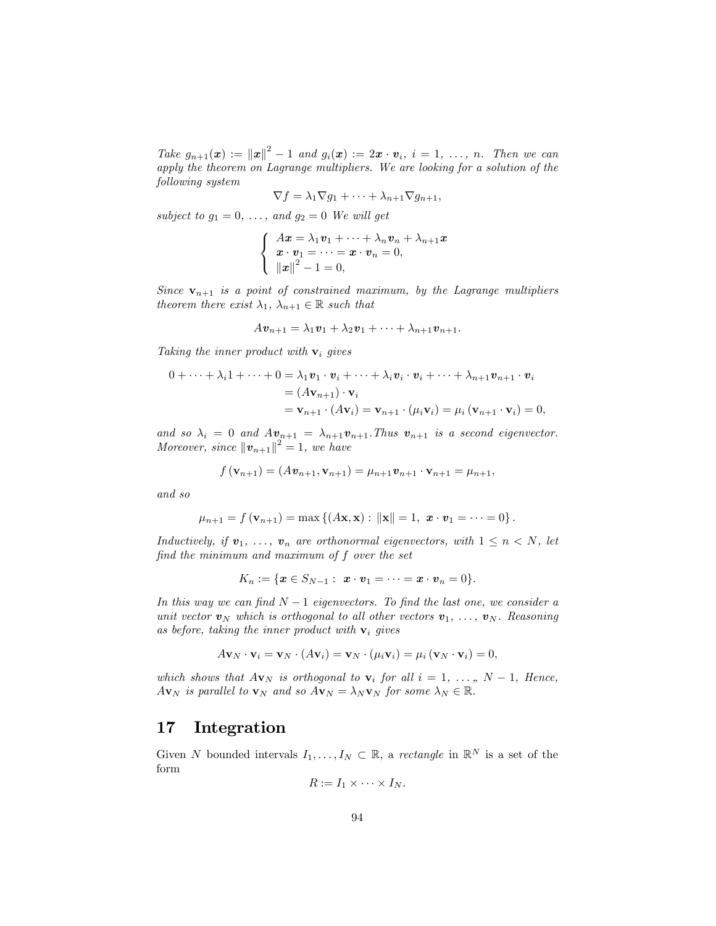Take  $g_{n+1}(\boldsymbol{x}) := ||\boldsymbol{x}||^2 - 1$  and  $g_i(\boldsymbol{x}) := 2\boldsymbol{x} \cdot \boldsymbol{v}_i$ ,  $i = 1, \ldots, n$ . Then we can apply the theorem on Lagrange multipliers. We are looking for a solution of the following system

$$
\nabla f = \lambda_1 \nabla g_1 + \cdots + \lambda_{n+1} \nabla g_{n+1},
$$

subject to  $g_1 = 0, \ldots,$  and  $g_2 = 0$  We will get

$$
\begin{cases}\nAx = \lambda_1 \mathbf{v}_1 + \cdots + \lambda_n \mathbf{v}_n + \lambda_{n+1} x \\
x \cdot \mathbf{v}_1 = \cdots = x \cdot \mathbf{v}_n = 0, \\
\|\mathbf{x}\|^2 - 1 = 0,\n\end{cases}
$$

Since  $\mathbf{v}_{n+1}$  is a point of constrained maximum, by the Lagrange multipliers theorem there exist  $\lambda_1, \lambda_{n+1} \in \mathbb{R}$  such that

$$
A\mathbf{v}_{n+1} = \lambda_1\mathbf{v}_1 + \lambda_2\mathbf{v}_1 + \cdots + \lambda_{n+1}\mathbf{v}_{n+1}.
$$

Taking the inner product with  $\mathbf{v}_i$  gives

$$
0 + \cdots + \lambda_i 1 + \cdots + 0 = \lambda_1 \mathbf{v}_1 \cdot \mathbf{v}_i + \cdots + \lambda_i \mathbf{v}_i \cdot \mathbf{v}_i + \cdots + \lambda_{n+1} \mathbf{v}_{n+1} \cdot \mathbf{v}_i
$$
  
=  $(A\mathbf{v}_{n+1}) \cdot \mathbf{v}_i$   
=  $\mathbf{v}_{n+1} \cdot (A\mathbf{v}_i) = \mathbf{v}_{n+1} \cdot (\mu_i \mathbf{v}_i) = \mu_i (\mathbf{v}_{n+1} \cdot \mathbf{v}_i) = 0,$ 

and so  $\lambda_i = 0$  and  $Av_{n+1} = \lambda_{n+1}v_{n+1}$ . Thus  $v_{n+1}$  is a second eigenvector. Moreover, since  $\left\|\bm{v}_{n+1}\right\|^2 = 1$ , we have

$$
f(\mathbf{v}_{n+1}) = (A\mathbf{v}_{n+1}, \mathbf{v}_{n+1}) = \mu_{n+1}\mathbf{v}_{n+1} \cdot \mathbf{v}_{n+1} = \mu_{n+1},
$$

and so

$$
\mu_{n+1} = f(\mathbf{v}_{n+1}) = \max \{ (A\mathbf{x}, \mathbf{x}) : ||\mathbf{x}|| = 1, \mathbf{x} \cdot \mathbf{v}_1 = \cdots = 0 \}.
$$

Inductively, if  $v_1, \ldots, v_n$  are orthonormal eigenvectors, with  $1 \leq n \leq N$ , let find the minimum and maximum of f over the set

$$
K_n := \{ \pmb{x} \in S_{N-1} : \ \pmb{x} \cdot \pmb{v}_1 = \cdots = \pmb{x} \cdot \pmb{v}_n = 0 \}.
$$

In this way we can find  $N-1$  eigenvectors. To find the last one, we consider a unit vector  $v_N$  which is orthogonal to all other vectors  $v_1, \ldots, v_N$ . Reasoning as before, taking the inner product with  $v_i$  gives

$$
A\mathbf{v}_N\cdot\mathbf{v}_i=\mathbf{v}_N\cdot(A\mathbf{v}_i)=\mathbf{v}_N\cdot(\mu_i\mathbf{v}_i)=\mu_i(\mathbf{v}_N\cdot\mathbf{v}_i)=0,
$$

which shows that  $A\mathbf{v}_N$  is orthogonal to  $\mathbf{v}_i$  for all  $i = 1, \ldots, N - 1$ , Hence,  $A\mathbf{v}_N$  is parallel to  $\mathbf{v}_N$  and so  $A\mathbf{v}_N = \lambda_N \mathbf{v}_N$  for some  $\lambda_N \in \mathbb{R}$ .

### 17 Integration

Given N bounded intervals  $I_1, \ldots, I_N \subset \mathbb{R}$ , a rectangle in  $\mathbb{R}^N$  is a set of the form

$$
R:=I_1\times\cdots\times I_N.
$$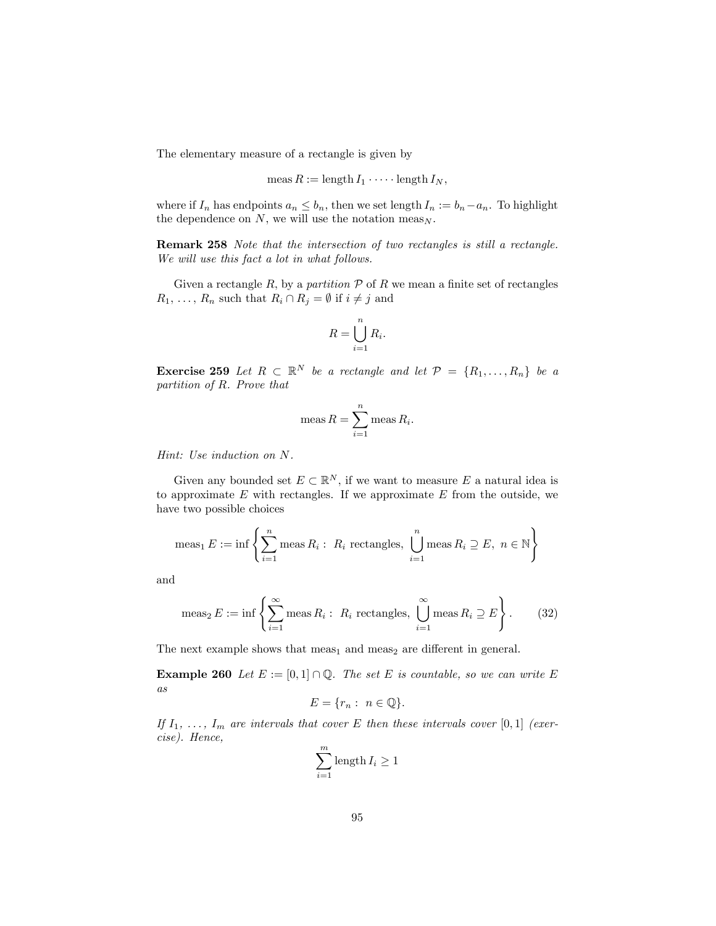The elementary measure of a rectangle is given by

$$
\operatorname{meas} R := \operatorname{length} I_1 \cdot \cdots \cdot \operatorname{length} I_N,
$$

where if  $I_n$  has endpoints  $a_n \leq b_n$ , then we set length  $I_n := b_n - a_n$ . To highlight the dependence on  $N$ , we will use the notation meas<sub>N</sub>.

Remark 258 Note that the intersection of two rectangles is still a rectangle. We will use this fact a lot in what follows.

Given a rectangle R, by a partition  $P$  of R we mean a finite set of rectangles  $R_1, \ldots, R_n$  such that  $R_i \cap R_j = \emptyset$  if  $i \neq j$  and

$$
R = \bigcup_{i=1}^{n} R_i.
$$

**Exercise 259** Let  $R \subset \mathbb{R}^N$  be a rectangle and let  $\mathcal{P} = \{R_1, \ldots, R_n\}$  be a partition of R. Prove that

$$
\operatorname{meas} R = \sum_{i=1}^{n} \operatorname{meas} R_{i}.
$$

Hint: Use induction on N.

Given any bounded set  $E \subset \mathbb{R}^N$ , if we want to measure E a natural idea is to approximate  $E$  with rectangles. If we approximate  $E$  from the outside, we have two possible choices

$$
\operatorname{meas}_1 E := \inf \left\{ \sum_{i=1}^n \operatorname{meas} R_i : R_i \operatorname{rectangles}, \bigcup_{i=1}^n \operatorname{meas} R_i \supseteq E, n \in \mathbb{N} \right\}
$$

and

$$
\operatorname{meas}_{2} E := \inf \left\{ \sum_{i=1}^{\infty} \operatorname{meas} R_{i} : R_{i} \operatorname{rectangles}, \bigcup_{i=1}^{\infty} \operatorname{meas} R_{i} \supseteq E \right\}.
$$
 (32)

The next example shows that  $meas<sub>1</sub>$  and  $meas<sub>2</sub>$  are different in general.

**Example 260** Let  $E := [0,1] \cap \mathbb{Q}$ . The set E is countable, so we can write E as

$$
E = \{r_n : n \in \mathbb{Q}\}.
$$

If  $I_1, \ldots, I_m$  are intervals that cover E then these intervals cover [0,1] (exercise). Hence,

$$
\sum_{i=1}^{m} \text{length } I_i \ge 1
$$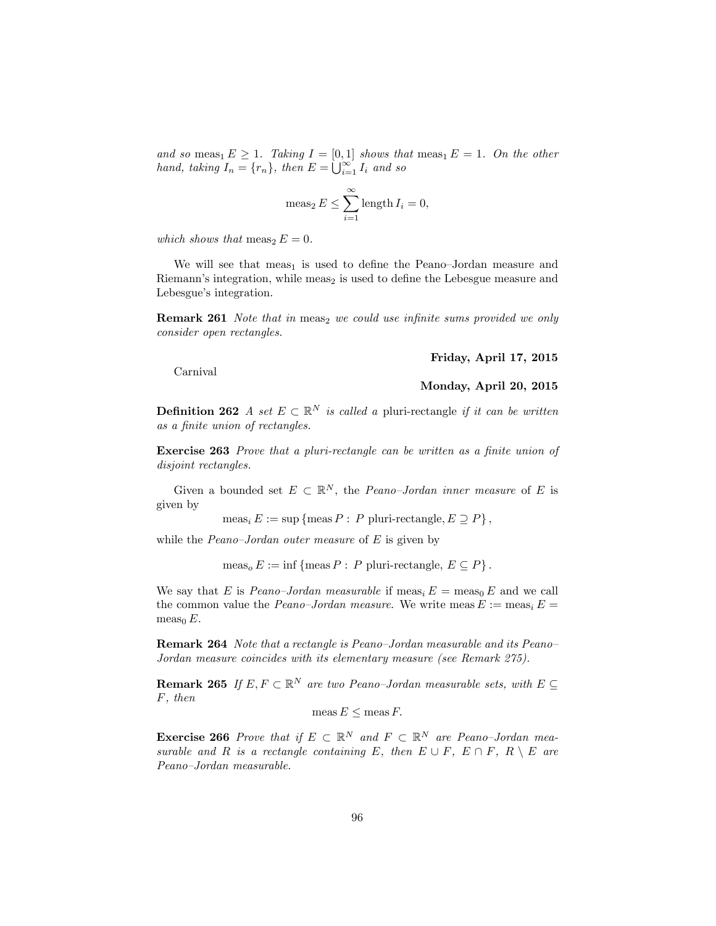and so meas<sub>1</sub>  $E \ge 1$ . Taking  $I = [0, 1]$  shows that meas<sub>1</sub>  $E = 1$ . On the other hand, taking  $I_n = \{r_n\}$ , then  $E = \bigcup_{i=1}^{\infty} I_i$  and so

$$
\operatorname{meas}_2 E \le \sum_{i=1}^{\infty} \operatorname{length} I_i = 0,
$$

which shows that  $meas<sub>2</sub> E = 0$ .

We will see that meas<sub>1</sub> is used to define the Peano–Jordan measure and Riemann's integration, while meas<sub>2</sub> is used to define the Lebesgue measure and Lebesgue's integration.

**Remark 261** Note that in meas<sub>2</sub> we could use infinite sums provided we only consider open rectangles.

Friday, April 17, 2015

Carnival

Monday, April 20, 2015

**Definition 262** A set  $E \subset \mathbb{R}^N$  is called a pluri-rectangle if it can be written as a finite union of rectangles.

**Exercise 263** Prove that a pluri-rectangle can be written as a finite union of disjoint rectangles.

Given a bounded set  $E \subset \mathbb{R}^N$ , the *Peano-Jordan inner measure* of E is given by

 $meas_i E := \sup \{ \text{meas } P : P \text{ pluri-rectangle}, E \supseteq P \},$ 

while the *Peano-Jordan outer measure* of  $E$  is given by

 $meas<sub>o</sub> E := inf{meas P : P pluri-rectangle, E \subseteq P}.$ 

We say that E is Peano-Jordan measurable if meas<sub>i</sub>  $E = \text{meas}_0 E$  and we call the common value the *Peano-Jordan measure*. We write meas  $E := \text{meas}_i E =$ meas<sub>0</sub>  $E$ .

**Remark 264** Note that a rectangle is Peano-Jordan measurable and its Peano-Jordan measure coincides with its elementary measure (see Remark 275).

**Remark 265** If  $E, F \subset \mathbb{R}^N$  are two Peano-Jordan measurable sets, with  $E \subseteq$ F, then

meas  $E \leq$  meas  $F$ .

**Exercise 266** Prove that if  $E \subset \mathbb{R}^N$  and  $F \subset \mathbb{R}^N$  are Peano-Jordan measurable and R is a rectangle containing E, then  $E \cup F$ ,  $E \cap F$ ,  $R \setminus E$  are Peano-Jordan measurable.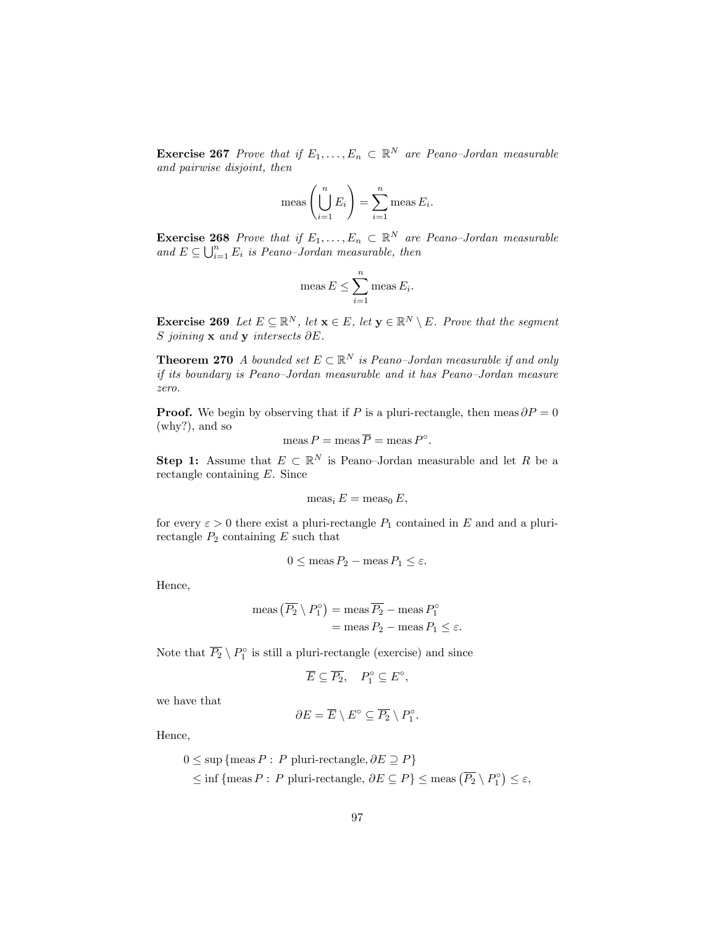**Exercise 267** Prove that if  $E_1, \ldots, E_n \subset \mathbb{R}^N$  are Peano-Jordan measurable and pairwise disjoint, then

$$
\operatorname{meas}\left(\bigcup_{i=1}^n E_i\right) = \sum_{i=1}^n \operatorname{meas} E_i.
$$

**Exercise 268** Prove that if  $E_1, \ldots, E_n \subset \mathbb{R}^N$  are Peano-Jordan measurable and  $E \subseteq \bigcup_{i=1}^{n} E_i$  is Peano-Jordan measurable, then

$$
\operatorname{meas} E \le \sum_{i=1}^n \operatorname{meas} E_i.
$$

**Exercise 269** Let  $E \subseteq \mathbb{R}^N$ , let  $\mathbf{x} \in E$ , let  $\mathbf{y} \in \mathbb{R}^N \setminus E$ . Prove that the segment S joining  $\bf{x}$  and  $\bf{y}$  intersects  $\partial E$ .

**Theorem 270** A bounded set  $E \subset \mathbb{R}^N$  is Peano-Jordan measurable if and only if its boundary is Peano-Jordan measurable and it has Peano-Jordan measure zero.

**Proof.** We begin by observing that if P is a pluri-rectangle, then meas  $\partial P = 0$ (why?), and so

$$
\operatorname{meas} P = \operatorname{meas} \overline{P} = \operatorname{meas} P^{\circ}.
$$

**Step 1:** Assume that  $E \subset \mathbb{R}^N$  is Peano-Jordan measurable and let R be a rectangle containing E. Since

$$
meas_i E = meas_0 E,
$$

for every  $\varepsilon > 0$  there exist a pluri-rectangle  $P_1$  contained in E and and a plurirectangle  $P_2$  containing  $E$  such that

$$
0 \le \operatorname{meas} P_2 - \operatorname{meas} P_1 \le \varepsilon.
$$

Hence,

meas 
$$
(\overline{P_2} \setminus P_1^\circ)
$$
 = meas  $\overline{P_2}$  - meas  $P_1^\circ$   
= meas  $P_2$  - meas  $P_1 \le \varepsilon$ .

Note that  $P_2 \setminus P_1^{\circ}$  is still a pluri-rectangle (exercise) and since

$$
\overline{E} \subseteq \overline{P_2}, \quad P_1^{\circ} \subseteq E^{\circ},
$$

we have that

$$
\partial E = \overline{E} \setminus E^{\circ} \subseteq \overline{P_2} \setminus P_1^{\circ}.
$$

Hence,

$$
0 \le \sup \{ \text{meas } P : P \text{ pluri-rectangle}, \partial E \supseteq P \}
$$
  

$$
\le \inf \{ \text{meas } P : P \text{ pluri-rectangle}, \partial E \subseteq P \} \le \text{meas } (\overline{P_2} \setminus P_1^{\circ}) \le \varepsilon,
$$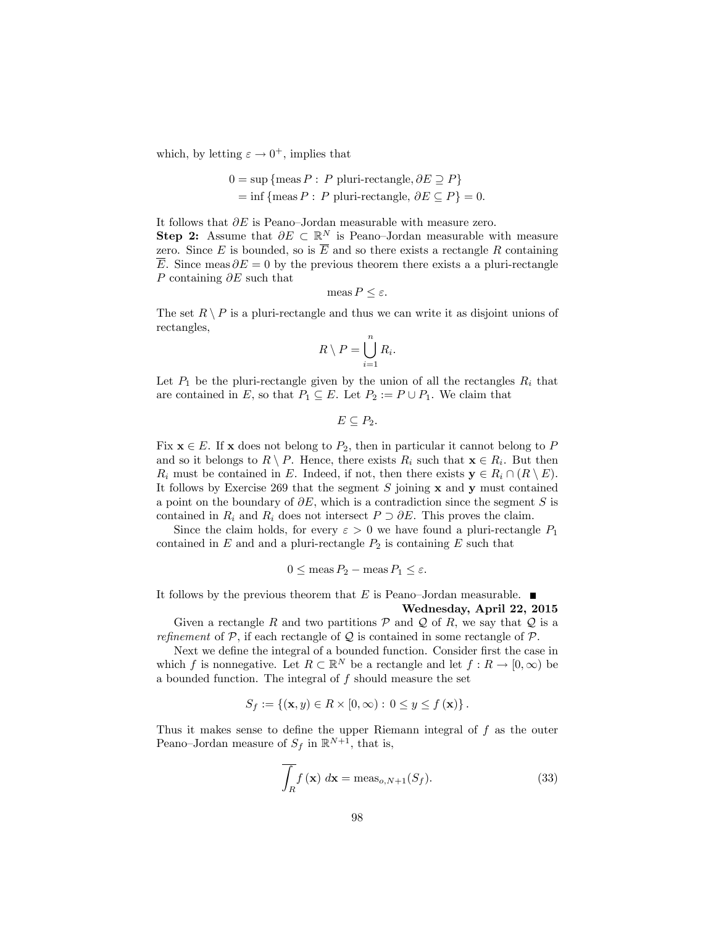which, by letting  $\varepsilon \to 0^+$ , implies that

$$
0 = \sup \{ \text{meas } P : P \text{ pluri-rectangle}, \partial E \supseteq P \}
$$
  
= 
$$
\inf \{ \text{meas } P : P \text{ pluri-rectangle}, \partial E \subseteq P \} = 0.
$$

It follows that  $\partial E$  is Peano-Jordan measurable with measure zero. **Step 2:** Assume that  $\partial E \subset \mathbb{R}^N$  is Peano-Jordan measurable with measure zero. Since E is bounded, so is  $\overline{E}$  and so there exists a rectangle R containing  $\overline{E}$ . Since meas  $\partial E = 0$  by the previous theorem there exists a a pluri-rectangle P containing  $\partial E$  such that

$$
\operatorname{meas} P \le \varepsilon.
$$

The set  $R \setminus P$  is a pluri-rectangle and thus we can write it as disjoint unions of rectangles,

$$
R \setminus P = \bigcup_{i=1}^{n} R_i.
$$

Let  $P_1$  be the pluri-rectangle given by the union of all the rectangles  $R_i$  that are contained in E, so that  $P_1 \subseteq E$ . Let  $P_2 := P \cup P_1$ . We claim that

$$
E\subseteq P_2.
$$

Fix  $x \in E$ . If x does not belong to  $P_2$ , then in particular it cannot belong to P and so it belongs to  $R \setminus P$ . Hence, there exists  $R_i$  such that  $\mathbf{x} \in R_i$ . But then  $R_i$  must be contained in E. Indeed, if not, then there exists  $y \in R_i \cap (R \setminus E)$ . It follows by Exercise 269 that the segment  $S$  joining  $x$  and  $y$  must contained a point on the boundary of  $\partial E$ , which is a contradiction since the segment S is contained in  $R_i$  and  $R_i$  does not intersect  $P \supset \partial E$ . This proves the claim.

Since the claim holds, for every  $\varepsilon > 0$  we have found a pluri-rectangle  $P_1$ contained in  $E$  and and a pluri-rectangle  $P_2$  is containing  $E$  such that

$$
0 \le \operatorname{meas} P_2 - \operatorname{meas} P_1 \le \varepsilon.
$$

It follows by the previous theorem that E is Peano-Jordan measurable.  $\blacksquare$ 

Wednesday, April 22, 2015

Given a rectangle R and two partitions  $P$  and  $Q$  of R, we say that  $Q$  is a refinement of  $P$ , if each rectangle of  $Q$  is contained in some rectangle of  $P$ .

Next we define the integral of a bounded function. Consider first the case in which f is nonnegative. Let  $R \subset \mathbb{R}^N$  be a rectangle and let  $f : R \to [0, \infty)$  be a bounded function. The integral of  $f$  should measure the set

$$
S_f := \{ (\mathbf{x}, y) \in R \times [0, \infty) : 0 \le y \le f(\mathbf{x}) \}.
$$

Thus it makes sense to define the upper Riemann integral of  $f$  as the outer Peano–Jordan measure of  $S_f$  in  $\mathbb{R}^{N+1}$ , that is,

$$
\overline{\int_{R} f(\mathbf{x}) dx} = \text{meas}_{o,N+1}(S_f). \tag{33}
$$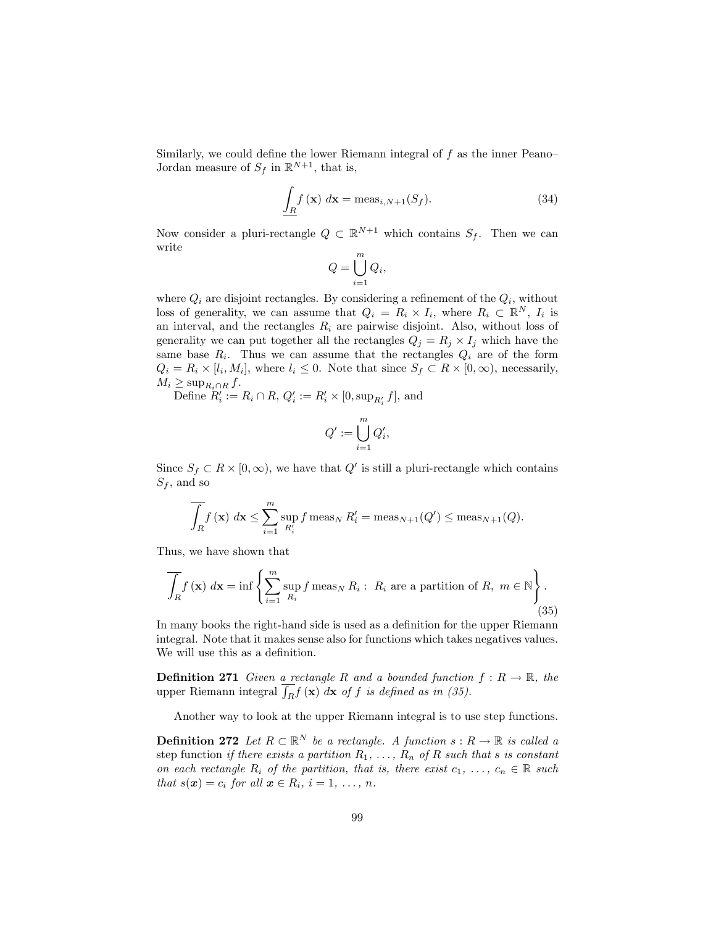Similarly, we could define the lower Riemann integral of  $f$  as the inner Peano-Jordan measure of  $S_f$  in  $\mathbb{R}^{N+1}$ , that is,

$$
\int_{R} f(\mathbf{x}) \, d\mathbf{x} = \text{meas}_{i,N+1}(S_f). \tag{34}
$$

Now consider a pluri-rectangle  $Q \subset \mathbb{R}^{N+1}$  which contains  $S_f$ . Then we can write

$$
Q = \bigcup_{i=1}^{m} Q_i,
$$

where  $Q_i$  are disjoint rectangles. By considering a refinement of the  $Q_i$ , without loss of generality, we can assume that  $Q_i = R_i \times I_i$ , where  $R_i \subset \mathbb{R}^N$ ,  $I_i$  is an interval, and the rectangles  $R_i$  are pairwise disjoint. Also, without loss of generality we can put together all the rectangles  $Q_j = R_j \times I_j$  which have the same base  $R_i$ . Thus we can assume that the rectangles  $Q_i$  are of the form  $Q_i = R_i \times [l_i, M_i]$ , where  $l_i \leq 0$ . Note that since  $S_f \subset R \times [0, \infty)$ , necessarily,  $M_i \geq \sup\nolimits_{R_i \cap R} f.$ 

Define  $R'_i := R_i \cap R$ ,  $Q'_i := R'_i \times [0, \sup_{R'_i} f],$  and

$$
Q' := \bigcup_{i=1}^m Q'_i,
$$

Since  $S_f \subset R \times [0, \infty)$ , we have that  $Q'$  is still a pluri-rectangle which contains  $S_f$ , and so

$$
\overline{\int_{R} f(\mathbf{x}) \, d\mathbf{x}} \leq \sum_{i=1}^{m} \sup_{R_{i}'} f \operatorname{meas}_{N} R_{i}' = \operatorname{meas}_{N+1}(Q') \leq \operatorname{meas}_{N+1}(Q).
$$

Thus, we have shown that

$$
\overline{\int_{R} f(\mathbf{x}) d\mathbf{x}} = \inf \left\{ \sum_{i=1}^{m} \sup_{R_{i}} f \operatorname{meas}_{N} R_{i} : R_{i} \text{ are a partition of } R, m \in \mathbb{N} \right\}.
$$
\n(35)

In many books the right-hand side is used as a definition for the upper Riemann integral. Note that it makes sense also for functions which takes negatives values. We will use this as a definition.

**Definition 271** Given a rectangle R and a bounded function  $f: R \to \mathbb{R}$ , the upper Riemann integral  $\overline{f_R} f(\mathbf{x}) dx$  of f is defined as in (35).

Another way to look at the upper Riemann integral is to use step functions.

**Definition 272** Let  $R \subset \mathbb{R}^N$  be a rectangle. A function  $s : R \to \mathbb{R}$  is called a step function if there exists a partition  $R_1, \ldots, R_n$  of R such that s is constant on each rectangle  $R_i$  of the partition, that is, there exist  $c_1, \ldots, c_n \in \mathbb{R}$  such that  $s(\mathbf{x}) = c_i$  for all  $\mathbf{x} \in R_i$ ,  $i = 1, \ldots, n$ .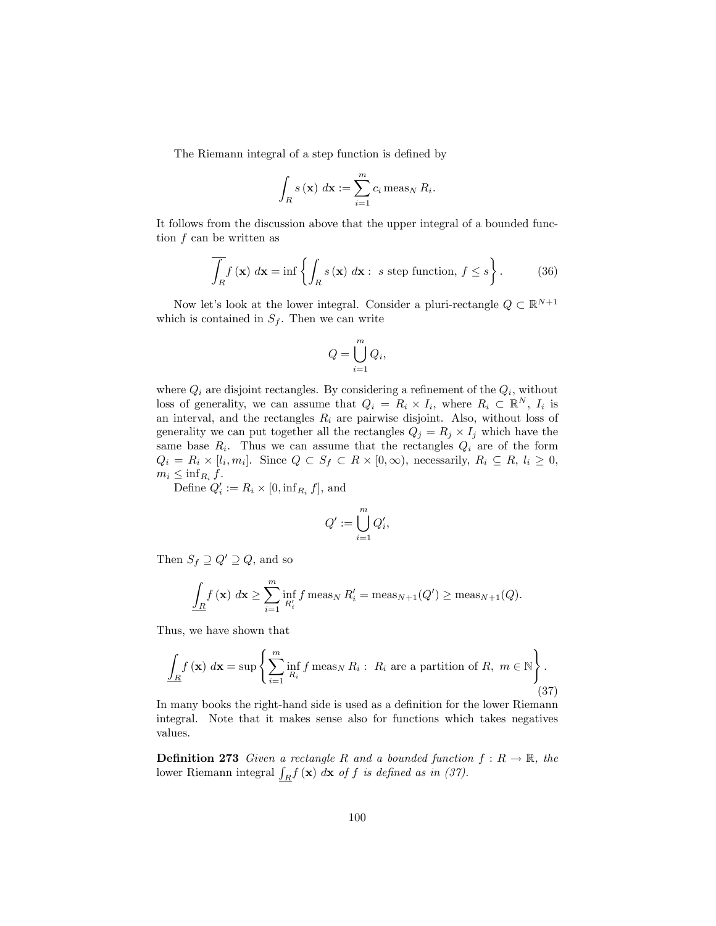The Riemann integral of a step function is defined by

$$
\int_{R} s(\mathbf{x}) \, d\mathbf{x} := \sum_{i=1}^{m} c_{i} \operatorname{meas}_{N} R_{i}.
$$

It follows from the discussion above that the upper integral of a bounded function  $f$  can be written as

$$
\overline{\int_{R} f(\mathbf{x}) \, d\mathbf{x}} = \inf \left\{ \int_{R} s(\mathbf{x}) \, d\mathbf{x} : s \text{ step function, } f \le s \right\}.
$$
 (36)

Now let's look at the lower integral. Consider a pluri-rectangle  $Q \subset \mathbb{R}^{N+1}$ which is contained in  $S_f$ . Then we can write

$$
Q = \bigcup_{i=1}^{m} Q_i,
$$

where  $Q_i$  are disjoint rectangles. By considering a refinement of the  $Q_i$ , without loss of generality, we can assume that  $Q_i = R_i \times I_i$ , where  $R_i \subset \mathbb{R}^N$ ,  $I_i$  is an interval, and the rectangles  $R_i$  are pairwise disjoint. Also, without loss of generality we can put together all the rectangles  $Q_j = R_j \times I_j$  which have the same base  $R_i$ . Thus we can assume that the rectangles  $Q_i$  are of the form  $Q_i = R_i \times [l_i, m_i]$ . Since  $Q \subset S_f \subset R \times [0, \infty)$ , necessarily,  $R_i \subseteq R$ ,  $l_i \geq 0$ ,  $m_i \leq \inf_{R_i} f$ .

Define  $Q'_i := R_i \times [0, \inf_{R_i} f],$  and

$$
Q':=\bigcup_{i=1}^m Q'_i,
$$

Then  $S_f \supseteq Q' \supseteq Q$ , and so

$$
\underline{\int_{R} f(\mathbf{x}) \, d\mathbf{x}} \ge \sum_{i=1}^{m} \inf_{R'_i} f \operatorname{meas}_{N} R'_i = \operatorname{meas}_{N+1}(Q') \ge \operatorname{meas}_{N+1}(Q).
$$

Thus, we have shown that

$$
\underline{\int_{R} f(\mathbf{x}) \, d\mathbf{x}} = \sup \left\{ \sum_{i=1}^{m} \inf_{R_i} f \operatorname{meas}_{N} R_i : R_i \text{ are a partition of } R, \ m \in \mathbb{N} \right\}. \tag{37}
$$

In many books the right-hand side is used as a definition for the lower Riemann integral. Note that it makes sense also for functions which takes negatives values.

**Definition 273** Given a rectangle R and a bounded function  $f: R \to \mathbb{R}$ , the lower Riemann integral  $\int_R f(\mathbf{x}) d\mathbf{x}$  of f is defined as in (37).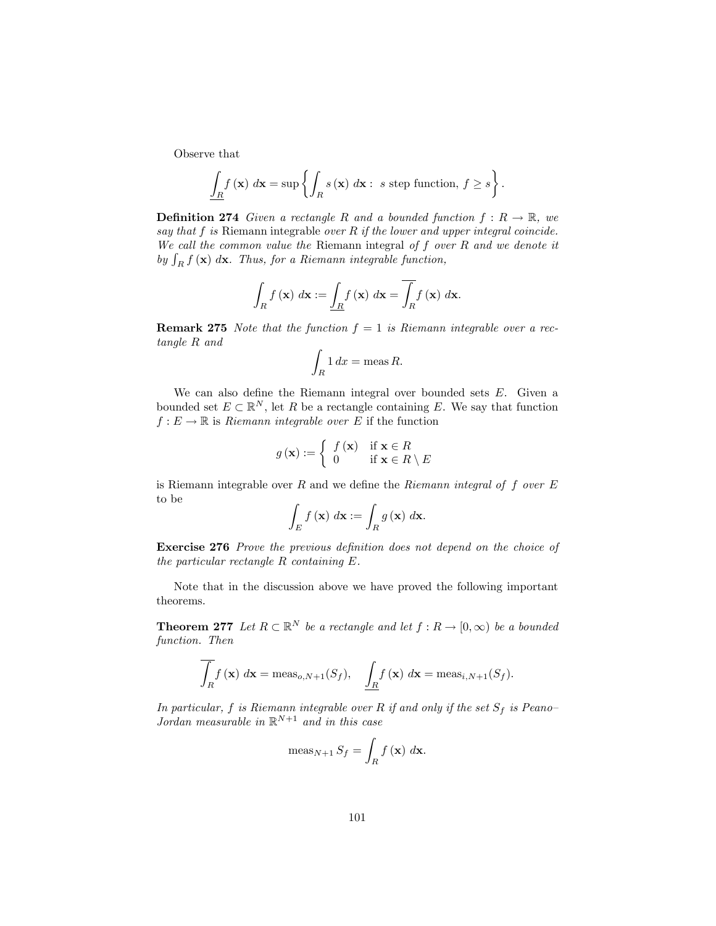Observe that

$$
\underline{\int_{R} f(\mathbf{x}) \, d\mathbf{x}} = \sup \left\{ \int_{R} s(\mathbf{x}) \, d\mathbf{x} : s \text{ step function, } f \ge s \right\}.
$$

**Definition 274** Given a rectangle R and a bounded function  $f: R \to \mathbb{R}$ , we say that  $f$  is Riemann integrable over  $R$  if the lower and upper integral coincide. We call the common value the Riemann integral of  $f$  over  $R$  and we denote it by  $\int_R f(\mathbf{x}) d\mathbf{x}$ . Thus, for a Riemann integrable function,

$$
\int_{R} f(\mathbf{x}) \, d\mathbf{x} := \underline{\int_{R} f(\mathbf{x}) \, d\mathbf{x}} = \overline{\int_{R} f(\mathbf{x}) \, d\mathbf{x}}.
$$

**Remark 275** Note that the function  $f = 1$  is Riemann integrable over a rectangle R and

$$
\int_R 1 \, dx = \text{meas } R.
$$

We can also define the Riemann integral over bounded sets  $E$ . Given a bounded set  $E \subset \mathbb{R}^N$ , let R be a rectangle containing E. We say that function  $f: E \to \mathbb{R}$  is *Riemann integrable over* E if the function

$$
g(\mathbf{x}) := \begin{cases} f(\mathbf{x}) & \text{if } \mathbf{x} \in R \\ 0 & \text{if } \mathbf{x} \in R \setminus E \end{cases}
$$

is Riemann integrable over  $R$  and we define the *Riemann integral of f over*  $E$ to be

$$
\int_{E} f(\mathbf{x}) \, d\mathbf{x} := \int_{R} g(\mathbf{x}) \, d\mathbf{x}.
$$

Exercise 276 Prove the previous definition does not depend on the choice of the particular rectangle R containing E.

Note that in the discussion above we have proved the following important theorems.

**Theorem 277** Let  $R \subset \mathbb{R}^N$  be a rectangle and let  $f : R \to [0, \infty)$  be a bounded function. Then

$$
\int_{R} f(\mathbf{x}) \, d\mathbf{x} = \mathrm{meas}_{o,N+1}(S_f), \quad \underline{\int_{R} f(\mathbf{x}) \, d\mathbf{x}} = \mathrm{meas}_{i,N+1}(S_f).
$$

In particular, f is Riemann integrable over R if and only if the set  $S_f$  is Peano-Jordan measurable in  $\mathbb{R}^{N+1}$  and in this case

$$
\operatorname{meas}_{N+1} S_f = \int_R f(\mathbf{x}) \, d\mathbf{x}.
$$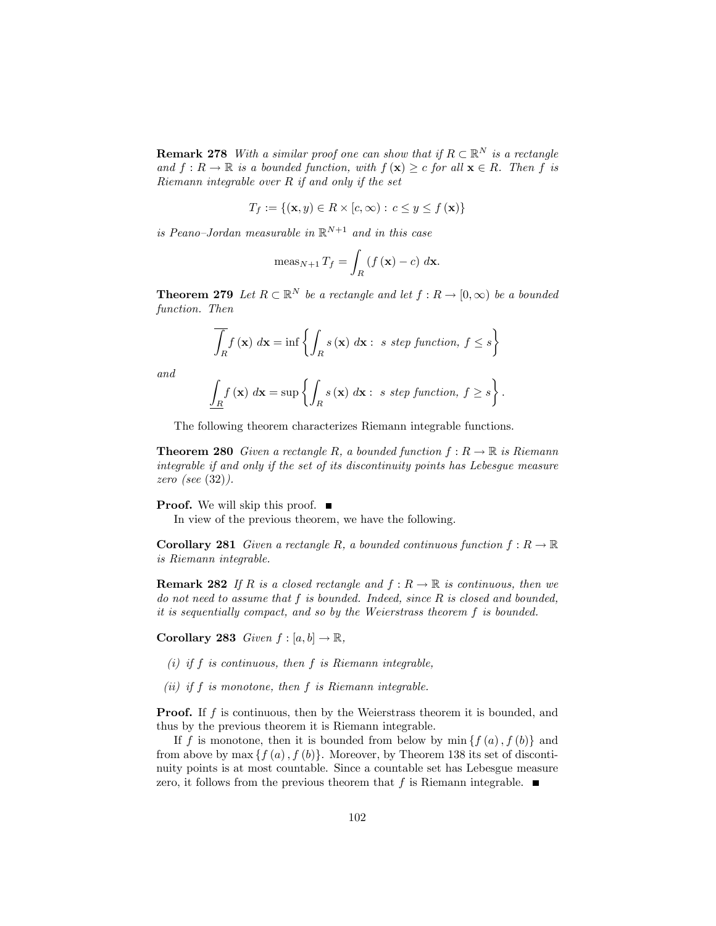**Remark 278** With a similar proof one can show that if  $R \subset \mathbb{R}^N$  is a rectangle and  $f: R \to \mathbb{R}$  is a bounded function, with  $f(\mathbf{x}) \geq c$  for all  $\mathbf{x} \in R$ . Then f is Riemann integrable over R if and only if the set

$$
T_f := \{ (\mathbf{x}, y) \in R \times [c, \infty) : c \le y \le f(\mathbf{x}) \}
$$

is Peano-Jordan measurable in  $\mathbb{R}^{N+1}$  and in this case

$$
\operatorname{meas}_{N+1} T_f = \int_R \left( f\left(\mathbf{x}\right) - c \right) \, d\mathbf{x}.
$$

**Theorem 279** Let  $R \subset \mathbb{R}^N$  be a rectangle and let  $f : R \to [0, \infty)$  be a bounded function. Then

$$
\int_{R} f(\mathbf{x}) \, d\mathbf{x} = \inf \left\{ \int_{R} s(\mathbf{x}) \, d\mathbf{x} : s \text{ step function, } f \le s \right\}
$$

and

$$
\int_{R} f(\mathbf{x}) \, d\mathbf{x} = \sup \left\{ \int_{R} s(\mathbf{x}) \, d\mathbf{x} : s \text{ step function, } f \ge s \right\}
$$

:

The following theorem characterizes Riemann integrable functions.

**Theorem 280** Given a rectangle R, a bounded function  $f: R \to \mathbb{R}$  is Riemann integrable if and only if the set of its discontinuity points has Lebesgue measure zero (see (32)).

**Proof.** We will skip this proof.  $\blacksquare$ 

In view of the previous theorem, we have the following.

**Corollary 281** Given a rectangle R, a bounded continuous function  $f: R \to \mathbb{R}$ is Riemann integrable.

**Remark 282** If R is a closed rectangle and  $f: R \to \mathbb{R}$  is continuous, then we do not need to assume that  $f$  is bounded. Indeed, since  $R$  is closed and bounded, it is sequentially compact, and so by the Weierstrass theorem f is bounded.

Corollary 283 Given  $f : [a, b] \to \mathbb{R}$ ,

- (i) if  $f$  is continuous, then  $f$  is Riemann integrable,
- $(ii)$  if  $f$  is monotone, then  $f$  is Riemann integrable.

**Proof.** If f is continuous, then by the Weierstrass theorem it is bounded, and thus by the previous theorem it is Riemann integrable.

If f is monotone, then it is bounded from below by  $\min \{f(a), f(b)\}\$ and from above by max  $\{f(a), f(b)\}.$  Moreover, by Theorem 138 its set of discontinuity points is at most countable. Since a countable set has Lebesgue measure zero, it follows from the previous theorem that f is Riemann integrable.  $\blacksquare$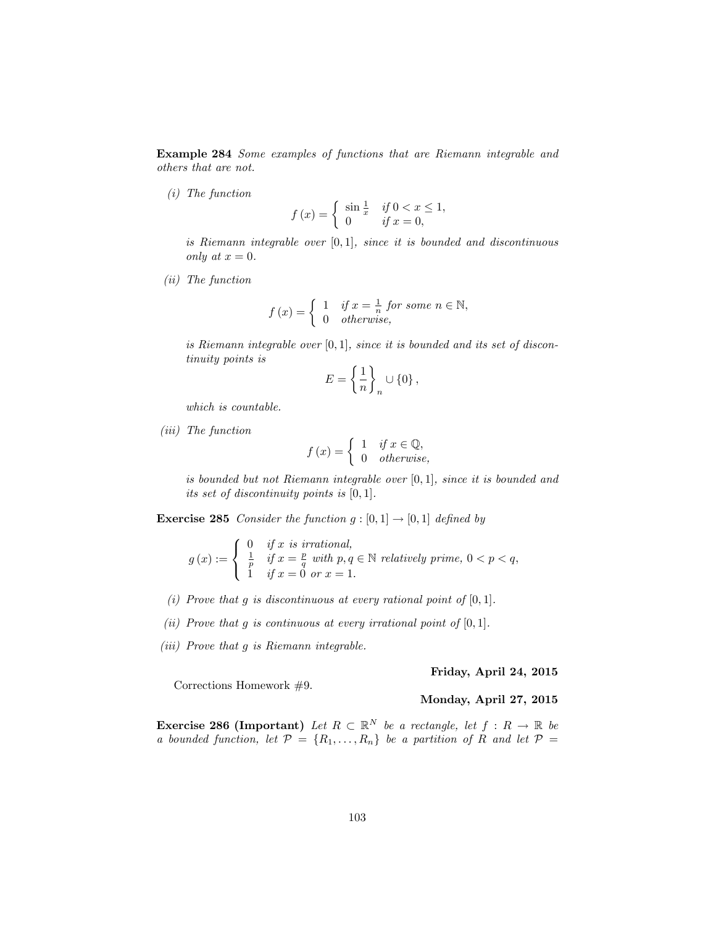Example 284 Some examples of functions that are Riemann integrable and others that are not.

(i) The function

$$
f(x) = \begin{cases} \sin \frac{1}{x} & \text{if } 0 < x \le 1, \\ 0 & \text{if } x = 0, \end{cases}
$$

is Riemann integrable over  $[0, 1]$ , since it is bounded and discontinuous only at  $x = 0$ .

(ii) The function

$$
f(x) = \begin{cases} 1 & \text{if } x = \frac{1}{n} \text{ for some } n \in \mathbb{N}, \\ 0 & \text{otherwise}, \end{cases}
$$

is Riemann integrable over  $[0, 1]$ , since it is bounded and its set of discontinuity points is

$$
E = \left\{ \frac{1}{n} \right\}_n \cup \left\{ 0 \right\},\
$$

which is countable.

(iii) The function

$$
f(x) = \begin{cases} 1 & \text{if } x \in \mathbb{Q}, \\ 0 & \text{otherwise}, \end{cases}
$$

is bounded but not Riemann integrable over  $[0, 1]$ , since it is bounded and its set of discontinuity points is  $[0, 1]$ .

**Exercise 285** Consider the function  $g : [0, 1] \rightarrow [0, 1]$  defined by

$$
g(x) := \begin{cases} 0 & \text{if } x \text{ is irrational,} \\ \frac{1}{p} & \text{if } x = \frac{p}{q} \text{ with } p, q \in \mathbb{N} \text{ relatively prime, } 0 < p < q, \\ 1 & \text{if } x = 0 \text{ or } x = 1. \end{cases}
$$

- (i) Prove that g is discontinuous at every rational point of  $[0, 1]$ .
- (ii) Prove that g is continuous at every irrational point of  $[0, 1]$ .
- (iii) Prove that g is Riemann integrable.

Friday, April 24, 2015

Corrections Homework #9.

#### Monday, April 27, 2015

**Exercise 286 (Important)** Let  $R \subset \mathbb{R}^N$  be a rectangle, let  $f : R \to \mathbb{R}$  be a bounded function, let  $\mathcal{P} = \{R_1, \ldots, R_n\}$  be a partition of R and let  $\mathcal{P} =$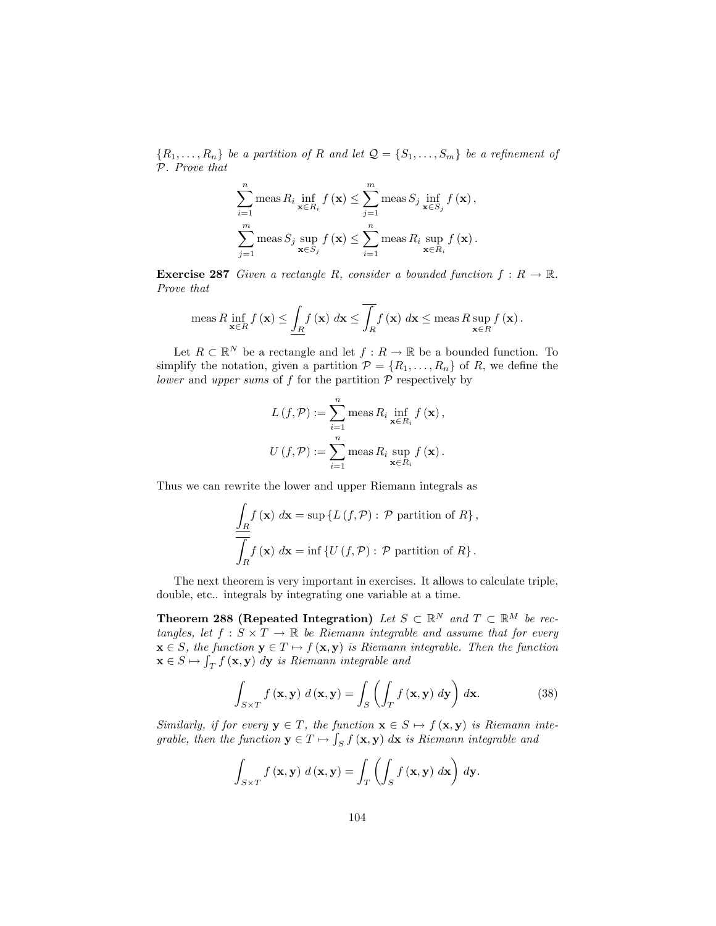${R_1, \ldots, R_n}$  be a partition of R and let  $\mathcal{Q} = {S_1, \ldots, S_m}$  be a refinement of P. Prove that

$$
\sum_{i=1}^{n} \text{meas } R_i \inf_{\mathbf{x} \in R_i} f(\mathbf{x}) \le \sum_{j=1}^{m} \text{meas } S_j \inf_{\mathbf{x} \in S_j} f(\mathbf{x}),
$$
  

$$
\sum_{j=1}^{m} \text{meas } S_j \sup_{\mathbf{x} \in S_j} f(\mathbf{x}) \le \sum_{i=1}^{n} \text{meas } R_i \sup_{\mathbf{x} \in R_i} f(\mathbf{x}).
$$

**Exercise 287** Given a rectangle R, consider a bounded function  $f: R \to \mathbb{R}$ . Prove that

$$
\operatorname{meas} R \inf_{\mathbf{x}\in R} f(\mathbf{x}) \leq \underline{\int_{R} f(\mathbf{x}) \, d\mathbf{x}} \leq \overline{\int_{R} f(\mathbf{x}) \, d\mathbf{x}} \leq \operatorname{meas} R \sup_{\mathbf{x}\in R} f(\mathbf{x}).
$$

Let  $R \subset \mathbb{R}^N$  be a rectangle and let  $f : R \to \mathbb{R}$  be a bounded function. To simplify the notation, given a partition  $\mathcal{P} = \{R_1, \ldots, R_n\}$  of R, we define the lower and upper sums of  $f$  for the partition  $P$  respectively by

$$
L(f, \mathcal{P}) := \sum_{i=1}^{n} \text{meas } R_i \inf_{\mathbf{x} \in R_i} f(\mathbf{x}),
$$

$$
U(f, \mathcal{P}) := \sum_{i=1}^{n} \text{meas } R_i \sup_{\mathbf{x} \in R_i} f(\mathbf{x}).
$$

Thus we can rewrite the lower and upper Riemann integrals as

$$
\frac{\int_{R} f(\mathbf{x}) d\mathbf{x} = \sup \{ L(f, \mathcal{P}) : \mathcal{P} \text{ partition of } R \},\
$$

$$
\overline{\int_{R} f(\mathbf{x}) d\mathbf{x}} = \inf \{ U(f, \mathcal{P}) : \mathcal{P} \text{ partition of } R \}.
$$

The next theorem is very important in exercises. It allows to calculate triple, double, etc.. integrals by integrating one variable at a time.

**Theorem 288 (Repeated Integration)** Let  $S \subset \mathbb{R}^N$  and  $T \subset \mathbb{R}^M$  be rectangles, let  $f : S \times T \to \mathbb{R}$  be Riemann integrable and assume that for every  $\mathbf{x} \in S$ , the function  $\mathbf{y} \in T \mapsto f(\mathbf{x}, \mathbf{y})$  is Riemann integrable. Then the function  $\mathbf{x} \in S \mapsto \int_T f(\mathbf{x}, \mathbf{y}) \, d\mathbf{y}$  is Riemann integrable and

$$
\int_{S\times T} f(\mathbf{x}, \mathbf{y}) d(\mathbf{x}, \mathbf{y}) = \int_{S} \left( \int_{T} f(\mathbf{x}, \mathbf{y}) d\mathbf{y} \right) d\mathbf{x}.
$$
 (38)

Similarly, if for every  $y \in T$ , the function  $x \in S \mapsto f(x, y)$  is Riemann integrable, then the function  $\mathbf{y} \in T \mapsto \int_S f(\mathbf{x}, \mathbf{y}) d\mathbf{x}$  is Riemann integrable and

$$
\int_{S\times T} f(\mathbf{x}, \mathbf{y}) d(\mathbf{x}, \mathbf{y}) = \int_{T} \left( \int_{S} f(\mathbf{x}, \mathbf{y}) d\mathbf{x} \right) d\mathbf{y}.
$$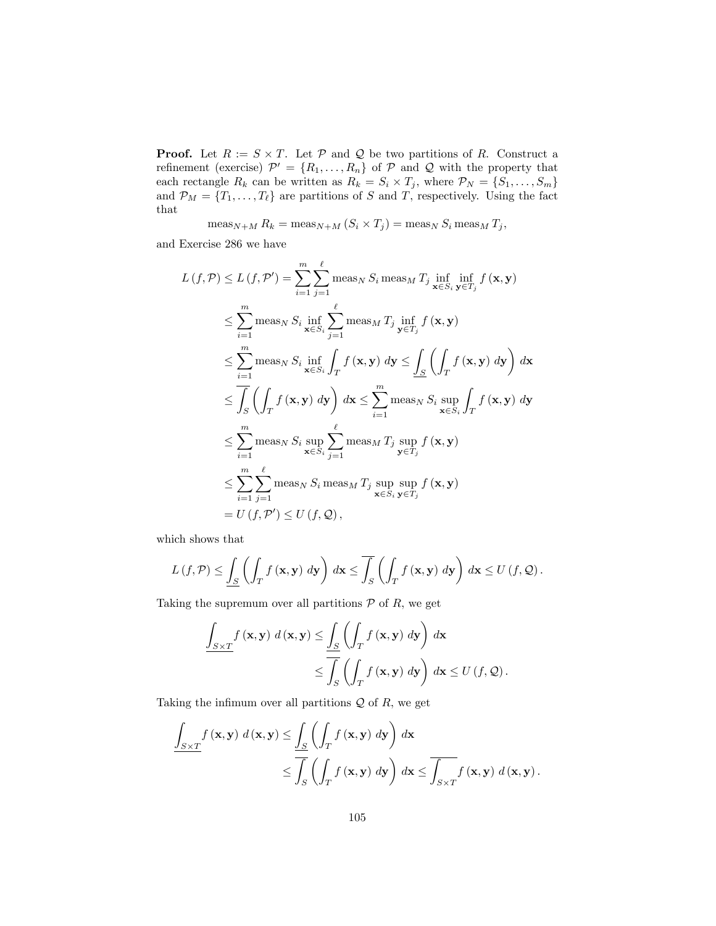**Proof.** Let  $R := S \times T$ . Let  $P$  and  $Q$  be two partitions of R. Construct a refinement (exercise)  $\mathcal{P}' = \{R_1, \ldots, R_n\}$  of  $\mathcal{P}$  and  $\mathcal{Q}$  with the property that each rectangle  $R_k$  can be written as  $R_k = S_i \times T_j$ , where  $\mathcal{P}_N = \{S_1, \ldots, S_m\}$ and  $\mathcal{P}_M = \{T_1, \ldots, T_\ell\}$  are partitions of S and T, respectively. Using the fact that

$$
\operatorname{meas}_{N+M} R_k = \operatorname{meas}_{N+M} (S_i \times T_j) = \operatorname{meas}_N S_i \operatorname{meas}_M T_j,
$$

and Exercise 286 we have

$$
L(f, \mathcal{P}) \leq L(f, \mathcal{P}') = \sum_{i=1}^{m} \sum_{j=1}^{\ell} \text{meas}_{N} S_{i} \text{ meas}_{M} T_{j} \text{ inf}_{\mathbf{x} \in S_{i} \mathbf{y} \in T_{j}} f(\mathbf{x}, \mathbf{y})
$$
  
\n
$$
\leq \sum_{i=1}^{m} \text{meas}_{N} S_{i} \text{ inf}_{\mathbf{x} \in S_{i}} \sum_{j=1}^{\ell} \text{meas}_{M} T_{j} \text{ inf}_{\mathbf{y} \in T_{j}} f(\mathbf{x}, \mathbf{y})
$$
  
\n
$$
\leq \sum_{i=1}^{m} \text{meas}_{N} S_{i} \text{ inf}_{\mathbf{x} \in S_{i}} \int_{T} f(\mathbf{x}, \mathbf{y}) d\mathbf{y} \leq \int_{S} \left( \int_{T} f(\mathbf{x}, \mathbf{y}) d\mathbf{y} \right) d\mathbf{x}
$$
  
\n
$$
\leq \int_{S} \left( \int_{T} f(\mathbf{x}, \mathbf{y}) d\mathbf{y} \right) d\mathbf{x} \leq \sum_{i=1}^{m} \text{meas}_{N} S_{i} \text{ sup}_{\mathbf{x} \in S_{i}} \int_{T} f(\mathbf{x}, \mathbf{y}) d\mathbf{y}
$$
  
\n
$$
\leq \sum_{i=1}^{m} \text{meas}_{N} S_{i} \text{ sup}_{\mathbf{x} \in S_{i}} \sum_{j=1}^{\ell} \text{meas}_{M} T_{j} \text{ sup}_{\mathbf{y} \in T_{j}} f(\mathbf{x}, \mathbf{y})
$$
  
\n
$$
\leq \sum_{i=1}^{m} \sum_{j=1}^{\ell} \text{meas}_{N} S_{i} \text{ meas}_{M} T_{j} \text{ sup}_{\mathbf{x} \in S_{i}} \text{ sup}_{\mathbf{y} \in T_{j}} f(\mathbf{x}, \mathbf{y})
$$
  
\n
$$
= U(f, \mathcal{P}') \leq U(f, \mathcal{Q}),
$$

which shows that

$$
L(f,\mathcal{P}) \leq \underline{\int_{S}} \left( \int_{T} f(\mathbf{x}, \mathbf{y}) \, d\mathbf{y} \right) \, d\mathbf{x} \leq \overline{\int_{S}} \left( \int_{T} f(\mathbf{x}, \mathbf{y}) \, d\mathbf{y} \right) \, d\mathbf{x} \leq U(f, \mathcal{Q}).
$$

Taking the supremum over all partitions  $P$  of  $R$ , we get

$$
\frac{\int_{S\times T} f(\mathbf{x}, \mathbf{y}) d(\mathbf{x}, \mathbf{y}) \le \underline{\int_{S} \left( \int_{T} f(\mathbf{x}, \mathbf{y}) d\mathbf{y} \right) d\mathbf{x}}}{\le \overline{\int_{S} \left( \int_{T} f(\mathbf{x}, \mathbf{y}) d\mathbf{y} \right) d\mathbf{x}} \le U(f, Q).
$$

Taking the infimum over all partitions  $\mathcal Q$  of  $R$ , we get

$$
\underline{\int_{S\times T} f(\mathbf{x}, \mathbf{y}) d(\mathbf{x}, \mathbf{y})} \leq \underline{\int_{S} \left( \int_{T} f(\mathbf{x}, \mathbf{y}) d\mathbf{y} \right) d\mathbf{x}} \leq \overline{\int_{S} \left( \int_{T} f(\mathbf{x}, \mathbf{y}) d\mathbf{y} \right) d\mathbf{x}} \leq \overline{\int_{S\times T} f(\mathbf{x}, \mathbf{y}) d(\mathbf{x}, \mathbf{y})}.
$$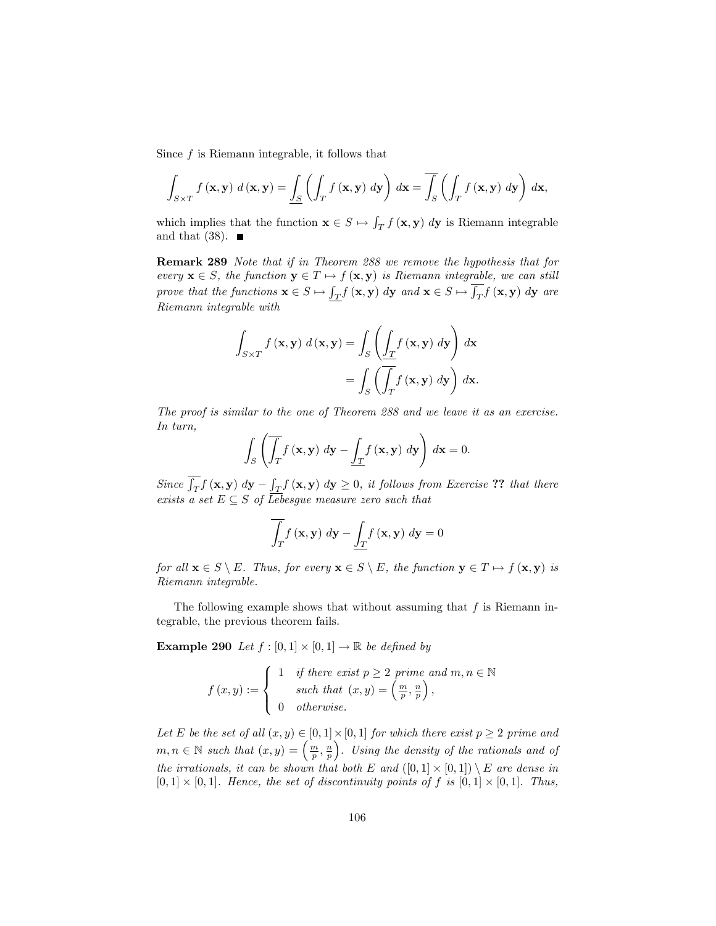Since  $f$  is Riemann integrable, it follows that

$$
\int_{S\times T} f(\mathbf{x}, \mathbf{y}) d(\mathbf{x}, \mathbf{y}) = \underline{\int_{S} \left( \int_{T} f(\mathbf{x}, \mathbf{y}) d\mathbf{y} \right) d\mathbf{x}} = \overline{\int_{S} \left( \int_{T} f(\mathbf{x}, \mathbf{y}) d\mathbf{y} \right) d\mathbf{x}},
$$

which implies that the function  $\mathbf{x} \in S \mapsto \int_T f(\mathbf{x}, \mathbf{y}) d\mathbf{y}$  is Riemann integrable and that  $(38)$ .

Remark 289 Note that if in Theorem 288 we remove the hypothesis that for every  $\mathbf{x} \in S$ , the function  $\mathbf{y} \in T \mapsto f(\mathbf{x}, \mathbf{y})$  is Riemann integrable, we can still prove that the functions  $\mathbf{x} \in S \mapsto \int_T f(\mathbf{x}, \mathbf{y}) d\mathbf{y}$  and  $\mathbf{x} \in S \mapsto \overline{\int_T} f(\mathbf{x}, \mathbf{y}) d\mathbf{y}$  are Riemann integrable with

$$
\int_{S \times T} f(\mathbf{x}, \mathbf{y}) d(\mathbf{x}, \mathbf{y}) = \int_{S} \left( \underbrace{\int_{T} f(\mathbf{x}, \mathbf{y}) d\mathbf{y}}_{= \int_{S} \left( \overline{\int_{T} f(\mathbf{x}, \mathbf{y}) d\mathbf{y}} \right) d\mathbf{x} \right)
$$

The proof is similar to the one of Theorem 288 and we leave it as an exercise. In turn,

$$
\int_{S} \left( \overline{\int_{T}} f\left(\mathbf{x}, \mathbf{y}\right) d\mathbf{y} - \underline{\int_{T} f\left(\mathbf{x}, \mathbf{y}\right) d\mathbf{y}} \right) d\mathbf{x} = 0.
$$

Since  $\overline{\int_T} f(\mathbf{x}, \mathbf{y}) d\mathbf{y} - \underline{\int_T} f(\mathbf{x}, \mathbf{y}) d\mathbf{y} \geq 0$ , it follows from Exercise ?? that there exists a set  $E \subseteq S$  of Lebesgue measure zero such that

$$
\int_{T} f(\mathbf{x}, \mathbf{y}) \, d\mathbf{y} - \underline{\int_{T} f(\mathbf{x}, \mathbf{y})} \, d\mathbf{y} = 0
$$

for all  $\mathbf{x} \in S \setminus E$ . Thus, for every  $\mathbf{x} \in S \setminus E$ , the function  $\mathbf{y} \in T \mapsto f(\mathbf{x}, \mathbf{y})$  is Riemann integrable.

The following example shows that without assuming that  $f$  is Riemann integrable, the previous theorem fails.

**Example 290** Let  $f : [0,1] \times [0,1] \rightarrow \mathbb{R}$  be defined by

$$
f(x,y) := \begin{cases} 1 & \text{if there exist } p \ge 2 \text{ prime and } m, n \in \mathbb{N} \\ & \text{such that } (x,y) = \left(\frac{m}{p}, \frac{n}{p}\right), \\ 0 & \text{otherwise.} \end{cases}
$$

Let E be the set of all  $(x, y) \in [0, 1] \times [0, 1]$  for which there exist  $p \ge 2$  prime and  $m, n \in \mathbb{N}$  such that  $(x, y) = \left(\frac{m}{p}, \frac{n}{p}\right)$  . Using the density of the rationals and of the irrationals, it can be shown that both E and  $([0,1] \times [0,1]) \setminus E$  are dense in  $[0,1] \times [0,1]$ . Hence, the set of discontinuity points of f is  $[0,1] \times [0,1]$ . Thus,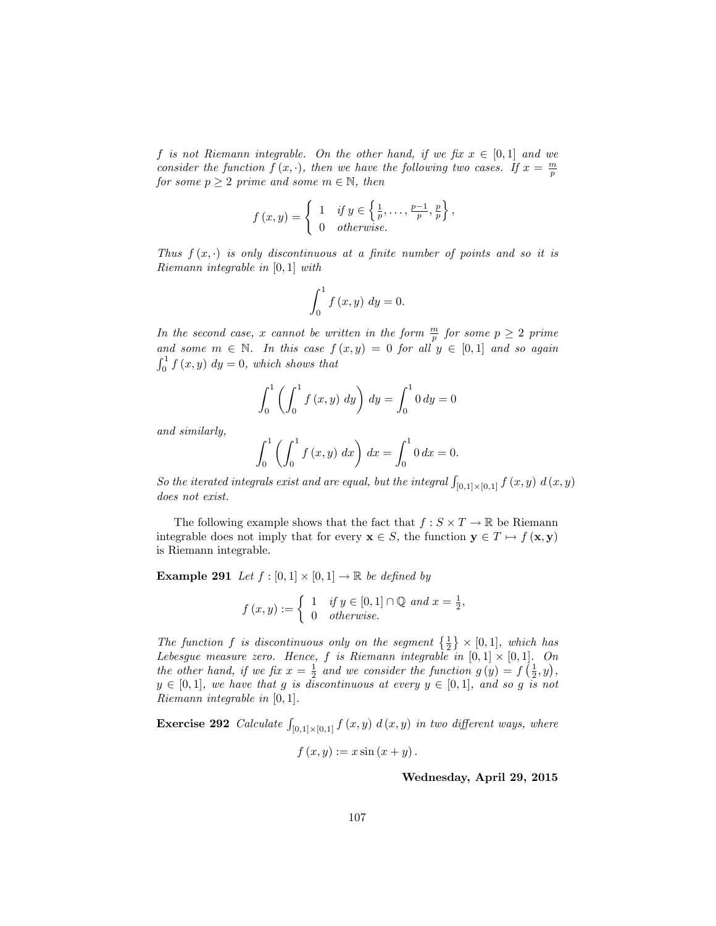f is not Riemann integrable. On the other hand, if we fix  $x \in [0,1]$  and we consider the function  $f(x, \cdot)$ , then we have the following two cases. If  $x = \frac{m}{p}$ for some  $p \geq 2$  prime and some  $m \in \mathbb{N}$ , then

$$
f(x,y) = \begin{cases} 1 & \text{if } y \in \left\{\frac{1}{p}, \dots, \frac{p-1}{p}, \frac{p}{p}\right\}, \\ 0 & otherwise. \end{cases}
$$

Thus  $f(x, \cdot)$  is only discontinuous at a finite number of points and so it is Riemann integrable in [0; 1] with

$$
\int_0^1 f(x, y) dy = 0.
$$

In the second case, x cannot be written in the form  $\frac{m}{p}$  for some  $p \geq 2$  prime and some  $m \in \mathbb{N}$ . In this case  $f(x, y) = 0$  for all  $y \in [0, 1]$  and so again  $\int_0^1 f(x, y) dy = 0$ , which shows that

$$
\int_0^1 \left( \int_0^1 f(x, y) \, dy \right) \, dy = \int_0^1 0 \, dy = 0
$$

and similarly,

$$
\int_0^1 \left( \int_0^1 f(x, y) \, dx \right) \, dx = \int_0^1 0 \, dx = 0.
$$

So the iterated integrals exist and are equal, but the integral  $\int_{[0,1] \times [0,1]} f(x,y) d(x,y)$ does not exist.

The following example shows that the fact that  $f : S \times T \to \mathbb{R}$  be Riemann integrable does not imply that for every  $\mathbf{x} \in S$ , the function  $\mathbf{y} \in T \mapsto f(\mathbf{x}, \mathbf{y})$ is Riemann integrable.

**Example 291** Let  $f : [0,1] \times [0,1] \rightarrow \mathbb{R}$  be defined by

$$
f(x,y) := \begin{cases} 1 & \text{if } y \in [0,1] \cap \mathbb{Q} \text{ and } x = \frac{1}{2}, \\ 0 & \text{otherwise.} \end{cases}
$$

The function f is discontinuous only on the segment  $\{\frac{1}{2}\}\times [0,1]$ , which has Lebesgue measure zero. Hence, f is Riemann integrable in  $[0,1] \times [0,1]$ . On the other hand, if we fix  $x = \frac{1}{2}$  and we consider the function  $g(y) = f(\frac{1}{2}, y)$ ,  $y \in [0, 1]$ , we have that g is discontinuous at every  $y \in [0, 1]$ , and so g is not Riemann integrable in  $[0, 1]$ .

**Exercise 292** Calculate  $\int_{[0,1] \times [0,1]} f(x,y) d(x,y)$  in two different ways, where

$$
f(x,y) := x \sin(x+y).
$$

Wednesday, April 29, 2015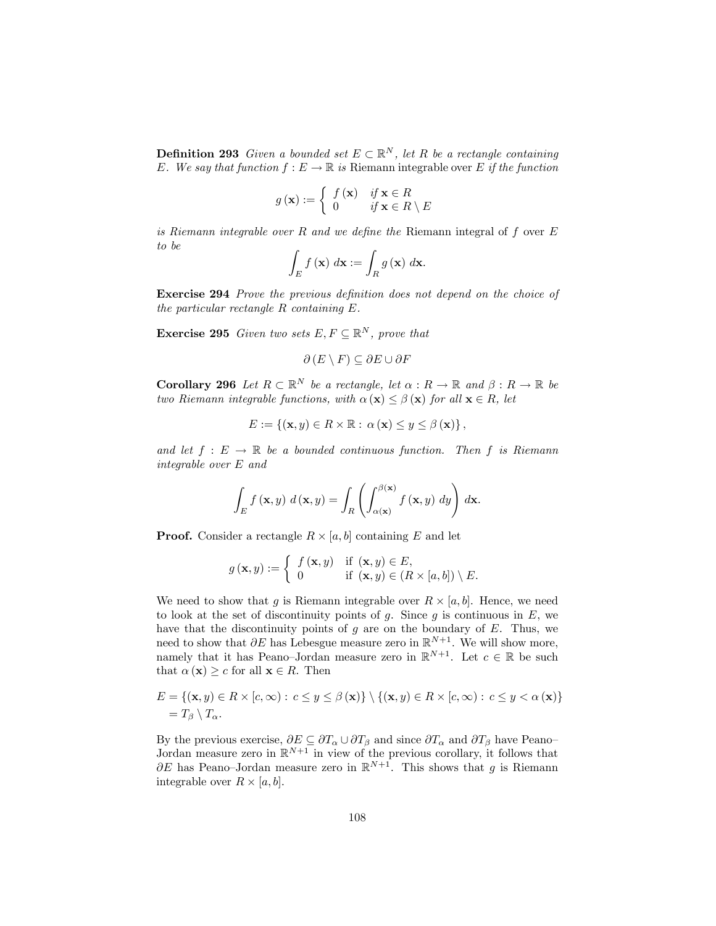**Definition 293** Given a bounded set  $E \subset \mathbb{R}^N$ , let R be a rectangle containing E. We say that function  $f : E \to \mathbb{R}$  is Riemann integrable over E if the function

$$
g(\mathbf{x}) := \begin{cases} f(\mathbf{x}) & \text{if } \mathbf{x} \in R \\ 0 & \text{if } \mathbf{x} \in R \setminus E \end{cases}
$$

is Riemann integrable over  $R$  and we define the Riemann integral of  $f$  over  $E$ to be

$$
\int_{E} f(\mathbf{x}) \, d\mathbf{x} := \int_{R} g(\mathbf{x}) \, d\mathbf{x}.
$$

Exercise 294 Prove the previous definition does not depend on the choice of the particular rectangle  $R$  containing  $E$ .

**Exercise 295** Given two sets  $E, F \subseteq \mathbb{R}^N$ , prove that

$$
\partial (E \setminus F) \subseteq \partial E \cup \partial F
$$

**Corollary 296** Let  $R \subset \mathbb{R}^N$  be a rectangle, let  $\alpha : R \to \mathbb{R}$  and  $\beta : R \to \mathbb{R}$  be two Riemann integrable functions, with  $\alpha(\mathbf{x}) \leq \beta(\mathbf{x})$  for all  $\mathbf{x} \in R$ , let

$$
E := \{ (\mathbf{x}, y) \in R \times \mathbb{R} : \alpha (\mathbf{x}) \leq y \leq \beta (\mathbf{x}) \},
$$

and let  $f : E \to \mathbb{R}$  be a bounded continuous function. Then f is Riemann integrable over E and

$$
\int_{E} f(\mathbf{x}, y) d(\mathbf{x}, y) = \int_{R} \left( \int_{\alpha(\mathbf{x})}^{\beta(\mathbf{x})} f(\mathbf{x}, y) dy \right) d\mathbf{x}.
$$

**Proof.** Consider a rectangle  $R \times [a, b]$  containing E and let

$$
g\left(\mathbf{x},y\right):=\left\{\begin{array}{ll}f\left(\mathbf{x},y\right)&\text{if }\left(\mathbf{x},y\right)\in E,\\0&\text{if }\left(\mathbf{x},y\right)\in\left(R\times\left[a,b\right]\right)\setminus E.\end{array}\right.
$$

We need to show that g is Riemann integrable over  $R \times [a, b]$ . Hence, we need to look at the set of discontinuity points of  $g$ . Since  $g$  is continuous in  $E$ , we have that the discontinuity points of  $g$  are on the boundary of  $E$ . Thus, we need to show that  $\partial E$  has Lebesgue measure zero in  $\mathbb{R}^{N+1}$ . We will show more, namely that it has Peano-Jordan measure zero in  $\mathbb{R}^{N+1}$ . Let  $c \in \mathbb{R}$  be such that  $\alpha(\mathbf{x}) \geq c$  for all  $\mathbf{x} \in R$ . Then

$$
E = \{ (\mathbf{x}, y) \in R \times [c, \infty) : c \leq y \leq \beta(\mathbf{x}) \} \setminus \{ (\mathbf{x}, y) \in R \times [c, \infty) : c \leq y < \alpha(\mathbf{x}) \} \\
 = T_{\beta} \setminus T_{\alpha}.
$$

By the previous exercise,  $\partial E \subseteq \partial T_{\alpha} \cup \partial T_{\beta}$  and since  $\partial T_{\alpha}$  and  $\partial T_{\beta}$  have Peano-Jordan measure zero in  $\mathbb{R}^{N+1}$  in view of the previous corollary, it follows that  $\partial E$  has Peano-Jordan measure zero in  $\mathbb{R}^{N+1}$ . This shows that g is Riemann integrable over  $R \times [a, b]$ .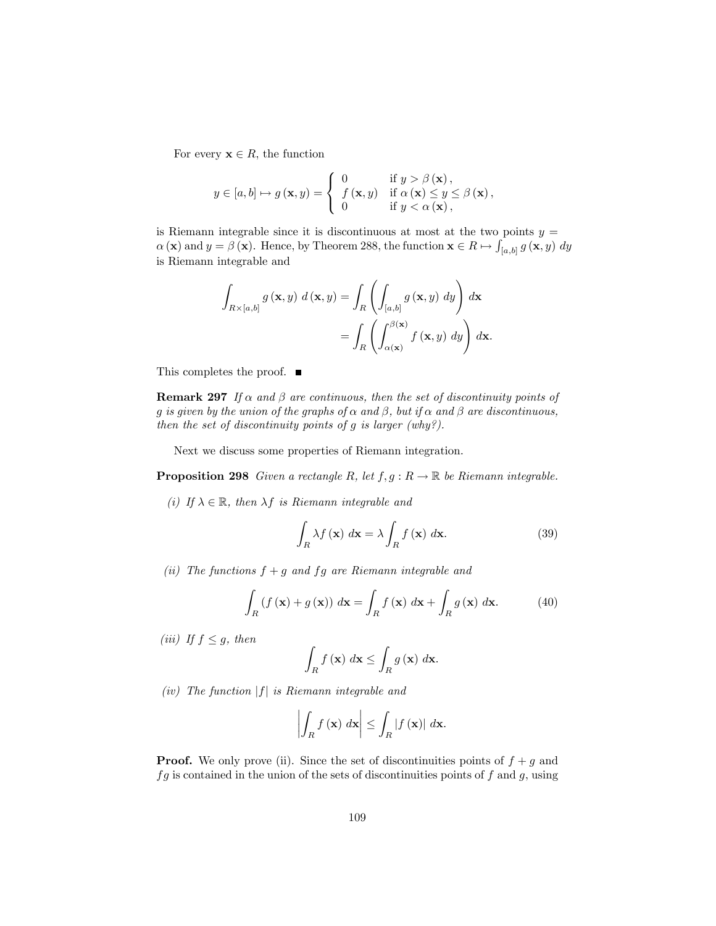For every  $\mathbf{x} \in R$ , the function

$$
y \in [a, b] \mapsto g(\mathbf{x}, y) = \begin{cases} 0 & \text{if } y > \beta(\mathbf{x}), \\ f(\mathbf{x}, y) & \text{if } \alpha(\mathbf{x}) \le y \le \beta(\mathbf{x}), \\ 0 & \text{if } y < \alpha(\mathbf{x}), \end{cases}
$$

is Riemann integrable since it is discontinuous at most at the two points  $y =$  $\alpha(\mathbf{x})$  and  $y = \beta(\mathbf{x})$ . Hence, by Theorem 288, the function  $\mathbf{x} \in R \mapsto \int_{[a,b]} g(\mathbf{x}, y) dy$ is Riemann integrable and

$$
\int_{R\times[a,b]} g(\mathbf{x},y) d(\mathbf{x},y) = \int_{R} \left( \int_{[a,b]} g(\mathbf{x},y) dy \right) d\mathbf{x}
$$

$$
= \int_{R} \left( \int_{\alpha(\mathbf{x})}^{\beta(\mathbf{x})} f(\mathbf{x},y) dy \right) d\mathbf{x}.
$$

This completes the proof. ■

**Remark 297** If  $\alpha$  and  $\beta$  are continuous, then the set of discontinuity points of g is given by the union of the graphs of  $\alpha$  and  $\beta$ , but if  $\alpha$  and  $\beta$  are discontinuous, then the set of discontinuity points of  $g$  is larger (why?).

Next we discuss some properties of Riemann integration.

**Proposition 298** Given a rectangle R, let  $f, g : R \to \mathbb{R}$  be Riemann integrable.

(i) If  $\lambda \in \mathbb{R}$ , then  $\lambda f$  is Riemann integrable and

$$
\int_{R} \lambda f(\mathbf{x}) \, d\mathbf{x} = \lambda \int_{R} f(\mathbf{x}) \, d\mathbf{x}.\tag{39}
$$

(ii) The functions  $f + g$  and  $fg$  are Riemann integrable and

$$
\int_{R} \left( f\left(\mathbf{x}\right) + g\left(\mathbf{x}\right) \right) \, d\mathbf{x} = \int_{R} f\left(\mathbf{x}\right) \, d\mathbf{x} + \int_{R} g\left(\mathbf{x}\right) \, d\mathbf{x}.\tag{40}
$$

(iii) If  $f \leq g$ , then

$$
\int_{R} f(\mathbf{x}) \, d\mathbf{x} \le \int_{R} g(\mathbf{x}) \, d\mathbf{x}.
$$

(iv) The function  $|f|$  is Riemann integrable and

$$
\left| \int_{R} f(\mathbf{x}) \, d\mathbf{x} \right| \leq \int_{R} |f(\mathbf{x})| \, d\mathbf{x}.
$$

**Proof.** We only prove (ii). Since the set of discontinuities points of  $f + g$  and  $fg$  is contained in the union of the sets of discontinuities points of  $f$  and  $g$ , using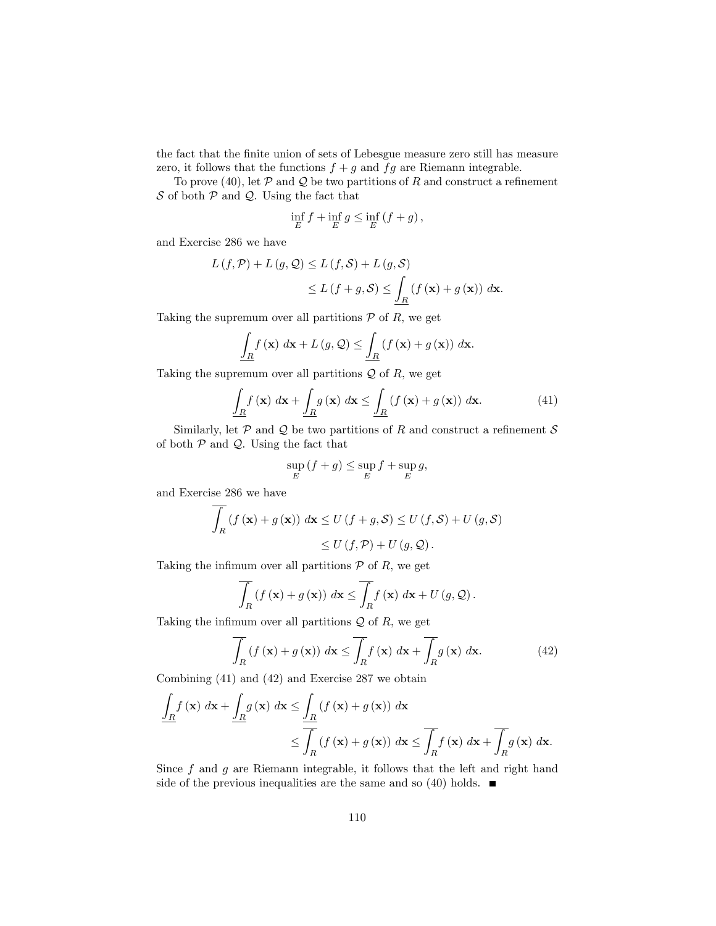the fact that the finite union of sets of Lebesgue measure zero still has measure zero, it follows that the functions  $f + g$  and  $fg$  are Riemann integrable.

To prove (40), let  $P$  and  $Q$  be two partitions of R and construct a refinement  $S$  of both  $P$  and  $Q$ . Using the fact that

$$
\inf_{E} f + \inf_{E} g \le \inf_{E} \left( f + g \right),\,
$$

and Exercise 286 we have

$$
L(f, \mathcal{P}) + L(g, \mathcal{Q}) \le L(f, \mathcal{S}) + L(g, \mathcal{S})
$$
  
 
$$
\le L(f + g, \mathcal{S}) \le \underline{\int_{R}} (f(\mathbf{x}) + g(\mathbf{x})) d\mathbf{x}.
$$

Taking the supremum over all partitions  $P$  of R, we get

$$
\underline{\int_{R} f(\mathbf{x}) \, d\mathbf{x} + L(g, \mathcal{Q})} \leq \underline{\int_{R} (f(\mathbf{x}) + g(\mathbf{x})) \, d\mathbf{x}}.
$$

Taking the supremum over all partitions  $Q$  of  $R$ , we get

$$
\underline{\int_{R} f(\mathbf{x}) dx + \underline{\int_{R} g(\mathbf{x}) dx \leq \underline{\int_{R} (f(\mathbf{x}) + g(\mathbf{x})) dx.} \tag{41}
$$

Similarly, let  $P$  and  $Q$  be two partitions of R and construct a refinement  $S$ of both  $P$  and  $Q$ . Using the fact that

$$
\sup_{E} (f+g) \le \sup_{E} f + \sup_{E} g,
$$

and Exercise 286 we have

$$
\overline{\int_{R} (f(\mathbf{x}) + g(\mathbf{x}))} d\mathbf{x} \le U(f + g, S) \le U(f, S) + U(g, S)
$$
  

$$
\le U(f, \mathcal{P}) + U(g, \mathcal{Q}).
$$

Taking the infimum over all partitions  $P$  of R, we get

$$
\overline{\int_{R} (f(\mathbf{x}) + g(\mathbf{x}))} d\mathbf{x} \le \overline{\int_{R} f(\mathbf{x})} d\mathbf{x} + U(g, Q).
$$

Taking the infimum over all partitions  $\mathcal Q$  of R, we get

$$
\int_{R} \left( f\left(\mathbf{x}\right) + g\left(\mathbf{x}\right) \right) d\mathbf{x} \le \int_{R} f\left(\mathbf{x}\right) d\mathbf{x} + \int_{R} g\left(\mathbf{x}\right) d\mathbf{x}.\tag{42}
$$

Combining (41) and (42) and Exercise 287 we obtain

$$
\frac{\int_{R} f(\mathbf{x}) d\mathbf{x} + \int_{R} g(\mathbf{x}) d\mathbf{x} \le \frac{\int_{R} (f(\mathbf{x}) + g(\mathbf{x})) d\mathbf{x}}{\int_{R} (f(\mathbf{x}) + g(\mathbf{x})) d\mathbf{x} \le \int_{R} f(\mathbf{x}) d\mathbf{x} + \int_{R} g(\mathbf{x}) d\mathbf{x}}.
$$

Since  $f$  and  $g$  are Riemann integrable, it follows that the left and right hand side of the previous inequalities are the same and so (40) holds.  $\blacksquare$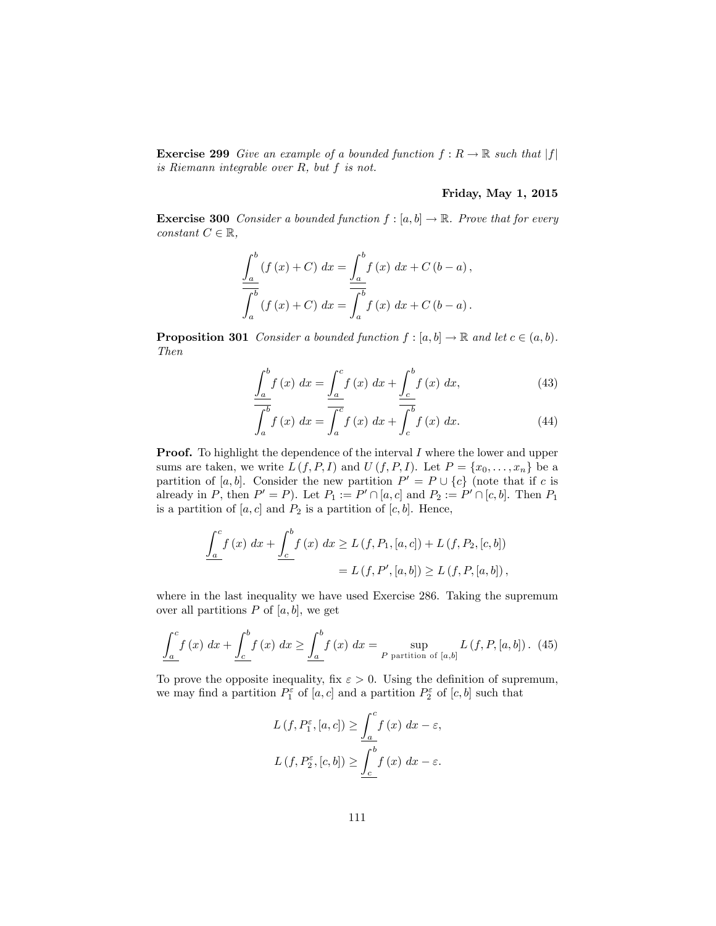**Exercise 299** Give an example of a bounded function  $f: R \to \mathbb{R}$  such that  $|f|$ is Riemann integrable over R, but f is not.

## Friday, May 1, 2015

**Exercise 300** Consider a bounded function  $f : [a, b] \to \mathbb{R}$ . Prove that for every constant  $C \in \mathbb{R}$ ,

$$
\frac{\int_{a}^{b} (f(x) + C) dx = \frac{\int_{a}^{b} f(x) dx + C(b - a),}{\int_{a}^{b} (f(x) + C) dx = \frac{\int_{a}^{b} f(x) dx + C(b - a).
$$

**Proposition 301** Consider a bounded function  $f : [a, b] \to \mathbb{R}$  and let  $c \in (a, b)$ . Then

$$
\underline{\int_{a}^{b} f(x) dx} = \underline{\int_{a}^{c} f(x) dx} + \underline{\int_{c}^{b} f(x) dx},
$$
\n(43)

$$
\int_{a}^{b} f(x) dx = \overline{\int_{a}^{c}} f(x) dx + \int_{c}^{b} f(x) dx.
$$
 (44)

**Proof.** To highlight the dependence of the interval I where the lower and upper sums are taken, we write  $L(f, P, I)$  and  $U(f, P, I)$ . Let  $P = \{x_0, \ldots, x_n\}$  be a partition of  $[a, b]$ . Consider the new partition  $P' = P \cup \{c\}$  (note that if c is already in P, then  $P' = P$ ). Let  $P_1 := P' \cap [a, c]$  and  $P_2 := P' \cap [c, b]$ . Then  $P_1$ is a partition of  $[a, c]$  and  $P_2$  is a partition of  $[c, b]$ . Hence,

$$
\frac{\int_{a}^{c} f(x) dx + \int_{c}^{b} f(x) dx \ge L(f, P_{1}, [a, c]) + L(f, P_{2}, [c, b])}{\sum_{c} L(f, P', [a, b]) \ge L(f, P, [a, b])},
$$

where in the last inequality we have used Exercise 286. Taking the supremum over all partitions  $P$  of  $[a, b]$ , we get

$$
\underline{\int_{a}^{c} f(x) dx + \underline{\int_{c}^{b} f(x) dx} \ge \underline{\int_{a}^{b} f(x) dx} = \sup_{P \text{ partition of } [a,b]} L(f, P, [a, b]). (45)
$$

To prove the opposite inequality, fix  $\varepsilon > 0$ . Using the definition of supremum, we may find a partition  $P_1^{\varepsilon}$  of  $[a, c]$  and a partition  $P_2^{\varepsilon}$  of  $[c, b]$  such that

$$
L(f, P_1^{\varepsilon}, [a, c]) \ge \underline{\int_a^c f(x) dx - \varepsilon},
$$
  

$$
L(f, P_2^{\varepsilon}, [c, b]) \ge \underline{\int_c^b f(x) dx - \varepsilon}.
$$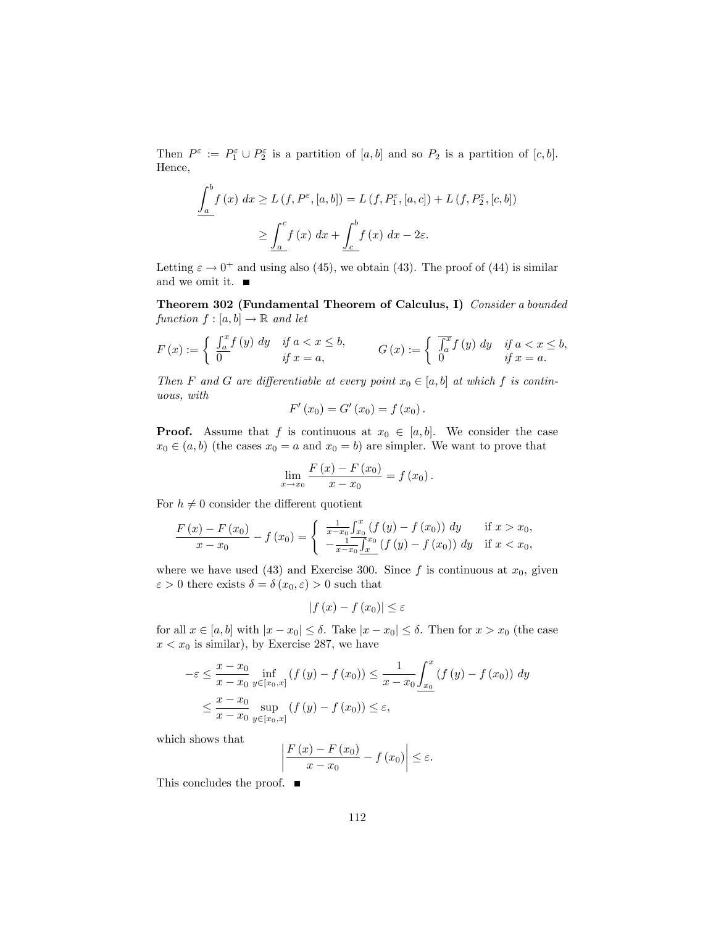Then  $P^{\varepsilon} := P_1^{\varepsilon} \cup P_2^{\varepsilon}$  is a partition of  $[a, b]$  and so  $P_2$  is a partition of  $[c, b]$ . Hence,

$$
\underline{\int_{a}^{b} f(x) dx \ge L(f, P^{\varepsilon}, [a, b]) = L(f, P^{\varepsilon}_{1}, [a, c]) + L(f, P^{\varepsilon}_{2}, [c, b])}
$$

$$
\ge \underline{\int_{a}^{c} f(x) dx + \underline{\int_{c}^{b} f(x) dx - 2\varepsilon}.
$$

Letting  $\varepsilon \to 0^+$  and using also (45), we obtain (43). The proof of (44) is similar and we omit it.

Theorem 302 (Fundamental Theorem of Calculus, I) Consider a bounded function  $f : [a, b] \to \mathbb{R}$  and let

$$
F(x) := \begin{cases} \int_a^x f(y) dy & \text{if } a < x \le b, \\ 0 & \text{if } x = a, \end{cases} \qquad G(x) := \begin{cases} \int_a^x f(y) dy & \text{if } a < x \le b, \\ 0 & \text{if } x = a. \end{cases}
$$

Then F and G are differentiable at every point  $x_0 \in [a, b]$  at which f is continuous, with

$$
F'(x_0) = G'(x_0) = f(x_0).
$$

**Proof.** Assume that f is continuous at  $x_0 \in [a, b]$ . We consider the case  $x_0 \in (a, b)$  (the cases  $x_0 = a$  and  $x_0 = b$ ) are simpler. We want to prove that

$$
\lim_{x \to x_0} \frac{F(x) - F(x_0)}{x - x_0} = f(x_0).
$$

For  $h \neq 0$  consider the different quotient

$$
\frac{F(x) - F(x_0)}{x - x_0} - f(x_0) = \begin{cases} \frac{1}{x - x_0} \int_{x_0}^x (f(y) - f(x_0)) dy & \text{if } x > x_0, \\ -\frac{1}{x - x_0} \int_{x_0}^{x_0} (f(y) - f(x_0)) dy & \text{if } x < x_0, \end{cases}
$$

where we have used (43) and Exercise 300. Since f is continuous at  $x_0$ , given  $\varepsilon > 0$  there exists  $\delta = \delta(x_0, \varepsilon) > 0$  such that

$$
\left|f\left(x\right)-f\left(x_0\right)\right| \leq \varepsilon
$$

for all  $x \in [a, b]$  with  $|x - x_0| \le \delta$ . Take  $|x - x_0| \le \delta$ . Then for  $x > x_0$  (the case  $x < x_0$  is similar), by Exercise 287, we have

$$
-\varepsilon \leq \frac{x - x_0}{x - x_0} \inf_{y \in [x_0, x]} (f(y) - f(x_0)) \leq \frac{1}{x - x_0} \int_{x_0}^x (f(y) - f(x_0)) dy
$$
  

$$
\leq \frac{x - x_0}{x - x_0} \sup_{y \in [x_0, x]} (f(y) - f(x_0)) \leq \varepsilon,
$$

which shows that

$$
\left|\frac{F(x) - F(x_0)}{x - x_0} - f(x_0)\right| \le \varepsilon.
$$

This concludes the proof. ■